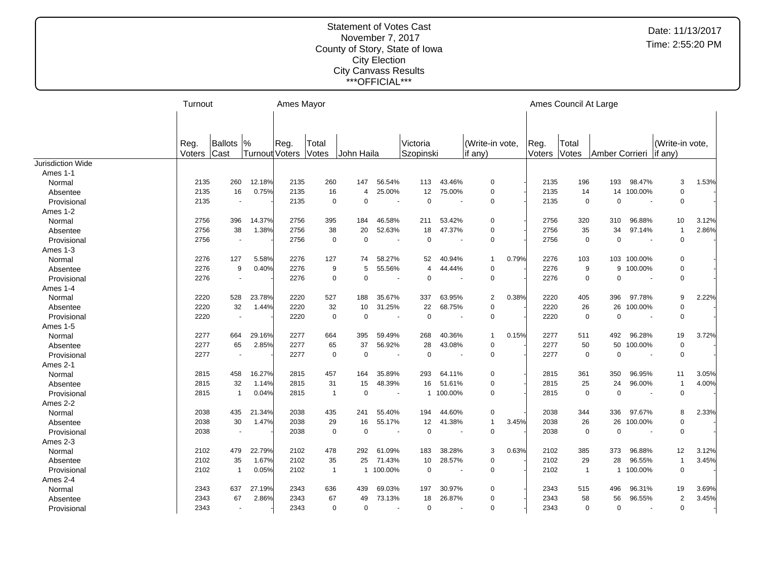|                          | Turnout |                          |                       | Ames Mayor |                |                |                          |             |                          |                 |       |        | Ames Council At Large |                |                          |                 |       |
|--------------------------|---------|--------------------------|-----------------------|------------|----------------|----------------|--------------------------|-------------|--------------------------|-----------------|-------|--------|-----------------------|----------------|--------------------------|-----------------|-------|
|                          |         |                          |                       |            |                |                |                          |             |                          |                 |       |        |                       |                |                          |                 |       |
|                          |         |                          |                       |            |                |                |                          |             |                          |                 |       |        |                       |                |                          |                 |       |
|                          | Reg.    | Ballots                  | $\frac{9}{6}$         | Reg.       | Total          |                |                          | Victoria    |                          | (Write-in vote, |       | Reg.   | Total                 |                |                          | (Write-in vote, |       |
|                          | Voters  | Cast                     | <b>Turnout Voters</b> |            | Votes          | John Haila     |                          | Szopinski   |                          | if any)         |       | Voters | Votes                 | Amber Corrieri |                          | $\vert$ if any) |       |
| <b>Jurisdiction Wide</b> |         |                          |                       |            |                |                |                          |             |                          |                 |       |        |                       |                |                          |                 |       |
| Ames 1-1                 |         |                          |                       |            |                |                |                          |             |                          |                 |       |        |                       |                |                          |                 |       |
| Normal                   | 2135    | 260                      | 12.18%                | 2135       | 260            | 147            | 56.54%                   | 113         | 43.46%                   | $\mathbf 0$     |       | 2135   | 196                   | 193            | 98.47%                   | 3               | 1.53% |
| Absentee                 | 2135    | 16                       | 0.75%                 | 2135       | 16             | $\overline{4}$ | 25.00%                   | 12          | 75.00%                   | $\mathbf 0$     |       | 2135   | 14                    | 14             | 100.00%                  | $\mathbf 0$     |       |
| Provisional              | 2135    | $\overline{\phantom{a}}$ |                       | 2135       | $\mathbf 0$    | $\mathbf 0$    | $\overline{\phantom{a}}$ | $\mathbf 0$ |                          | $\mathbf 0$     |       | 2135   | $\mathbf 0$           | $\Omega$       | $\overline{\phantom{a}}$ | $\mathbf 0$     |       |
| Ames 1-2                 |         |                          |                       |            |                |                |                          |             |                          |                 |       |        |                       |                |                          |                 |       |
| Normal                   | 2756    | 396                      | 14.37%                | 2756       | 395            | 184            | 46.58%                   | 211         | 53.42%                   | 0               |       | 2756   | 320                   | 310            | 96.88%                   | 10              | 3.12% |
| Absentee                 | 2756    | 38                       | 1.38%                 | 2756       | 38             | 20             | 52.63%                   | 18          | 47.37%                   | $\mathbf 0$     |       | 2756   | 35                    | 34             | 97.14%                   | $\mathbf{1}$    | 2.86% |
| Provisional              | 2756    | $\sim$                   |                       | 2756       | $\mathbf 0$    | $\mathbf 0$    | $\sim$                   | $\pmb{0}$   | $\sim$                   | $\mathbf 0$     |       | 2756   | $\mathbf 0$           | $\overline{0}$ | $\overline{\phantom{a}}$ | $\mathbf 0$     |       |
| Ames 1-3                 |         |                          |                       |            |                |                |                          |             |                          |                 |       |        |                       |                |                          |                 |       |
| Normal                   | 2276    | 127                      | 5.58%                 | 2276       | 127            | 74             | 58.27%                   | 52          | 40.94%                   | 1               | 0.79% | 2276   | 103                   | 103            | 100.00%                  | $\mathbf 0$     |       |
| Absentee                 | 2276    | 9                        | 0.40%                 | 2276       | 9              | 5              | 55.56%                   | 4           | 44.44%                   | $\mathbf 0$     |       | 2276   | 9                     | 9              | 100.00%                  | $\mathbf 0$     |       |
| Provisional              | 2276    | $\blacksquare$           |                       | 2276       | $\mathbf 0$    | $\mathbf 0$    |                          | $\mathbf 0$ |                          | $\mathbf 0$     |       | 2276   | 0                     | $\Omega$       |                          | $\mathbf 0$     |       |
| Ames 1-4                 |         |                          |                       |            |                |                |                          |             |                          |                 |       |        |                       |                |                          |                 |       |
| Normal                   | 2220    | 528                      | 23.78%                | 2220       | 527            | 188            | 35.67%                   | 337         | 63.95%                   | $\overline{2}$  | 0.38% | 2220   | 405                   | 396            | 97.78%                   | 9               | 2.22% |
| Absentee                 | 2220    | 32                       | 1.44%                 | 2220       | 32             | 10             | 31.25%                   | 22          | 68.75%                   | $\mathbf 0$     |       | 2220   | 26                    | 26             | 100.00%                  | $\mathsf 0$     |       |
| Provisional              | 2220    | $\overline{\phantom{a}}$ |                       | 2220       | $\mathbf 0$    | $\mathbf 0$    |                          | $\mathbf 0$ |                          | $\mathbf 0$     |       | 2220   | 0                     | $\Omega$       |                          | $\mathbf 0$     |       |
| Ames 1-5                 |         |                          |                       |            |                |                |                          |             |                          |                 |       |        |                       |                |                          |                 |       |
| Normal                   | 2277    | 664                      | 29.16%                | 2277       | 664            | 395            | 59.49%                   | 268         | 40.36%                   | 1               | 0.15% | 2277   | 511                   | 492            | 96.28%                   | 19              | 3.72% |
| Absentee                 | 2277    | 65                       | 2.85%                 | 2277       | 65             | 37             | 56.92%                   | 28          | 43.08%                   | $\mathbf 0$     |       | 2277   | 50                    | 50             | 100.00%                  | $\mathbf 0$     |       |
| Provisional              | 2277    | $\overline{\phantom{a}}$ |                       | 2277       | $\pmb{0}$      | $\mathbf 0$    |                          | $\mathbf 0$ |                          | $\mathbf 0$     |       | 2277   | 0                     | $\overline{0}$ |                          | $\pmb{0}$       |       |
| Ames 2-1                 |         |                          |                       |            |                |                |                          |             |                          |                 |       |        |                       |                |                          |                 |       |
| Normal                   | 2815    | 458                      | 16.27%                | 2815       | 457            | 164            | 35.89%                   | 293         | 64.11%                   | $\mathbf 0$     |       | 2815   | 361                   | 350            | 96.95%                   | 11              | 3.05% |
| Absentee                 | 2815    | 32                       | 1.14%                 | 2815       | 31             | 15             | 48.39%                   | 16          | 51.61%                   | $\mathbf 0$     |       | 2815   | 25                    | 24             | 96.00%                   | $\mathbf{1}$    | 4.00% |
| Provisional              | 2815    | $\overline{1}$           | 0.04%                 | 2815       | $\overline{1}$ | $\mathbf 0$    | ۰.                       |             | 1 100.00%                | $\mathbf 0$     |       | 2815   | $\mathbf 0$           | $\Omega$       |                          | $\mathbf 0$     |       |
| Ames 2-2                 |         |                          |                       |            |                |                |                          |             |                          |                 |       |        |                       |                |                          |                 |       |
| Normal                   | 2038    | 435                      | 21.34%                | 2038       | 435            | 241            | 55.40%                   | 194         | 44.60%                   | $\Omega$        |       | 2038   | 344                   | 336            | 97.67%                   | 8               | 2.33% |
| Absentee                 | 2038    | 30                       | 1.47%                 | 2038       | 29             | 16             | 55.17%                   | 12          | 41.38%                   | $\mathbf{1}$    | 3.45% | 2038   | 26                    | 26             | 100.00%                  | $\mathbf 0$     |       |
| Provisional              | 2038    | $\overline{\phantom{a}}$ |                       | 2038       | $\mathbf 0$    | $\mathbf 0$    | $\overline{\phantom{a}}$ | $\mathbf 0$ | $\overline{\phantom{a}}$ | $\Omega$        |       | 2038   | 0                     | $\Omega$       |                          | $\overline{0}$  |       |
| Ames 2-3                 |         |                          |                       |            |                |                |                          |             |                          |                 |       |        |                       |                |                          |                 |       |
| Normal                   | 2102    | 479                      | 22.79%                | 2102       | 478            | 292            | 61.09%                   | 183         | 38.28%                   | 3               | 0.63% | 2102   | 385                   | 373            | 96.88%                   | 12              | 3.12% |
| Absentee                 | 2102    | 35                       | 1.67%                 | 2102       | 35             | 25             | 71.43%                   | 10          | 28.57%                   | $\overline{0}$  |       | 2102   | 29                    | 28             | 96.55%                   | $\mathbf{1}$    | 3.45% |
| Provisional              | 2102    | $\overline{1}$           | 0.05%                 | 2102       | $\overline{1}$ | $\mathbf{1}$   | 100.00%                  | $\mathbf 0$ | $\overline{\phantom{a}}$ | $\mathbf 0$     |       | 2102   | $\overline{1}$        | $\mathbf 1$    | 100.00%                  | $\mathbf 0$     |       |
| Ames 2-4                 |         |                          |                       |            |                |                |                          |             |                          |                 |       |        |                       |                |                          |                 |       |
| Normal                   | 2343    | 637                      | 27.19%                | 2343       | 636            | 439            | 69.03%                   | 197         | 30.97%                   | 0               |       | 2343   | 515                   | 496            | 96.31%                   | 19              | 3.69% |
| Absentee                 | 2343    | 67                       | 2.86%                 | 2343       | 67             | 49             | 73.13%                   | 18          | 26.87%                   | $\mathbf 0$     |       | 2343   | 58                    | 56             | 96.55%                   | $\overline{2}$  | 3.45% |
| Provisional              | 2343    | $\sim$                   |                       | 2343       | $\mathbf 0$    | $\mathbf 0$    |                          | $\mathbf 0$ |                          | $\mathbf 0$     |       | 2343   | 0                     | $\overline{0}$ |                          | $\overline{0}$  |       |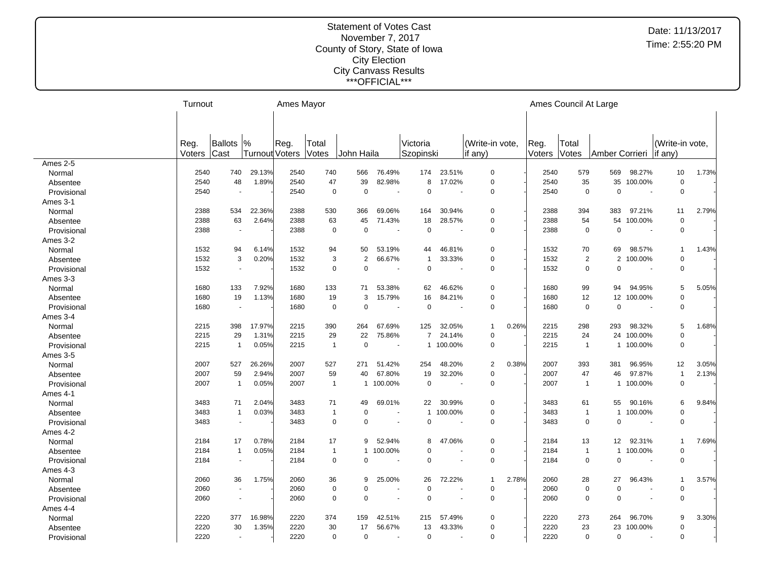|             | Turnout |                          |                | Ames Mayor |                |                |                          |                |                          |                         |        |       | Ames Council At Large            |           |                 |       |
|-------------|---------|--------------------------|----------------|------------|----------------|----------------|--------------------------|----------------|--------------------------|-------------------------|--------|-------|----------------------------------|-----------|-----------------|-------|
|             |         |                          |                |            |                |                |                          |                |                          |                         |        |       |                                  |           |                 |       |
|             |         |                          |                |            |                |                |                          |                |                          |                         |        |       |                                  |           |                 |       |
|             | Reg.    | Ballots                  | $\frac{9}{6}$  | Reg.       | Total          |                |                          | Victoria       |                          | (Write-in vote,         | Reg.   | Total |                                  |           | (Write-in vote. |       |
|             | Voters  | <b>Cast</b>              | Turnout Voters |            | Votes          | John Haila     |                          | Szopinski      |                          | if $any)$               | Voters | Votes | Amber Corrieri                   |           | if any)         |       |
| Ames 2-5    |         |                          |                |            |                |                |                          |                |                          |                         |        |       |                                  |           |                 |       |
| Normal      | 2540    | 740                      | 29.13%         | 2540       | 740            | 566            | 76.49%                   | 174            | 23.51%                   | $\Omega$                | 2540   | 579   | 569                              | 98.27%    | 10              | 1.73% |
| Absentee    | 2540    | 48                       | 1.89%          | 2540       | 47             | 39             | 82.98%                   | 8              | 17.02%                   | $\mathbf 0$             | 2540   |       | 35<br>35                         | 100.00%   | $\mathsf 0$     |       |
| Provisional | 2540    |                          |                | 2540       | $\mathsf 0$    | $\pmb{0}$      | $\sim$                   | $\mathbf 0$    | $\overline{\phantom{a}}$ | $\mathbf 0$             | 2540   |       | $\mathbf 0$<br>$\mathbf 0$       | ٠.        | $\mathbf 0$     |       |
| Ames 3-1    |         |                          |                |            |                |                |                          |                |                          |                         |        |       |                                  |           |                 |       |
| Normal      | 2388    | 534                      | 22.36%         | 2388       | 530            | 366            | 69.06%                   | 164            | 30.94%                   | $\mathbf 0$             | 2388   | 394   | 383                              | 97.21%    | 11              | 2.79% |
| Absentee    | 2388    | 63                       | 2.64%          | 2388       | 63             | 45             | 71.43%                   | 18             | 28.57%                   | $\pmb{0}$               | 2388   |       | 54<br>54                         | 100.00%   | $\mathbf 0$     |       |
| Provisional | 2388    |                          |                | 2388       | $\mathbf 0$    | $\pmb{0}$      |                          | $\mathbf 0$    |                          | $\mathbf 0$             | 2388   |       | $\mathbf 0$<br>$\mathbf 0$       |           | $\mathbf 0$     |       |
| Ames 3-2    |         |                          |                |            |                |                |                          |                |                          |                         |        |       |                                  |           |                 |       |
| Normal      | 1532    | 94                       | 6.14%          | 1532       | 94             | 50             | 53.19%                   | 44             | 46.81%                   | 0                       | 1532   |       | 70<br>69                         | 98.57%    | $\mathbf{1}$    | 1.43% |
| Absentee    | 1532    | 3                        | 0.20%          | 1532       | 3              | $\overline{2}$ | 66.67%                   | $\mathbf 1$    | 33.33%                   | $\mathbf 0$             | 1532   |       | $\overline{2}$<br>$\overline{2}$ | 100.00%   | $\mathbf 0$     |       |
| Provisional | 1532    | $\overline{\phantom{a}}$ |                | 1532       | $\mathbf 0$    | $\pmb{0}$      | $\overline{\phantom{a}}$ | $\mathbf 0$    | $\overline{\phantom{a}}$ | 0                       | 1532   |       | $\mathbf 0$<br>$\mathbf 0$       | $\sim$    | 0               |       |
| Ames 3-3    |         |                          |                |            |                |                |                          |                |                          |                         |        |       |                                  |           |                 |       |
| Normal      | 1680    | 133                      | 7.92%          | 1680       | 133            | 71             | 53.38%                   | 62             | 46.62%                   | $\mathbf 0$             | 1680   |       | 99<br>94                         | 94.95%    | 5               | 5.05% |
| Absentee    | 1680    | 19                       | 1.13%          | 1680       | 19             | 3              | 15.79%                   | 16             | 84.21%                   | $\mathbf 0$             | 1680   |       | 12<br>12                         | 100.00%   | $\mathbf 0$     |       |
| Provisional | 1680    |                          |                | 1680       | $\mathbf 0$    | $\Omega$       |                          | $\Omega$       |                          | $\Omega$                | 1680   |       | $\mathbf 0$<br>$\mathbf 0$       |           | $\mathbf 0$     |       |
| Ames 3-4    |         |                          |                |            |                |                |                          |                |                          |                         |        |       |                                  |           |                 |       |
| Normal      | 2215    | 398                      | 17.97%         | 2215       | 390            | 264            | 67.69%                   | 125            | 32.05%                   | 0.26%<br>$\mathbf{1}$   | 2215   | 298   | 293                              | 98.32%    | 5               | 1.68% |
| Absentee    | 2215    | 29                       | 1.31%          | 2215       | 29             | 22             | 75.86%                   | $\overline{7}$ | 24.14%                   | $\mathbf 0$             | 2215   |       | 24<br>24                         | 100.00%   | $\mathbf 0$     |       |
| Provisional | 2215    | $\overline{1}$           | 0.05%          | 2215       | $\overline{1}$ | $\mathbf 0$    | $\overline{\phantom{a}}$ |                | 1 100.00%                | $\mathbf 0$             | 2215   |       | $\overline{1}$                   | 1 100.00% | $\mathbf 0$     |       |
| Ames 3-5    |         |                          |                |            |                |                |                          |                |                          |                         |        |       |                                  |           |                 |       |
| Normal      | 2007    | 527                      | 26.26%         | 2007       | 527            | 271            | 51.42%                   | 254            | 48.20%                   | 0.38%<br>2              | 2007   | 393   | 381                              | 96.95%    | 12              | 3.05% |
| Absentee    | 2007    | 59                       | 2.94%          | 2007       | 59             | 40             | 67.80%                   | 19             | 32.20%                   | $\Omega$                | 2007   |       | 47<br>46                         | 97.87%    | $\mathbf{1}$    | 2.13% |
| Provisional | 2007    | $\overline{1}$           | 0.05%          | 2007       | $\mathbf{1}$   | 1              | 100.00%                  | $\mathbf 0$    | $\overline{\phantom{a}}$ | $\mathbf 0$             | 2007   |       | $\overline{1}$<br>$\mathbf{1}$   | 100.00%   | $\mathbf 0$     |       |
| Ames 4-1    |         |                          |                |            |                |                |                          |                |                          |                         |        |       |                                  |           |                 |       |
| Normal      | 3483    | 71                       | 2.04%          | 3483       | 71             | 49             | 69.01%                   | 22             | 30.99%                   | 0                       | 3483   |       | 61<br>55                         | 90.16%    | 6               | 9.84% |
| Absentee    | 3483    | $\overline{1}$           | 0.03%          | 3483       | $\mathbf{1}$   | $\mathbf 0$    |                          | $\mathbf{1}$   | 100.00%                  | $\mathbf 0$             | 3483   |       | $\overline{1}$<br>$\mathbf{1}$   | 100.00%   | $\pmb{0}$       |       |
| Provisional | 3483    | $\overline{a}$           |                | 3483       | $\mathbf 0$    | $\mathbf 0$    |                          | 0              |                          | $\mathbf 0$             | 3483   |       | $\mathbf 0$<br>$\mathbf 0$       |           | $\pmb{0}$       |       |
| Ames 4-2    |         |                          |                |            |                |                |                          |                |                          |                         |        |       |                                  |           |                 |       |
| Normal      | 2184    | 17                       | 0.78%          | 2184       | 17             | 9              | 52.94%                   | 8              | 47.06%                   | 0                       | 2184   |       | 13<br>12                         | 92.31%    | $\mathbf{1}$    | 7.69% |
| Absentee    | 2184    | $\overline{1}$           | 0.05%          | 2184       | $\mathbf{1}$   | $\mathbf{1}$   | 100.00%                  | $\Omega$       |                          | $\mathbf 0$             | 2184   |       | $\overline{1}$<br>$\mathbf{1}$   | 100.00%   | 0               |       |
| Provisional | 2184    | $\sim$                   |                | 2184       | $\mathbf 0$    | $\mathbf 0$    |                          | $\mathbf 0$    | ÷,                       | $\Omega$                | 2184   |       | $\mathbf 0$<br>$\mathbf 0$       | ٠.        | $\mathbf 0$     |       |
| Ames 4-3    |         |                          |                |            |                |                |                          |                |                          |                         |        |       |                                  |           |                 |       |
| Normal      | 2060    | 36                       | 1.75%          | 2060       | 36             | 9              | 25.00%                   | 26             | 72.22%                   | 2.78%<br>$\overline{1}$ | 2060   |       | 28<br>27                         | 96.43%    | $\mathbf 1$     | 3.57% |
| Absentee    | 2060    | $\overline{\phantom{a}}$ |                | 2060       | $\mathbf 0$    | $\mathbf 0$    |                          | $\Omega$       |                          | $\mathbf 0$             | 2060   |       | $\mathbf 0$<br>$\mathbf 0$       |           | $\mathbf 0$     |       |
| Provisional | 2060    |                          |                | 2060       | $\mathbf 0$    | $\mathbf 0$    |                          | $\mathbf 0$    |                          | $\mathbf 0$             | 2060   |       | $\mathbf 0$<br>$\mathbf 0$       |           | $\mathbf 0$     |       |
| Ames 4-4    |         |                          |                |            |                |                |                          |                |                          |                         |        |       |                                  |           |                 |       |
| Normal      | 2220    | 377                      | 16.98%         | 2220       | 374            | 159            | 42.51%                   | 215            | 57.49%                   | $\mathbf 0$             | 2220   | 273   | 264                              | 96.70%    | 9               | 3.30% |
| Absentee    | 2220    | 30                       | 1.35%          | 2220       | 30             | 17             | 56.67%                   | 13             | 43.33%                   | $\mathbf 0$             | 2220   |       | 23<br>23                         | 100.00%   | $\mathbf 0$     |       |
| Provisional | 2220    | $\overline{\phantom{a}}$ |                | 2220       | $\mathbf 0$    | $\mathbf 0$    | $\overline{\phantom{a}}$ | 0              | $\sim$                   | $\Omega$                | 2220   |       | $\mathbf 0$<br>$\mathbf 0$       | $\sim$    | $\Omega$        |       |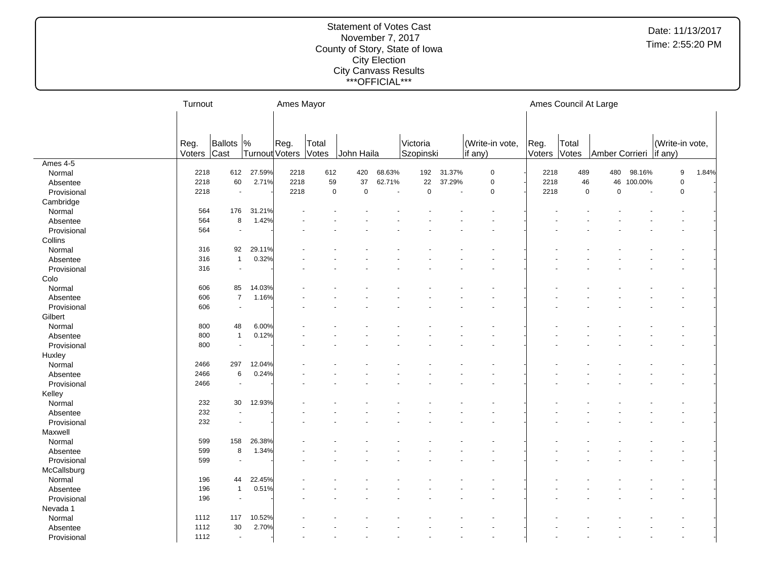|             | Turnout        |                          |                | Ames Mayor |                |             |        |                       |                      |                            |                | Ames Council At Large |                          |         |                  |       |
|-------------|----------------|--------------------------|----------------|------------|----------------|-------------|--------|-----------------------|----------------------|----------------------------|----------------|-----------------------|--------------------------|---------|------------------|-------|
|             |                |                          |                |            |                |             |        |                       |                      |                            |                |                       |                          |         |                  |       |
|             | Reg.<br>Voters | Ballots  %<br>Cast       | Turnout Voters | Reg.       | Total<br>Votes | John Haila  |        | Victoria<br>Szopinski |                      | (Write-in vote,<br>if any) | Reg.<br>Voters | Total<br>Votes        | Amber Corrieri   if any) |         | (Write-in vote,  |       |
| Ames 4-5    |                |                          |                |            |                |             |        |                       |                      |                            |                |                       |                          |         |                  |       |
| Normal      | 2218           | 612                      | 27.59%         | 2218       | 612            | 420         | 68.63% | 192                   | 31.37%               | $\mathbf 0$                | 2218           | 489                   | 480                      | 98.16%  | $\boldsymbol{9}$ | 1.84% |
| Absentee    | 2218           | 60                       | 2.71%          | 2218       | 59             | 37          | 62.71% | 22                    | 37.29%               | $\pmb{0}$                  | 2218           | 46                    | 46                       | 100.00% | $\pmb{0}$        |       |
| Provisional | 2218           |                          |                | 2218       | $\pmb{0}$      | $\mathsf 0$ | $\sim$ | $\mathbf 0$           | $\ddot{\phantom{a}}$ | $\mathbf 0$                | 2218           | $\mathsf 0$           | $\mathsf 0$              |         | $\pmb{0}$        |       |
| Cambridge   |                |                          |                |            |                |             |        |                       |                      |                            |                |                       |                          |         |                  |       |
| Normal      | 564            | 176                      | 31.21%         |            |                |             |        |                       |                      |                            |                |                       |                          |         |                  |       |
| Absentee    | 564            | 8                        | 1.42%          |            |                |             |        |                       |                      |                            |                |                       |                          |         |                  |       |
| Provisional | 564            | $\blacksquare$           |                |            |                |             |        |                       |                      |                            |                |                       |                          |         |                  |       |
| Collins     |                |                          |                |            |                |             |        |                       |                      |                            |                |                       |                          |         |                  |       |
| Normal      | 316            | 92                       | 29.11%         |            |                |             |        |                       |                      |                            |                |                       |                          |         |                  |       |
| Absentee    | 316            | $\mathbf{1}$             | 0.32%          |            |                |             |        |                       |                      |                            |                |                       |                          |         |                  |       |
| Provisional | 316            | $\sim$                   |                |            |                |             |        |                       |                      |                            |                |                       |                          |         |                  |       |
| Colo        |                |                          |                |            |                |             |        |                       |                      |                            |                |                       |                          |         |                  |       |
| Normal      | 606            | 85                       | 14.03%         |            |                |             |        |                       |                      |                            |                |                       |                          |         |                  |       |
| Absentee    | 606            | $\overline{7}$           | 1.16%          |            |                |             |        |                       |                      |                            |                |                       |                          |         |                  |       |
| Provisional | 606            | $\overline{\phantom{a}}$ |                |            |                |             |        |                       |                      |                            |                |                       |                          |         |                  |       |
| Gilbert     |                |                          |                |            |                |             |        |                       |                      |                            |                |                       |                          |         |                  |       |
| Normal      | 800            | 48                       | 6.00%          |            |                |             |        |                       |                      |                            |                |                       |                          |         |                  |       |
| Absentee    | 800            | $\overline{1}$           | 0.12%          |            |                |             |        |                       |                      |                            |                |                       |                          |         |                  |       |
| Provisional | 800            | $\sim$                   |                |            |                |             |        |                       |                      |                            |                |                       |                          |         |                  |       |
| Huxley      |                |                          |                |            |                |             |        |                       |                      |                            |                |                       |                          |         |                  |       |
| Normal      | 2466           | 297                      | 12.04%         |            |                |             |        |                       |                      |                            |                |                       |                          |         |                  |       |
| Absentee    | 2466           | 6                        | 0.24%          |            |                |             |        |                       |                      |                            |                |                       |                          |         |                  |       |
| Provisional | 2466           | $\sim$                   |                |            |                |             |        |                       |                      |                            |                |                       |                          |         |                  |       |
| Kelley      |                |                          |                |            |                |             |        |                       |                      |                            |                |                       |                          |         |                  |       |
| Normal      | 232            | 30                       | 12.93%         |            |                |             |        |                       |                      |                            |                |                       |                          |         |                  |       |
| Absentee    | 232            |                          |                |            |                |             |        |                       |                      |                            |                |                       |                          |         |                  |       |
| Provisional | 232            |                          |                |            |                |             |        |                       |                      |                            |                |                       |                          |         |                  |       |
| Maxwell     |                |                          |                |            |                |             |        |                       |                      |                            |                |                       |                          |         |                  |       |
| Normal      | 599            | 158                      | 26.38%         |            |                |             |        |                       |                      |                            |                |                       |                          |         |                  |       |
| Absentee    | 599            | 8                        | 1.34%          |            |                |             |        |                       |                      |                            |                |                       |                          |         |                  |       |
| Provisional | 599            |                          |                |            |                |             |        |                       |                      |                            |                |                       |                          |         |                  |       |
| McCallsburg |                |                          |                |            |                |             |        |                       |                      |                            |                |                       |                          |         |                  |       |
| Normal      | 196            | 44                       | 22.45%         |            |                |             |        |                       |                      |                            |                |                       |                          |         |                  |       |
| Absentee    | 196            | $\overline{1}$           | 0.51%          |            |                |             |        |                       |                      |                            |                |                       |                          |         |                  |       |
| Provisional | 196            | $\sim$                   |                |            |                |             |        |                       |                      |                            |                |                       |                          |         |                  |       |
| Nevada 1    |                |                          |                |            |                |             |        |                       |                      |                            |                |                       |                          |         |                  |       |
| Normal      | 1112           | 117                      | 10.52%         |            |                |             |        |                       |                      |                            |                |                       |                          |         |                  |       |
| Absentee    | 1112           | 30                       | 2.70%          |            |                |             |        |                       |                      |                            |                |                       |                          |         |                  |       |
| Provisional | 1112           | $\overline{a}$           |                |            |                |             |        |                       |                      |                            |                |                       |                          |         |                  |       |
|             |                |                          |                |            |                |             |        |                       |                      |                            |                |                       |                          |         |                  |       |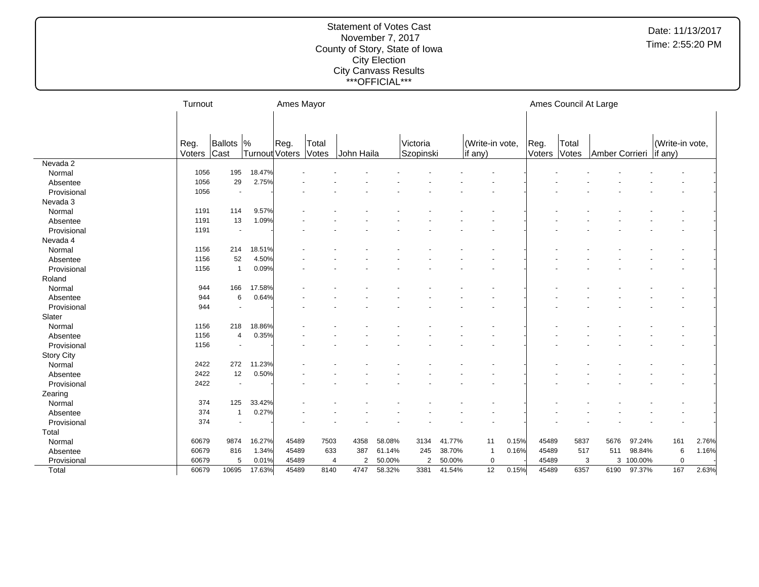|                   | Turnout        |                          |                       | Ames Mayor |                |            |        |                       |        |                            |       |                 |                | Ames Council At Large |           |                                    |       |
|-------------------|----------------|--------------------------|-----------------------|------------|----------------|------------|--------|-----------------------|--------|----------------------------|-------|-----------------|----------------|-----------------------|-----------|------------------------------------|-------|
|                   |                |                          |                       |            |                |            |        |                       |        |                            |       |                 |                |                       |           |                                    |       |
|                   |                |                          |                       |            |                |            |        |                       |        |                            |       |                 |                |                       |           |                                    |       |
|                   | Reg.<br>Voters | Ballots  %<br>Cast       | <b>Turnout Voters</b> | Reg.       | Total<br>Votes | John Haila |        | Victoria<br>Szopinski |        | (Write-in vote,<br>if any) |       | IReg.<br>Voters | Total<br>Votes | Amber Corrieri        |           | (Write-in vote,<br>$\vert$ if any) |       |
| Nevada 2          |                |                          |                       |            |                |            |        |                       |        |                            |       |                 |                |                       |           |                                    |       |
| Normal            | 1056           | 195                      | 18.47%                |            |                |            |        |                       |        |                            |       |                 |                |                       |           |                                    |       |
| Absentee          | 1056           | 29                       | 2.75%                 |            |                |            |        |                       |        |                            |       |                 |                |                       |           |                                    |       |
| Provisional       | 1056           | $\blacksquare$           |                       |            |                |            |        |                       |        |                            |       |                 |                |                       |           |                                    |       |
| Nevada 3          |                |                          |                       |            |                |            |        |                       |        |                            |       |                 |                |                       |           |                                    |       |
| Normal            | 1191           | 114                      | 9.57%                 |            |                |            |        |                       |        |                            |       |                 |                |                       |           |                                    |       |
| Absentee          | 1191           | 13                       | 1.09%                 |            |                |            |        |                       |        |                            |       |                 |                |                       |           |                                    |       |
| Provisional       | 1191           | $\sim$                   |                       |            |                |            |        |                       |        |                            |       |                 |                |                       |           |                                    |       |
| Nevada 4          |                |                          |                       |            |                |            |        |                       |        |                            |       |                 |                |                       |           |                                    |       |
| Normal            | 1156           | 214                      | 18.51%                |            |                |            |        |                       |        |                            |       |                 |                |                       |           |                                    |       |
| Absentee          | 1156           | 52                       | 4.50%                 |            |                |            |        |                       |        |                            |       |                 |                |                       |           |                                    |       |
| Provisional       | 1156           | $\mathbf{1}$             | 0.09%                 |            |                |            |        |                       |        |                            |       |                 |                |                       |           |                                    |       |
| Roland            |                |                          |                       |            |                |            |        |                       |        |                            |       |                 |                |                       |           |                                    |       |
| Normal            | 944            | 166                      | 17.58%                |            |                |            |        |                       |        |                            |       |                 |                |                       |           |                                    |       |
| Absentee          | 944            | 6                        | 0.64%                 |            |                |            |        |                       |        |                            |       |                 |                |                       |           |                                    |       |
| Provisional       | 944            | $\sim$                   |                       |            |                |            |        |                       |        |                            |       |                 |                |                       |           |                                    |       |
| Slater            |                |                          |                       |            |                |            |        |                       |        |                            |       |                 |                |                       |           |                                    |       |
| Normal            | 1156           | 218                      | 18.86%                |            |                |            |        |                       |        |                            |       |                 |                |                       |           |                                    |       |
| Absentee          | 1156           | $\overline{4}$           | 0.35%                 |            |                |            |        |                       |        |                            |       |                 |                |                       |           |                                    |       |
| Provisional       | 1156           | $\overline{\phantom{a}}$ |                       |            |                |            |        |                       |        |                            |       |                 |                |                       |           |                                    |       |
| <b>Story City</b> |                |                          |                       |            |                |            |        |                       |        |                            |       |                 |                |                       |           |                                    |       |
| Normal            | 2422           | 272                      | 11.23%                |            |                |            |        |                       |        |                            |       |                 |                |                       |           |                                    |       |
| Absentee          | 2422           | 12                       | 0.50%                 |            |                |            |        |                       |        |                            |       |                 |                |                       |           |                                    |       |
| Provisional       | 2422           | $\blacksquare$           |                       |            |                |            |        |                       |        |                            |       |                 |                |                       |           |                                    |       |
| Zearing           |                |                          |                       |            |                |            |        |                       |        |                            |       |                 |                |                       |           |                                    |       |
| Normal            | 374            | 125                      | 33.42%                |            |                |            |        |                       |        |                            |       |                 |                |                       |           |                                    |       |
| Absentee          | 374            | $\mathbf{1}$             | 0.27%                 |            |                |            |        |                       |        |                            |       |                 |                |                       |           |                                    |       |
| Provisional       | 374            | $\overline{\phantom{a}}$ |                       |            |                |            |        |                       |        |                            |       |                 |                |                       |           |                                    |       |
| Total             |                |                          |                       |            |                |            |        |                       |        |                            |       |                 |                |                       |           |                                    |       |
| Normal            | 60679          | 9874                     | 16.27%                | 45489      | 7503           | 4358       | 58.08% | 3134                  | 41.77% | 11                         | 0.15% | 45489           | 5837           | 5676                  | 97.24%    | 161                                | 2.76% |
| Absentee          | 60679          | 816                      | 1.34%                 | 45489      | 633            | 387        | 61.14% | 245                   | 38.70% | $\overline{1}$             | 0.16% | 45489           | 517            | 511                   | 98.84%    | 6                                  | 1.16% |
| Provisional       | 60679          | 5                        | 0.01%                 | 45489      |                | 2<br>4     | 50.00% | 2                     | 50.00% | 0                          |       | 45489           |                | 3                     | 3 100.00% | $\mathbf 0$                        |       |
| Total             | 60679          | 10695                    | 17.63%                | 45489      | 8140           | 4747       | 58.32% | 3381                  | 41.54% | 12                         | 0.15% | 45489           | 6357           | 6190                  | 97.37%    | 167                                | 2.63% |
|                   |                |                          |                       |            |                |            |        |                       |        |                            |       |                 |                |                       |           |                                    |       |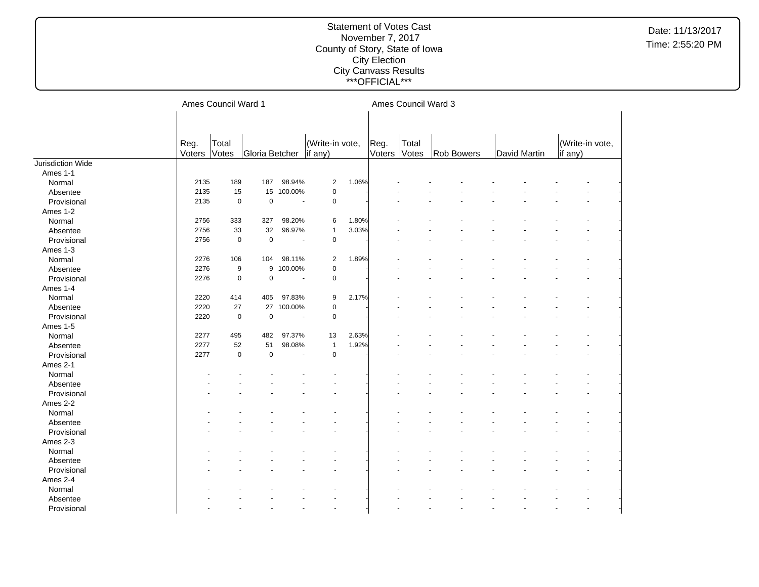|                   |        | Ames Council Ward 1 |                |                          |                          |       |        | Ames Council Ward 3 |                   |              |                 |  |
|-------------------|--------|---------------------|----------------|--------------------------|--------------------------|-------|--------|---------------------|-------------------|--------------|-----------------|--|
|                   |        |                     |                |                          |                          |       |        |                     |                   |              |                 |  |
|                   |        |                     |                |                          |                          |       |        |                     |                   |              |                 |  |
|                   |        |                     |                |                          |                          |       |        |                     |                   |              |                 |  |
|                   | Reg.   | Total               |                |                          | (Write-in vote,          |       | Reg.   | Total               |                   |              | (Write-in vote, |  |
|                   | Voters | Votes               | Gloria Betcher |                          | if any)                  |       | Voters | <b>Votes</b>        | <b>Rob Bowers</b> | David Martin | if any)         |  |
| Jurisdiction Wide |        |                     |                |                          |                          |       |        |                     |                   |              |                 |  |
| Ames 1-1          |        |                     |                |                          |                          |       |        |                     |                   |              |                 |  |
| Normal            | 2135   | 189                 | 187            | 98.94%                   | $\overline{2}$           | 1.06% |        |                     |                   |              |                 |  |
| Absentee          | 2135   | 15                  | 15             | 100.00%                  | $\pmb{0}$                |       |        |                     |                   |              |                 |  |
| Provisional       | 2135   | $\mathbf 0$         | $\mathbf 0$    | $\overline{\phantom{a}}$ | $\mathsf 0$              |       |        |                     |                   |              |                 |  |
| Ames 1-2          |        |                     |                |                          |                          |       |        |                     |                   |              |                 |  |
| Normal            | 2756   | 333                 | 327            | 98.20%                   | 6                        | 1.80% |        |                     |                   |              |                 |  |
| Absentee          | 2756   | 33                  | 32             | 96.97%                   | $\mathbf{1}$             | 3.03% |        |                     |                   |              |                 |  |
| Provisional       | 2756   | $\mathbf 0$         | $\mathbf 0$    | $\overline{\phantom{a}}$ | $\mathsf 0$              |       |        |                     |                   |              |                 |  |
| Ames 1-3          |        |                     |                |                          |                          |       |        |                     |                   |              |                 |  |
| Normal            | 2276   | 106                 | 104            | 98.11%                   | 2                        | 1.89% |        |                     |                   |              |                 |  |
| Absentee          | 2276   | 9                   | 9              | 100.00%                  | $\mathsf 0$              |       |        |                     |                   |              |                 |  |
| Provisional       | 2276   | $\mathbf 0$         | $\mathbf 0$    | $\sim$                   | $\mathsf 0$              |       |        |                     |                   |              |                 |  |
| Ames 1-4          |        |                     |                |                          |                          |       |        |                     |                   |              |                 |  |
| Normal            | 2220   | 414                 | 405            | 97.83%                   | 9                        | 2.17% |        |                     |                   |              |                 |  |
| Absentee          | 2220   | 27                  | 27             | 100.00%                  | $\mathsf 0$              |       |        |                     |                   |              |                 |  |
| Provisional       | 2220   | $\mathbf 0$         | $\pmb{0}$      | $\overline{\phantom{a}}$ | $\mathsf 0$              |       |        |                     |                   |              |                 |  |
| Ames 1-5          |        |                     |                |                          |                          |       |        |                     |                   |              |                 |  |
| Normal            | 2277   | 495                 | 482            | 97.37%                   | 13                       | 2.63% |        |                     |                   |              |                 |  |
| Absentee          | 2277   | 52                  | 51             | 98.08%                   | $\mathbf{1}$             | 1.92% |        |                     |                   |              |                 |  |
| Provisional       | 2277   | $\mathbf 0$         | $\mathbf 0$    | $\blacksquare$           | $\mathbf 0$              |       |        |                     |                   |              |                 |  |
| Ames 2-1          |        |                     |                |                          |                          |       |        |                     |                   |              |                 |  |
| Normal            |        |                     |                |                          |                          |       |        |                     |                   |              |                 |  |
| Absentee          |        |                     |                |                          |                          |       |        |                     |                   |              |                 |  |
| Provisional       |        |                     |                |                          |                          |       |        |                     |                   |              |                 |  |
| Ames 2-2          |        |                     |                |                          |                          |       |        |                     |                   |              |                 |  |
| Normal            |        |                     |                |                          |                          |       |        |                     |                   |              |                 |  |
| Absentee          |        |                     |                |                          |                          |       |        |                     |                   |              |                 |  |
| Provisional       |        |                     |                |                          |                          |       |        |                     |                   |              |                 |  |
| Ames 2-3          |        |                     |                |                          |                          |       |        |                     |                   |              |                 |  |
| Normal            |        |                     |                |                          |                          |       |        |                     |                   |              |                 |  |
| Absentee          |        |                     |                |                          |                          |       |        |                     |                   |              |                 |  |
| Provisional       |        |                     |                |                          |                          |       |        |                     |                   |              |                 |  |
| Ames 2-4          |        |                     |                |                          |                          |       |        |                     |                   |              |                 |  |
| Normal            |        |                     |                |                          |                          |       |        |                     |                   |              |                 |  |
| Absentee          |        |                     |                |                          |                          |       |        |                     |                   |              |                 |  |
| Provisional       |        |                     |                |                          | $\overline{\phantom{a}}$ |       |        |                     |                   |              |                 |  |
|                   |        |                     |                |                          |                          |       |        |                     |                   |              |                 |  |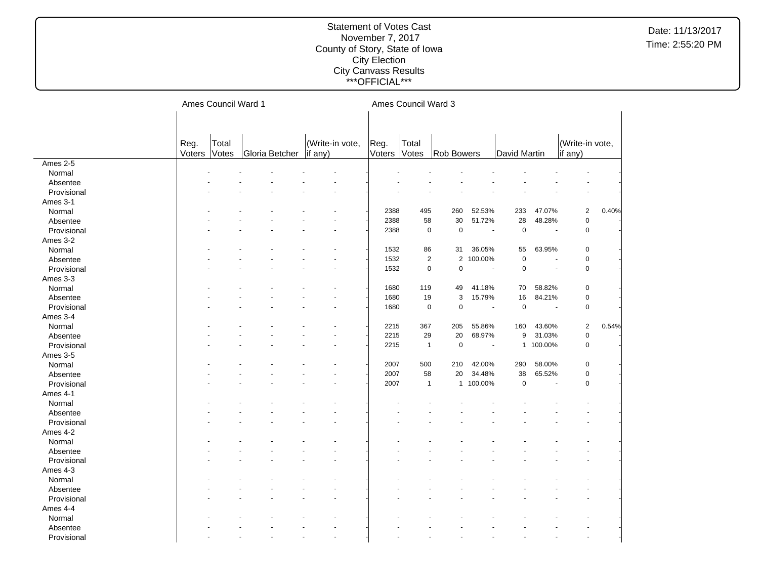|             |        | Ames Council Ward 1 |                |                 |        | Ames Council Ward 3 |                   |                          |                  |                       |                 |       |
|-------------|--------|---------------------|----------------|-----------------|--------|---------------------|-------------------|--------------------------|------------------|-----------------------|-----------------|-------|
|             |        |                     |                |                 |        |                     |                   |                          |                  |                       |                 |       |
|             |        |                     |                |                 |        |                     |                   |                          |                  |                       |                 |       |
|             | Reg.   | Total               |                | (Write-in vote, | Reg.   | Total               |                   |                          |                  |                       | (Write-in vote, |       |
|             | Voters | Votes               | Gloria Betcher | if any)         | Voters | Votes               | <b>Rob Bowers</b> |                          | David Martin     |                       | if any)         |       |
| Ames 2-5    |        |                     |                |                 |        |                     |                   |                          |                  |                       |                 |       |
| Normal      |        |                     |                |                 |        |                     |                   |                          |                  |                       |                 |       |
| Absentee    |        |                     |                |                 |        |                     |                   |                          |                  |                       |                 |       |
| Provisional |        |                     |                |                 |        |                     |                   |                          |                  |                       |                 |       |
| Ames 3-1    |        |                     |                |                 |        |                     |                   |                          |                  |                       |                 |       |
| Normal      |        |                     |                |                 | 2388   | 495                 | 260               | 52.53%                   | 233              | 47.07%                | $\mathbf 2$     | 0.40% |
| Absentee    |        |                     |                |                 | 2388   | 58                  | 30                | 51.72%                   | 28               | 48.28%                | $\pmb{0}$       |       |
| Provisional |        |                     |                |                 | 2388   | $\mathsf 0$         | $\mathbf 0$       | $\blacksquare$           | $\pmb{0}$        | $\blacksquare$        | $\mathbf 0$     |       |
| Ames 3-2    |        |                     |                |                 |        |                     |                   |                          |                  |                       |                 |       |
| Normal      |        |                     |                |                 | 1532   | 86                  | 31                | 36.05%                   | 55               | 63.95%                | $\mathbf 0$     |       |
| Absentee    |        |                     |                |                 | 1532   | $\sqrt{2}$          | $\overline{2}$    | 100.00%                  | $\pmb{0}$        | $\blacksquare$        | $\pmb{0}$       |       |
| Provisional |        |                     |                |                 | 1532   | $\mathbf 0$         | $\pmb{0}$         | $\overline{\phantom{a}}$ | $\mathbf 0$      | ٠                     | $\mathbf 0$     |       |
| Ames 3-3    |        |                     |                |                 |        |                     |                   |                          |                  |                       |                 |       |
| Normal      |        |                     |                |                 | 1680   | 119                 | 49                | 41.18%                   | 70               | 58.82%                | $\mathbf 0$     |       |
| Absentee    |        |                     |                |                 | 1680   | 19                  | 3                 | 15.79%                   | 16               | 84.21%                | $\mathbf 0$     |       |
| Provisional |        |                     |                |                 | 1680   | $\mathsf 0$         | $\pmb{0}$         | $\tilde{\phantom{a}}$    | $\mathbf 0$      | $\tilde{\phantom{a}}$ | $\mathbf 0$     |       |
| Ames 3-4    |        |                     |                |                 |        |                     |                   |                          |                  |                       |                 |       |
| Normal      |        |                     |                |                 | 2215   | 367                 | 205               | 55.86%                   | 160              | 43.60%                | $\overline{2}$  | 0.54% |
| Absentee    |        |                     |                |                 | 2215   | 29                  | 20                | 68.97%                   | $\boldsymbol{9}$ | 31.03%                | $\pmb{0}$       |       |
| Provisional |        |                     |                |                 | 2215   | $\overline{1}$      | $\mathbf 0$       | $\overline{\phantom{a}}$ | $\mathbf{1}$     | 100.00%               | $\mathbf 0$     |       |
| Ames 3-5    |        |                     |                |                 |        |                     |                   |                          |                  |                       |                 |       |
| Normal      |        |                     |                |                 | 2007   | 500                 | 210               | 42.00%                   | 290              | 58.00%                | 0               |       |
| Absentee    |        |                     |                |                 | 2007   | 58                  | 20                | 34.48%                   | 38               | 65.52%                | $\mathbf 0$     |       |
| Provisional |        |                     |                |                 | 2007   | $\mathbf{1}$        |                   | 1 100.00%                | $\mathbf 0$      | ÷,                    | $\mathbf 0$     |       |
| Ames 4-1    |        |                     |                |                 |        |                     |                   |                          |                  |                       |                 |       |
| Normal      |        |                     |                |                 |        |                     |                   |                          |                  |                       |                 |       |
| Absentee    |        |                     |                |                 |        |                     |                   |                          |                  |                       |                 |       |
| Provisional |        |                     |                |                 |        |                     |                   |                          |                  |                       |                 |       |
| Ames 4-2    |        |                     |                |                 |        |                     |                   |                          |                  |                       |                 |       |
| Normal      |        |                     |                |                 |        |                     |                   |                          |                  |                       |                 |       |
| Absentee    |        |                     |                |                 |        |                     |                   |                          |                  |                       |                 |       |
| Provisional |        |                     |                |                 |        |                     |                   |                          |                  |                       |                 |       |
| Ames 4-3    |        |                     |                |                 |        |                     |                   |                          |                  |                       |                 |       |
| Normal      |        |                     |                |                 |        |                     |                   |                          |                  |                       |                 |       |
| Absentee    |        |                     |                |                 |        |                     |                   |                          |                  |                       |                 |       |
| Provisional |        |                     |                |                 |        |                     |                   |                          |                  |                       |                 |       |
| Ames 4-4    |        |                     |                |                 |        |                     |                   |                          |                  |                       |                 |       |
| Normal      |        |                     |                |                 |        |                     |                   |                          |                  |                       |                 |       |
| Absentee    |        |                     |                |                 |        |                     |                   |                          |                  |                       |                 |       |
| Provisional |        |                     |                |                 |        |                     |                   |                          |                  |                       |                 |       |
|             |        |                     |                |                 |        |                     |                   |                          |                  |                       |                 |       |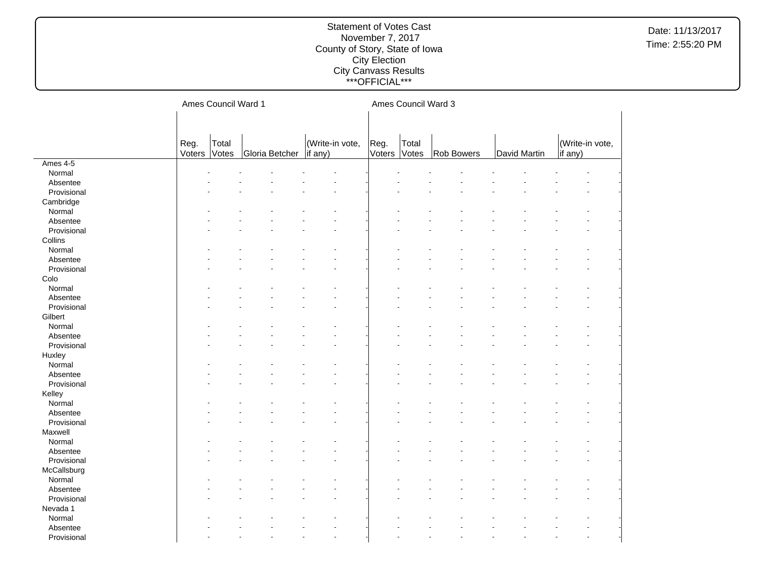|             |                | Ames Council Ward 1 |                |                            |                | Ames Council Ward 3 |                   |              |         |                 |
|-------------|----------------|---------------------|----------------|----------------------------|----------------|---------------------|-------------------|--------------|---------|-----------------|
|             |                |                     |                |                            |                |                     |                   |              |         |                 |
|             |                |                     |                |                            |                |                     |                   |              |         |                 |
|             | Reg.<br>Voters | Total<br>Votes      | Gloria Betcher | (Write-in vote,<br>if any) | Reg.<br>Voters | Total<br>Votes      | <b>Rob Bowers</b> | David Martin | if any) | (Write-in vote, |
| Ames 4-5    |                |                     |                |                            |                |                     |                   |              |         |                 |
| Normal      |                |                     |                |                            |                |                     |                   |              |         |                 |
| Absentee    |                |                     |                |                            |                |                     |                   |              |         |                 |
| Provisional |                |                     |                |                            |                |                     |                   |              |         |                 |
| Cambridge   |                |                     |                |                            |                |                     |                   |              |         |                 |
| Normal      |                |                     |                |                            |                |                     |                   |              |         |                 |
| Absentee    |                |                     |                |                            |                |                     |                   |              |         |                 |
| Provisional |                |                     |                |                            |                |                     |                   |              |         |                 |
| Collins     |                |                     |                |                            |                |                     |                   |              |         |                 |
| Normal      |                |                     |                |                            |                |                     |                   |              |         |                 |
| Absentee    |                |                     |                |                            |                |                     |                   |              |         |                 |
| Provisional |                |                     |                |                            |                |                     |                   |              |         |                 |
| Colo        |                |                     |                |                            |                |                     |                   |              |         |                 |
| Normal      |                |                     |                |                            |                |                     |                   |              |         |                 |
| Absentee    |                |                     |                |                            |                |                     |                   |              |         |                 |
| Provisional |                |                     |                |                            |                |                     |                   |              |         |                 |
| Gilbert     |                |                     |                |                            |                |                     |                   |              |         |                 |
| Normal      |                |                     |                |                            |                |                     |                   |              |         |                 |
| Absentee    |                |                     |                |                            |                |                     |                   |              |         |                 |
| Provisional |                |                     |                |                            |                |                     |                   |              |         |                 |
| Huxley      |                |                     |                |                            |                |                     |                   |              |         |                 |
| Normal      |                |                     |                |                            |                |                     |                   |              |         |                 |
| Absentee    |                |                     |                |                            |                |                     |                   |              |         |                 |
| Provisional |                |                     |                |                            |                |                     |                   |              |         |                 |
| Kelley      |                |                     |                |                            |                |                     |                   |              |         |                 |
| Normal      |                |                     |                |                            |                |                     |                   |              |         |                 |
| Absentee    |                |                     |                |                            |                |                     |                   |              |         |                 |
| Provisional |                |                     |                |                            |                |                     |                   |              |         |                 |
| Maxwell     |                |                     |                |                            |                |                     |                   |              |         |                 |
| Normal      |                |                     |                |                            |                |                     |                   |              |         |                 |
| Absentee    |                |                     |                |                            |                |                     |                   |              |         |                 |
| Provisional |                |                     |                |                            |                |                     |                   |              |         |                 |
| McCallsburg |                |                     |                |                            |                |                     |                   |              |         |                 |
| Normal      |                |                     |                |                            |                |                     |                   |              |         |                 |
| Absentee    |                |                     |                |                            |                |                     |                   |              |         |                 |
| Provisional |                |                     |                |                            |                |                     |                   |              |         |                 |
| Nevada 1    |                |                     |                |                            |                |                     |                   |              |         |                 |
| Normal      |                |                     |                |                            |                |                     |                   |              |         |                 |
| Absentee    |                |                     |                |                            |                |                     |                   |              |         |                 |
| Provisional |                |                     |                | $\overline{a}$             |                |                     |                   |              |         |                 |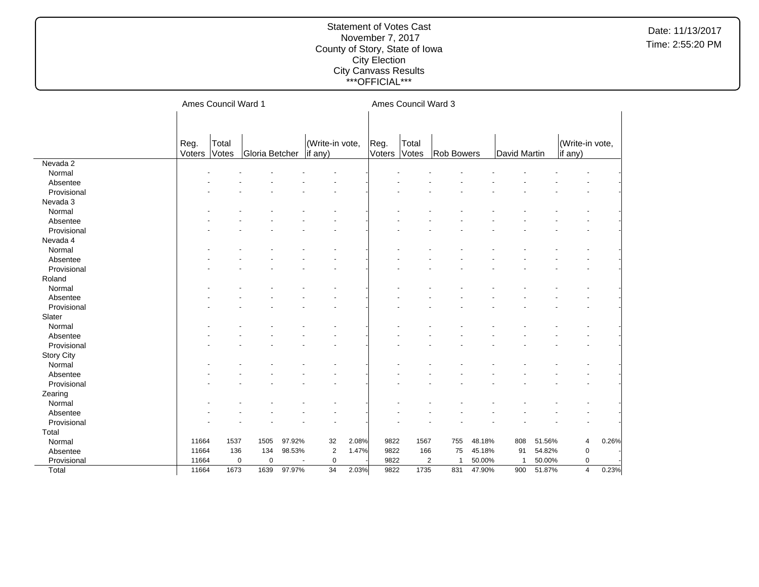|                   |                | Ames Council Ward 1 |                |        |                            |       |                | Ames Council Ward 3 |                      |        |                |        |                            |       |
|-------------------|----------------|---------------------|----------------|--------|----------------------------|-------|----------------|---------------------|----------------------|--------|----------------|--------|----------------------------|-------|
|                   |                |                     |                |        |                            |       |                |                     |                      |        |                |        |                            |       |
|                   |                |                     |                |        |                            |       |                |                     |                      |        |                |        |                            |       |
|                   | Reg.<br>Voters | Total<br>Votes      | Gloria Betcher |        | (Write-in vote,<br>if any) |       | Reg.<br>Voters | Total<br>Votes      | Rob Bowers           |        | David Martin   |        | (Write-in vote,<br>if any) |       |
| Nevada 2          |                |                     |                |        |                            |       |                |                     |                      |        |                |        |                            |       |
| Normal            |                |                     |                |        |                            |       |                |                     |                      |        |                |        |                            |       |
| Absentee          |                |                     |                |        |                            |       |                |                     |                      |        |                |        |                            |       |
| Provisional       |                |                     |                |        |                            |       |                |                     |                      |        |                |        |                            |       |
| Nevada 3          |                |                     |                |        |                            |       |                |                     |                      |        |                |        |                            |       |
| Normal            |                |                     |                |        |                            |       |                |                     |                      |        |                |        |                            |       |
| Absentee          |                |                     |                |        |                            |       |                |                     |                      |        |                |        |                            |       |
| Provisional       |                |                     |                |        |                            |       |                |                     |                      |        |                |        |                            |       |
| Nevada 4          |                |                     |                |        |                            |       |                |                     |                      |        |                |        |                            |       |
| Normal            |                |                     |                |        |                            |       |                |                     |                      |        |                |        |                            |       |
| Absentee          |                |                     |                |        |                            |       |                |                     |                      |        |                |        |                            |       |
| Provisional       |                |                     |                |        |                            |       |                |                     |                      |        |                |        |                            |       |
| Roland            |                |                     |                |        |                            |       |                |                     |                      |        |                |        |                            |       |
| Normal            |                |                     |                |        |                            |       |                |                     |                      |        |                |        |                            |       |
| Absentee          |                |                     |                |        |                            |       |                |                     |                      |        |                |        |                            |       |
| Provisional       |                |                     |                |        |                            |       |                |                     |                      |        |                |        |                            |       |
| Slater            |                |                     |                |        |                            |       |                |                     |                      |        |                |        |                            |       |
| Normal            |                |                     |                |        |                            |       |                |                     |                      |        |                |        |                            |       |
| Absentee          |                |                     |                |        |                            |       |                |                     |                      |        |                |        |                            |       |
| Provisional       |                |                     |                |        |                            |       |                |                     |                      |        |                |        |                            |       |
| <b>Story City</b> |                |                     |                |        |                            |       |                |                     |                      |        |                |        |                            |       |
| Normal            |                |                     |                |        |                            |       |                |                     |                      |        |                |        |                            |       |
| Absentee          |                |                     |                |        |                            |       |                |                     |                      |        |                |        |                            |       |
| Provisional       |                |                     |                |        |                            |       |                |                     |                      |        |                |        |                            |       |
| Zearing           |                |                     |                |        |                            |       |                |                     |                      |        |                |        |                            |       |
| Normal            |                |                     |                |        |                            |       |                |                     |                      |        |                |        |                            |       |
| Absentee          |                |                     |                |        |                            |       |                |                     |                      |        |                |        |                            |       |
| Provisional       |                |                     |                |        |                            |       |                |                     |                      |        |                |        |                            |       |
| Total             |                |                     |                |        |                            |       |                |                     |                      |        |                |        |                            |       |
| Normal            | 11664          | 1537                | 1505           | 97.92% | 32                         | 2.08% | 9822           | 1567                | 755                  | 48.18% | 808            | 51.56% | 4                          | 0.26% |
| Absentee          | 11664          | 136                 | 134            | 98.53% | $\overline{2}$             | 1.47% | 9822           | 166                 | 75                   | 45.18% | 91             | 54.82% | 0                          |       |
| Provisional       | 11664          | $\mathbf 0$         | $\mathbf 0$    |        | $\pmb{0}$                  |       | 9822           |                     | $\overline{2}$<br>-1 | 50.00% | $\overline{1}$ | 50.00% | 0                          |       |
| Total             | 11664          | 1673                | 1639           | 97.97% | 34                         | 2.03% | 9822           | 1735                | 831                  | 47.90% | 900            | 51.87% | $\overline{4}$             | 0.23% |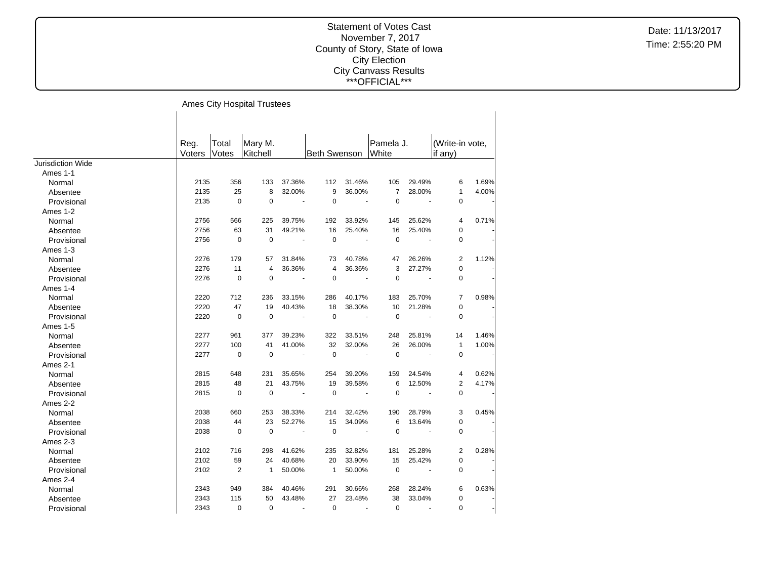$\overline{\phantom{a}}$ 

Date: 11/13/2017 Time: 2:55:20 PM

#### Ames City Hospital Trustees

|                   | Reg.          | Total          | Mary M.      |                          |                     |                | Pamela J.      |                       | (Write-in vote, |       |
|-------------------|---------------|----------------|--------------|--------------------------|---------------------|----------------|----------------|-----------------------|-----------------|-------|
|                   | <b>Voters</b> | Votes          | Kitchell     |                          | <b>Beth Swenson</b> |                | White          |                       | if $any)$       |       |
| Jurisdiction Wide |               |                |              |                          |                     |                |                |                       |                 |       |
| Ames 1-1          |               |                |              |                          |                     |                |                |                       |                 |       |
| Normal            | 2135          | 356            | 133          | 37.36%                   | 112                 | 31.46%         | 105            | 29.49%                | 6               | 1.69% |
| Absentee          | 2135          | 25             | 8            | 32.00%                   | 9                   | 36.00%         | $\overline{7}$ | 28.00%                | $\mathbf{1}$    | 4.00% |
| Provisional       | 2135          | $\mathbf 0$    | $\mathbf 0$  | $\sim$                   | 0                   | $\sim$         | $\pmb{0}$      | ä,                    | $\mathbf 0$     |       |
| Ames 1-2          |               |                |              |                          |                     |                |                |                       |                 |       |
| Normal            | 2756          | 566            | 225          | 39.75%                   | 192                 | 33.92%         | 145            | 25.62%                | 4               | 0.71% |
| Absentee          | 2756          | 63             | 31           | 49.21%                   | 16                  | 25.40%         | 16             | 25.40%                | 0               |       |
| Provisional       | 2756          | $\mathbf 0$    | $\Omega$     | $\tilde{\phantom{a}}$    | $\mathbf 0$         | $\blacksquare$ | $\mathbf 0$    | ÷.                    | $\pmb{0}$       |       |
| Ames 1-3          |               |                |              |                          |                     |                |                |                       |                 |       |
| Normal            | 2276          | 179            | 57           | 31.84%                   | 73                  | 40.78%         | 47             | 26.26%                | 2               | 1.12% |
| Absentee          | 2276          | 11             | 4            | 36.36%                   | 4                   | 36.36%         | 3              | 27.27%                | 0               |       |
| Provisional       | 2276          | $\mathbf 0$    | $\mathbf 0$  | $\overline{\phantom{a}}$ | 0                   |                | $\mathbf 0$    |                       | 0               |       |
| Ames 1-4          |               |                |              |                          |                     |                |                |                       |                 |       |
| Normal            | 2220          | 712            | 236          | 33.15%                   | 286                 | 40.17%         | 183            | 25.70%                | $\overline{7}$  | 0.98% |
| Absentee          | 2220          | 47             | 19           | 40.43%                   | 18                  | 38.30%         | 10             | 21.28%                | 0               |       |
| Provisional       | 2220          | $\Omega$       | $\Omega$     | $\overline{\phantom{a}}$ | $\mathbf 0$         | $\blacksquare$ | $\mathbf 0$    | $\blacksquare$        | $\mathbf 0$     |       |
| Ames 1-5          |               |                |              |                          |                     |                |                |                       |                 |       |
| Normal            | 2277          | 961            | 377          | 39.23%                   | 322                 | 33.51%         | 248            | 25.81%                | 14              | 1.46% |
| Absentee          | 2277          | 100            | 41           | 41.00%                   | 32                  | 32.00%         | 26             | 26.00%                | $\mathbf{1}$    | 1.00% |
| Provisional       | 2277          | $\mathbf 0$    | $\mathbf 0$  | $\tilde{\phantom{a}}$    | $\mathbf 0$         | $\mathbf{u}$   | $\mathbf 0$    | $\tilde{\phantom{a}}$ | $\mathbf 0$     |       |
| Ames 2-1          |               |                |              |                          |                     |                |                |                       |                 |       |
| Normal            | 2815          | 648            | 231          | 35.65%                   | 254                 | 39.20%         | 159            | 24.54%                | 4               | 0.62% |
| Absentee          | 2815          | 48             | 21           | 43.75%                   | 19                  | 39.58%         | 6              | 12.50%                | 2               | 4.17% |
| Provisional       | 2815          | $\mathbf 0$    | $\mathbf 0$  |                          | $\mathbf 0$         |                | $\mathbf 0$    |                       | $\pmb{0}$       |       |
| Ames 2-2          |               |                |              |                          |                     |                |                |                       |                 |       |
| Normal            | 2038          | 660            | 253          | 38.33%                   | 214                 | 32.42%         | 190            | 28.79%                | 3               | 0.45% |
| Absentee          | 2038          | 44             | 23           | 52.27%                   | 15                  | 34.09%         | 6              | 13.64%                | 0               |       |
| Provisional       | 2038          | 0              | $\mathbf 0$  | ÷.                       | $\mathbf 0$         |                | $\mathbf 0$    |                       | 0               |       |
| Ames 2-3          |               |                |              |                          |                     |                |                |                       |                 |       |
| Normal            | 2102          | 716            | 298          | 41.62%                   | 235                 | 32.82%         | 181            | 25.28%                | 2               | 0.28% |
| Absentee          | 2102          | 59             | 24           | 40.68%                   | 20                  | 33.90%         | 15             | 25.42%                | $\pmb{0}$       |       |
| Provisional       | 2102          | $\overline{2}$ | $\mathbf{1}$ | 50.00%                   | $\mathbf{1}$        | 50.00%         | $\mathbf 0$    | ÷,                    | $\mathbf 0$     |       |
| Ames 2-4          |               |                |              |                          |                     |                |                |                       |                 |       |
| Normal            | 2343          | 949            | 384          | 40.46%                   | 291                 | 30.66%         | 268            | 28.24%                | 6               | 0.63% |
| Absentee          | 2343          | 115            | 50           | 43.48%                   | 27                  | 23.48%         | 38             | 33.04%                | 0               |       |
| Provisional       | 2343          | 0              | 0            | $\blacksquare$           | $\mathbf 0$         | ÷.             | 0              | $\blacksquare$        | $\mathbf 0$     |       |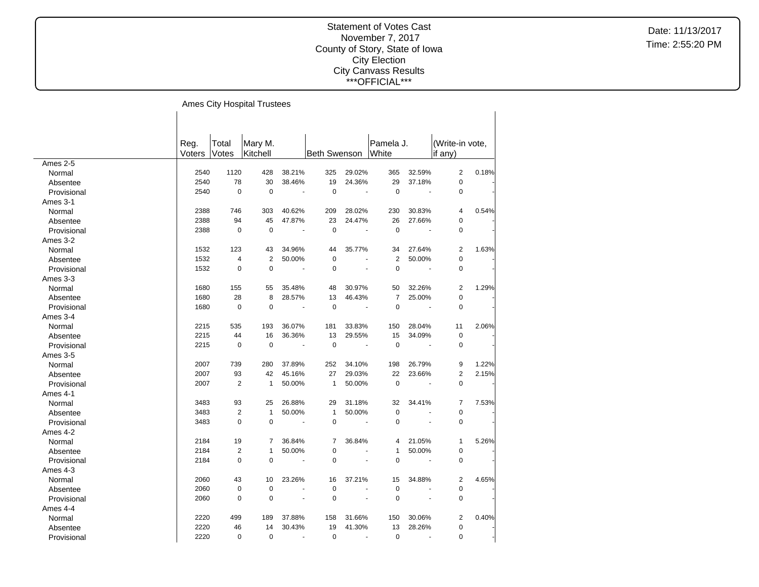#### Statement of Votes Cast November 7, 2017 County of Story, State of Iowa City Election City Canvass Results \*\*\*OFFICIAL\*\*\*

 $\overline{\phantom{a}}$ 

Ames City Hospital Trustees

|             | Reg.   | Total          | Mary M.        |                          |                |                       | Pamela J.      |                | (Write-in vote, |       |
|-------------|--------|----------------|----------------|--------------------------|----------------|-----------------------|----------------|----------------|-----------------|-------|
|             | Voters | Votes          | Kitchell       |                          | Beth Swenson   |                       | White          |                | if any)         |       |
| Ames 2-5    |        |                |                |                          |                |                       |                |                |                 |       |
| Normal      | 2540   | 1120           | 428            | 38.21%                   | 325            | 29.02%                | 365            | 32.59%         | $\overline{2}$  | 0.18% |
| Absentee    | 2540   | 78             | 30             | 38.46%                   | 19             | 24.36%                | 29             | 37.18%         | $\mathbf 0$     |       |
| Provisional | 2540   | $\mathbf 0$    | $\mathbf 0$    | $\overline{a}$           | $\mathbf 0$    | ÷.                    | $\mathbf 0$    |                | $\pmb{0}$       |       |
| Ames 3-1    |        |                |                |                          |                |                       |                |                |                 |       |
| Normal      | 2388   | 746            | 303            | 40.62%                   | 209            | 28.02%                | 230            | 30.83%         | 4               | 0.54% |
| Absentee    | 2388   | 94             | 45             | 47.87%                   | 23             | 24.47%                | 26             | 27.66%         | $\pmb{0}$       |       |
| Provisional | 2388   | $\mathbf 0$    | $\mathbf 0$    | $\overline{\phantom{a}}$ | $\mathbf 0$    | $\blacksquare$        | $\overline{0}$ | $\overline{a}$ | $\mathbf 0$     |       |
| Ames 3-2    |        |                |                |                          |                |                       |                |                |                 |       |
| Normal      | 1532   | 123            | 43             | 34.96%                   | 44             | 35.77%                | 34             | 27.64%         | 2               | 1.63% |
| Absentee    | 1532   | $\overline{4}$ | $\overline{2}$ | 50.00%                   | $\mathbf 0$    | ÷,                    | $\overline{2}$ | 50.00%         | $\mathbf 0$     |       |
| Provisional | 1532   | $\Omega$       | $\Omega$       | $\blacksquare$           | $\Omega$       | ÷,                    | $\mathbf 0$    | $\blacksquare$ | $\mathbf 0$     |       |
| Ames 3-3    |        |                |                |                          |                |                       |                |                |                 |       |
| Normal      | 1680   | 155            | 55             | 35.48%                   | 48             | 30.97%                | 50             | 32.26%         | 2               | 1.29% |
| Absentee    | 1680   | 28             | 8              | 28.57%                   | 13             | 46.43%                | $\overline{7}$ | 25.00%         | $\pmb{0}$       |       |
| Provisional | 1680   | $\mathbf 0$    | $\mathbf 0$    | $\blacksquare$           | $\mathbf 0$    | $\tilde{\phantom{a}}$ | $\mathbf 0$    |                | 0               |       |
| Ames 3-4    |        |                |                |                          |                |                       |                |                |                 |       |
| Normal      | 2215   | 535            | 193            | 36.07%                   | 181            | 33.83%                | 150            | 28.04%         | 11              | 2.06% |
| Absentee    | 2215   | 44             | 16             | 36.36%                   | 13             | 29.55%                | 15             | 34.09%         | $\mathbf 0$     |       |
| Provisional | 2215   | $\mathbf 0$    | $\mathbf 0$    |                          | $\mathbf 0$    |                       | $\pmb{0}$      |                | 0               |       |
| Ames 3-5    |        |                |                |                          |                |                       |                |                |                 |       |
| Normal      | 2007   | 739            | 280            | 37.89%                   | 252            | 34.10%                | 198            | 26.79%         | 9               | 1.22% |
| Absentee    | 2007   | 93             | 42             | 45.16%                   | 27             | 29.03%                | 22             | 23.66%         | $\overline{2}$  | 2.15% |
| Provisional | 2007   | $\overline{2}$ | $\mathbf{1}$   | 50.00%                   | $\mathbf{1}$   | 50.00%                | $\pmb{0}$      |                | $\pmb{0}$       |       |
| Ames 4-1    |        |                |                |                          |                |                       |                |                |                 |       |
| Normal      | 3483   | 93             | 25             | 26.88%                   | 29             | 31.18%                | 32             | 34.41%         | $\overline{7}$  | 7.53% |
| Absentee    | 3483   | $\overline{2}$ | $\mathbf{1}$   | 50.00%                   | $\mathbf{1}$   | 50.00%                | $\pmb{0}$      | ÷.             | $\pmb{0}$       |       |
| Provisional | 3483   | $\Omega$       | $\Omega$       | $\sim$                   | $\mathbf 0$    | $\sim$                | $\mathbf 0$    | ÷,             | $\pmb{0}$       |       |
| Ames 4-2    |        |                |                |                          |                |                       |                |                |                 |       |
| Normal      | 2184   | 19             | $\overline{7}$ | 36.84%                   | $\overline{7}$ | 36.84%                | 4              | 21.05%         | $\mathbf{1}$    | 5.26% |
| Absentee    | 2184   | $\overline{2}$ | 1              | 50.00%                   | $\mathbf 0$    | ÷,                    | 1              | 50.00%         | $\pmb{0}$       |       |
| Provisional | 2184   | $\Omega$       | $\Omega$       | $\blacksquare$           | $\mathbf 0$    |                       | $\mathbf 0$    |                | $\mathbf 0$     |       |
| Ames 4-3    |        |                |                |                          |                |                       |                |                |                 |       |
| Normal      | 2060   | 43             | 10             | 23.26%                   | 16             | 37.21%                | 15             | 34.88%         | $\overline{2}$  | 4.65% |
| Absentee    | 2060   | $\mathbf 0$    | $\mathbf 0$    |                          | $\mathbf 0$    | ÷,                    | $\mathbf 0$    |                | $\mathbf 0$     |       |
| Provisional | 2060   | $\Omega$       | $\Omega$       | ÷.                       | $\Omega$       | ÷.                    | $\mathbf 0$    |                | $\mathbf 0$     |       |
| Ames 4-4    |        |                |                |                          |                |                       |                |                |                 |       |
| Normal      | 2220   | 499            | 189            | 37.88%                   | 158            | 31.66%                | 150            | 30.06%         | $\overline{2}$  | 0.40% |
| Absentee    | 2220   | 46             | 14             | 30.43%                   | 19             | 41.30%                | 13             | 28.26%         | 0               |       |
| Provisional | 2220   | $\mathbf 0$    | $\mathbf 0$    | $\tilde{\phantom{a}}$    | $\pmb{0}$      | $\overline{a}$        | $\mathbf 0$    | ÷.             | $\pmb{0}$       |       |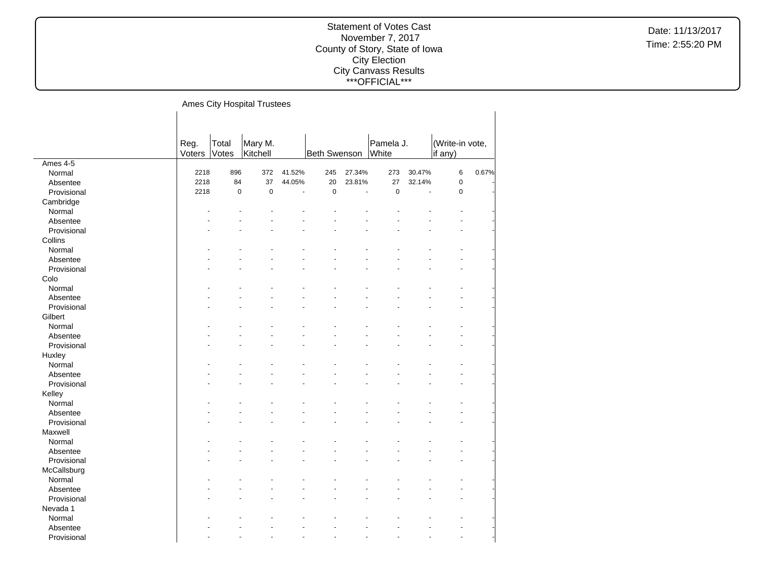Date: 11/13/2017 Time: 2:55:20 PM

# Ames City Hospital Trustees

|             | Reg.   | Total     | Mary M.     |        |                     |        | Pamela J. |        | (Write-in vote, |       |
|-------------|--------|-----------|-------------|--------|---------------------|--------|-----------|--------|-----------------|-------|
|             | Voters | Votes     | Kitchell    |        | <b>Beth Swenson</b> |        | White     |        | if any)         |       |
| Ames 4-5    |        |           |             |        |                     |        |           |        |                 |       |
| Normal      | 2218   | 896       | 372         | 41.52% | 245                 | 27.34% | 273       | 30.47% | 6               | 0.67% |
| Absentee    | 2218   | 84        | 37          | 44.05% | 20                  | 23.81% | 27        | 32.14% | $\pmb{0}$       |       |
| Provisional | 2218   | $\pmb{0}$ | $\mathbf 0$ | ÷,     | $\pmb{0}$           | ÷,     | $\pmb{0}$ | ÷,     | $\mathbf 0$     |       |
| Cambridge   |        |           |             |        |                     |        |           |        |                 |       |
| Normal      |        |           |             |        |                     |        |           |        |                 |       |
| Absentee    |        |           |             |        |                     |        |           |        |                 |       |
| Provisional |        |           |             |        |                     |        |           |        |                 |       |
| Collins     |        |           |             |        |                     |        |           |        |                 |       |
| Normal      |        |           |             |        |                     |        |           |        |                 |       |
| Absentee    |        |           |             |        |                     |        |           |        |                 |       |
| Provisional |        |           |             |        |                     |        |           |        |                 |       |
| Colo        |        |           |             |        |                     |        |           |        |                 |       |
| Normal      |        |           |             |        |                     |        |           |        |                 |       |
| Absentee    |        |           |             |        |                     |        |           |        |                 |       |
| Provisional |        |           |             |        |                     |        |           |        |                 |       |
| Gilbert     |        |           |             |        |                     |        |           |        |                 |       |
| Normal      |        |           |             |        |                     |        |           |        |                 |       |
| Absentee    |        |           |             |        |                     |        |           |        |                 |       |
| Provisional |        |           |             |        |                     |        |           |        |                 |       |
| Huxley      |        |           |             |        |                     |        |           |        |                 |       |
| Normal      |        |           |             |        |                     |        |           |        |                 |       |
| Absentee    |        |           |             |        |                     |        |           |        |                 |       |
| Provisional |        |           |             |        |                     |        |           |        |                 |       |
| Kelley      |        |           |             |        |                     |        |           |        |                 |       |
| Normal      |        |           |             |        |                     |        |           |        |                 |       |
| Absentee    |        |           |             |        |                     |        |           |        |                 |       |
| Provisional |        |           |             |        |                     |        |           |        |                 |       |
| Maxwell     |        |           |             |        |                     |        |           |        |                 |       |
| Normal      |        |           |             |        |                     |        |           |        |                 |       |
| Absentee    |        |           |             |        |                     |        |           |        |                 |       |
| Provisional |        |           |             |        |                     |        |           |        |                 |       |
| McCallsburg |        |           |             |        |                     |        |           |        |                 |       |
| Normal      |        |           |             |        |                     |        |           |        |                 |       |
| Absentee    |        |           |             |        |                     |        |           |        |                 |       |
| Provisional |        |           |             |        |                     |        |           |        |                 |       |
| Nevada 1    |        |           |             |        |                     |        |           |        |                 |       |
| Normal      |        |           |             |        |                     |        |           |        |                 |       |
|             |        |           |             |        |                     |        |           |        |                 |       |
| Absentee    |        |           |             |        |                     |        |           |        |                 |       |
| Provisional |        |           |             |        |                     |        |           |        |                 |       |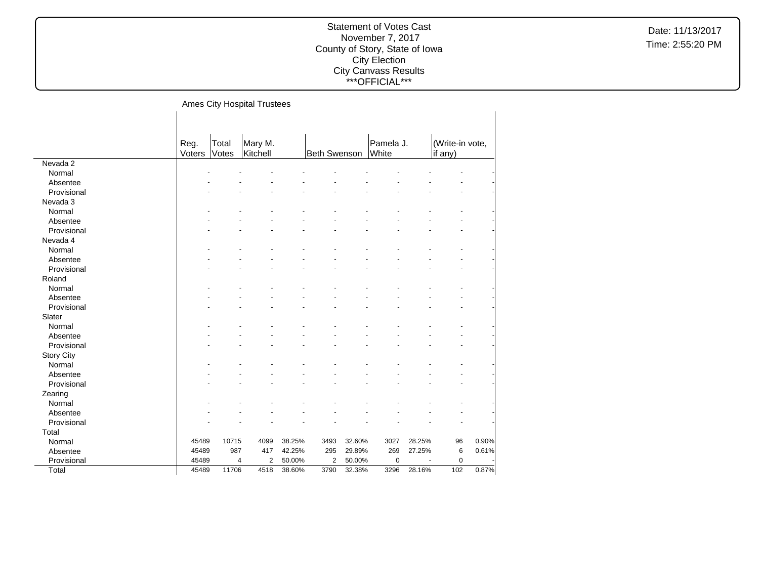Date: 11/13/2017 Time: 2:55:20 PM

# Ames City Hospital Trustees

|                   | Reg.<br>Voters | Total<br>Votes | Mary M.<br>Kitchell              |        | Beth Swenson   |        | Pamela J.<br>White |        | (Write-in vote,<br>if any) |       |
|-------------------|----------------|----------------|----------------------------------|--------|----------------|--------|--------------------|--------|----------------------------|-------|
| Nevada 2          |                |                |                                  |        |                |        |                    |        |                            |       |
| Normal            |                |                |                                  |        |                |        |                    |        |                            |       |
| Absentee          |                |                |                                  |        |                |        |                    |        |                            |       |
| Provisional       |                |                |                                  |        |                |        |                    |        |                            |       |
| Nevada 3          |                |                |                                  |        |                |        |                    |        |                            |       |
| Normal            |                |                |                                  |        |                |        |                    |        |                            |       |
| Absentee          |                |                |                                  |        |                |        |                    |        |                            |       |
| Provisional       |                |                |                                  |        |                |        |                    |        |                            |       |
| Nevada 4          |                |                |                                  |        |                |        |                    |        |                            |       |
| Normal            |                |                |                                  |        |                |        |                    |        |                            |       |
| Absentee          |                |                |                                  |        |                |        |                    |        |                            |       |
| Provisional       |                |                |                                  |        |                |        |                    |        |                            |       |
| Roland            |                |                |                                  |        |                |        |                    |        |                            |       |
| Normal            |                |                |                                  |        |                |        |                    |        |                            |       |
| Absentee          |                |                |                                  |        |                |        |                    |        |                            |       |
| Provisional       |                |                |                                  |        |                |        |                    |        |                            |       |
| Slater            |                |                |                                  |        |                |        |                    |        |                            |       |
| Normal            |                |                |                                  |        |                |        |                    |        |                            |       |
| Absentee          |                |                |                                  |        |                |        |                    |        |                            |       |
| Provisional       |                |                |                                  |        |                |        |                    |        |                            |       |
| <b>Story City</b> |                |                |                                  |        |                |        |                    |        |                            |       |
| Normal            |                |                |                                  |        |                |        |                    |        |                            |       |
| Absentee          |                |                |                                  |        |                |        |                    |        |                            |       |
| Provisional       |                |                |                                  |        |                |        |                    |        |                            |       |
| Zearing           |                |                |                                  |        |                |        |                    |        |                            |       |
| Normal            |                |                |                                  |        |                |        |                    |        |                            |       |
| Absentee          |                |                |                                  |        |                |        |                    |        |                            |       |
| Provisional       |                |                |                                  |        |                |        |                    |        |                            |       |
| Total             |                |                |                                  |        |                |        |                    |        |                            |       |
| Normal            | 45489          | 10715          | 4099                             | 38.25% | 3493           | 32.60% | 3027               | 28.25% | 96                         | 0.90% |
| Absentee          | 45489          | 987            | 417                              | 42.25% | 295            | 29.89% | 269                | 27.25% | 6                          | 0.61% |
| Provisional       | 45489          |                | $\overline{2}$<br>$\overline{4}$ | 50.00% | $\overline{2}$ | 50.00% | 0                  |        | $\mathbf 0$                |       |
| Total             | 45489          | 11706          | 4518                             | 38.60% | 3790           | 32.38% | 3296               | 28.16% | 102                        | 0.87% |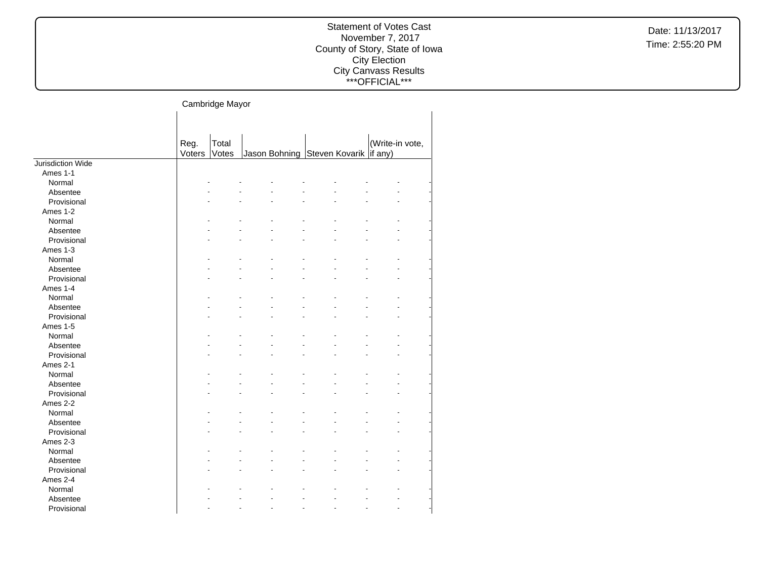Date: 11/13/2017 Time: 2:55:20 PM

# Cambridge Mayor

|                   |        | ັ     |                              |                 |  |
|-------------------|--------|-------|------------------------------|-----------------|--|
|                   |        |       |                              |                 |  |
|                   |        |       |                              |                 |  |
|                   | Reg.   | Total |                              | (Write-in vote, |  |
|                   | Voters | Votes | Jason Bohning Steven Kovarik | if any)         |  |
| Jurisdiction Wide |        |       |                              |                 |  |
| Ames 1-1          |        |       |                              |                 |  |
| Normal            |        |       |                              |                 |  |
| Absentee          |        |       |                              |                 |  |
| Provisional       |        |       |                              |                 |  |
| Ames 1-2          |        |       |                              |                 |  |
| Normal            |        |       |                              |                 |  |
| Absentee          |        |       |                              |                 |  |
| Provisional       |        |       |                              |                 |  |
| Ames 1-3          |        |       |                              |                 |  |
| Normal            |        |       |                              |                 |  |
| Absentee          |        |       |                              |                 |  |
| Provisional       |        |       |                              |                 |  |
| Ames 1-4          |        |       |                              |                 |  |
| Normal            |        |       |                              |                 |  |
| Absentee          |        |       |                              |                 |  |
| Provisional       |        |       |                              |                 |  |
| Ames 1-5          |        |       |                              |                 |  |
| Normal            |        |       |                              |                 |  |
| Absentee          |        |       |                              |                 |  |
| Provisional       |        |       |                              |                 |  |
| Ames 2-1          |        |       |                              |                 |  |
| Normal            |        |       |                              |                 |  |
| Absentee          |        |       |                              |                 |  |
| Provisional       |        |       |                              |                 |  |
| Ames 2-2          |        |       |                              |                 |  |
| Normal            |        |       |                              |                 |  |
| Absentee          |        |       |                              |                 |  |
| Provisional       |        |       |                              |                 |  |
| Ames 2-3          |        |       |                              |                 |  |
| Normal            |        |       |                              |                 |  |
| Absentee          |        |       |                              |                 |  |
| Provisional       |        |       |                              |                 |  |
| Ames 2-4          |        |       |                              |                 |  |
| Normal            |        |       |                              |                 |  |
| Absentee          |        |       |                              |                 |  |
| Provisional       |        |       |                              |                 |  |
|                   |        |       |                              |                 |  |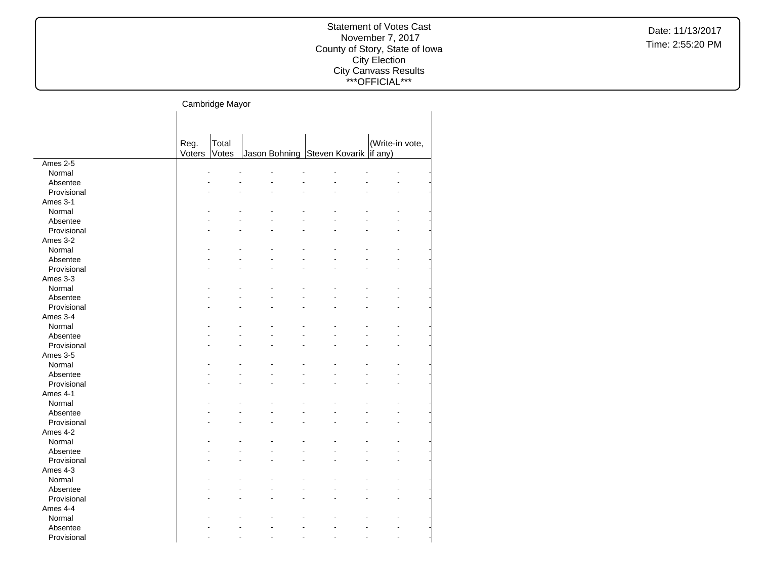#### Cambridge Mayor  $\mathbf{L}$

|             | Reg.   | Total |                                      | (Write-in vote, |
|-------------|--------|-------|--------------------------------------|-----------------|
|             | Voters | Votes | Jason Bohning Steven Kovarik if any) |                 |
| Ames 2-5    |        |       |                                      |                 |
| Normal      |        |       |                                      |                 |
| Absentee    |        |       |                                      |                 |
| Provisional |        |       |                                      |                 |
| Ames 3-1    |        |       |                                      |                 |
| Normal      |        |       |                                      |                 |
| Absentee    |        |       |                                      |                 |
| Provisional |        |       |                                      |                 |
| Ames 3-2    |        |       |                                      |                 |
| Normal      |        |       |                                      |                 |
| Absentee    |        |       |                                      |                 |
| Provisional |        |       |                                      |                 |
| Ames 3-3    |        |       |                                      |                 |
| Normal      |        |       |                                      |                 |
| Absentee    |        |       |                                      |                 |
| Provisional |        |       |                                      |                 |
| Ames 3-4    |        |       |                                      |                 |
| Normal      |        |       |                                      |                 |
| Absentee    |        |       |                                      |                 |
| Provisional |        |       |                                      |                 |
| Ames 3-5    |        |       |                                      |                 |
| Normal      |        |       |                                      |                 |
| Absentee    |        |       |                                      |                 |
| Provisional |        |       |                                      |                 |
| Ames 4-1    |        |       |                                      |                 |
| Normal      |        |       |                                      |                 |
| Absentee    |        |       |                                      |                 |
| Provisional |        |       |                                      |                 |
| Ames 4-2    |        |       |                                      |                 |
| Normal      |        |       |                                      |                 |
| Absentee    |        |       |                                      |                 |
| Provisional |        |       |                                      |                 |
| Ames 4-3    |        |       |                                      |                 |
| Normal      |        |       |                                      |                 |
| Absentee    |        |       |                                      |                 |
| Provisional |        |       |                                      |                 |
| Ames 4-4    |        |       |                                      |                 |
|             |        |       |                                      |                 |
| Normal      |        |       |                                      |                 |
| Absentee    |        |       |                                      |                 |
| Provisional |        |       |                                      |                 |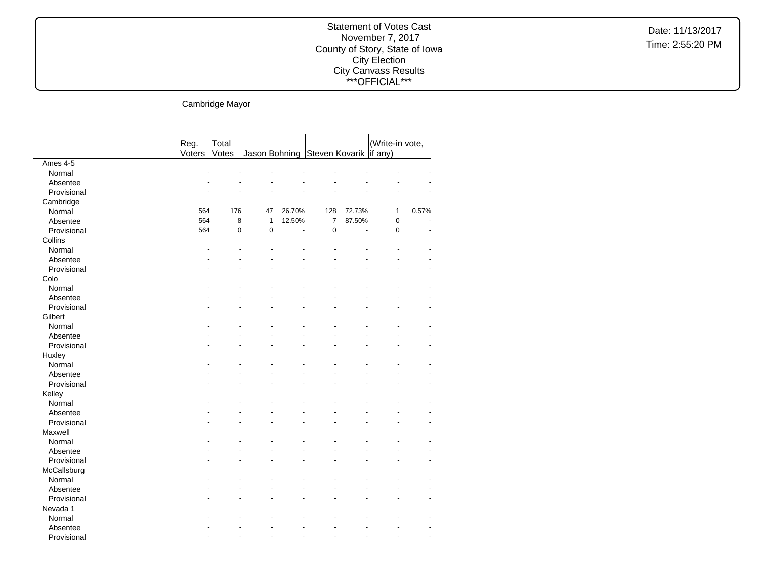Cambridge Mayor

|             | Reg.   | Total |              |        |                                      |        | (Write-in vote, |       |
|-------------|--------|-------|--------------|--------|--------------------------------------|--------|-----------------|-------|
|             | Voters | Votes |              |        | Jason Bohning Steven Kovarik if any) |        |                 |       |
| Ames 4-5    |        |       |              |        |                                      |        |                 |       |
| Normal      |        |       |              |        |                                      |        |                 |       |
| Absentee    |        |       |              |        |                                      |        |                 |       |
| Provisional |        |       |              |        |                                      |        |                 |       |
| Cambridge   |        |       |              |        |                                      |        |                 |       |
| Normal      | 564    | 176   | 47           | 26.70% | 128                                  | 72.73% | $\mathbf{1}$    | 0.57% |
| Absentee    | 564    | 8     | $\mathbf{1}$ | 12.50% | $\overline{7}$                       | 87.50% | $\mathbf 0$     |       |
| Provisional | 564    | 0     | $\mathbf 0$  | L.     | 0                                    | J.     | $\mathbf 0$     |       |
| Collins     |        |       |              |        |                                      |        |                 |       |
| Normal      |        |       |              |        |                                      |        |                 |       |
| Absentee    |        |       |              |        |                                      |        |                 |       |
| Provisional |        |       |              |        |                                      |        |                 |       |
| Colo        |        |       |              |        |                                      |        |                 |       |
| Normal      |        |       |              |        |                                      |        |                 |       |
| Absentee    |        |       |              |        |                                      |        |                 |       |
| Provisional |        |       |              |        |                                      |        |                 |       |
| Gilbert     |        |       |              |        |                                      |        |                 |       |
| Normal      |        |       |              |        |                                      |        |                 |       |
| Absentee    |        |       |              |        |                                      |        |                 |       |
| Provisional |        |       |              |        |                                      |        |                 |       |
| Huxley      |        |       |              |        |                                      |        |                 |       |
| Normal      |        |       |              |        |                                      |        |                 |       |
| Absentee    |        |       |              |        |                                      |        |                 |       |
| Provisional |        |       |              |        |                                      |        |                 |       |
| Kelley      |        |       |              |        |                                      |        |                 |       |
| Normal      |        |       |              |        |                                      |        |                 |       |
| Absentee    |        |       |              |        |                                      |        |                 |       |
| Provisional |        |       |              |        |                                      |        |                 |       |
| Maxwell     |        |       |              |        |                                      |        |                 |       |
| Normal      |        |       |              |        |                                      |        |                 |       |
| Absentee    |        |       |              |        |                                      |        |                 |       |
| Provisional |        |       |              |        |                                      |        |                 |       |
| McCallsburg |        |       |              |        |                                      |        |                 |       |
| Normal      |        |       |              |        |                                      |        |                 |       |
| Absentee    |        |       |              |        |                                      |        |                 |       |
| Provisional |        |       |              |        |                                      |        |                 |       |
| Nevada 1    |        |       |              |        |                                      |        |                 |       |
| Normal      |        |       |              |        |                                      |        |                 |       |
| Absentee    |        |       |              |        |                                      |        |                 |       |
| Provisional |        |       |              |        |                                      |        |                 |       |
|             |        |       |              |        |                                      |        |                 |       |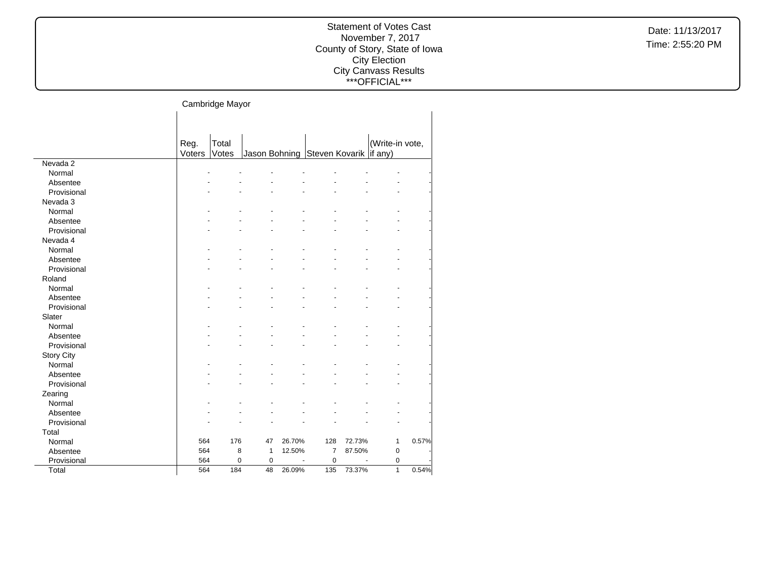Cambridge Mayor  $\mathbf{L}$ 

|                   | Reg.   | Total |           |        |                                        |        | (Write-in vote, |       |
|-------------------|--------|-------|-----------|--------|----------------------------------------|--------|-----------------|-------|
|                   | Voters | Votes |           |        | Jason Bohning Steven Kovarik   if any) |        |                 |       |
| Nevada 2          |        |       |           |        |                                        |        |                 |       |
| Normal            |        |       |           |        |                                        |        |                 |       |
| Absentee          |        |       |           |        |                                        |        |                 |       |
| Provisional       |        |       |           |        |                                        |        |                 |       |
| Nevada 3          |        |       |           |        |                                        |        |                 |       |
| Normal            |        |       |           |        |                                        |        |                 |       |
| Absentee          |        |       |           |        |                                        |        |                 |       |
| Provisional       |        |       |           |        |                                        |        |                 |       |
| Nevada 4          |        |       |           |        |                                        |        |                 |       |
| Normal            |        |       |           |        |                                        |        |                 |       |
| Absentee          |        |       |           |        |                                        |        |                 |       |
| Provisional       |        |       |           |        |                                        |        |                 |       |
| Roland            |        |       |           |        |                                        |        |                 |       |
| Normal            |        |       |           |        |                                        |        |                 |       |
| Absentee          |        |       |           |        |                                        |        |                 |       |
| Provisional       |        |       |           |        |                                        |        |                 |       |
| Slater            |        |       |           |        |                                        |        |                 |       |
| Normal            |        |       |           |        |                                        |        |                 |       |
| Absentee          |        |       |           |        |                                        |        |                 |       |
| Provisional       |        |       |           |        |                                        |        |                 |       |
| <b>Story City</b> |        |       |           |        |                                        |        |                 |       |
| Normal            |        |       |           |        |                                        |        |                 |       |
| Absentee          |        |       |           |        |                                        |        |                 |       |
| Provisional       |        |       |           |        |                                        |        |                 |       |
| Zearing           |        |       |           |        |                                        |        |                 |       |
| Normal            |        |       |           |        |                                        |        |                 |       |
| Absentee          |        |       |           |        |                                        |        |                 |       |
| Provisional       |        |       |           |        |                                        |        |                 |       |
| Total             |        |       |           |        |                                        |        |                 |       |
| Normal            | 564    | 176   | 47        | 26.70% | 128                                    | 72.73% | 1               | 0.57% |
| Absentee          | 564    | 8     | 1         | 12.50% | $\overline{7}$                         | 87.50% | $\pmb{0}$       |       |
| Provisional       | 564    | 0     | $\pmb{0}$ |        | $\mathbf 0$                            |        | 0               |       |
| Total             | 564    | 184   | 48        | 26.09% | 135                                    | 73.37% | $\mathbf{1}$    | 0.54% |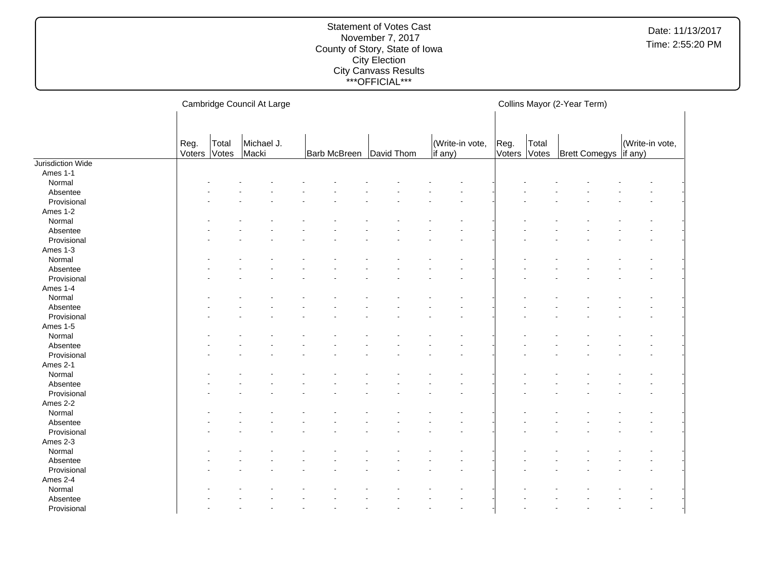#### Statement of Votes Cast November 7, 2017 County of Story, State of Iowa City Election City Canvass Results \*\*\*OFFICIAL\*\*\*

Cambridge Council At Large Reg. Voters Total Votes Michael J. Macki Barb McBreen David Thom (Write-in vote, if any) Collins Mayor (2-Year Term) Reg. Voters Votes Total Votes | Brett Comegys | if any) (Write-in vote, Jurisdiction Wide Ames 1-1 Normal and the set of the set of the set of the set of the set of the set of the set of the set of the set of the set of the set of the set of the set of the set of the set of the set of the set of the set of the set of t Absentee and the set of the set of the set of the set of the set of the set of the set of the set of the set of the set of the set of the set of the set of the set of the set of the set of the set of the set of the set of  $\textsf{Provisional}$  . The set of the set of the set of the set of the set of the set of the set of the set of the set of the set of the set of the set of the set of the set of the set of the set of the set of the set of the set of Ames 1-2 Normal and the set of the set of the set of the set of the set of the set of the set of the set of the set of the set of the set of the set of the set of the set of the set of the set of the set of the set of the set of t Absentee and the set of the set of the set of the set of the set of the set of the set of the set of the set of the set of the set of the set of the set of the set of the set of the set of the set of the set of the set of  $\textsf{Provisional}$  . The set of the set of the set of the set of the set of the set of the set of the set of the set of the set of the set of the set of the set of the set of the set of the set of the set of the set of the set of Ames 1-3 Normal and the set of the set of the set of the set of the set of the set of the set of the set of the set of the set of the set of the set of the set of the set of the set of the set of the set of the set of the set of t Absentee and the set of the set of the set of the set of the set of the set of the set of the set of the set of the set of the set of the set of the set of the set of the set of the set of the set of the set of the set of  $\textsf{Provisional}$  . The set of the set of the set of the set of the set of the set of the set of the set of the set of the set of the set of the set of the set of the set of the set of the set of the set of the set of the set of Ames 1-4 Normal and the set of the set of the set of the set of the set of the set of the set of the set of the set of the set of the set of the set of the set of the set of the set of the set of the set of the set of the set of t Absentee and the set of the set of the set of the set of the set of the set of the set of the set of the set of the set of the set of the set of the set of the set of the set of the set of the set of the set of the set of  $\textsf{Provisional}$  . The set of the set of the set of the set of the set of the set of the set of the set of the set of the set of the set of the set of the set of the set of the set of the set of the set of the set of the set of Ames 1-5 Normal and the set of the set of the set of the set of the set of the set of the set of the set of the set of the set of the set of the set of the set of the set of the set of the set of the set of the set of the set of t Absentee and the set of the set of the set of the set of the set of the set of the set of the set of the set of the set of the set of the set of the set of the set of the set of the set of the set of the set of the set of  $\textsf{Provisional}$  . The set of the set of the set of the set of the set of the set of the set of the set of the set of the set of the set of the set of the set of the set of the set of the set of the set of the set of the set of Ames 2-1 Normal and the set of the set of the set of the set of the set of the set of the set of the set of the set of the set of the set of the set of the set of the set of the set of the set of the set of the set of the set of t Absentee and the set of the set of the set of the set of the set of the set of the set of the set of the set of the set of the set of the set of the set of the set of the set of the set of the set of the set of the set of  $\textsf{Provisional}$  . The set of the set of the set of the set of the set of the set of the set of the set of the set of the set of the set of the set of the set of the set of the set of the set of the set of the set of the set of Ames 2-2 Normal and the set of the set of the set of the set of the set of the set of the set of the set of the set of the set of the set of the set of the set of the set of the set of the set of the set of the set of the set of t Absentee and the set of the set of the set of the set of the set of the set of the set of the set of the set of the set of the set of the set of the set of the set of the set of the set of the set of the set of the set of  $\textsf{Provisional}$  . The set of the set of the set of the set of the set of the set of the set of the set of the set of the set of the set of the set of the set of the set of the set of the set of the set of the set of the set of Ames 2-3 Normal and the set of the set of the set of the set of the set of the set of the set of the set of the set of the set of the set of the set of the set of the set of the set of the set of the set of the set of the set of t Absentee and the set of the set of the set of the set of the set of the set of the set of the set of the set of the set of the set of the set of the set of the set of the set of the set of the set of the set of the set of  $\textsf{Provisional}$  . The set of the set of the set of the set of the set of the set of the set of the set of the set of the set of the set of the set of the set of the set of the set of the set of the set of the set of the set of Ames 2-4 Normal - - - - - - - - - - - - - - - - Absentee and the set of the set of the set of the set of the set of the set of the set of the set of the set of the set of the set of the set of the set of the set of the set of the set of the set of the set of the set of  $\textsf{Provisional}$  . The set of the set of the set of the set of the set of the set of the set of the set of the set of the set of the set of the set of the set of the set of the set of the set of the set of the set of the set of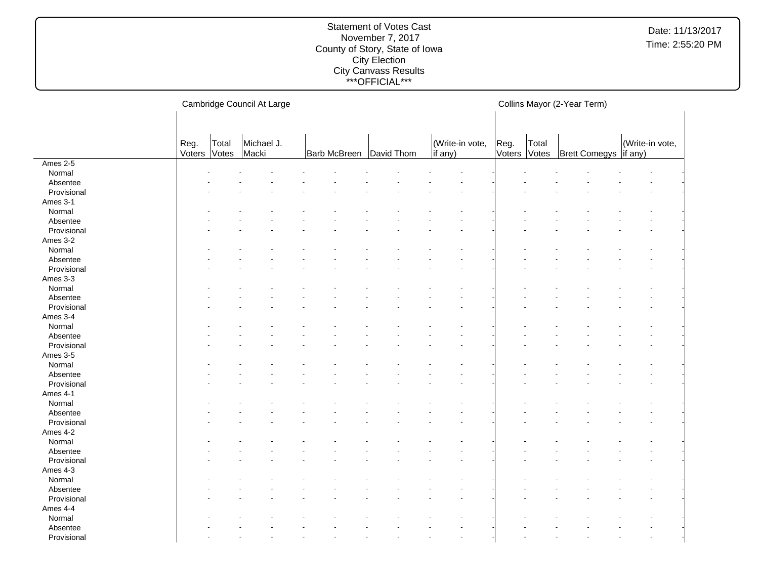#### Statement of Votes Cast November 7, 2017 County of Story, State of Iowa City Election City Canvass Results \*\*\*OFFICIAL\*\*\*

Cambridge Council At Large Reg. Voters Total Votes Michael J. Macki Barb McBreen David Thom (Write-in vote, if any) Collins Mayor (2-Year Term) Reg. Voters Votes Total Brett Comegys (Write-in vote, if any) Ames 2-5 Normal and the set of the set of the set of the set of the set of the set of the set of the set of the set of the set of the set of the set of the set of the set of the set of the set of the set of the set of the set of t Absentee and the set of the set of the set of the set of the set of the set of the set of the set of the set of the set of the set of the set of the set of the set of the set of the set of the set of the set of the set of  $\textsf{Provisional}$  . The set of the set of the set of the set of the set of the set of the set of the set of the set of the set of the set of the set of the set of the set of the set of the set of the set of the set of the set of Ames 3-1 Normal and the set of the set of the set of the set of the set of the set of the set of the set of the set of the set of the set of the set of the set of the set of the set of the set of the set of the set of the set of t Absentee and the set of the set of the set of the set of the set of the set of the set of the set of the set of the set of the set of the set of the set of the set of the set of the set of the set of the set of the set of  $\textsf{Provisional}$  . The set of the set of the set of the set of the set of the set of the set of the set of the set of the set of the set of the set of the set of the set of the set of the set of the set of the set of the set of Ames 3-2 Normal and the set of the set of the set of the set of the set of the set of the set of the set of the set of the set of the set of the set of the set of the set of the set of the set of the set of the set of the set of t Absentee and the set of the set of the set of the set of the set of the set of the set of the set of the set of the set of the set of the set of the set of the set of the set of the set of the set of the set of the set of  $\textsf{Provisional}$  . The set of the set of the set of the set of the set of the set of the set of the set of the set of the set of the set of the set of the set of the set of the set of the set of the set of the set of the set of Ames 3-3 Normal and the set of the set of the set of the set of the set of the set of the set of the set of the set of the set of the set of the set of the set of the set of the set of the set of the set of the set of the set of t Absentee and the set of the set of the set of the set of the set of the set of the set of the set of the set of the set of the set of the set of the set of the set of the set of the set of the set of the set of the set of  $\textsf{Provisional}$  . The set of the set of the set of the set of the set of the set of the set of the set of the set of the set of the set of the set of the set of the set of the set of the set of the set of the set of the set of Ames 3-4 Normal and the set of the set of the set of the set of the set of the set of the set of the set of the set of the set of the set of the set of the set of the set of the set of the set of the set of the set of the set of t Absentee and the set of the set of the set of the set of the set of the set of the set of the set of the set of the set of the set of the set of the set of the set of the set of the set of the set of the set of the set of  $\textsf{Provisional}$  . The set of the set of the set of the set of the set of the set of the set of the set of the set of the set of the set of the set of the set of the set of the set of the set of the set of the set of the set of Ames 3-5 Normal and the set of the set of the set of the set of the set of the set of the set of the set of the set of the set of the set of the set of the set of the set of the set of the set of the set of the set of the set of t Absentee and the set of the set of the set of the set of the set of the set of the set of the set of the set of the set of the set of the set of the set of the set of the set of the set of the set of the set of the set of  $\textsf{Provisional}$  . The set of the set of the set of the set of the set of the set of the set of the set of the set of the set of the set of the set of the set of the set of the set of the set of the set of the set of the set of Ames 4-1 Normal and the set of the set of the set of the set of the set of the set of the set of the set of the set of the set of the set of the set of the set of the set of the set of the set of the set of the set of the set of t Absentee and the set of the set of the set of the set of the set of the set of the set of the set of the set of the set of the set of the set of the set of the set of the set of the set of the set of the set of the set of  $\textsf{Provisional}$  . The set of the set of the set of the set of the set of the set of the set of the set of the set of the set of the set of the set of the set of the set of the set of the set of the set of the set of the set of Ames 4-2 Normal and the set of the set of the set of the set of the set of the set of the set of the set of the set of the set of the set of the set of the set of the set of the set of the set of the set of the set of the set of t Absentee and the set of the set of the set of the set of the set of the set of the set of the set of the set of the set of the set of the set of the set of the set of the set of the set of the set of the set of the set of  $\textsf{Provisional}$  . The set of the set of the set of the set of the set of the set of the set of the set of the set of the set of the set of the set of the set of the set of the set of the set of the set of the set of the set of Ames 4-3 Normal and the set of the set of the set of the set of the set of the set of the set of the set of the set of the set of the set of the set of the set of the set of the set of the set of the set of the set of the set of t Absentee and the set of the set of the set of the set of the set of the set of the set of the set of the set of the set of the set of the set of the set of the set of the set of the set of the set of the set of the set of  $\textsf{Provisional}$  . The set of the set of the set of the set of the set of the set of the set of the set of the set of the set of the set of the set of the set of the set of the set of the set of the set of the set of the set of Ames 4-4 Normal - - - - - - - - - - - - - - - - Absentee and the set of the set of the set of the set of the set of the set of the set of the set of the set of the set of the set of the set of the set of the set of the set of the set of the set of the set of the set of  $\textsf{Provisional}$  . The set of the set of the set of the set of the set of the set of the set of the set of the set of the set of the set of the set of the set of the set of the set of the set of the set of the set of the set of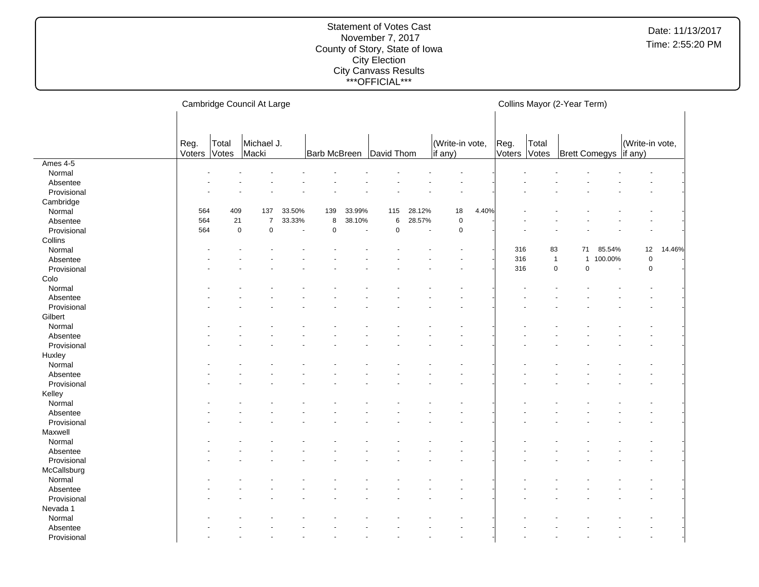#### Statement of Votes Cast November 7, 2017 County of Story, State of Iowa City Election City Canvass Results \*\*\*OFFICIAL\*\*\*

Cambridge Council At Large Reg. Voters Total Votes Michael J. Macki Barb McBreen David Thom (Write-in vote, if any) Collins Mayor (2-Year Term) Reg. Voters Votes Total Brett Comegys (Write-in vote, if any) Ames 4-5 Normal and the set of the set of the set of the set of the set of the set of the set of the set of the set of the set of the set of the set of the set of the set of the set of the set of the set of the set of the set of t Absentee and the set of the set of the set of the set of the set of the set of the set of the set of the set of the set of the set of the set of the set of the set of the set of the set of the set of the set of the set of  $\textsf{Provisional}$  . The set of the set of the set of the set of the set of the set of the set of the set of the set of the set of the set of the set of the set of the set of the set of the set of the set of the set of the set of Cambridge Normal 564 409 137 33.50% 139 33.99% 115 28.12% 18 4.40% - - - - - - Absentee 564 21 7 33.33% 8 38.10% 6 28.57% 0 - - - - - - - Provisional 564 0 0 - 0 - 0 - 0 - - - - - - - **Collins**  Normal - - - - - - - - - - 316 83 71 85.54% 12 14.46% Absentee 2000 - 100.00% 0 - 100.00% 0 - 100.00% 0 - 100.00% 0 - 100.00% 0 - 100.00% 0 - 100.00% 0 - 1 Provisional - - - - - - - - - - 316 0 0 - 0 - Colo Normal and the set of the set of the set of the set of the set of the set of the set of the set of the set of the set of the set of the set of the set of the set of the set of the set of the set of the set of the set of t Absentee and the set of the set of the set of the set of the set of the set of the set of the set of the set of the set of the set of the set of the set of the set of the set of the set of the set of the set of the set of  $\textsf{Provisional}$  . The set of the set of the set of the set of the set of the set of the set of the set of the set of the set of the set of the set of the set of the set of the set of the set of the set of the set of the set of **Gilbert** Normal and the set of the set of the set of the set of the set of the set of the set of the set of the set of the set of the set of the set of the set of the set of the set of the set of the set of the set of the set of t Absentee and the set of the set of the set of the set of the set of the set of the set of the set of the set of the set of the set of the set of the set of the set of the set of the set of the set of the set of the set of  $\textsf{Provisional}$  . The set of the set of the set of the set of the set of the set of the set of the set of the set of the set of the set of the set of the set of the set of the set of the set of the set of the set of the set of **Huxley** Normal and the set of the set of the set of the set of the set of the set of the set of the set of the set of the set of the set of the set of the set of the set of the set of the set of the set of the set of the set of t Absentee and the set of the set of the set of the set of the set of the set of the set of the set of the set of the set of the set of the set of the set of the set of the set of the set of the set of the set of the set of  $\textsf{Provisional}$  . The set of the set of the set of the set of the set of the set of the set of the set of the set of the set of the set of the set of the set of the set of the set of the set of the set of the set of the set of Kelley Normal and the set of the set of the set of the set of the set of the set of the set of the set of the set of the set of the set of the set of the set of the set of the set of the set of the set of the set of the set of t Absentee and the set of the set of the set of the set of the set of the set of the set of the set of the set of the set of the set of the set of the set of the set of the set of the set of the set of the set of the set of  $\textsf{Provisional}$  . The set of the set of the set of the set of the set of the set of the set of the set of the set of the set of the set of the set of the set of the set of the set of the set of the set of the set of the set of Maxwell Normal and the set of the set of the set of the set of the set of the set of the set of the set of the set of the set of the set of the set of the set of the set of the set of the set of the set of the set of the set of t Absentee and the set of the set of the set of the set of the set of the set of the set of the set of the set of the set of the set of the set of the set of the set of the set of the set of the set of the set of the set of  $\textsf{Provisional}$  . The set of the set of the set of the set of the set of the set of the set of the set of the set of the set of the set of the set of the set of the set of the set of the set of the set of the set of the set of **McCallsburg** Normal and the set of the set of the set of the set of the set of the set of the set of the set of the set of the set of the set of the set of the set of the set of the set of the set of the set of the set of the set of t Absentee and the set of the set of the set of the set of the set of the set of the set of the set of the set of the set of the set of the set of the set of the set of the set of the set of the set of the set of the set of  $\textsf{Provisional}$  . The set of the set of the set of the set of the set of the set of the set of the set of the set of the set of the set of the set of the set of the set of the set of the set of the set of the set of the set of Nevada 1 Normal - - - - - - - - - - - - - - - - Absentee and the set of the set of the set of the set of the set of the set of the set of the set of the set of the set of the set of the set of the set of the set of the set of the set of the set of the set of the set of  $\textsf{Provisional}$  . The set of the set of the set of the set of the set of the set of the set of the set of the set of the set of the set of the set of the set of the set of the set of the set of the set of the set of the set of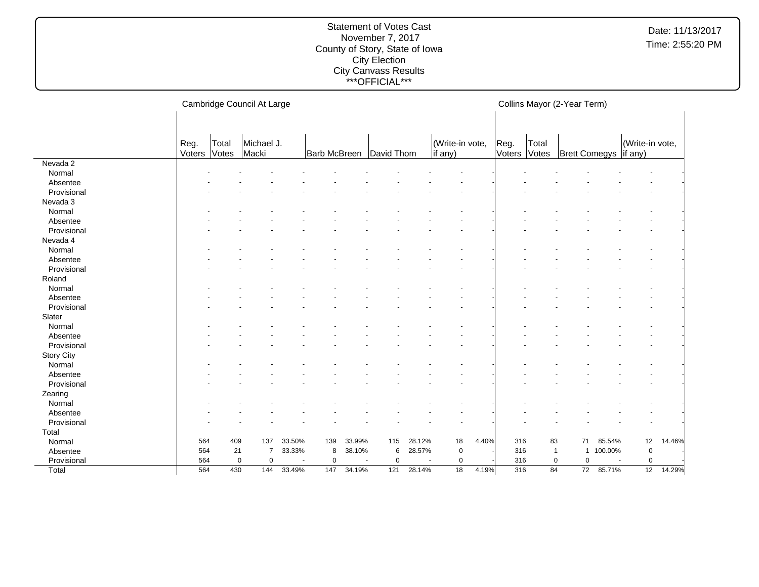#### Statement of Votes Cast November 7, 2017 County of Story, State of Iowa City Election City Canvass Results \*\*\*OFFICIAL\*\*\*

Cambridge Council At Large Reg. Voters Total Votes Michael J. Macki Barb McBreen David Thom (Write-in vote, if any) Collins Mayor (2-Year Term) Reg. Voters Votes Total **Brett Comegys** (Write-in vote, if any) Nevada 2 Normal and the set of the set of the set of the set of the set of the set of the set of the set of the set of the set of the set of the set of the set of the set of the set of the set of the set of the set of the set of t Absentee and the set of the set of the set of the set of the set of the set of the set of the set of the set of the set of the set of the set of the set of the set of the set of the set of the set of the set of the set of  $\textsf{Provisional}$  . The set of the set of the set of the set of the set of the set of the set of the set of the set of the set of the set of the set of the set of the set of the set of the set of the set of the set of the set of Nevada 3 Normal and the set of the set of the set of the set of the set of the set of the set of the set of the set of the set of the set of the set of the set of the set of the set of the set of the set of the set of the set of t Absentee and the set of the set of the set of the set of the set of the set of the set of the set of the set of the set of the set of the set of the set of the set of the set of the set of the set of the set of the set of  $\textsf{Provisional}$  . The set of the set of the set of the set of the set of the set of the set of the set of the set of the set of the set of the set of the set of the set of the set of the set of the set of the set of the set of Nevada 4 Normal and the set of the set of the set of the set of the set of the set of the set of the set of the set of the set of the set of the set of the set of the set of the set of the set of the set of the set of the set of t Absentee and the set of the set of the set of the set of the set of the set of the set of the set of the set of the set of the set of the set of the set of the set of the set of the set of the set of the set of the set of  $\textsf{Provisional}$  . The set of the set of the set of the set of the set of the set of the set of the set of the set of the set of the set of the set of the set of the set of the set of the set of the set of the set of the set of Roland Normal and the set of the set of the set of the set of the set of the set of the set of the set of the set of the set of the set of the set of the set of the set of the set of the set of the set of the set of the set of t Absentee and the set of the set of the set of the set of the set of the set of the set of the set of the set of the set of the set of the set of the set of the set of the set of the set of the set of the set of the set of  $\textsf{Provisional}$  . The set of the set of the set of the set of the set of the set of the set of the set of the set of the set of the set of the set of the set of the set of the set of the set of the set of the set of the set of Slater Normal and the set of the set of the set of the set of the set of the set of the set of the set of the set of the set of the set of the set of the set of the set of the set of the set of the set of the set of the set of t Absentee and the set of the set of the set of the set of the set of the set of the set of the set of the set of the set of the set of the set of the set of the set of the set of the set of the set of the set of the set of  $\textsf{Provisional}$  . The set of the set of the set of the set of the set of the set of the set of the set of the set of the set of the set of the set of the set of the set of the set of the set of the set of the set of the set of Story City Normal and the set of the set of the set of the set of the set of the set of the set of the set of the set of the set of the set of the set of the set of the set of the set of the set of the set of the set of the set of t Absentee and the set of the set of the set of the set of the set of the set of the set of the set of the set of the set of the set of the set of the set of the set of the set of the set of the set of the set of the set of  $\textsf{Provisional}$  . The set of the set of the set of the set of the set of the set of the set of the set of the set of the set of the set of the set of the set of the set of the set of the set of the set of the set of the set of Zearing Normal and the set of the set of the set of the set of the set of the set of the set of the set of the set of the set of the set of the set of the set of the set of the set of the set of the set of the set of the set of t Absentee and the set of the set of the set of the set of the set of the set of the set of the set of the set of the set of the set of the set of the set of the set of the set of the set of the set of the set of the set of  $\textsf{Provisional}$  . The set of the set of the set of the set of the set of the set of the set of the set of the set of the set of the set of the set of the set of the set of the set of the set of the set of the set of the set of Total Normal 564 409 137 33.50% 139 33.99% 115 28.12% 18 4.40% 316 83 71 85.54% 12 14.46% Absentee 564 21 7 33.33% 8 38.10% 6 28.57% 0 - 316 1 1 100.00% 0 - Provisional 564 0 0 - 0 - 0 - 316 0 0 - 0 -Total 564 430 144 33.49% 147 34.19% 121 28.14% 18 4.19% 316 84 72 85.71% 12 14.29%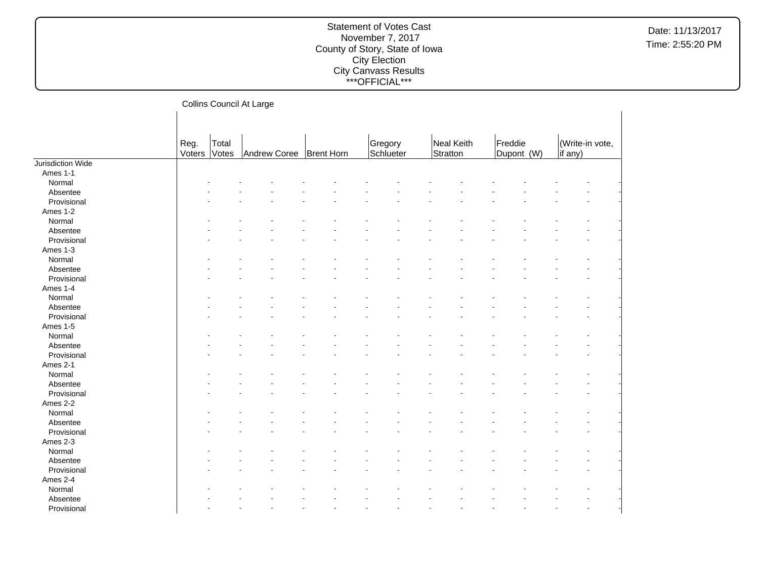#### Statement of Votes Cast November 7, 2017 County of Story, State of Iowa City Election City Canvass Results \*\*\*OFFICIAL\*\*\*

Collins Council At Large Reg. Voters Total Votes Andrew Coree | Brent Horn Gregory **Schlueter** Neal Keith **Stratton** Freddie Dupont (W) (Write-in vote, if any) Jurisdiction Wide Ames 1-1  $\textsf{Normal}$  . The set of the set of the set of the set of the set of the set of the set of the set of the set of the set of the set of the set of the set of the set of the set of the set of the set of the set of the set of t Absentee and the second contract of the second contract of the second contract of the second contract of the second contract of the second contract of the second contract of the second contract of the second contract of th Provisional and the second contract of the second contract of the second contract of the second contract of the second contract of the second contract of the second contract of the second contract of the second contract of Ames 1-2  $\textsf{Normal}$  . The set of the set of the set of the set of the set of the set of the set of the set of the set of the set of the set of the set of the set of the set of the set of the set of the set of the set of the set of t Absentee and the second contract of the second contract of the second contract of the second contract of the second contract of the second contract of the second contract of the second contract of the second contract of th Provisional and the second contract of the second contract of the second contract of the second contract of the second contract of the second contract of the second contract of the second contract of the second contract of Ames 1-3  $\textsf{Normal}$  . The set of the set of the set of the set of the set of the set of the set of the set of the set of the set of the set of the set of the set of the set of the set of the set of the set of the set of the set of t Absentee - - - - - - - - - - - - - - Provisional and the second contract of the second contract of the second contract of the second contract of the second contract of the second contract of the second contract of the second contract of the second contract of Ames 1-4  $\textsf{Normal}$  . The set of the set of the set of the set of the set of the set of the set of the set of the set of the set of the set of the set of the set of the set of the set of the set of the set of the set of the set of t Absentee and the second contract of the second contract of the second contract of the second contract of the second contract of the second contract of the second contract of the second contract of the second contract of th Provisional and the second contract of the second contract of the second contract of the second contract of the second contract of the second contract of the second contract of the second contract of the second contract of Ames 1-5  $\textsf{Normal}$  . The set of the set of the set of the set of the set of the set of the set of the set of the set of the set of the set of the set of the set of the set of the set of the set of the set of the set of the set of t Absentee and the second contract of the second contract of the second contract of the second contract of the second contract of the second contract of the second contract of the second contract of the second contract of th Provisional and the second contract of the second contract of the second contract of the second contract of the second contract of the second contract of the second contract of the second contract of the second contract of Ames 2-1  $\textsf{Normal}$  . The set of the set of the set of the set of the set of the set of the set of the set of the set of the set of the set of the set of the set of the set of the set of the set of the set of the set of the set of t Absentee - - - - - - - - - - - - - - Provisional and the second contract of the second contract of the second contract of the second contract of the second contract of the second contract of the second contract of the second contract of the second contract of Ames 2-2  $\textsf{Normal}$  . The set of the set of the set of the set of the set of the set of the set of the set of the set of the set of the set of the set of the set of the set of the set of the set of the set of the set of the set of t Absentee and the second contract of the second contract of the second contract of the second contract of the second contract of the second contract of the second contract of the second contract of the second contract of th Provisional and the second contract of the second contract of the second contract of the second contract of the second contract of the second contract of the second contract of the second contract of the second contract of Ames 2-3  $\textsf{Normal}$  . The set of the set of the set of the set of the set of the set of the set of the set of the set of the set of the set of the set of the set of the set of the set of the set of the set of the set of the set of t Absentee and the second contract of the second contract of the second contract of the second contract of the second contract of the second contract of the second contract of the second contract of the second contract of th Provisional and the second contract of the second contract of the second contract of the second contract of the second contract of the second contract of the second contract of the second contract of the second contract of Ames 2-4  $\textsf{Normal}$  . The set of the set of the set of the set of the set of the set of the set of the set of the set of the set of the set of the set of the set of the set of the set of the set of the set of the set of the set of t Absentee - - - - - - - - - - - - - - Provisional and the second contract of the second contract of the second contract of the second contract of the second contract of the second contract of the second contract of the second contract of the second contract of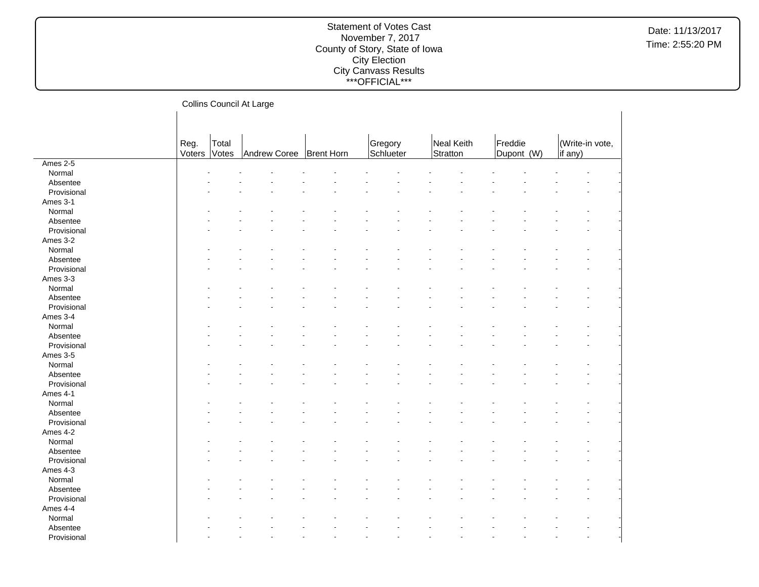|             |        |       | Collins Council At Large |                   |           |            |            |         |                 |
|-------------|--------|-------|--------------------------|-------------------|-----------|------------|------------|---------|-----------------|
|             |        |       |                          |                   |           |            |            |         |                 |
|             |        |       |                          |                   |           |            |            |         |                 |
|             | Reg.   | Total |                          |                   | Gregory   | Neal Keith | Freddie    |         | (Write-in vote, |
|             | Voters | Votes | Andrew Coree             | <b>Brent Horn</b> | Schlueter | Stratton   | Dupont (W) | if any) |                 |
| Ames 2-5    |        |       |                          |                   |           |            |            |         |                 |
| Normal      |        |       |                          |                   |           |            |            |         |                 |
| Absentee    |        |       |                          |                   |           |            |            |         |                 |
| Provisional |        |       |                          |                   |           |            |            |         |                 |
| Ames 3-1    |        |       |                          |                   |           |            |            |         |                 |
| Normal      |        |       |                          |                   |           |            |            |         |                 |
| Absentee    |        |       |                          |                   |           |            |            |         |                 |
| Provisional |        |       |                          |                   |           |            |            |         |                 |
| Ames 3-2    |        |       |                          |                   |           |            |            |         |                 |
| Normal      |        |       |                          |                   |           |            |            |         |                 |
| Absentee    |        |       |                          |                   |           |            |            |         |                 |
| Provisional |        |       |                          |                   |           |            |            |         |                 |
| Ames 3-3    |        |       |                          |                   |           |            |            |         |                 |
| Normal      |        |       |                          |                   |           |            |            |         |                 |
| Absentee    |        |       |                          |                   |           |            |            |         |                 |
| Provisional |        |       |                          |                   |           |            |            |         |                 |
| Ames 3-4    |        |       |                          |                   |           |            |            |         |                 |
| Normal      |        |       |                          |                   |           |            |            |         |                 |
| Absentee    |        |       |                          |                   |           |            |            |         |                 |
| Provisional |        |       |                          |                   |           |            |            |         |                 |
| Ames 3-5    |        |       |                          |                   |           |            |            |         |                 |
| Normal      |        |       |                          |                   |           |            |            |         |                 |
| Absentee    |        |       |                          |                   |           |            |            |         |                 |
| Provisional |        |       |                          |                   |           |            |            |         |                 |
| Ames 4-1    |        |       |                          |                   |           |            |            |         |                 |
| Normal      |        |       |                          |                   |           |            |            |         |                 |
| Absentee    |        |       |                          |                   |           |            |            |         |                 |
| Provisional |        |       |                          |                   |           |            |            |         |                 |
| Ames 4-2    |        |       |                          |                   |           |            |            |         |                 |
| Normal      |        |       |                          |                   |           |            |            |         |                 |
| Absentee    |        |       |                          |                   |           |            |            |         |                 |
| Provisional |        |       |                          |                   |           |            |            |         |                 |
| Ames 4-3    |        |       |                          |                   |           |            |            |         |                 |
| Normal      |        |       |                          |                   |           |            |            |         |                 |
| Absentee    |        |       |                          |                   |           |            |            |         |                 |
| Provisional |        |       |                          |                   |           |            |            |         |                 |
| Ames 4-4    |        |       |                          |                   |           |            |            |         |                 |
| Normal      |        |       |                          |                   |           |            |            |         |                 |
| Absentee    |        |       |                          |                   |           |            |            |         |                 |
| Provisional |        |       |                          |                   |           |            |            |         |                 |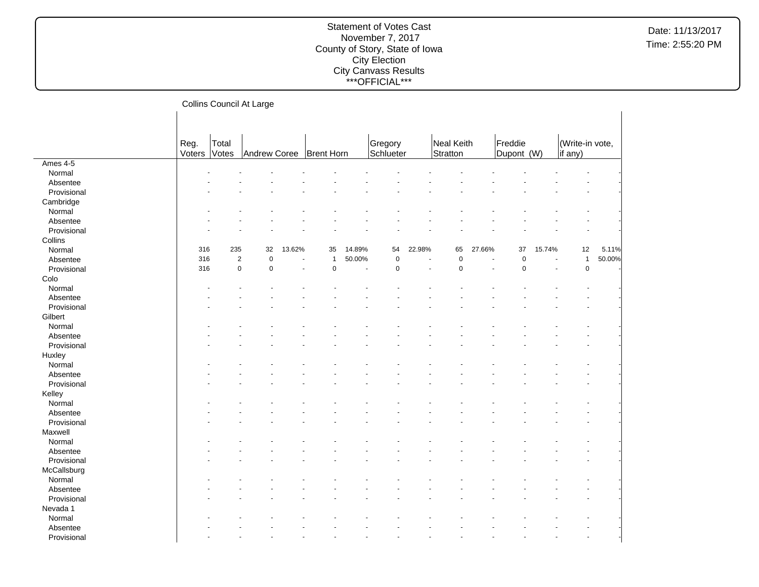|             |        |                | Collins Council At Large |        |                           |        |           |        |             |        |                                   |                      |                      |        |
|-------------|--------|----------------|--------------------------|--------|---------------------------|--------|-----------|--------|-------------|--------|-----------------------------------|----------------------|----------------------|--------|
|             |        |                |                          |        |                           |        |           |        |             |        |                                   |                      |                      |        |
|             |        |                |                          |        |                           |        |           |        |             |        |                                   |                      |                      |        |
|             | Reg.   | Total          |                          |        |                           |        | Gregory   |        | Neal Keith  |        | Freddie                           |                      | (Write-in vote,      |        |
|             | Voters | Votes          |                          |        | Andrew Coree   Brent Horn |        | Schlueter |        | Stratton    |        | Dupont (W)                        |                      | if any)              |        |
| Ames 4-5    |        |                |                          |        |                           |        |           |        |             |        |                                   |                      |                      |        |
| Normal      |        |                |                          |        |                           |        |           |        |             |        |                                   |                      |                      |        |
| Absentee    |        |                |                          |        |                           |        |           |        |             |        |                                   |                      |                      |        |
| Provisional |        |                |                          |        |                           |        |           |        |             |        |                                   |                      |                      |        |
| Cambridge   |        |                |                          |        |                           |        |           |        |             |        |                                   |                      |                      |        |
| Normal      |        |                |                          |        |                           |        |           |        |             |        |                                   |                      |                      |        |
| Absentee    |        |                |                          |        |                           |        |           |        |             |        |                                   |                      |                      |        |
| Provisional |        |                |                          |        |                           |        |           |        |             |        |                                   |                      |                      |        |
| Collins     |        |                |                          |        |                           |        |           |        |             |        |                                   |                      |                      |        |
| Normal      | 316    | 235            | 32                       | 13.62% | 35                        | 14.89% | 54        | 22.98% | 65          | 27.66% | 37                                | 15.74%               | 12                   | 5.11%  |
| Absentee    | 316    | $\overline{2}$ | $\mathbf 0$              | ä,     | $\mathbf{1}$              | 50.00% | $\pmb{0}$ |        | $\pmb{0}$   |        | $\pmb{0}$<br>$\ddot{\phantom{1}}$ | $\ddot{\phantom{1}}$ | $\mathbf{1}$         | 50.00% |
| Provisional | 316    | $\mathbf 0$    | $\mathbf 0$              |        | $\mathbf 0$               | ÷,     | 0         |        | $\mathbf 0$ |        | $\mathbf 0$                       |                      | $\mathbf 0$          |        |
| Colo        |        |                |                          |        |                           |        |           |        |             |        |                                   |                      |                      |        |
| Normal      |        |                |                          |        |                           |        |           |        |             |        |                                   |                      |                      |        |
| Absentee    |        |                |                          |        |                           |        |           |        |             |        |                                   |                      |                      |        |
| Provisional |        |                |                          |        |                           |        |           |        |             |        |                                   |                      |                      |        |
| Gilbert     |        |                |                          |        |                           |        |           |        |             |        |                                   |                      |                      |        |
| Normal      |        |                |                          |        |                           |        |           |        |             |        |                                   |                      |                      |        |
| Absentee    |        |                |                          |        |                           |        |           |        |             |        |                                   |                      |                      |        |
| Provisional |        |                |                          |        |                           |        |           |        |             |        |                                   |                      |                      |        |
| Huxley      |        |                |                          |        |                           |        |           |        |             |        |                                   |                      |                      |        |
| Normal      |        |                |                          |        |                           |        |           |        |             |        |                                   |                      |                      |        |
| Absentee    |        |                |                          |        |                           |        |           |        |             |        |                                   |                      |                      |        |
| Provisional |        |                |                          |        |                           |        |           |        |             |        |                                   |                      |                      |        |
| Kelley      |        |                |                          |        |                           |        |           |        |             |        |                                   |                      |                      |        |
| Normal      |        |                |                          |        |                           |        |           |        |             |        |                                   |                      |                      |        |
| Absentee    |        |                |                          |        |                           |        |           |        |             |        |                                   |                      |                      |        |
| Provisional |        |                |                          |        |                           |        |           |        |             |        |                                   |                      |                      |        |
| Maxwell     |        |                |                          |        |                           |        |           |        |             |        |                                   |                      |                      |        |
| Normal      |        |                |                          |        |                           |        |           |        |             |        |                                   |                      |                      |        |
| Absentee    |        |                |                          |        |                           |        |           |        |             |        |                                   |                      |                      |        |
| Provisional |        |                |                          |        |                           |        |           |        |             |        |                                   |                      |                      |        |
| McCallsburg |        |                |                          |        |                           |        |           |        |             |        |                                   |                      |                      |        |
| Normal      |        |                |                          |        |                           |        |           |        |             |        |                                   |                      |                      |        |
| Absentee    |        |                |                          |        |                           |        |           |        |             |        |                                   |                      |                      |        |
| Provisional |        |                |                          |        |                           |        |           |        |             |        |                                   |                      |                      |        |
| Nevada 1    |        |                |                          |        |                           |        |           |        |             |        |                                   |                      |                      |        |
| Normal      |        |                |                          |        |                           |        |           |        |             |        |                                   |                      |                      |        |
| Absentee    |        |                |                          |        |                           |        |           |        |             |        |                                   |                      |                      |        |
| Provisional |        |                |                          |        |                           |        |           |        |             |        |                                   |                      | $\ddot{\phantom{1}}$ |        |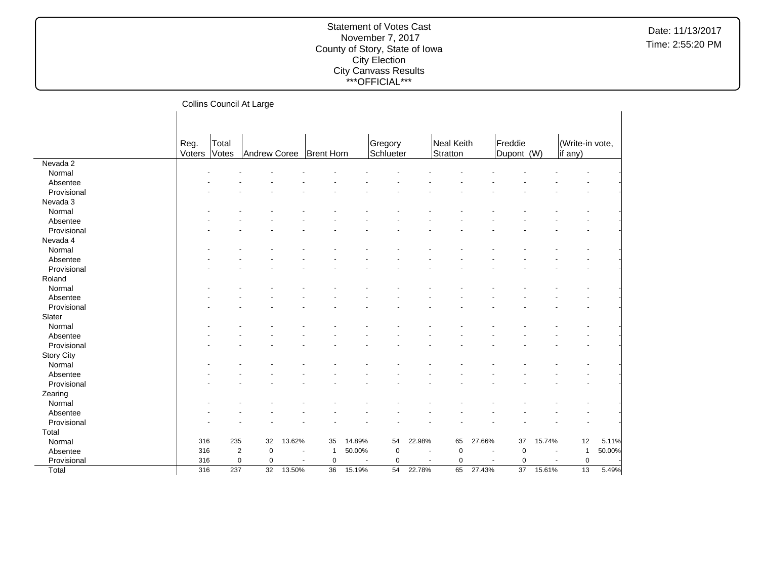|                   |        |       | Collins Council At Large    |                |                               |        |           |                          |            |                          |            |                |                 |        |
|-------------------|--------|-------|-----------------------------|----------------|-------------------------------|--------|-----------|--------------------------|------------|--------------------------|------------|----------------|-----------------|--------|
|                   |        |       |                             |                |                               |        |           |                          |            |                          |            |                |                 |        |
|                   |        |       |                             |                |                               |        |           |                          |            |                          |            |                |                 |        |
|                   | Reg.   | Total |                             |                |                               |        | Gregory   |                          | Neal Keith |                          | Freddie    |                | (Write-in vote, |        |
|                   | Voters | Votes | Andrew Coree                |                | <b>Brent Horn</b>             |        | Schlueter |                          | Stratton   |                          | Dupont (W) |                | if any)         |        |
| Nevada 2          |        |       |                             |                |                               |        |           |                          |            |                          |            |                |                 |        |
| Normal            |        |       |                             |                |                               |        |           |                          |            |                          |            |                |                 |        |
| Absentee          |        |       |                             |                |                               |        |           |                          |            |                          |            |                |                 |        |
| Provisional       |        |       |                             |                |                               |        |           |                          |            |                          |            |                |                 |        |
| Nevada 3          |        |       |                             |                |                               |        |           |                          |            |                          |            |                |                 |        |
| Normal            |        |       |                             |                |                               |        |           |                          |            |                          |            |                |                 |        |
| Absentee          |        |       |                             |                |                               |        |           |                          |            |                          |            |                |                 |        |
| Provisional       |        |       |                             |                |                               |        |           |                          |            |                          |            |                |                 |        |
| Nevada 4          |        |       |                             |                |                               |        |           |                          |            |                          |            |                |                 |        |
| Normal            |        |       |                             |                |                               |        |           |                          |            |                          |            |                |                 |        |
| Absentee          |        |       |                             |                |                               |        |           |                          |            |                          |            |                |                 |        |
| Provisional       |        |       |                             |                |                               |        |           |                          |            |                          |            |                |                 |        |
| Roland            |        |       |                             |                |                               |        |           |                          |            |                          |            |                |                 |        |
| Normal            |        |       |                             |                |                               |        |           |                          |            |                          |            |                |                 |        |
| Absentee          |        |       |                             |                |                               |        |           |                          |            |                          |            |                |                 |        |
| Provisional       |        |       |                             |                |                               |        |           |                          |            |                          |            |                |                 |        |
| Slater            |        |       |                             |                |                               |        |           |                          |            |                          |            |                |                 |        |
| Normal            |        |       |                             |                |                               |        |           |                          |            |                          |            |                |                 |        |
| Absentee          |        |       |                             |                |                               |        |           |                          |            |                          |            |                |                 |        |
|                   |        |       |                             |                |                               |        |           |                          |            |                          |            |                |                 |        |
| Provisional       |        |       |                             |                |                               |        |           |                          |            |                          |            |                |                 |        |
| <b>Story City</b> |        |       |                             |                |                               |        |           |                          |            |                          |            |                |                 |        |
| Normal            |        |       |                             |                |                               |        |           |                          |            |                          |            |                |                 |        |
| Absentee          |        |       |                             |                |                               |        |           |                          |            |                          |            |                |                 |        |
| Provisional       |        |       |                             |                |                               |        |           |                          |            |                          |            |                |                 |        |
| Zearing           |        |       |                             |                |                               |        |           |                          |            |                          |            |                |                 |        |
| Normal            |        |       |                             |                |                               |        |           |                          |            |                          |            |                |                 |        |
| Absentee          |        |       |                             |                |                               |        |           |                          |            |                          |            |                |                 |        |
| Provisional       |        |       |                             |                |                               |        |           |                          |            |                          |            |                |                 |        |
| Total             |        |       |                             |                |                               |        |           |                          |            |                          |            |                |                 |        |
| Normal            | 316    | 235   | 32                          | 13.62%         | 35                            | 14.89% | 54        | 22.98%                   | 65         | 27.66%                   | 37         | 15.74%         | 12              | 5.11%  |
| Absentee          | 316    |       | $\pmb{0}$<br>$\overline{c}$ | $\blacksquare$ | 1                             | 50.00% | $\pmb{0}$ | $\overline{\phantom{a}}$ | $\pmb{0}$  |                          | 0          | $\blacksquare$ | $\mathbf{1}$    | 50.00% |
| Provisional       | 316    |       | $\pmb{0}$<br>0              |                | 0<br>$\overline{\phantom{a}}$ | $\sim$ | 0         | $\sim$                   | 0          | $\overline{\phantom{a}}$ | 0          | $\blacksquare$ | $\mathbf 0$     |        |
| Total             | 316    | 237   | 32                          | 13.50%         | 36                            | 15.19% | 54        | 22.78%                   | 65         | 27.43%                   | 37         | 15.61%         | $13$            | 5.49%  |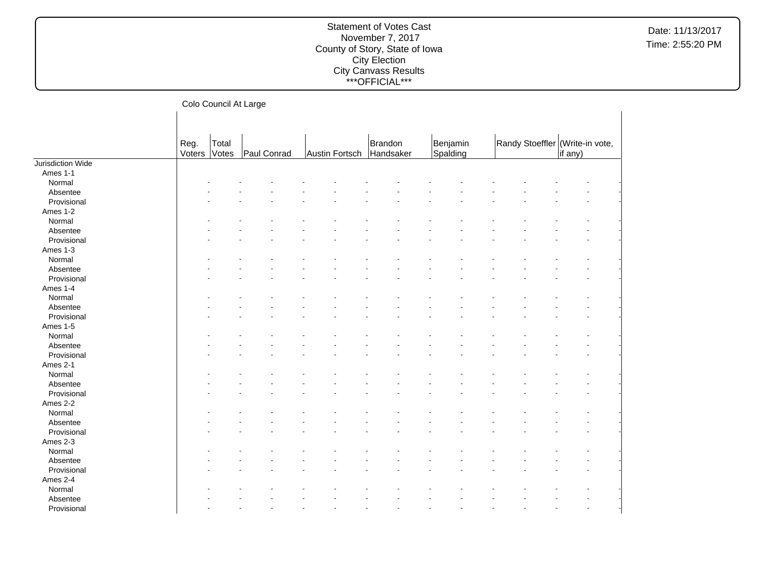Date: 11/13/2017 Time: 2:55:20 PM

## Colo Council At Large

|                   | Reg.   | Total |             |                | Brandon   | Benjamin |  | Randy Stoeffler (Write-in vote, |         |  |
|-------------------|--------|-------|-------------|----------------|-----------|----------|--|---------------------------------|---------|--|
|                   | Voters | Votes | Paul Conrad | Austin Fortsch | Handsaker | Spalding |  |                                 | if any) |  |
| Jurisdiction Wide |        |       |             |                |           |          |  |                                 |         |  |
| Ames 1-1          |        |       |             |                |           |          |  |                                 |         |  |
| Normal            |        |       |             |                |           |          |  |                                 |         |  |
| Absentee          |        |       |             |                |           |          |  |                                 |         |  |
| Provisional       |        |       |             |                |           |          |  |                                 |         |  |
| Ames 1-2          |        |       |             |                |           |          |  |                                 |         |  |
| Normal            |        |       |             |                |           |          |  |                                 |         |  |
| Absentee          |        |       |             |                |           |          |  |                                 |         |  |
| Provisional       |        |       |             |                |           |          |  |                                 |         |  |
| Ames 1-3          |        |       |             |                |           |          |  |                                 |         |  |
| Normal            |        |       |             |                |           |          |  |                                 |         |  |
| Absentee          |        |       |             |                |           |          |  |                                 |         |  |
| Provisional       |        |       |             |                |           |          |  |                                 |         |  |
| Ames 1-4          |        |       |             |                |           |          |  |                                 |         |  |
| Normal            |        |       |             |                |           |          |  |                                 |         |  |
| Absentee          |        |       |             |                |           |          |  |                                 |         |  |
| Provisional       |        |       |             |                |           |          |  |                                 |         |  |
| Ames 1-5          |        |       |             |                |           |          |  |                                 |         |  |
| Normal            |        |       |             |                |           |          |  |                                 |         |  |
| Absentee          |        |       |             |                |           |          |  |                                 |         |  |
| Provisional       |        |       |             |                |           |          |  |                                 |         |  |
| Ames 2-1          |        |       |             |                |           |          |  |                                 |         |  |
| Normal            |        |       |             |                |           |          |  |                                 |         |  |
| Absentee          |        |       |             |                |           |          |  |                                 |         |  |
| Provisional       |        |       |             |                |           |          |  |                                 |         |  |
| Ames 2-2          |        |       |             |                |           |          |  |                                 |         |  |
| Normal            |        |       |             |                |           |          |  |                                 |         |  |
| Absentee          |        |       |             |                |           |          |  |                                 |         |  |
| Provisional       |        |       |             |                |           |          |  |                                 |         |  |
| Ames 2-3          |        |       |             |                |           |          |  |                                 |         |  |
| Normal            |        |       |             |                |           |          |  |                                 |         |  |
| Absentee          |        |       |             |                |           |          |  |                                 |         |  |
| Provisional       |        |       |             |                |           |          |  |                                 |         |  |
| Ames 2-4          |        |       |             |                |           |          |  |                                 |         |  |
| Normal            |        |       |             |                |           |          |  |                                 |         |  |
| Absentee          |        |       |             |                |           |          |  |                                 |         |  |
|                   |        |       |             |                |           |          |  |                                 |         |  |
| Provisional       |        |       |             |                |           |          |  |                                 |         |  |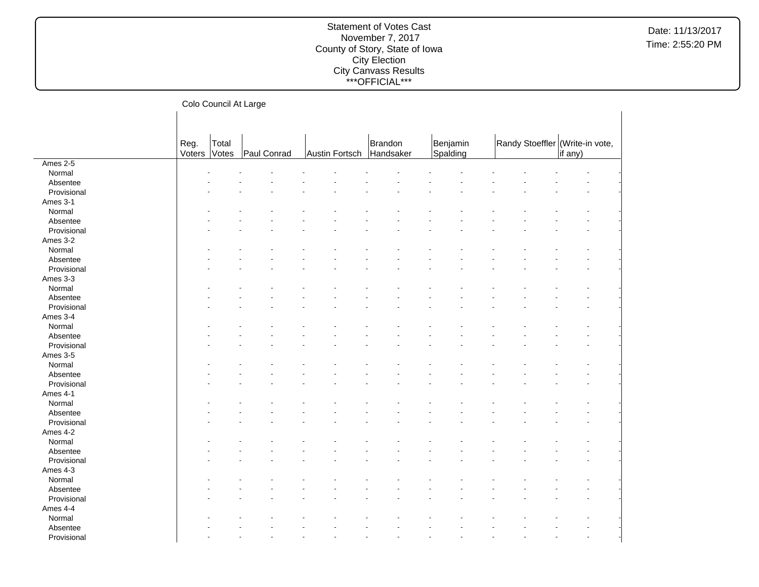|                         |                | Colo Council At Large |             |                          |         |                      |                                 |         |
|-------------------------|----------------|-----------------------|-------------|--------------------------|---------|----------------------|---------------------------------|---------|
|                         | Reg.<br>Voters | Total<br>Votes        | Paul Conrad | Austin Fortsch Handsaker | Brandon | Benjamin<br>Spalding | Randy Stoeffler (Write-in vote, | if any) |
| Ames 2-5                |                |                       |             |                          |         |                      |                                 |         |
| Normal                  |                |                       |             |                          |         |                      |                                 |         |
| Absentee                |                |                       |             |                          |         |                      |                                 |         |
| Provisional             |                |                       |             |                          |         |                      |                                 |         |
| Ames 3-1                |                |                       |             |                          |         |                      |                                 |         |
| Normal                  |                |                       |             |                          |         |                      |                                 |         |
| Absentee                |                |                       |             |                          |         |                      |                                 |         |
| Provisional             |                |                       |             |                          |         |                      |                                 |         |
| Ames 3-2                |                |                       |             |                          |         |                      |                                 |         |
| Normal                  |                |                       |             |                          |         |                      |                                 |         |
| Absentee                |                |                       |             |                          |         |                      |                                 |         |
| Provisional             |                |                       |             |                          |         |                      |                                 |         |
| Ames 3-3                |                |                       |             |                          |         |                      |                                 |         |
| Normal                  |                |                       |             |                          |         |                      |                                 |         |
| Absentee                |                |                       |             |                          |         |                      |                                 |         |
| Provisional             |                |                       |             |                          |         |                      |                                 |         |
| Ames 3-4                |                |                       |             |                          |         |                      |                                 |         |
| Normal                  |                |                       |             |                          |         |                      |                                 |         |
| Absentee                |                |                       |             |                          |         |                      |                                 |         |
| Provisional             |                |                       |             |                          |         |                      |                                 |         |
| Ames 3-5                |                |                       |             |                          |         |                      |                                 |         |
| Normal                  |                |                       |             |                          |         |                      |                                 |         |
| Absentee                |                |                       |             |                          |         |                      |                                 |         |
| Provisional             |                |                       |             |                          |         |                      |                                 |         |
| Ames 4-1                |                |                       |             |                          |         |                      |                                 |         |
| Normal                  |                |                       |             |                          |         |                      |                                 |         |
| Absentee                |                |                       |             |                          |         |                      |                                 |         |
| Provisional             |                |                       |             |                          |         |                      |                                 |         |
| Ames 4-2                |                |                       |             |                          |         |                      |                                 |         |
| Normal                  |                |                       |             |                          |         |                      |                                 |         |
| Absentee                |                |                       |             |                          |         |                      |                                 |         |
| Provisional             |                |                       |             |                          |         |                      |                                 |         |
| Ames 4-3                |                |                       |             |                          |         |                      |                                 |         |
| Normal                  |                |                       |             |                          |         |                      |                                 |         |
|                         |                |                       |             |                          |         |                      |                                 |         |
| Absentee<br>Provisional |                |                       |             |                          |         |                      |                                 |         |
|                         |                |                       |             |                          |         |                      |                                 |         |
| Ames 4-4                |                |                       |             |                          |         |                      |                                 |         |
| Normal                  |                |                       |             |                          |         |                      |                                 |         |
| Absentee                |                |                       |             |                          |         |                      |                                 |         |
| Provisional             |                |                       |             |                          |         |                      |                                 |         |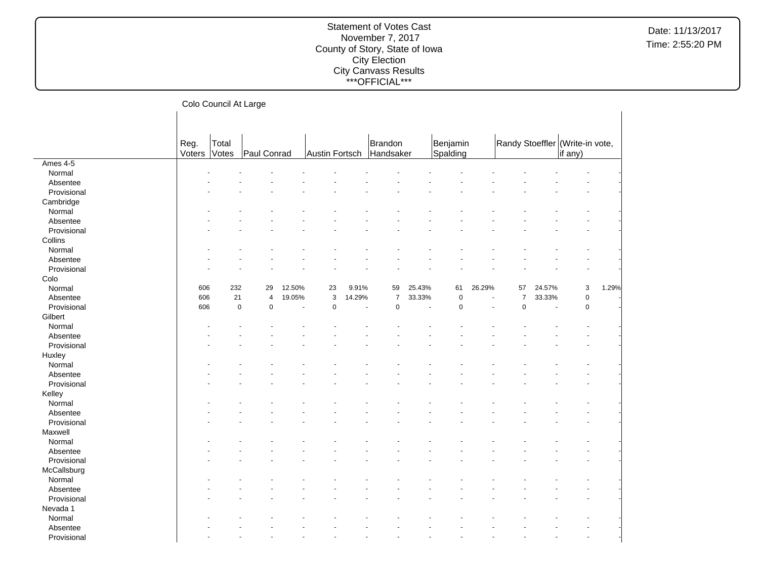|             |        | Colo Council At Large |                         |                          |                           |        |                   |        |             |        |                |        |                                 |       |
|-------------|--------|-----------------------|-------------------------|--------------------------|---------------------------|--------|-------------------|--------|-------------|--------|----------------|--------|---------------------------------|-------|
|             |        |                       |                         |                          |                           |        |                   |        |             |        |                |        |                                 |       |
|             |        |                       |                         |                          |                           |        |                   |        |             |        |                |        |                                 |       |
|             |        |                       |                         |                          |                           |        |                   |        |             |        |                |        |                                 |       |
|             | Reg.   | Total                 |                         |                          |                           |        | Brandon           |        | Benjamin    |        |                |        | Randy Stoeffler (Write-in vote, |       |
|             | Voters | Votes                 | Paul Conrad             |                          | Austin Fortsch            |        | Handsaker         |        | Spalding    |        |                |        | if any)                         |       |
| Ames 4-5    |        |                       |                         |                          |                           |        |                   |        |             |        |                |        |                                 |       |
| Normal      |        |                       |                         |                          |                           |        |                   |        |             |        |                |        |                                 |       |
| Absentee    |        |                       |                         |                          |                           |        |                   |        |             |        |                |        |                                 |       |
| Provisional |        |                       |                         |                          |                           |        |                   |        |             |        |                |        |                                 |       |
| Cambridge   |        |                       |                         |                          |                           |        |                   |        |             |        |                |        |                                 |       |
| Normal      |        |                       |                         |                          |                           |        |                   |        |             |        |                |        |                                 |       |
| Absentee    |        |                       |                         |                          |                           |        |                   |        |             |        |                |        |                                 |       |
| Provisional |        |                       |                         |                          |                           |        |                   |        |             |        |                |        |                                 |       |
| Collins     |        |                       |                         |                          |                           |        |                   |        |             |        |                |        |                                 |       |
| Normal      |        |                       |                         |                          |                           |        |                   |        |             |        |                |        |                                 |       |
| Absentee    |        |                       |                         |                          |                           |        |                   |        |             |        |                |        |                                 |       |
| Provisional |        |                       |                         |                          |                           |        |                   |        |             |        |                |        |                                 |       |
| Colo        |        |                       |                         |                          |                           |        |                   |        |             |        |                |        |                                 |       |
| Normal      | 606    | 232                   | 29                      | 12.50%                   | 23                        | 9.91%  | 59                | 25.43% | 61          | 26.29% | 57             | 24.57% | 3                               | 1.29% |
| Absentee    | 606    | 21                    | $\overline{\mathbf{4}}$ | 19.05%                   | $\ensuremath{\mathsf{3}}$ | 14.29% | $\overline{7}$    | 33.33% | $\pmb{0}$   | ÷,     | $\overline{7}$ | 33.33% | $\pmb{0}$                       |       |
| Provisional | 606    | $\mathbf 0$           | $\mathbf 0$             | $\overline{\phantom{a}}$ | $\mathbf 0$               |        | $\mathbf 0$<br>÷, | ÷,     | $\mathbf 0$ | ÷.     | $\mathbf 0$    | $\sim$ | $\mathbf 0$                     |       |
| Gilbert     |        |                       |                         |                          |                           |        |                   |        |             |        |                |        |                                 |       |
| Normal      |        |                       |                         |                          |                           |        |                   |        |             |        |                |        |                                 |       |
| Absentee    |        |                       |                         |                          |                           |        |                   |        |             |        |                |        |                                 |       |
| Provisional |        |                       |                         |                          |                           |        |                   |        |             |        |                |        |                                 |       |
| Huxley      |        |                       |                         |                          |                           |        |                   |        |             |        |                |        |                                 |       |
| Normal      |        |                       |                         |                          |                           |        |                   |        |             |        |                |        |                                 |       |
| Absentee    |        |                       |                         |                          |                           |        |                   |        |             |        |                |        |                                 |       |
| Provisional |        |                       |                         |                          |                           |        |                   |        |             |        |                |        |                                 |       |
| Kelley      |        |                       |                         |                          |                           |        |                   |        |             |        |                |        |                                 |       |
| Normal      |        |                       |                         |                          |                           |        |                   |        |             |        |                |        |                                 |       |
| Absentee    |        |                       |                         |                          |                           |        |                   |        |             |        |                |        |                                 |       |
| Provisional |        |                       |                         |                          |                           |        |                   |        |             |        |                |        |                                 |       |
| Maxwell     |        |                       |                         |                          |                           |        |                   |        |             |        |                |        |                                 |       |
| Normal      |        |                       |                         |                          |                           |        |                   |        |             |        |                |        |                                 |       |
| Absentee    |        |                       |                         |                          |                           |        |                   |        |             |        |                |        |                                 |       |
| Provisional |        |                       |                         |                          |                           |        |                   |        |             |        |                |        |                                 |       |
| McCallsburg |        |                       |                         |                          |                           |        |                   |        |             |        |                |        |                                 |       |
| Normal      |        |                       |                         |                          |                           |        |                   |        |             |        |                |        |                                 |       |
| Absentee    |        |                       |                         |                          |                           |        |                   |        |             |        |                |        |                                 |       |
| Provisional |        |                       |                         |                          |                           |        |                   |        |             |        |                |        |                                 |       |
|             |        |                       |                         |                          |                           |        |                   |        |             |        |                |        |                                 |       |
| Nevada 1    |        |                       |                         |                          |                           |        |                   |        |             |        |                |        |                                 |       |
| Normal      |        |                       |                         |                          |                           |        |                   |        |             |        |                |        |                                 |       |
| Absentee    |        |                       |                         |                          |                           |        |                   |        |             |        |                |        |                                 |       |
| Provisional |        |                       |                         |                          |                           |        |                   |        |             |        |                |        |                                 |       |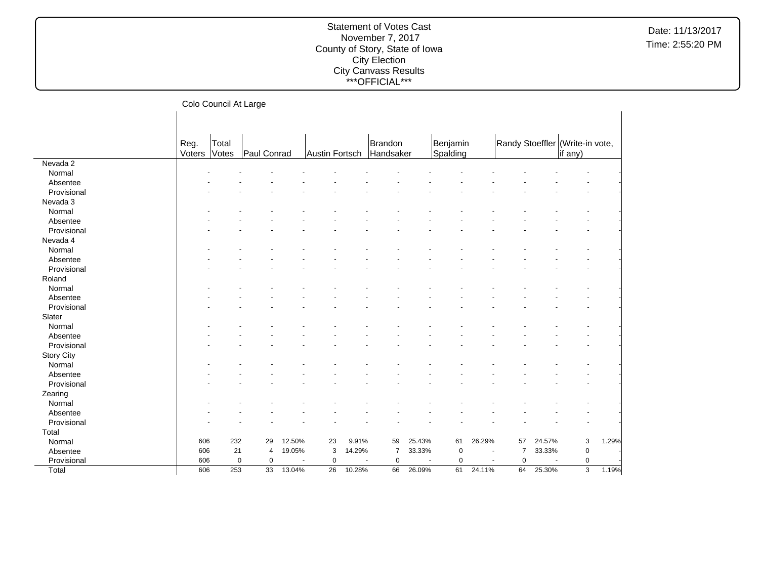|             |                | Colo Council At Large |             |        |                 |        |                  |                          |             |                                    |                                 |                                    |                |       |  |
|-------------|----------------|-----------------------|-------------|--------|-----------------|--------|------------------|--------------------------|-------------|------------------------------------|---------------------------------|------------------------------------|----------------|-------|--|
|             |                |                       |             |        |                 |        |                  |                          |             |                                    |                                 |                                    |                |       |  |
|             |                |                       |             |        |                 |        |                  |                          |             |                                    |                                 |                                    |                |       |  |
|             |                | Total                 |             |        |                 |        | Brandon          |                          | Benjamin    |                                    |                                 |                                    |                |       |  |
|             | Reg.<br>Voters | Votes                 | Paul Conrad |        | Austin Fortsch  |        | Handsaker        |                          | Spalding    |                                    | Randy Stoeffler (Write-in vote, |                                    | if any)        |       |  |
| Nevada 2    |                |                       |             |        |                 |        |                  |                          |             |                                    |                                 |                                    |                |       |  |
| Normal      |                |                       |             |        |                 |        |                  |                          |             |                                    |                                 |                                    |                |       |  |
| Absentee    |                |                       |             |        |                 |        |                  |                          |             |                                    |                                 |                                    |                |       |  |
| Provisional |                |                       |             |        |                 |        |                  |                          |             |                                    |                                 |                                    |                |       |  |
| Nevada 3    |                |                       |             |        |                 |        |                  |                          |             |                                    |                                 |                                    |                |       |  |
| Normal      |                |                       |             |        |                 |        |                  |                          |             |                                    |                                 |                                    |                |       |  |
| Absentee    |                |                       |             |        |                 |        |                  |                          |             |                                    |                                 |                                    |                |       |  |
| Provisional |                |                       |             |        |                 |        |                  |                          |             |                                    |                                 |                                    |                |       |  |
| Nevada 4    |                |                       |             |        |                 |        |                  |                          |             |                                    |                                 |                                    |                |       |  |
| Normal      |                |                       |             |        |                 |        |                  |                          |             |                                    |                                 |                                    |                |       |  |
| Absentee    |                |                       |             |        |                 |        |                  |                          |             |                                    |                                 |                                    |                |       |  |
| Provisional |                |                       |             |        |                 |        |                  |                          |             |                                    |                                 |                                    |                |       |  |
| Roland      |                |                       |             |        |                 |        |                  |                          |             |                                    |                                 |                                    |                |       |  |
| Normal      |                |                       |             |        |                 |        |                  |                          |             |                                    |                                 |                                    |                |       |  |
| Absentee    |                |                       |             |        |                 |        |                  |                          |             |                                    |                                 |                                    |                |       |  |
| Provisional |                |                       |             |        |                 |        |                  |                          |             |                                    |                                 |                                    |                |       |  |
| Slater      |                |                       |             |        |                 |        |                  |                          |             |                                    |                                 |                                    |                |       |  |
| Normal      |                |                       |             |        |                 |        |                  |                          |             |                                    |                                 |                                    |                |       |  |
| Absentee    |                |                       |             |        |                 |        |                  |                          |             |                                    |                                 |                                    |                |       |  |
| Provisional |                |                       |             |        |                 |        |                  |                          |             |                                    |                                 |                                    |                |       |  |
| Story City  |                |                       |             |        |                 |        |                  |                          |             |                                    |                                 |                                    |                |       |  |
| Normal      |                |                       |             |        |                 |        |                  |                          |             |                                    |                                 |                                    |                |       |  |
| Absentee    |                |                       |             |        |                 |        |                  |                          |             |                                    |                                 |                                    |                |       |  |
| Provisional |                |                       |             |        |                 |        |                  |                          |             |                                    |                                 |                                    |                |       |  |
| Zearing     |                |                       |             |        |                 |        |                  |                          |             |                                    |                                 |                                    |                |       |  |
| Normal      |                |                       |             |        |                 |        |                  |                          |             |                                    |                                 |                                    |                |       |  |
| Absentee    |                |                       |             |        |                 |        |                  |                          |             |                                    |                                 |                                    |                |       |  |
| Provisional |                |                       |             |        |                 |        |                  |                          |             |                                    |                                 |                                    |                |       |  |
|             |                |                       |             |        |                 |        |                  |                          |             |                                    |                                 |                                    |                |       |  |
| Total       | 606            | 232                   | 29          | 12.50% | 23              | 9.91%  | 59               | 25.43%                   | 61          | 26.29%                             | 57                              | 24.57%                             | 3              | 1.29% |  |
| Normal      | 606            | 21                    | 4           | 19.05% | 3               | 14.29% | $\overline{7}$   | 33.33%                   | $\mathbf 0$ |                                    | $\overline{7}$                  | 33.33%                             | $\pmb{0}$      |       |  |
| Absentee    | 606            | $\mathbf 0$           |             |        | $\mathbf 0$     |        | $\mathbf 0$<br>÷ | $\overline{\phantom{a}}$ | $\mathbf 0$ |                                    | $\mathbf 0$                     |                                    | $\mathbf 0$    |       |  |
| Provisional |                | 253                   | 0           | 13.04% | $\overline{26}$ | 10.28% | 66               | 26.09%                   | 61          | $\overline{\phantom{a}}$<br>24.11% | 64                              | $\overline{\phantom{a}}$<br>25.30% | $\overline{3}$ | 1.19% |  |
| Total       | 606            |                       | 33          |        |                 |        |                  |                          |             |                                    |                                 |                                    |                |       |  |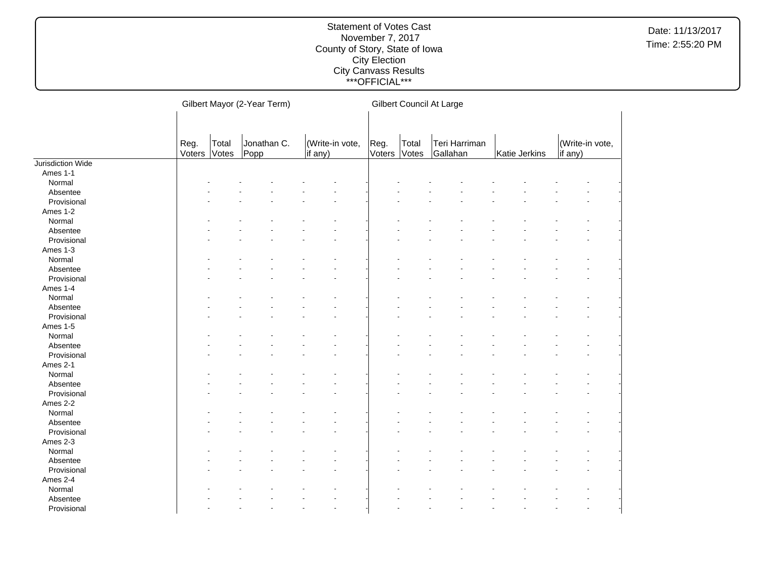|                   |                | Gilbert Mayor (2-Year Term) |                     |                            |                |                | Gilbert Council At Large  |               |                            |  |  |  |  |
|-------------------|----------------|-----------------------------|---------------------|----------------------------|----------------|----------------|---------------------------|---------------|----------------------------|--|--|--|--|
|                   |                |                             |                     |                            |                |                |                           |               |                            |  |  |  |  |
|                   | Reg.<br>Voters | Total<br>Votes              | Jonathan C.<br>Popp | (Write-in vote,<br>if any) | Reg.<br>Voters | Total<br>Votes | Teri Harriman<br>Gallahan | Katie Jerkins | (Write-in vote,<br>if any) |  |  |  |  |
| Jurisdiction Wide |                |                             |                     |                            |                |                |                           |               |                            |  |  |  |  |
| Ames 1-1          |                |                             |                     |                            |                |                |                           |               |                            |  |  |  |  |
| Normal            |                |                             |                     |                            |                |                |                           |               |                            |  |  |  |  |
| Absentee          |                |                             |                     |                            |                |                |                           |               |                            |  |  |  |  |
| Provisional       |                |                             |                     |                            |                |                |                           |               |                            |  |  |  |  |
| Ames 1-2          |                |                             |                     |                            |                |                |                           |               |                            |  |  |  |  |
| Normal            |                |                             |                     |                            |                |                |                           |               |                            |  |  |  |  |
| Absentee          |                |                             |                     |                            |                |                |                           |               |                            |  |  |  |  |
| Provisional       |                |                             |                     |                            |                |                |                           |               |                            |  |  |  |  |
| Ames 1-3          |                |                             |                     |                            |                |                |                           |               |                            |  |  |  |  |
| Normal            |                |                             |                     |                            |                |                |                           |               |                            |  |  |  |  |
| Absentee          |                |                             |                     |                            |                |                |                           |               |                            |  |  |  |  |
| Provisional       |                |                             |                     |                            |                |                |                           |               |                            |  |  |  |  |
| Ames 1-4          |                |                             |                     |                            |                |                |                           |               |                            |  |  |  |  |
| Normal            |                |                             |                     |                            |                |                |                           |               |                            |  |  |  |  |
| Absentee          |                |                             |                     |                            |                |                |                           |               |                            |  |  |  |  |
| Provisional       |                |                             |                     |                            |                |                |                           |               |                            |  |  |  |  |
| Ames 1-5          |                |                             |                     |                            |                |                |                           |               |                            |  |  |  |  |
| Normal            |                |                             |                     |                            |                |                |                           |               |                            |  |  |  |  |
| Absentee          |                |                             |                     |                            |                |                |                           |               |                            |  |  |  |  |
| Provisional       |                |                             |                     |                            |                |                |                           |               |                            |  |  |  |  |
| Ames 2-1          |                |                             |                     |                            |                |                |                           |               |                            |  |  |  |  |
| Normal            |                |                             |                     |                            |                |                |                           |               |                            |  |  |  |  |
| Absentee          |                |                             |                     |                            |                |                |                           |               |                            |  |  |  |  |
| Provisional       |                |                             |                     |                            |                |                |                           |               |                            |  |  |  |  |
| Ames 2-2          |                |                             |                     |                            |                |                |                           |               |                            |  |  |  |  |
| Normal            |                |                             |                     |                            |                |                |                           |               |                            |  |  |  |  |
| Absentee          |                |                             |                     |                            |                |                |                           |               |                            |  |  |  |  |
| Provisional       |                |                             |                     |                            |                |                |                           |               |                            |  |  |  |  |
| Ames 2-3          |                |                             |                     |                            |                |                |                           |               |                            |  |  |  |  |
| Normal            |                |                             |                     |                            |                |                |                           |               |                            |  |  |  |  |
| Absentee          |                |                             |                     |                            |                |                |                           |               |                            |  |  |  |  |
| Provisional       |                |                             |                     |                            |                |                |                           |               |                            |  |  |  |  |
| Ames 2-4          |                |                             |                     |                            |                |                |                           |               |                            |  |  |  |  |
| Normal            |                |                             |                     |                            |                |                |                           |               |                            |  |  |  |  |
| Absentee          |                |                             |                     |                            |                |                |                           |               |                            |  |  |  |  |
| Provisional       |                |                             |                     | ÷.                         |                |                |                           |               |                            |  |  |  |  |
|                   |                |                             |                     |                            |                |                |                           |               |                            |  |  |  |  |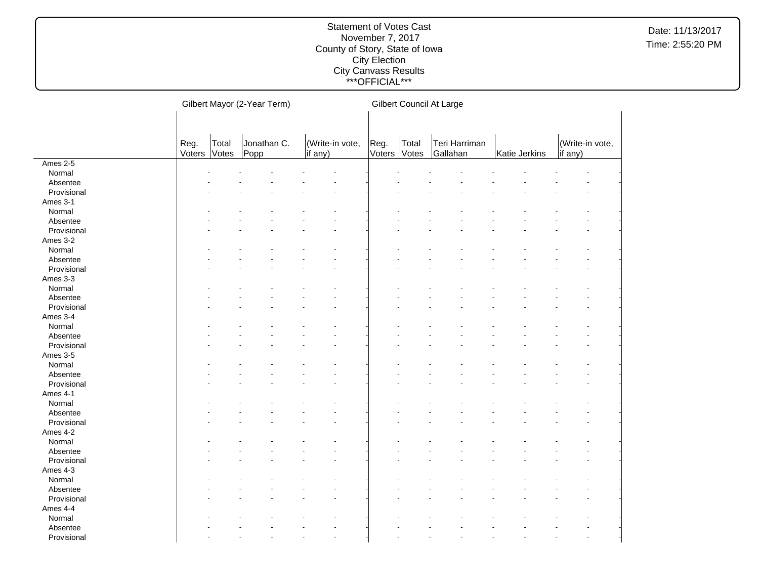|             |        |       | Gilbert Mayor (2-Year Term) |                      |        |       | Gilbert Council At Large |               |                 |  |
|-------------|--------|-------|-----------------------------|----------------------|--------|-------|--------------------------|---------------|-----------------|--|
|             |        |       |                             |                      |        |       |                          |               |                 |  |
|             |        |       |                             |                      |        |       |                          |               |                 |  |
|             | Reg.   | Total | Jonathan C.                 | (Write-in vote,      | Reg.   | Total | Teri Harriman            |               | (Write-in vote, |  |
|             | Voters | Votes | Popp                        | if any)              | Voters | Votes | Gallahan                 | Katie Jerkins | if any)         |  |
| Ames 2-5    |        |       |                             |                      |        |       |                          |               |                 |  |
| Normal      |        |       |                             |                      |        |       |                          |               |                 |  |
| Absentee    |        |       |                             |                      |        |       |                          |               |                 |  |
| Provisional |        |       |                             |                      |        |       |                          |               |                 |  |
| Ames 3-1    |        |       |                             |                      |        |       |                          |               |                 |  |
| Normal      |        |       |                             |                      |        |       |                          |               |                 |  |
| Absentee    |        |       |                             |                      |        |       |                          |               |                 |  |
| Provisional |        |       |                             |                      |        |       |                          |               |                 |  |
| Ames 3-2    |        |       |                             |                      |        |       |                          |               |                 |  |
| Normal      |        |       |                             |                      |        |       |                          |               |                 |  |
| Absentee    |        |       |                             |                      |        |       |                          |               |                 |  |
| Provisional |        |       |                             |                      |        |       |                          |               |                 |  |
| Ames 3-3    |        |       |                             |                      |        |       |                          |               |                 |  |
| Normal      |        |       |                             |                      |        |       |                          |               |                 |  |
| Absentee    |        |       |                             |                      |        |       |                          |               |                 |  |
| Provisional |        |       |                             |                      |        |       |                          |               |                 |  |
| Ames 3-4    |        |       |                             |                      |        |       |                          |               |                 |  |
| Normal      |        |       |                             |                      |        |       |                          |               |                 |  |
| Absentee    |        |       |                             |                      |        |       |                          |               |                 |  |
| Provisional |        |       |                             |                      |        |       |                          |               |                 |  |
| Ames 3-5    |        |       |                             |                      |        |       |                          |               |                 |  |
| Normal      |        |       |                             |                      |        |       |                          |               |                 |  |
| Absentee    |        |       |                             |                      |        |       |                          |               |                 |  |
| Provisional |        |       |                             |                      |        |       |                          |               |                 |  |
| Ames 4-1    |        |       |                             |                      |        |       |                          |               |                 |  |
| Normal      |        |       |                             |                      |        |       |                          |               |                 |  |
| Absentee    |        |       |                             |                      |        |       |                          |               |                 |  |
| Provisional |        |       |                             |                      |        |       |                          |               |                 |  |
| Ames 4-2    |        |       |                             |                      |        |       |                          |               |                 |  |
| Normal      |        |       |                             |                      |        |       |                          |               |                 |  |
| Absentee    |        |       |                             |                      |        |       |                          |               |                 |  |
| Provisional |        |       |                             |                      |        |       |                          |               |                 |  |
| Ames 4-3    |        |       |                             |                      |        |       |                          |               |                 |  |
| Normal      |        |       |                             |                      |        |       |                          |               |                 |  |
| Absentee    |        |       |                             |                      |        |       |                          |               |                 |  |
| Provisional |        |       |                             |                      |        |       |                          |               |                 |  |
|             |        |       |                             |                      |        |       |                          |               |                 |  |
| Ames 4-4    |        |       |                             |                      |        |       |                          |               |                 |  |
| Normal      |        |       |                             |                      |        |       |                          |               |                 |  |
| Absentee    |        |       |                             |                      |        |       |                          |               |                 |  |
| Provisional |        |       |                             | $\ddot{\phantom{1}}$ |        |       |                          |               |                 |  |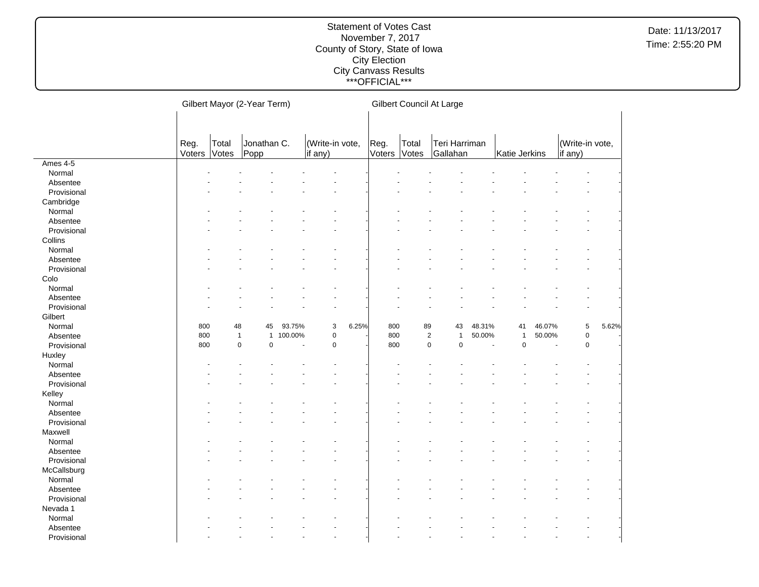|             |                | Gilbert Mayor (2-Year Term) |                     |         |                            | Gilbert Council At Large |                |                |                                |        |               |        |                            |       |
|-------------|----------------|-----------------------------|---------------------|---------|----------------------------|--------------------------|----------------|----------------|--------------------------------|--------|---------------|--------|----------------------------|-------|
|             |                |                             |                     |         |                            |                          |                |                |                                |        |               |        |                            |       |
|             |                |                             |                     |         |                            |                          |                |                |                                |        |               |        |                            |       |
|             | Reg.<br>Voters | Total<br>Votes              | Jonathan C.<br>Popp |         | (Write-in vote,<br>if any) |                          | Reg.<br>Voters | Total<br>Votes | Teri Harriman<br>Gallahan      |        | Katie Jerkins |        | (Write-in vote,<br>if any) |       |
| Ames $4-5$  |                |                             |                     |         |                            |                          |                |                |                                |        |               |        |                            |       |
| Normal      |                |                             |                     |         |                            |                          |                |                |                                |        |               |        |                            |       |
| Absentee    |                |                             |                     |         |                            |                          |                |                |                                |        |               |        |                            |       |
| Provisional |                |                             |                     |         |                            |                          |                |                |                                |        |               |        |                            |       |
| Cambridge   |                |                             |                     |         |                            |                          |                |                |                                |        |               |        |                            |       |
| Normal      |                |                             |                     |         |                            |                          |                |                |                                |        |               |        |                            |       |
| Absentee    |                |                             |                     |         |                            |                          |                |                |                                |        |               |        |                            |       |
| Provisional |                |                             |                     |         |                            |                          |                |                |                                |        |               |        |                            |       |
| Collins     |                |                             |                     |         |                            |                          |                |                |                                |        |               |        |                            |       |
| Normal      |                |                             |                     |         |                            |                          |                |                |                                |        |               |        |                            |       |
| Absentee    |                |                             |                     |         |                            |                          |                |                |                                |        |               |        |                            |       |
| Provisional |                |                             |                     |         |                            |                          |                |                |                                |        |               |        |                            |       |
| Colo        |                |                             |                     |         |                            |                          |                |                |                                |        |               |        |                            |       |
| Normal      |                |                             |                     |         |                            |                          |                |                |                                |        |               |        |                            |       |
| Absentee    |                |                             |                     |         |                            |                          |                |                |                                |        |               |        |                            |       |
| Provisional |                |                             |                     |         |                            |                          |                |                |                                |        |               |        |                            |       |
| Gilbert     |                |                             |                     |         |                            |                          |                |                |                                |        |               |        |                            |       |
| Normal      | 800            | 48                          | 45                  | 93.75%  | 3                          | 6.25%                    | 800            |                | 89<br>43                       | 48.31% | 41            | 46.07% | 5                          | 5.62% |
| Absentee    | 800            | $\mathbf{1}$                | $\mathbf{1}$        | 100.00% | 0                          |                          | 800            |                | $\overline{2}$<br>$\mathbf{1}$ | 50.00% | $\mathbf{1}$  | 50.00% | $\mathbf 0$                |       |
| Provisional | 800            | $\mathbf 0$                 | $\pmb{0}$           |         | $\pmb{0}$                  |                          | 800            |                | $\mathbf 0$<br>$\mathsf 0$     | $\sim$ | $\mathbf 0$   | ÷,     | $\pmb{0}$                  |       |
| Huxley      |                |                             |                     |         |                            |                          |                |                |                                |        |               |        |                            |       |
| Normal      |                |                             |                     |         |                            |                          |                |                |                                |        |               |        |                            |       |
| Absentee    |                |                             |                     |         |                            |                          |                |                |                                |        |               |        |                            |       |
| Provisional |                |                             |                     |         |                            |                          |                |                |                                |        |               |        |                            |       |
| Kelley      |                |                             |                     |         |                            |                          |                |                |                                |        |               |        |                            |       |
| Normal      |                |                             |                     |         |                            |                          |                |                |                                |        |               |        |                            |       |
| Absentee    |                |                             |                     |         |                            |                          |                |                |                                |        |               |        |                            |       |
| Provisional |                |                             |                     |         |                            |                          |                |                |                                |        |               |        |                            |       |
| Maxwell     |                |                             |                     |         |                            |                          |                |                |                                |        |               |        |                            |       |
| Normal      |                |                             |                     |         |                            |                          |                |                |                                |        |               |        |                            |       |
| Absentee    |                |                             |                     |         |                            |                          |                |                |                                |        |               |        |                            |       |
| Provisional |                |                             |                     |         |                            |                          |                |                |                                |        |               |        |                            |       |
| McCallsburg |                |                             |                     |         |                            |                          |                |                |                                |        |               |        |                            |       |
| Normal      |                |                             |                     |         |                            |                          |                |                |                                |        |               |        |                            |       |
| Absentee    |                |                             |                     |         |                            |                          |                |                |                                |        |               |        |                            |       |
| Provisional |                |                             |                     |         |                            |                          |                |                |                                |        |               |        |                            |       |
| Nevada 1    |                |                             |                     |         |                            |                          |                |                |                                |        |               |        |                            |       |
| Normal      |                |                             |                     |         |                            |                          |                |                |                                |        |               |        |                            |       |
| Absentee    |                |                             |                     |         |                            |                          |                |                |                                |        |               |        |                            |       |
| Provisional |                |                             |                     |         |                            |                          |                |                |                                |        |               |        |                            |       |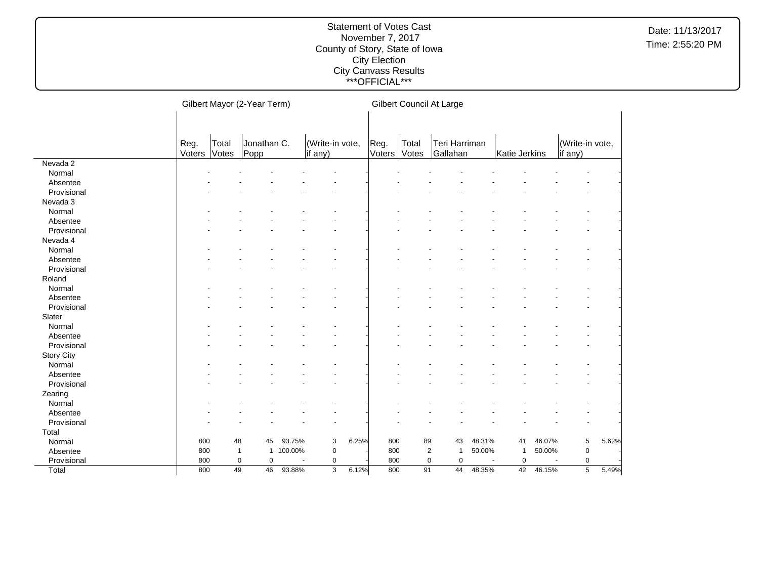|                   | Gilbert Mayor (2-Year Term) |                |                     |         |                            | Gilbert Council At Large |                |                |                                  |        |                                         |        |                            |       |
|-------------------|-----------------------------|----------------|---------------------|---------|----------------------------|--------------------------|----------------|----------------|----------------------------------|--------|-----------------------------------------|--------|----------------------------|-------|
|                   |                             |                |                     |         |                            |                          |                |                |                                  |        |                                         |        |                            |       |
|                   |                             |                |                     |         |                            |                          |                |                |                                  |        |                                         |        |                            |       |
|                   | Reg.<br>Voters              | Total<br>Votes | Jonathan C.<br>Popp |         | (Write-in vote,<br>if any) |                          | Reg.<br>Voters | Total<br>Votes | Teri Harriman<br>Gallahan        |        | Katie Jerkins                           |        | (Write-in vote,<br>if any) |       |
| Nevada 2          |                             |                |                     |         |                            |                          |                |                |                                  |        |                                         |        |                            |       |
| Normal            |                             |                |                     |         |                            |                          |                |                |                                  |        |                                         |        |                            |       |
| Absentee          |                             |                |                     |         |                            |                          |                |                |                                  |        |                                         |        |                            |       |
| Provisional       |                             |                |                     |         |                            |                          |                |                |                                  |        |                                         |        |                            |       |
| Nevada 3          |                             |                |                     |         |                            |                          |                |                |                                  |        |                                         |        |                            |       |
| Normal            |                             |                |                     |         |                            |                          |                |                |                                  |        |                                         |        |                            |       |
| Absentee          |                             |                |                     |         |                            |                          |                |                |                                  |        |                                         |        |                            |       |
| Provisional       |                             |                |                     |         |                            |                          |                |                |                                  |        |                                         |        |                            |       |
| Nevada 4          |                             |                |                     |         |                            |                          |                |                |                                  |        |                                         |        |                            |       |
| Normal            |                             |                |                     |         |                            |                          |                |                |                                  |        |                                         |        |                            |       |
| Absentee          |                             |                |                     |         |                            |                          |                |                |                                  |        |                                         |        |                            |       |
| Provisional       |                             |                |                     |         |                            |                          |                |                |                                  |        |                                         |        |                            |       |
| Roland            |                             |                |                     |         |                            |                          |                |                |                                  |        |                                         |        |                            |       |
| Normal            |                             |                |                     |         |                            |                          |                |                |                                  |        |                                         |        |                            |       |
| Absentee          |                             |                |                     |         |                            |                          |                |                |                                  |        |                                         |        |                            |       |
| Provisional       |                             |                |                     |         |                            |                          |                |                |                                  |        |                                         |        |                            |       |
| Slater            |                             |                |                     |         |                            |                          |                |                |                                  |        |                                         |        |                            |       |
| Normal            |                             |                |                     |         |                            |                          |                |                |                                  |        |                                         |        |                            |       |
| Absentee          |                             |                |                     |         |                            |                          |                |                |                                  |        |                                         |        |                            |       |
| Provisional       |                             |                |                     |         |                            |                          |                |                |                                  |        |                                         |        |                            |       |
| <b>Story City</b> |                             |                |                     |         |                            |                          |                |                |                                  |        |                                         |        |                            |       |
| Normal            |                             |                |                     |         |                            |                          |                |                |                                  |        |                                         |        |                            |       |
| Absentee          |                             |                |                     |         |                            |                          |                |                |                                  |        |                                         |        |                            |       |
| Provisional       |                             |                |                     |         |                            |                          |                |                |                                  |        |                                         |        |                            |       |
| Zearing           |                             |                |                     |         |                            |                          |                |                |                                  |        |                                         |        |                            |       |
| Normal            |                             |                |                     |         |                            |                          |                |                |                                  |        |                                         |        |                            |       |
| Absentee          |                             |                |                     |         |                            |                          |                |                |                                  |        |                                         |        |                            |       |
| Provisional       |                             |                |                     |         |                            |                          |                |                |                                  |        |                                         |        |                            |       |
| Total             |                             |                |                     |         |                            |                          |                |                |                                  |        |                                         |        |                            |       |
| Normal            | 800                         | 48             | 45                  | 93.75%  | 3                          | 6.25%                    | 800            | 89             | 43                               | 48.31% | 41                                      | 46.07% | 5                          | 5.62% |
|                   | 800                         | $\mathbf{1}$   | $\mathbf{1}$        | 100.00% | 0                          |                          | 800            |                | $\overline{2}$<br>$\overline{1}$ | 50.00% | 1                                       | 50.00% | $\pmb{0}$                  |       |
| Absentee          | 800                         | $\mathbf 0$    | 0                   |         | 0                          |                          | 800            |                | 0<br>$\mathbf 0$                 |        | $\mathbf 0$<br>$\overline{\phantom{a}}$ | ÷,     | 0                          |       |
| Provisional       | 800                         | 49             | 46                  | 93.88%  |                            | 6.12%                    | 800            | 91             | 44                               | 48.35% | 42                                      | 46.15% | 5                          |       |
| Total             |                             |                |                     |         | 3                          |                          |                |                |                                  |        |                                         |        |                            | 5.49% |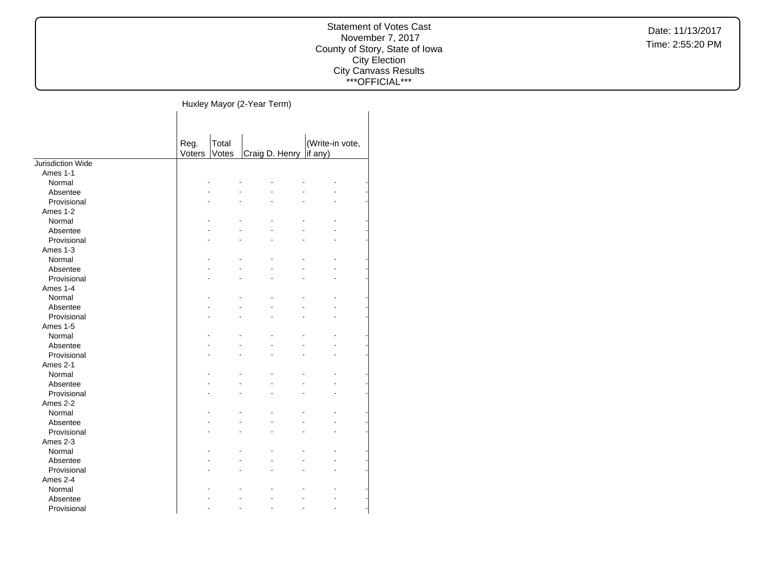#### Statement of Votes Cast November 7, 2017 County of Story, State of Iowa City Election City Canvass Results \*\*\*OFFICIAL\*\*\*

Huxley Mayor (2-Year Term)

|                   | Reg.   | Total |                | (Write-in vote, |
|-------------------|--------|-------|----------------|-----------------|
|                   | Voters | Votes | Craig D. Henry | if any)         |
| Jurisdiction Wide |        |       |                |                 |
| Ames 1-1          |        |       |                |                 |
| Normal            |        |       |                |                 |
| Absentee          |        |       |                |                 |
| Provisional       |        |       |                |                 |
| Ames 1-2          |        |       |                |                 |
| Normal            |        |       |                |                 |
| Absentee          |        |       |                |                 |
| Provisional       |        |       |                |                 |
| Ames 1-3          |        |       |                |                 |
| Normal            |        |       |                |                 |
| Absentee          |        |       |                |                 |
| Provisional       |        |       |                |                 |
| Ames 1-4          |        |       |                |                 |
| Normal            |        |       |                |                 |
| Absentee          |        |       |                |                 |
| Provisional       |        |       |                |                 |
| Ames 1-5          |        |       |                |                 |
| Normal            |        |       |                |                 |
| Absentee          |        |       |                |                 |
| Provisional       |        |       |                |                 |
| Ames 2-1          |        |       |                |                 |
| Normal            |        |       |                |                 |
| Absentee          |        |       |                |                 |
| Provisional       |        |       |                |                 |
| Ames 2-2          |        |       |                |                 |
| Normal            |        |       |                |                 |
| Absentee          |        |       |                |                 |
| Provisional       |        |       |                |                 |
| Ames 2-3          |        |       |                |                 |
| Normal            |        |       |                |                 |
| Absentee          |        |       |                |                 |
| Provisional       |        |       |                |                 |
| Ames 2-4          |        |       |                |                 |
| Normal            |        |       |                |                 |
| Absentee          |        |       |                |                 |
| Provisional       |        |       |                |                 |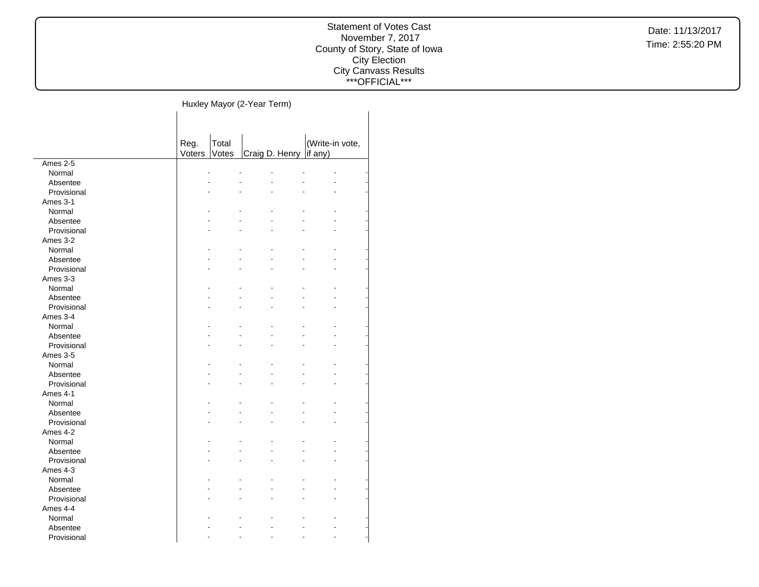#### Statement of Votes Cast November 7, 2017 County of Story, State of Iowa City Election City Canvass Results \*\*\*OFFICIAL\*\*\*

 $\overline{\phantom{a}}$ 

Huxley Mayor (2-Year Term)

|             |                | Total |                |                            |  |
|-------------|----------------|-------|----------------|----------------------------|--|
|             | Reg.<br>Voters | Votes | Craig D. Henry | (Write-in vote,<br>if any) |  |
| Ames 2-5    |                |       |                |                            |  |
| Normal      | Ĭ.             |       |                |                            |  |
|             |                |       |                |                            |  |
| Absentee    |                |       |                |                            |  |
| Provisional |                |       |                |                            |  |
| Ames 3-1    |                |       |                |                            |  |
| Normal      |                |       |                |                            |  |
| Absentee    |                |       |                |                            |  |
| Provisional |                |       |                |                            |  |
| Ames 3-2    |                |       |                |                            |  |
| Normal      |                |       |                |                            |  |
| Absentee    |                |       |                |                            |  |
| Provisional |                |       |                |                            |  |
| Ames 3-3    |                |       |                |                            |  |
| Normal      |                |       |                |                            |  |
| Absentee    |                |       |                |                            |  |
| Provisional |                |       |                |                            |  |
| Ames 3-4    |                |       |                |                            |  |
| Normal      |                |       |                |                            |  |
| Absentee    |                |       |                |                            |  |
| Provisional |                |       |                |                            |  |
| Ames 3-5    |                |       |                |                            |  |
| Normal      |                |       |                |                            |  |
| Absentee    |                |       |                |                            |  |
| Provisional |                |       |                |                            |  |
| Ames 4-1    |                |       |                |                            |  |
| Normal      |                |       |                |                            |  |
| Absentee    |                |       |                |                            |  |
| Provisional |                |       |                |                            |  |
| Ames 4-2    |                |       |                |                            |  |
| Normal      |                |       |                |                            |  |
| Absentee    |                |       |                |                            |  |
| Provisional |                |       |                |                            |  |
| Ames 4-3    |                |       |                |                            |  |
| Normal      |                |       |                |                            |  |
| Absentee    |                |       |                |                            |  |
| Provisional |                |       |                |                            |  |
| Ames 4-4    |                |       |                |                            |  |
| Normal      |                |       |                |                            |  |
| Absentee    |                |       |                |                            |  |
| Provisional |                |       |                |                            |  |
|             |                |       |                |                            |  |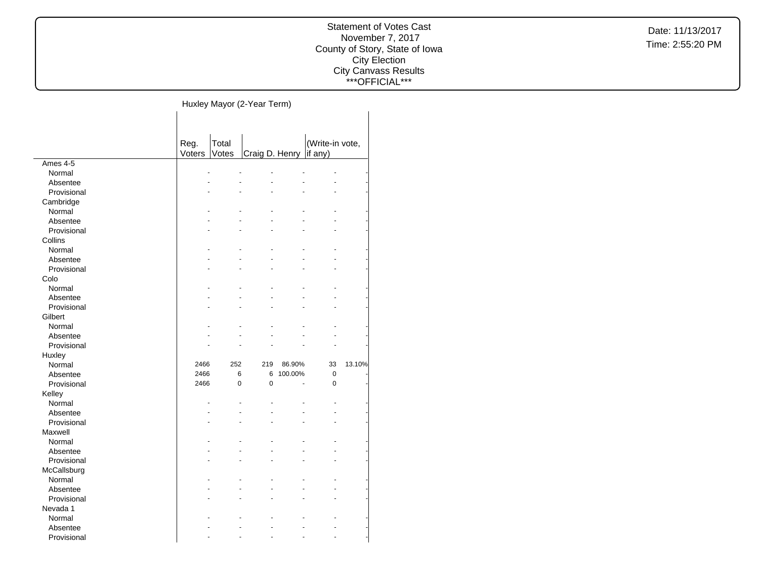#### Statement of Votes Cast November 7, 2017 County of Story, State of Iowa City Election City Canvass Results \*\*\*OFFICIAL\*\*\*

 $\overline{\phantom{a}}$ 

Huxley Mayor (2-Year Term)

|             | Reg.   | Total |                |         | (Write-in vote, |        |
|-------------|--------|-------|----------------|---------|-----------------|--------|
|             | Voters | Votes | Craig D. Henry |         | if any)         |        |
| Ames 4-5    | ä,     | ä,    |                |         |                 |        |
| Normal      |        |       |                |         |                 |        |
| Absentee    |        |       |                |         |                 |        |
| Provisional |        |       |                |         |                 |        |
| Cambridge   |        |       |                |         |                 |        |
| Normal      |        |       |                |         |                 |        |
| Absentee    |        |       |                |         |                 |        |
| Provisional |        |       |                |         |                 |        |
| Collins     |        |       |                |         |                 |        |
| Normal      |        |       |                |         |                 |        |
| Absentee    |        |       |                |         |                 |        |
| Provisional |        |       |                |         |                 |        |
| Colo        |        |       |                |         |                 |        |
| Normal      |        |       |                |         |                 |        |
| Absentee    |        |       |                |         |                 |        |
| Provisional |        |       |                |         |                 |        |
| Gilbert     |        |       |                |         |                 |        |
| Normal      |        |       |                |         |                 |        |
| Absentee    |        |       |                |         |                 |        |
| Provisional |        |       |                |         |                 |        |
| Huxley      |        |       |                |         |                 |        |
| Normal      | 2466   | 252   | 219            | 86.90%  | 33              | 13.10% |
| Absentee    | 2466   | 6     | 6              | 100.00% | 0               |        |
| Provisional | 2466   | 0     | $\overline{0}$ |         | $\mathbf 0$     |        |
| Kelley      |        |       |                |         |                 |        |
| Normal      |        |       |                |         |                 |        |
| Absentee    |        |       |                |         |                 |        |
| Provisional |        |       |                |         |                 |        |
| Maxwell     |        |       |                |         |                 |        |
| Normal      |        |       |                |         |                 |        |
| Absentee    |        |       |                |         |                 |        |
| Provisional |        |       |                |         |                 |        |
| McCallsburg |        |       |                |         |                 |        |
| Normal      |        |       |                |         |                 |        |
| Absentee    |        |       |                |         |                 |        |
| Provisional |        |       |                |         |                 |        |
| Nevada 1    |        |       |                |         |                 |        |
| Normal      |        |       |                |         |                 |        |
| Absentee    |        |       |                |         |                 |        |
| Provisional |        |       |                |         |                 |        |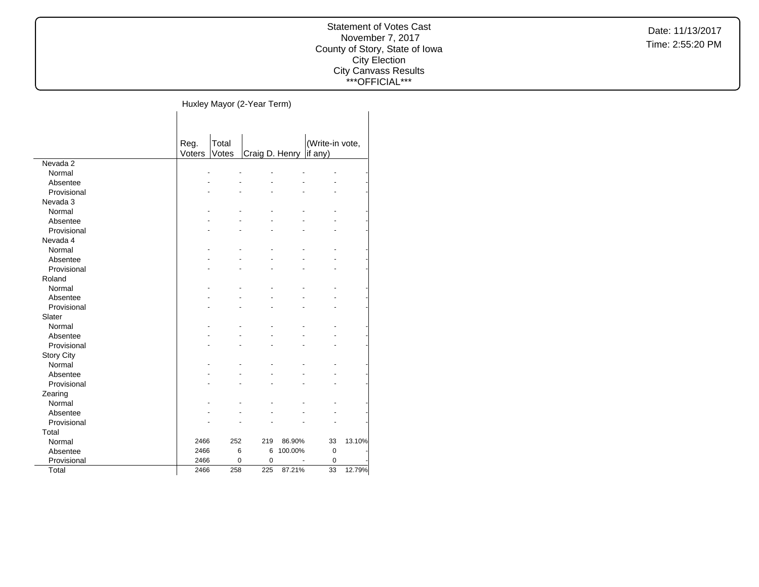#### Statement of Votes Cast November 7, 2017 County of Story, State of Iowa City Election City Canvass Results \*\*\*OFFICIAL\*\*\*

 $\overline{\phantom{a}}$ 

Huxley Mayor (2-Year Term)

|                   | Reg.   | Total |                  |         | (Write-in vote, |        |
|-------------------|--------|-------|------------------|---------|-----------------|--------|
|                   | Voters | Votes | Craig D. Henry   |         | if any)         |        |
| Nevada 2          |        |       |                  |         |                 |        |
| Normal            |        |       |                  |         |                 |        |
| Absentee          |        |       |                  |         |                 |        |
| Provisional       |        |       |                  |         |                 |        |
| Nevada 3          |        |       |                  |         |                 |        |
| Normal            |        |       |                  |         |                 |        |
| Absentee          |        |       |                  |         |                 |        |
| Provisional       |        |       |                  |         |                 |        |
| Nevada 4          |        |       |                  |         |                 |        |
| Normal            |        |       |                  |         |                 |        |
| Absentee          |        |       |                  |         |                 |        |
| Provisional       |        |       |                  |         |                 |        |
| Roland            |        |       |                  |         |                 |        |
| Normal            |        |       |                  |         |                 |        |
| Absentee          |        |       |                  |         |                 |        |
| Provisional       |        |       |                  |         |                 |        |
| Slater            |        |       |                  |         |                 |        |
| Normal            |        |       |                  |         |                 |        |
| Absentee          |        |       |                  |         |                 |        |
| Provisional       |        |       |                  |         |                 |        |
| <b>Story City</b> |        |       |                  |         |                 |        |
| Normal            |        |       |                  |         |                 |        |
| Absentee          |        |       |                  |         |                 |        |
| Provisional       |        |       |                  |         |                 |        |
| Zearing           |        |       |                  |         |                 |        |
| Normal            |        |       |                  |         |                 |        |
| Absentee          |        |       |                  |         |                 |        |
| Provisional       |        |       |                  |         |                 |        |
| Total             |        |       |                  |         |                 |        |
| Normal            | 2466   | 252   | 219              | 86.90%  | 33              | 13.10% |
| Absentee          | 2466   |       | 6<br>6           | 100.00% | $\mathbf 0$     |        |
| Provisional       | 2466   |       | 0<br>$\mathbf 0$ |         | 0               |        |
| Total             | 2466   | 258   | 225              | 87.21%  | 33              | 12.79% |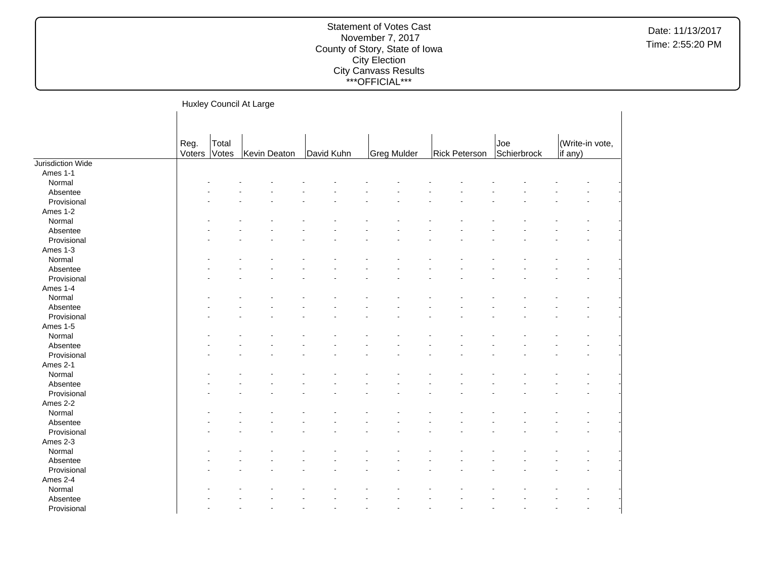|                   |                |                | Huxley Council At Large |            |             |               |                    |                                    |
|-------------------|----------------|----------------|-------------------------|------------|-------------|---------------|--------------------|------------------------------------|
|                   |                |                |                         |            |             |               |                    |                                    |
|                   | Reg.<br>Voters | Total<br>Votes | Kevin Deaton            | David Kuhn | Greg Mulder | Rick Peterson | Joe<br>Schierbrock | (Write-in vote,<br>$\vert$ if any) |
| Jurisdiction Wide |                |                |                         |            |             |               |                    |                                    |
| Ames 1-1          |                |                |                         |            |             |               |                    |                                    |
| Normal            |                |                |                         |            |             |               |                    |                                    |
| Absentee          |                |                |                         |            |             |               |                    |                                    |
| Provisional       |                |                |                         |            |             |               |                    |                                    |
| Ames 1-2          |                |                |                         |            |             |               |                    |                                    |
| Normal            |                |                |                         |            |             |               |                    |                                    |
| Absentee          |                |                |                         |            |             |               |                    |                                    |
| Provisional       |                |                |                         |            |             |               |                    |                                    |
| Ames 1-3          |                |                |                         |            |             |               |                    |                                    |
| Normal            |                |                |                         |            |             |               |                    |                                    |
| Absentee          |                |                |                         |            |             |               |                    |                                    |
| Provisional       |                |                |                         |            |             |               |                    |                                    |
| Ames 1-4          |                |                |                         |            |             |               |                    |                                    |
| Normal            |                |                |                         |            |             |               |                    |                                    |
| Absentee          |                |                |                         |            |             |               |                    |                                    |
| Provisional       |                |                |                         |            |             |               |                    |                                    |
| Ames 1-5          |                |                |                         |            |             |               |                    |                                    |
| Normal            |                |                |                         |            |             |               |                    |                                    |
| Absentee          |                |                |                         |            |             |               |                    |                                    |
| Provisional       |                |                |                         |            |             |               |                    |                                    |
| Ames 2-1          |                |                |                         |            |             |               |                    |                                    |
| Normal            |                |                |                         |            |             |               |                    |                                    |
| Absentee          |                |                |                         |            |             |               |                    |                                    |
| Provisional       |                |                |                         |            |             |               |                    |                                    |
| Ames 2-2          |                |                |                         |            |             |               |                    |                                    |
| Normal            |                |                |                         |            |             |               |                    |                                    |
| Absentee          |                |                |                         |            |             |               |                    |                                    |
| Provisional       |                |                |                         |            |             |               |                    |                                    |
| Ames 2-3          |                |                |                         |            |             |               |                    |                                    |
| Normal            |                |                |                         |            |             |               |                    |                                    |
| Absentee          |                |                |                         |            |             |               |                    |                                    |
| Provisional       |                |                |                         |            |             |               |                    |                                    |
| Ames 2-4          |                |                |                         |            |             |               |                    |                                    |
| Normal            |                |                |                         |            |             |               |                    |                                    |
| Absentee          |                |                |                         |            |             |               |                    |                                    |
|                   |                |                |                         |            |             |               |                    |                                    |
| Provisional       |                |                |                         |            |             |               |                    |                                    |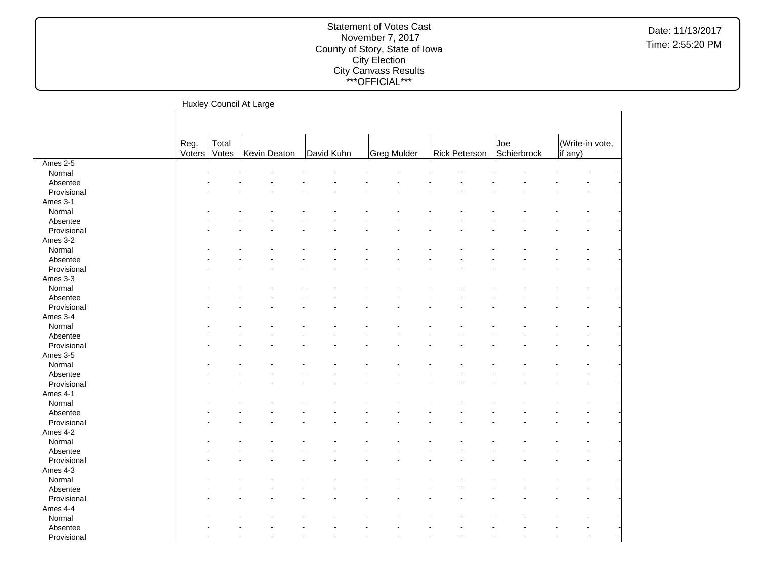|             |                      |       | Huxley Council At Large |            |             |               |                    |                            |  |
|-------------|----------------------|-------|-------------------------|------------|-------------|---------------|--------------------|----------------------------|--|
|             |                      |       |                         |            |             |               |                    |                            |  |
|             | Reg.<br>Voters Votes | Total | Kevin Deaton            | David Kuhn | Greg Mulder | Rick Peterson | Joe<br>Schierbrock | (Write-in vote,<br>if any) |  |
| Ames 2-5    |                      |       |                         |            |             |               |                    |                            |  |
| Normal      |                      |       |                         |            |             |               |                    |                            |  |
| Absentee    |                      |       |                         |            |             |               |                    |                            |  |
| Provisional |                      |       |                         |            |             |               |                    |                            |  |
| Ames 3-1    |                      |       |                         |            |             |               |                    |                            |  |
| Normal      |                      |       |                         |            |             |               |                    |                            |  |
| Absentee    |                      |       |                         |            |             |               |                    |                            |  |
| Provisional |                      |       |                         |            |             |               |                    |                            |  |
| Ames 3-2    |                      |       |                         |            |             |               |                    |                            |  |
| Normal      |                      |       |                         |            |             |               |                    |                            |  |
| Absentee    |                      |       |                         |            |             |               |                    |                            |  |
| Provisional |                      |       |                         |            |             |               |                    |                            |  |
| Ames 3-3    |                      |       |                         |            |             |               |                    |                            |  |
| Normal      |                      |       |                         |            |             |               |                    |                            |  |
| Absentee    |                      |       |                         |            |             |               |                    |                            |  |
| Provisional |                      |       |                         |            |             |               |                    |                            |  |
| Ames 3-4    |                      |       |                         |            |             |               |                    |                            |  |
| Normal      |                      |       |                         |            |             |               |                    |                            |  |
| Absentee    |                      |       |                         |            |             |               |                    |                            |  |
| Provisional |                      |       |                         |            |             |               |                    |                            |  |
| Ames 3-5    |                      |       |                         |            |             |               |                    |                            |  |
| Normal      |                      |       |                         |            |             |               |                    |                            |  |
| Absentee    |                      |       |                         |            |             |               |                    |                            |  |
| Provisional |                      |       |                         |            |             |               |                    |                            |  |
| Ames 4-1    |                      |       |                         |            |             |               |                    |                            |  |
| Normal      |                      |       |                         |            |             |               |                    |                            |  |
| Absentee    |                      |       |                         |            |             |               |                    |                            |  |
| Provisional |                      |       |                         |            |             |               |                    |                            |  |
| Ames 4-2    |                      |       |                         |            |             |               |                    |                            |  |
| Normal      |                      |       |                         |            |             |               |                    |                            |  |
| Absentee    |                      |       |                         |            |             |               |                    |                            |  |
| Provisional |                      |       |                         |            |             |               |                    |                            |  |
| Ames 4-3    |                      |       |                         |            |             |               |                    |                            |  |
| Normal      |                      |       |                         |            |             |               |                    |                            |  |
| Absentee    |                      |       |                         |            |             |               |                    |                            |  |
| Provisional |                      |       |                         |            |             |               |                    |                            |  |
| Ames 4-4    |                      |       |                         |            |             |               |                    |                            |  |
| Normal      |                      |       |                         |            |             |               |                    |                            |  |
| Absentee    |                      |       |                         |            |             |               |                    |                            |  |
| Provisional |                      |       |                         |            |             |               |                    |                            |  |
|             |                      |       |                         |            |             |               |                    |                            |  |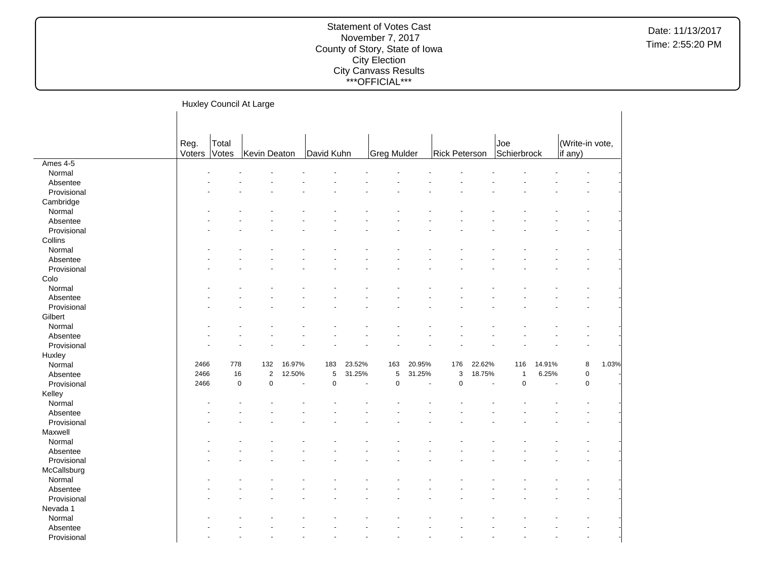|             |                      |             | Huxley Council At Large |        |             |        |             |        |                      |        |                    |        |                            |       |
|-------------|----------------------|-------------|-------------------------|--------|-------------|--------|-------------|--------|----------------------|--------|--------------------|--------|----------------------------|-------|
|             | Reg.<br>Voters Votes | Total       | Kevin Deaton            |        | David Kuhn  |        | Greg Mulder |        | <b>Rick Peterson</b> |        | Joe<br>Schierbrock |        | (Write-in vote,<br>if any) |       |
| Ames 4-5    |                      |             |                         |        |             |        |             |        |                      |        |                    |        |                            |       |
| Normal      |                      |             |                         |        |             |        |             |        |                      |        |                    |        |                            |       |
| Absentee    |                      |             |                         |        |             |        |             |        |                      |        |                    |        |                            |       |
| Provisional |                      |             |                         |        |             |        |             |        |                      |        |                    |        |                            |       |
| Cambridge   |                      |             |                         |        |             |        |             |        |                      |        |                    |        |                            |       |
| Normal      |                      |             |                         |        |             |        |             |        |                      |        |                    |        |                            |       |
| Absentee    |                      |             |                         |        |             |        |             |        |                      |        |                    |        |                            |       |
| Provisional |                      |             |                         |        |             |        |             |        |                      |        |                    |        |                            |       |
| Collins     |                      |             |                         |        |             |        |             |        |                      |        |                    |        |                            |       |
| Normal      |                      |             |                         |        |             |        |             |        |                      |        |                    |        |                            |       |
| Absentee    |                      |             |                         |        |             |        |             |        |                      |        |                    |        |                            |       |
| Provisional |                      |             |                         |        |             |        |             |        |                      |        |                    |        |                            |       |
| Colo        |                      |             |                         |        |             |        |             |        |                      |        |                    |        |                            |       |
| Normal      |                      |             |                         |        |             |        |             |        |                      |        |                    |        |                            |       |
| Absentee    |                      |             |                         |        |             |        |             |        |                      |        |                    |        |                            |       |
| Provisional |                      |             |                         |        |             |        |             |        |                      |        |                    |        |                            |       |
| Gilbert     |                      |             |                         |        |             |        |             |        |                      |        |                    |        |                            |       |
| Normal      |                      |             |                         |        |             |        |             |        |                      |        |                    |        |                            |       |
| Absentee    |                      |             |                         |        |             |        |             |        |                      |        |                    |        |                            |       |
| Provisional |                      |             |                         |        |             |        |             |        |                      |        |                    |        |                            |       |
| Huxley      |                      |             |                         |        |             |        |             |        |                      |        |                    |        |                            |       |
| Normal      | 2466                 | 778         | 132                     | 16.97% | 183         | 23.52% | 163         | 20.95% | 176                  | 22.62% | 116                | 14.91% | 8                          | 1.03% |
| Absentee    | 2466                 | 16          | $\overline{2}$          | 12.50% | 5           | 31.25% | 5           | 31.25% | 3                    | 18.75% | $\mathbf{1}$       | 6.25%  | $\pmb{0}$                  |       |
| Provisional | 2466                 | $\mathsf 0$ | $\mathsf 0$             |        | $\mathbf 0$ | ÷,     | $\mathbf 0$ |        | $\mathbf 0$          | ÷,     | $\mathsf 0$        | ÷.     | $\pmb{0}$                  |       |
| Kelley      |                      |             |                         |        |             |        |             |        |                      |        |                    |        |                            |       |
| Normal      |                      |             |                         |        |             |        |             |        |                      |        |                    |        |                            |       |
| Absentee    |                      |             |                         |        |             |        |             |        |                      |        |                    |        |                            |       |
| Provisional |                      |             |                         |        |             |        |             |        |                      |        |                    |        |                            |       |
| Maxwell     |                      |             |                         |        |             |        |             |        |                      |        |                    |        |                            |       |
| Normal      |                      |             |                         |        |             |        |             |        |                      |        |                    |        |                            |       |
| Absentee    |                      |             |                         |        |             |        |             |        |                      |        |                    |        |                            |       |
| Provisional |                      |             |                         |        |             |        |             |        |                      |        |                    |        |                            |       |
|             |                      |             |                         |        |             |        |             |        |                      |        |                    |        |                            |       |
| McCallsburg |                      |             |                         |        |             |        |             |        |                      |        |                    |        |                            |       |
| Normal      |                      |             |                         |        |             |        |             |        |                      |        |                    |        |                            |       |
| Absentee    |                      |             |                         |        |             |        |             |        |                      |        |                    |        |                            |       |
| Provisional |                      |             |                         |        |             |        |             |        |                      |        |                    |        |                            |       |
| Nevada 1    |                      |             |                         |        |             |        |             |        |                      |        |                    |        |                            |       |
| Normal      |                      |             |                         |        |             |        |             |        |                      |        |                    |        |                            |       |
| Absentee    |                      |             |                         |        |             |        |             |        |                      |        |                    |        |                            |       |
| Provisional |                      |             |                         |        |             |        |             |        |                      |        |                    |        | $\ddot{\phantom{1}}$       |       |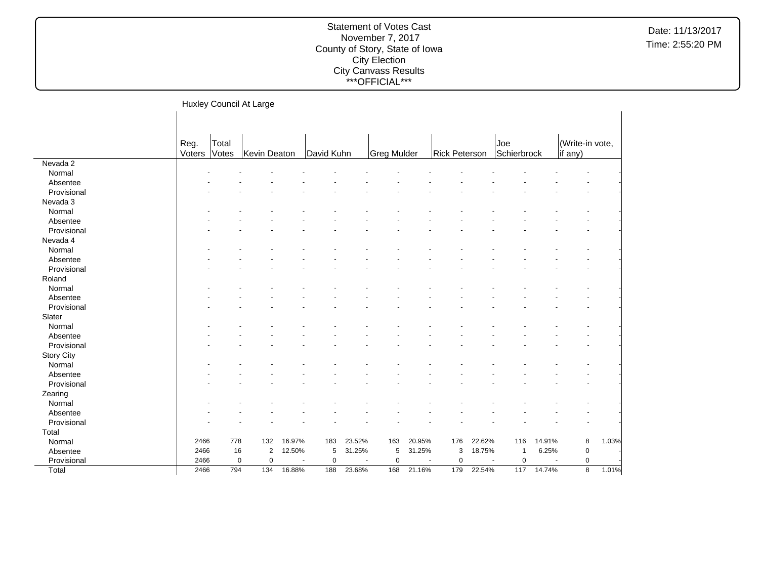|                    |                |                | Huxley Council At Large    |        |            |                          |             |        |                      |        |                                         |        |                            |       |
|--------------------|----------------|----------------|----------------------------|--------|------------|--------------------------|-------------|--------|----------------------|--------|-----------------------------------------|--------|----------------------------|-------|
|                    |                |                |                            |        |            |                          |             |        |                      |        |                                         |        |                            |       |
|                    | Reg.<br>Voters | Total<br>Votes | Kevin Deaton               |        | David Kuhn |                          | Greg Mulder |        | <b>Rick Peterson</b> |        | Joe<br>Schierbrock                      |        | (Write-in vote,<br>if any) |       |
| Nevada 2           |                |                |                            |        |            |                          |             |        |                      |        |                                         |        |                            |       |
| Normal             |                |                |                            |        |            |                          |             |        |                      |        |                                         |        |                            |       |
| Absentee           |                |                |                            |        |            |                          |             |        |                      |        |                                         |        |                            |       |
| Provisional        |                |                |                            |        |            |                          |             |        |                      |        |                                         |        |                            |       |
| Nevada 3           |                |                |                            |        |            |                          |             |        |                      |        |                                         |        |                            |       |
| Normal             |                |                |                            |        |            |                          |             |        |                      |        |                                         |        |                            |       |
| Absentee           |                |                |                            |        |            |                          |             |        |                      |        |                                         |        |                            |       |
| Provisional        |                |                |                            |        |            |                          |             |        |                      |        |                                         |        |                            |       |
| Nevada 4           |                |                |                            |        |            |                          |             |        |                      |        |                                         |        |                            |       |
| Normal             |                |                |                            |        |            |                          |             |        |                      |        |                                         |        |                            |       |
| Absentee           |                |                |                            |        |            |                          |             |        |                      |        |                                         |        |                            |       |
| Provisional        |                |                |                            |        |            |                          |             |        |                      |        |                                         |        |                            |       |
| Roland             |                |                |                            |        |            |                          |             |        |                      |        |                                         |        |                            |       |
| Normal             |                |                |                            |        |            |                          |             |        |                      |        |                                         |        |                            |       |
| Absentee           |                |                |                            |        |            |                          |             |        |                      |        |                                         |        |                            |       |
| Provisional        |                |                |                            |        |            |                          |             |        |                      |        |                                         |        |                            |       |
| Slater             |                |                |                            |        |            |                          |             |        |                      |        |                                         |        |                            |       |
| Normal             |                |                |                            |        |            |                          |             |        |                      |        |                                         |        |                            |       |
| Absentee           |                |                |                            |        |            |                          |             |        |                      |        |                                         |        |                            |       |
| Provisional        |                |                |                            |        |            |                          |             |        |                      |        |                                         |        |                            |       |
| <b>Story City</b>  |                |                |                            |        |            |                          |             |        |                      |        |                                         |        |                            |       |
| Normal             |                |                |                            |        |            |                          |             |        |                      |        |                                         |        |                            |       |
| Absentee           |                |                |                            |        |            |                          |             |        |                      |        |                                         |        |                            |       |
| Provisional        |                |                |                            |        |            |                          |             |        |                      |        |                                         |        |                            |       |
| Zearing            |                |                |                            |        |            |                          |             |        |                      |        |                                         |        |                            |       |
|                    |                |                |                            |        |            |                          |             |        |                      |        |                                         |        |                            |       |
| Normal<br>Absentee |                |                |                            |        |            |                          |             |        |                      |        |                                         |        |                            |       |
|                    |                |                |                            |        |            |                          |             |        |                      |        |                                         |        |                            |       |
| Provisional        |                |                |                            |        |            |                          |             |        |                      |        |                                         |        |                            |       |
| Total              |                |                |                            |        |            |                          |             |        |                      |        |                                         |        |                            |       |
| Normal             | 2466           | 778            | 132                        | 16.97% | 183        | 23.52%                   | 163         | 20.95% | 176                  | 22.62% | 116                                     | 14.91% | 8                          | 1.03% |
| Absentee           | 2466           | 16             | $\overline{2}$             | 12.50% | 5          | 31.25%                   | 5           | 31.25% | 3                    | 18.75% | $\overline{1}$                          | 6.25%  | $\mathbf 0$                |       |
| Provisional        | 2466           |                | $\mathbf 0$<br>$\mathbf 0$ | $\sim$ | 0          | $\overline{\phantom{a}}$ | $\pmb{0}$   | ÷.     | $\mathbf 0$          |        | $\mathbf 0$<br>$\overline{\phantom{a}}$ |        | $\pmb{0}$                  |       |
| Total              | 2466           | 794            | 134                        | 16.88% | 188        | 23.68%                   | 168         | 21.16% | 179                  | 22.54% | 117                                     | 14.74% | 8                          | 1.01% |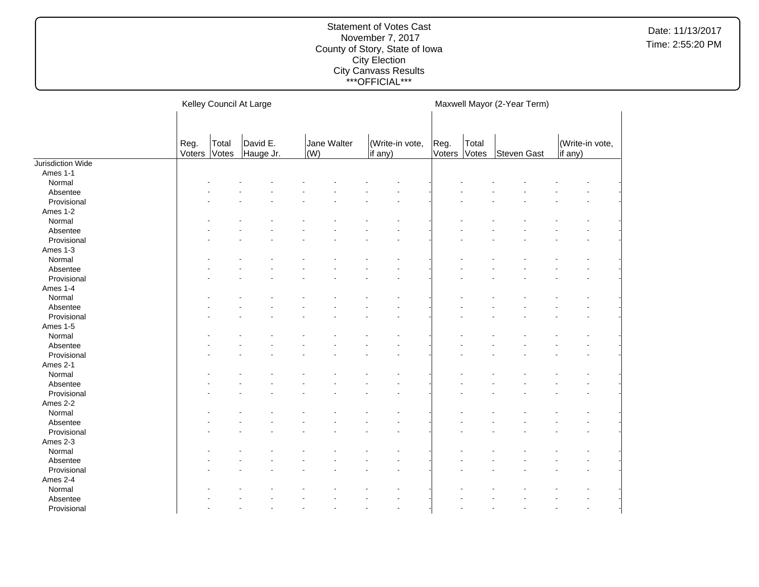|                   |        |       | Kelley Council At Large |             |         |                 |        | Maxwell Mayor (2-Year Term) |             |         |                 |  |
|-------------------|--------|-------|-------------------------|-------------|---------|-----------------|--------|-----------------------------|-------------|---------|-----------------|--|
|                   | Reg.   | Total | David E.                | Jane Walter |         | (Write-in vote, | Reg.   | Total                       |             |         | (Write-in vote, |  |
|                   | Voters | Votes | Hauge Jr.               | $\vert$ (W) | if any) |                 | Voters | Votes                       | Steven Gast | if any) |                 |  |
| Jurisdiction Wide |        |       |                         |             |         |                 |        |                             |             |         |                 |  |
| Ames 1-1          |        |       |                         |             |         |                 |        |                             |             |         |                 |  |
| Normal            |        |       |                         |             |         |                 |        |                             |             |         |                 |  |
| Absentee          |        |       |                         |             |         |                 |        |                             |             |         |                 |  |
| Provisional       |        |       |                         |             |         |                 |        |                             |             |         |                 |  |
| Ames 1-2          |        |       |                         |             |         |                 |        |                             |             |         |                 |  |
| Normal            |        |       |                         |             |         |                 |        |                             |             |         |                 |  |
| Absentee          |        |       |                         |             |         |                 |        |                             |             |         |                 |  |
| Provisional       |        |       |                         |             |         |                 |        |                             |             |         |                 |  |
| Ames 1-3          |        |       |                         |             |         |                 |        |                             |             |         |                 |  |
| Normal            |        |       |                         |             |         |                 |        |                             |             |         |                 |  |
| Absentee          |        |       |                         |             |         |                 |        |                             |             |         |                 |  |
| Provisional       |        |       |                         |             |         |                 |        |                             |             |         |                 |  |
| Ames 1-4          |        |       |                         |             |         |                 |        |                             |             |         |                 |  |
| Normal            |        |       |                         |             |         |                 |        |                             |             |         |                 |  |
| Absentee          |        |       |                         |             |         |                 |        |                             |             |         |                 |  |
| Provisional       |        |       |                         |             |         |                 |        |                             |             |         |                 |  |
| Ames 1-5          |        |       |                         |             |         |                 |        |                             |             |         |                 |  |
| Normal            |        |       |                         |             |         |                 |        |                             |             |         |                 |  |
| Absentee          |        |       |                         |             |         |                 |        |                             |             |         |                 |  |
| Provisional       |        |       |                         |             |         |                 |        |                             |             |         |                 |  |
| Ames 2-1          |        |       |                         |             |         |                 |        |                             |             |         |                 |  |
| Normal            |        |       |                         |             |         |                 |        |                             |             |         |                 |  |
| Absentee          |        |       |                         |             |         |                 |        |                             |             |         |                 |  |
| Provisional       |        |       |                         |             |         |                 |        |                             |             |         |                 |  |
| Ames 2-2          |        |       |                         |             |         |                 |        |                             |             |         |                 |  |
| Normal            |        |       |                         |             |         |                 |        |                             |             |         |                 |  |
| Absentee          |        |       |                         |             |         |                 |        |                             |             |         |                 |  |
| Provisional       |        |       |                         |             |         |                 |        |                             |             |         |                 |  |
| Ames 2-3          |        |       |                         |             |         |                 |        |                             |             |         |                 |  |
| Normal            |        |       |                         |             |         |                 |        |                             |             |         |                 |  |
| Absentee          |        |       |                         |             |         |                 |        |                             |             |         |                 |  |
| Provisional       |        |       |                         |             |         |                 |        |                             |             |         |                 |  |
| Ames 2-4          |        |       |                         |             |         |                 |        |                             |             |         |                 |  |
| Normal            |        |       |                         |             |         |                 |        |                             |             |         |                 |  |
| Absentee          |        |       |                         |             |         |                 |        |                             |             |         |                 |  |
| Provisional       |        |       |                         |             |         | $\blacksquare$  |        |                             |             |         |                 |  |
|                   |        |       |                         |             |         |                 |        |                             |             |         |                 |  |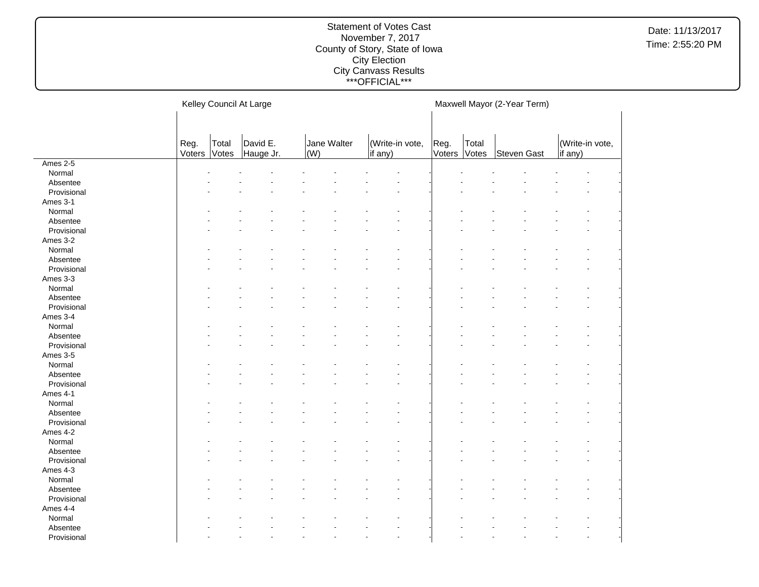|             |        |       | Kelley Council At Large |             |                 |                      |        | Maxwell Mayor (2-Year Term) |             |                 |  |
|-------------|--------|-------|-------------------------|-------------|-----------------|----------------------|--------|-----------------------------|-------------|-----------------|--|
|             |        |       |                         |             |                 |                      |        |                             |             |                 |  |
|             |        |       |                         |             |                 |                      |        |                             |             |                 |  |
|             | Reg.   | Total | David E.                | Jane Walter | (Write-in vote, |                      | Reg.   | Total                       |             | (Write-in vote, |  |
|             | Voters | Votes | Hauge Jr.               | (W)         | $\vert$ if any) |                      | Voters | Votes                       | Steven Gast | if any)         |  |
| Ames 2-5    |        |       |                         |             |                 |                      |        |                             |             |                 |  |
| Normal      |        |       |                         |             |                 |                      |        |                             |             |                 |  |
| Absentee    |        |       |                         |             |                 |                      |        |                             |             |                 |  |
| Provisional |        |       |                         |             |                 |                      |        |                             |             |                 |  |
| Ames 3-1    |        |       |                         |             |                 |                      |        |                             |             |                 |  |
| Normal      |        |       |                         |             |                 |                      |        |                             |             |                 |  |
| Absentee    |        |       |                         |             |                 |                      |        |                             |             |                 |  |
| Provisional |        |       |                         |             |                 |                      |        |                             |             |                 |  |
| Ames 3-2    |        |       |                         |             |                 |                      |        |                             |             |                 |  |
| Normal      |        |       |                         |             |                 |                      |        |                             |             |                 |  |
| Absentee    |        |       |                         |             |                 |                      |        |                             |             |                 |  |
| Provisional |        |       |                         |             |                 |                      |        |                             |             |                 |  |
| Ames 3-3    |        |       |                         |             |                 |                      |        |                             |             |                 |  |
| Normal      |        |       |                         |             |                 |                      |        |                             |             |                 |  |
| Absentee    |        |       |                         |             |                 |                      |        |                             |             |                 |  |
| Provisional |        |       |                         |             |                 |                      |        |                             |             |                 |  |
| Ames 3-4    |        |       |                         |             |                 |                      |        |                             |             |                 |  |
| Normal      |        |       |                         |             |                 |                      |        |                             |             |                 |  |
| Absentee    |        |       |                         |             |                 |                      |        |                             |             |                 |  |
| Provisional |        |       |                         |             |                 |                      |        |                             |             |                 |  |
| Ames 3-5    |        |       |                         |             |                 |                      |        |                             |             |                 |  |
| Normal      |        |       |                         |             |                 |                      |        |                             |             |                 |  |
| Absentee    |        |       |                         |             |                 |                      |        |                             |             |                 |  |
| Provisional |        |       |                         |             |                 |                      |        |                             |             |                 |  |
| Ames 4-1    |        |       |                         |             |                 |                      |        |                             |             |                 |  |
| Normal      |        |       |                         |             |                 |                      |        |                             |             |                 |  |
| Absentee    |        |       |                         |             |                 |                      |        |                             |             |                 |  |
| Provisional |        |       |                         |             |                 |                      |        |                             |             |                 |  |
| Ames 4-2    |        |       |                         |             |                 |                      |        |                             |             |                 |  |
| Normal      |        |       |                         |             |                 |                      |        |                             |             |                 |  |
| Absentee    |        |       |                         |             |                 |                      |        |                             |             |                 |  |
| Provisional |        |       |                         |             |                 |                      |        |                             |             |                 |  |
| Ames 4-3    |        |       |                         |             |                 |                      |        |                             |             |                 |  |
| Normal      |        |       |                         |             |                 |                      |        |                             |             |                 |  |
| Absentee    |        |       |                         |             |                 |                      |        |                             |             |                 |  |
| Provisional |        |       |                         |             |                 |                      |        |                             |             |                 |  |
| Ames 4-4    |        |       |                         |             |                 |                      |        |                             |             |                 |  |
| Normal      |        |       |                         |             |                 |                      |        |                             |             |                 |  |
| Absentee    |        |       |                         |             |                 |                      |        |                             |             |                 |  |
| Provisional |        |       |                         |             |                 | $\ddot{\phantom{1}}$ |        |                             |             |                 |  |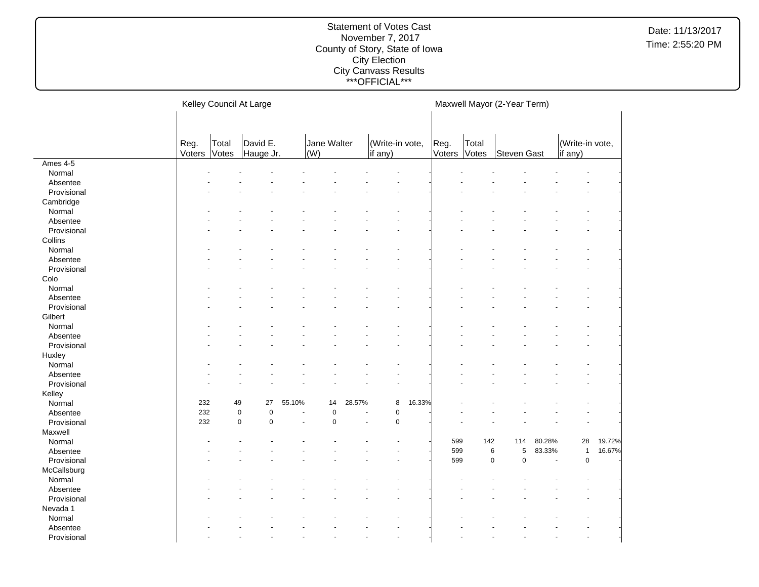|             |                |                | Kelley Council At Large |        |                    |                       |                            |        |                |                | Maxwell Mayor (2-Year Term) |        |                            |        |
|-------------|----------------|----------------|-------------------------|--------|--------------------|-----------------------|----------------------------|--------|----------------|----------------|-----------------------------|--------|----------------------------|--------|
|             |                |                |                         |        |                    |                       |                            |        |                |                |                             |        |                            |        |
|             | Reg.<br>Voters | Total<br>Votes | David E.<br>Hauge Jr.   |        | Jane Walter<br>(W) |                       | (Write-in vote,<br>if any) |        | Reg.<br>Voters | Total<br>Votes | Steven Gast                 |        | (Write-in vote,<br>if any) |        |
| Ames 4-5    |                |                |                         |        |                    |                       |                            |        |                |                |                             |        |                            |        |
| Normal      |                |                |                         |        |                    |                       |                            |        |                |                |                             |        |                            |        |
| Absentee    |                |                |                         |        |                    |                       |                            |        |                |                |                             |        |                            |        |
| Provisional |                |                |                         |        |                    |                       |                            |        |                |                |                             |        |                            |        |
| Cambridge   |                |                |                         |        |                    |                       |                            |        |                |                |                             |        |                            |        |
| Normal      |                |                |                         |        |                    |                       |                            |        |                |                |                             |        |                            |        |
| Absentee    |                |                |                         |        |                    |                       |                            |        |                |                |                             |        |                            |        |
| Provisional |                |                |                         |        |                    |                       |                            |        |                |                |                             |        |                            |        |
| Collins     |                |                |                         |        |                    |                       |                            |        |                |                |                             |        |                            |        |
| Normal      |                |                |                         |        |                    |                       |                            |        |                |                |                             |        |                            |        |
| Absentee    |                |                |                         |        |                    |                       |                            |        |                |                |                             |        |                            |        |
| Provisional |                |                |                         |        |                    |                       |                            |        |                |                |                             |        |                            |        |
| Colo        |                |                |                         |        |                    |                       |                            |        |                |                |                             |        |                            |        |
| Normal      |                |                |                         |        |                    |                       |                            |        |                |                |                             |        |                            |        |
| Absentee    |                |                |                         |        |                    |                       |                            |        |                |                |                             |        |                            |        |
| Provisional |                |                |                         |        |                    |                       |                            |        |                |                |                             |        |                            |        |
| Gilbert     |                |                |                         |        |                    |                       |                            |        |                |                |                             |        |                            |        |
| Normal      |                |                |                         |        |                    |                       |                            |        |                |                |                             |        |                            |        |
| Absentee    |                |                |                         |        |                    |                       |                            |        |                |                |                             |        |                            |        |
| Provisional |                |                |                         |        |                    |                       |                            |        |                |                |                             |        |                            |        |
| Huxley      |                |                |                         |        |                    |                       |                            |        |                |                |                             |        |                            |        |
| Normal      |                |                |                         |        |                    |                       |                            |        |                |                |                             |        |                            |        |
| Absentee    |                |                |                         |        |                    |                       |                            |        |                |                |                             |        |                            |        |
| Provisional |                |                |                         |        |                    |                       |                            |        |                |                |                             |        |                            |        |
| Kelley      |                |                |                         |        |                    |                       |                            |        |                |                |                             |        |                            |        |
| Normal      | 232            | 49             | 27                      | 55.10% | 14                 | 28.57%                | 8                          | 16.33% |                |                |                             |        |                            |        |
| Absentee    | 232            | $\pmb{0}$      | $\pmb{0}$               |        | $\mathbf 0$        |                       | $\pmb{0}$                  |        |                |                |                             |        |                            |        |
| Provisional | 232            | $\mathbf 0$    | $\mathbf 0$             |        | $\mathbf 0$        | $\tilde{\phantom{a}}$ | $\mathbf 0$                |        |                |                |                             |        |                            |        |
| Maxwell     |                |                |                         |        |                    |                       |                            |        |                |                |                             |        |                            |        |
| Normal      |                |                |                         |        |                    |                       |                            |        | 599            | 142            | 114                         | 80.28% | 28                         | 19.72% |
| Absentee    |                |                |                         |        |                    |                       |                            |        | 599            |                | 6<br>5                      | 83.33% | $\mathbf{1}$               | 16.67% |
| Provisional |                |                |                         |        |                    |                       |                            |        | 599            |                | $\pmb{0}$<br>$\pmb{0}$      |        | 0                          |        |
| McCallsburg |                |                |                         |        |                    |                       |                            |        |                |                |                             |        |                            |        |
| Normal      |                |                |                         |        |                    |                       |                            |        |                |                |                             |        |                            |        |
| Absentee    |                |                |                         |        |                    |                       |                            |        |                |                |                             |        |                            |        |
| Provisional |                |                |                         |        |                    |                       |                            |        |                |                |                             |        |                            |        |
| Nevada 1    |                |                |                         |        |                    |                       |                            |        |                |                |                             |        |                            |        |
| Normal      |                |                |                         |        |                    |                       |                            |        |                |                |                             |        |                            |        |
| Absentee    |                |                |                         |        |                    |                       |                            |        |                |                |                             |        |                            |        |
| Provisional |                |                |                         |        |                    |                       |                            |        |                |                |                             |        |                            |        |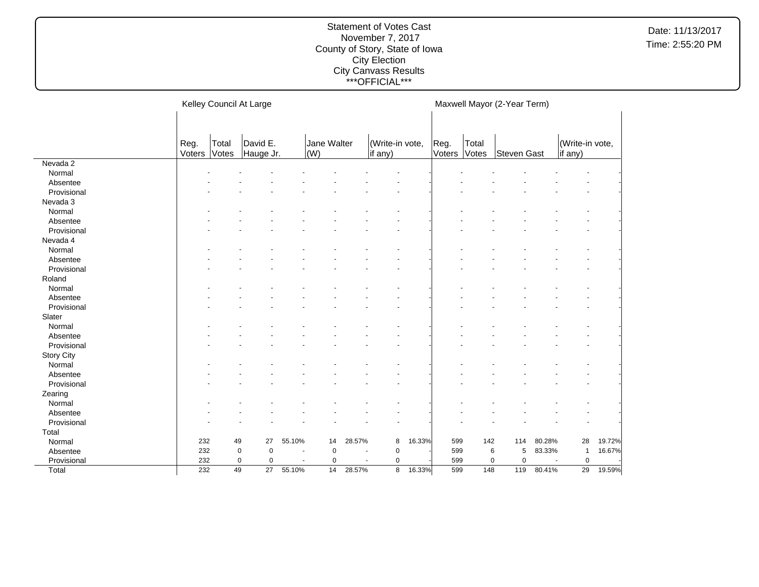|                   |                |                | Kelley Council At Large |                          |                    |                          |                            |        |                |                | Maxwell Mayor (2-Year Term) |                |                            |        |
|-------------------|----------------|----------------|-------------------------|--------------------------|--------------------|--------------------------|----------------------------|--------|----------------|----------------|-----------------------------|----------------|----------------------------|--------|
|                   | Reg.<br>Voters | Total<br>Votes | David E.<br>Hauge Jr.   |                          | Jane Walter<br>(W) |                          | (Write-in vote,<br>if any) |        | Reg.<br>Voters | Total<br>Votes | Steven Gast                 |                | (Write-in vote,<br>if any) |        |
| Nevada 2          |                |                |                         |                          |                    |                          |                            |        |                |                |                             |                |                            |        |
| Normal            |                |                |                         |                          |                    |                          |                            |        |                |                |                             |                |                            |        |
| Absentee          |                |                |                         |                          |                    |                          |                            |        |                |                |                             |                |                            |        |
| Provisional       |                |                |                         |                          |                    |                          |                            |        |                |                |                             |                |                            |        |
| Nevada 3          |                |                |                         |                          |                    |                          |                            |        |                |                |                             |                |                            |        |
| Normal            |                |                |                         |                          |                    |                          |                            |        |                |                |                             |                |                            |        |
| Absentee          |                |                |                         |                          |                    |                          |                            |        |                |                |                             |                |                            |        |
| Provisional       |                |                |                         |                          |                    |                          |                            |        |                |                |                             |                |                            |        |
| Nevada 4          |                |                |                         |                          |                    |                          |                            |        |                |                |                             |                |                            |        |
| Normal            |                |                |                         |                          |                    |                          |                            |        |                |                |                             |                |                            |        |
| Absentee          |                |                |                         |                          |                    |                          |                            |        |                |                |                             |                |                            |        |
| Provisional       |                |                |                         |                          |                    |                          |                            |        |                |                |                             |                |                            |        |
| Roland            |                |                |                         |                          |                    |                          |                            |        |                |                |                             |                |                            |        |
| Normal            |                |                |                         |                          |                    |                          |                            |        |                |                |                             |                |                            |        |
| Absentee          |                |                |                         |                          |                    |                          |                            |        |                |                |                             |                |                            |        |
| Provisional       |                |                |                         |                          |                    |                          |                            |        |                |                |                             |                |                            |        |
| Slater            |                |                |                         |                          |                    |                          |                            |        |                |                |                             |                |                            |        |
| Normal            |                |                |                         |                          |                    |                          |                            |        |                |                |                             |                |                            |        |
| Absentee          |                |                |                         |                          |                    |                          |                            |        |                |                |                             |                |                            |        |
| Provisional       |                |                |                         |                          |                    |                          |                            |        |                |                |                             |                |                            |        |
| <b>Story City</b> |                |                |                         |                          |                    |                          |                            |        |                |                |                             |                |                            |        |
| Normal            |                |                |                         |                          |                    |                          |                            |        |                |                |                             |                |                            |        |
| Absentee          |                |                |                         |                          |                    |                          |                            |        |                |                |                             |                |                            |        |
| Provisional       |                |                |                         |                          |                    |                          |                            |        |                |                |                             |                |                            |        |
| Zearing           |                |                |                         |                          |                    |                          |                            |        |                |                |                             |                |                            |        |
| Normal            |                |                |                         |                          |                    |                          |                            |        |                |                |                             |                |                            |        |
| Absentee          |                |                |                         |                          |                    |                          |                            |        |                |                |                             |                |                            |        |
| Provisional       |                |                |                         |                          |                    |                          |                            |        |                |                |                             |                |                            |        |
| Total             |                |                |                         |                          |                    |                          |                            |        |                |                |                             |                |                            |        |
| Normal            | 232            | 49             | 27                      | 55.10%                   | 14                 | 28.57%                   | 8                          | 16.33% | 599            | 142            | 114                         | 80.28%         | 28                         | 19.72% |
| Absentee          | 232            |                | $\pmb{0}$<br>$\pmb{0}$  | $\blacksquare$           | $\pmb{0}$          |                          | $\mathbf 0$                |        | 599            |                | 6<br>5                      | 83.33%         | $\mathbf{1}$               | 16.67% |
| Provisional       | 232            |                | $\pmb{0}$<br>0          | $\overline{\phantom{a}}$ | 0                  | $\overline{\phantom{a}}$ | 0                          |        | 599            |                | $\pmb{0}$<br>0              | $\blacksquare$ | $\pmb{0}$                  |        |
| Total             | 232            | 49             | 27                      | 55.10%                   | 14                 | 28.57%                   | 8                          | 16.33% | 599            | 148            | 119                         | 80.41%         | 29                         | 19.59% |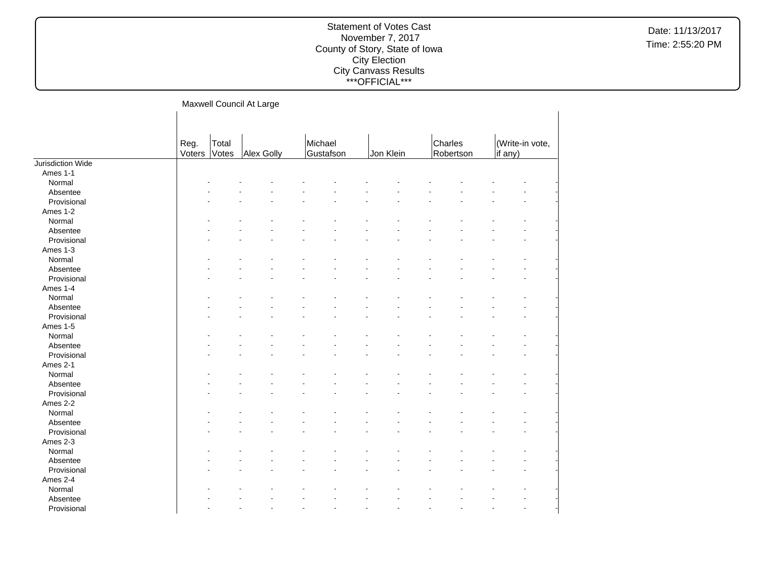|                   |                |                | Maxwell Council At Large |                      |           |                      |                            |
|-------------------|----------------|----------------|--------------------------|----------------------|-----------|----------------------|----------------------------|
|                   | Reg.<br>Voters | Total<br>Votes | <b>Alex Golly</b>        | Michael<br>Gustafson | Jon Klein | Charles<br>Robertson | (Write-in vote,<br>if any) |
| Jurisdiction Wide |                |                |                          |                      |           |                      |                            |
| Ames 1-1          |                |                |                          |                      |           |                      |                            |
| Normal            |                |                |                          |                      |           |                      |                            |
| Absentee          |                |                |                          |                      |           |                      |                            |
| Provisional       |                |                |                          |                      |           |                      |                            |
| Ames 1-2          |                |                |                          |                      |           |                      |                            |
| Normal            |                |                |                          |                      |           |                      |                            |
| Absentee          |                |                |                          |                      |           |                      |                            |
| Provisional       |                |                |                          |                      |           |                      |                            |
| Ames 1-3          |                |                |                          |                      |           |                      |                            |
| Normal            |                |                |                          |                      |           |                      |                            |
| Absentee          |                |                |                          |                      |           |                      |                            |
| Provisional       |                |                |                          |                      |           |                      |                            |
| Ames 1-4          |                |                |                          |                      |           |                      |                            |
| Normal            |                |                |                          |                      |           |                      |                            |
| Absentee          |                |                |                          |                      |           |                      |                            |
| Provisional       |                |                |                          |                      |           |                      |                            |
| Ames 1-5          |                |                |                          |                      |           |                      |                            |
| Normal            |                |                |                          |                      |           |                      |                            |
| Absentee          |                |                |                          |                      |           |                      |                            |
| Provisional       |                |                |                          |                      |           |                      |                            |
| Ames 2-1          |                |                |                          |                      |           |                      |                            |
| Normal            |                |                |                          |                      |           |                      |                            |
| Absentee          |                |                |                          |                      |           |                      |                            |
| Provisional       |                |                |                          |                      |           |                      |                            |
| Ames 2-2          |                |                |                          |                      |           |                      |                            |
| Normal            |                |                |                          |                      |           |                      |                            |
|                   |                |                |                          |                      |           |                      |                            |
| Absentee          |                |                |                          |                      |           |                      |                            |
| Provisional       |                |                |                          |                      |           |                      |                            |
| Ames 2-3          |                |                |                          |                      |           |                      |                            |
| Normal            |                |                |                          |                      |           |                      |                            |
| Absentee          |                |                |                          |                      |           |                      |                            |
| Provisional       |                |                |                          |                      |           |                      |                            |
| Ames 2-4          |                |                |                          |                      |           |                      |                            |
| Normal            |                |                |                          |                      |           |                      |                            |
| Absentee          |                |                |                          |                      |           |                      |                            |
| Provisional       |                |                |                          |                      |           |                      | ä,                         |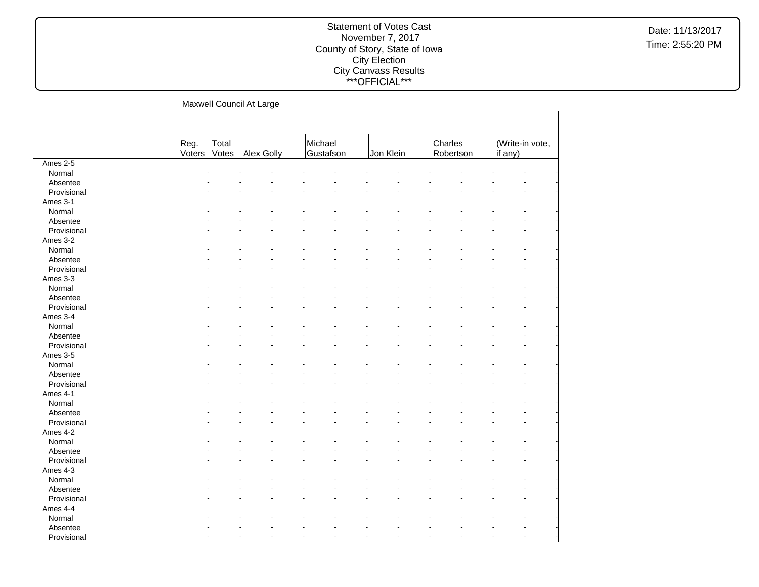|             |                |                | Maxwell Council At Large |                      |           |                      |                            |  |
|-------------|----------------|----------------|--------------------------|----------------------|-----------|----------------------|----------------------------|--|
|             |                |                |                          |                      |           |                      |                            |  |
|             | Reg.<br>Voters | Total<br>Votes | Alex Golly               | Michael<br>Gustafson | Jon Klein | Charles<br>Robertson | (Write-in vote,<br>if any) |  |
| Ames 2-5    |                |                |                          |                      |           |                      |                            |  |
| Normal      |                |                |                          |                      |           |                      |                            |  |
| Absentee    |                |                |                          |                      |           |                      |                            |  |
| Provisional |                |                |                          |                      |           |                      |                            |  |
| Ames 3-1    |                |                |                          |                      |           |                      |                            |  |
| Normal      |                |                |                          |                      |           |                      |                            |  |
| Absentee    |                |                |                          |                      |           |                      |                            |  |
| Provisional |                |                |                          |                      |           |                      |                            |  |
| Ames 3-2    |                |                |                          |                      |           |                      |                            |  |
| Normal      |                |                |                          |                      |           |                      |                            |  |
| Absentee    |                |                |                          |                      |           |                      |                            |  |
| Provisional |                |                |                          |                      |           |                      |                            |  |
| Ames 3-3    |                |                |                          |                      |           |                      |                            |  |
| Normal      |                |                |                          |                      |           |                      |                            |  |
| Absentee    |                |                |                          |                      |           |                      |                            |  |
| Provisional |                |                |                          |                      |           |                      |                            |  |
| Ames 3-4    |                |                |                          |                      |           |                      |                            |  |
| Normal      |                |                |                          |                      |           |                      |                            |  |
| Absentee    |                |                |                          |                      |           |                      |                            |  |
| Provisional |                |                |                          |                      |           |                      |                            |  |
| Ames 3-5    |                |                |                          |                      |           |                      |                            |  |
| Normal      |                |                |                          |                      |           |                      |                            |  |
| Absentee    |                |                |                          |                      |           |                      |                            |  |
| Provisional |                |                |                          |                      |           |                      |                            |  |
| Ames 4-1    |                |                |                          |                      |           |                      |                            |  |
| Normal      |                |                |                          |                      |           |                      |                            |  |
| Absentee    |                |                |                          |                      |           |                      |                            |  |
| Provisional |                |                |                          |                      |           |                      |                            |  |
| Ames 4-2    |                |                |                          |                      |           |                      |                            |  |
| Normal      |                |                |                          |                      |           |                      |                            |  |
| Absentee    |                |                |                          |                      |           |                      |                            |  |
| Provisional |                |                |                          |                      |           |                      |                            |  |
| Ames 4-3    |                |                |                          |                      |           |                      |                            |  |
| Normal      |                |                |                          |                      |           |                      |                            |  |
| Absentee    |                |                |                          |                      |           |                      |                            |  |
| Provisional |                |                |                          |                      |           |                      |                            |  |
| Ames 4-4    |                |                |                          |                      |           |                      |                            |  |
| Normal      |                |                |                          |                      |           |                      |                            |  |
| Absentee    |                |                |                          |                      |           |                      |                            |  |
| Provisional |                |                |                          |                      |           |                      | ä,                         |  |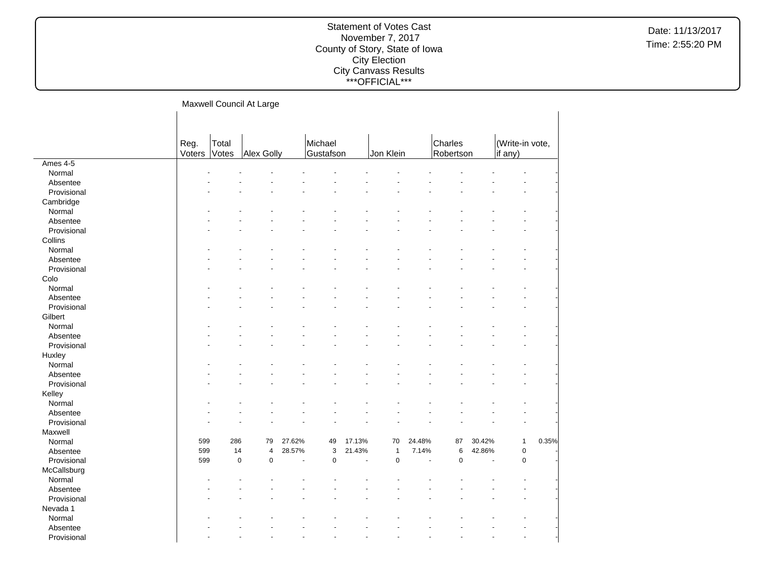| Michael<br>Total<br>Charles<br>(Write-in vote,<br>Reg.<br>Voters<br>Jon Klein<br>Robertson<br>Votes<br>Alex Golly<br>Gustafson<br>if any)<br>Ames $4-5$<br>Normal<br>Absentee<br>Provisional<br>Cambridge<br>Normal<br>Absentee<br>Provisional<br>Collins<br>Normal<br>Absentee<br>Provisional<br>Colo<br>Normal<br>Absentee<br>Provisional<br>Gilbert |        |  | Maxwell Council At Large |  |  |  |  |  |
|--------------------------------------------------------------------------------------------------------------------------------------------------------------------------------------------------------------------------------------------------------------------------------------------------------------------------------------------------------|--------|--|--------------------------|--|--|--|--|--|
|                                                                                                                                                                                                                                                                                                                                                        |        |  |                          |  |  |  |  |  |
|                                                                                                                                                                                                                                                                                                                                                        |        |  |                          |  |  |  |  |  |
|                                                                                                                                                                                                                                                                                                                                                        |        |  |                          |  |  |  |  |  |
|                                                                                                                                                                                                                                                                                                                                                        |        |  |                          |  |  |  |  |  |
|                                                                                                                                                                                                                                                                                                                                                        |        |  |                          |  |  |  |  |  |
|                                                                                                                                                                                                                                                                                                                                                        |        |  |                          |  |  |  |  |  |
|                                                                                                                                                                                                                                                                                                                                                        |        |  |                          |  |  |  |  |  |
|                                                                                                                                                                                                                                                                                                                                                        |        |  |                          |  |  |  |  |  |
|                                                                                                                                                                                                                                                                                                                                                        |        |  |                          |  |  |  |  |  |
|                                                                                                                                                                                                                                                                                                                                                        |        |  |                          |  |  |  |  |  |
|                                                                                                                                                                                                                                                                                                                                                        |        |  |                          |  |  |  |  |  |
|                                                                                                                                                                                                                                                                                                                                                        |        |  |                          |  |  |  |  |  |
|                                                                                                                                                                                                                                                                                                                                                        |        |  |                          |  |  |  |  |  |
|                                                                                                                                                                                                                                                                                                                                                        |        |  |                          |  |  |  |  |  |
|                                                                                                                                                                                                                                                                                                                                                        |        |  |                          |  |  |  |  |  |
|                                                                                                                                                                                                                                                                                                                                                        |        |  |                          |  |  |  |  |  |
|                                                                                                                                                                                                                                                                                                                                                        |        |  |                          |  |  |  |  |  |
|                                                                                                                                                                                                                                                                                                                                                        |        |  |                          |  |  |  |  |  |
|                                                                                                                                                                                                                                                                                                                                                        |        |  |                          |  |  |  |  |  |
|                                                                                                                                                                                                                                                                                                                                                        | Normal |  |                          |  |  |  |  |  |
| Absentee                                                                                                                                                                                                                                                                                                                                               |        |  |                          |  |  |  |  |  |
| Provisional                                                                                                                                                                                                                                                                                                                                            |        |  |                          |  |  |  |  |  |
| Huxley                                                                                                                                                                                                                                                                                                                                                 |        |  |                          |  |  |  |  |  |
| Normal                                                                                                                                                                                                                                                                                                                                                 |        |  |                          |  |  |  |  |  |
| Absentee                                                                                                                                                                                                                                                                                                                                               |        |  |                          |  |  |  |  |  |
| Provisional                                                                                                                                                                                                                                                                                                                                            |        |  |                          |  |  |  |  |  |
| Kelley                                                                                                                                                                                                                                                                                                                                                 |        |  |                          |  |  |  |  |  |
| Normal                                                                                                                                                                                                                                                                                                                                                 |        |  |                          |  |  |  |  |  |
| Absentee                                                                                                                                                                                                                                                                                                                                               |        |  |                          |  |  |  |  |  |
| Provisional                                                                                                                                                                                                                                                                                                                                            |        |  |                          |  |  |  |  |  |
| Maxwell                                                                                                                                                                                                                                                                                                                                                |        |  |                          |  |  |  |  |  |
| 599<br>286<br>27.62%<br>30.42%<br>0.35%<br>Normal<br>79<br>49<br>17.13%<br>70<br>24.48%<br>87<br>$\mathbf{1}$                                                                                                                                                                                                                                          |        |  |                          |  |  |  |  |  |
| 21.43%<br>7.14%<br>$\pmb{0}$<br>599<br>14<br>$\overline{4}$<br>28.57%<br>3<br>$\mathbf{1}$<br>6<br>42.86%<br>Absentee                                                                                                                                                                                                                                  |        |  |                          |  |  |  |  |  |
| Provisional<br>599<br>$\mathbf 0$<br>$\mathbf 0$<br>$\pmb{0}$<br>$\mathbf 0$<br>0<br>$\mathbf 0$<br>L.<br>L.<br>$\overline{a}$                                                                                                                                                                                                                         |        |  |                          |  |  |  |  |  |
| McCallsburg                                                                                                                                                                                                                                                                                                                                            |        |  |                          |  |  |  |  |  |
| Normal                                                                                                                                                                                                                                                                                                                                                 |        |  |                          |  |  |  |  |  |
| Absentee                                                                                                                                                                                                                                                                                                                                               |        |  |                          |  |  |  |  |  |
| Provisional                                                                                                                                                                                                                                                                                                                                            |        |  |                          |  |  |  |  |  |
| Nevada 1                                                                                                                                                                                                                                                                                                                                               |        |  |                          |  |  |  |  |  |
| Normal                                                                                                                                                                                                                                                                                                                                                 |        |  |                          |  |  |  |  |  |
| Absentee                                                                                                                                                                                                                                                                                                                                               |        |  |                          |  |  |  |  |  |
| Provisional                                                                                                                                                                                                                                                                                                                                            |        |  |                          |  |  |  |  |  |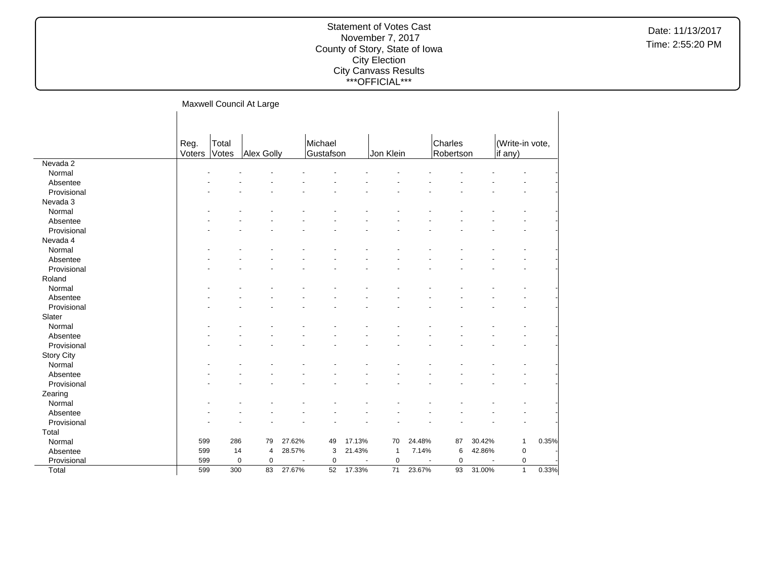|                   |                |                | Maxwell Council At Large |        |                      |                          |                 |        |                      |        |                            |       |
|-------------------|----------------|----------------|--------------------------|--------|----------------------|--------------------------|-----------------|--------|----------------------|--------|----------------------------|-------|
|                   | Reg.<br>Voters | Total<br>Votes | Alex Golly               |        | Michael<br>Gustafson |                          | Jon Klein       |        | Charles<br>Robertson |        | (Write-in vote,<br>if any) |       |
| Nevada 2          |                |                |                          |        |                      |                          |                 |        |                      |        |                            |       |
| Normal            |                |                |                          |        |                      |                          |                 |        |                      |        |                            |       |
| Absentee          |                |                |                          |        |                      |                          |                 |        |                      |        |                            |       |
| Provisional       |                |                |                          |        |                      |                          |                 |        |                      |        |                            |       |
| Nevada 3          |                |                |                          |        |                      |                          |                 |        |                      |        |                            |       |
| Normal            |                |                |                          |        |                      |                          |                 |        |                      |        |                            |       |
| Absentee          |                |                |                          |        |                      |                          |                 |        |                      |        |                            |       |
| Provisional       |                |                |                          |        |                      |                          |                 |        |                      |        |                            |       |
| Nevada 4          |                |                |                          |        |                      |                          |                 |        |                      |        |                            |       |
| Normal            |                |                |                          |        |                      |                          |                 |        |                      |        |                            |       |
| Absentee          |                |                |                          |        |                      |                          |                 |        |                      |        |                            |       |
| Provisional       |                |                |                          |        |                      |                          |                 |        |                      |        |                            |       |
| Roland            |                |                |                          |        |                      |                          |                 |        |                      |        |                            |       |
| Normal            |                |                |                          |        |                      |                          |                 |        |                      |        |                            |       |
| Absentee          |                |                |                          |        |                      |                          |                 |        |                      |        |                            |       |
| Provisional       |                |                |                          |        |                      |                          |                 |        |                      |        |                            |       |
| Slater            |                |                |                          |        |                      |                          |                 |        |                      |        |                            |       |
| Normal            |                |                |                          |        |                      |                          |                 |        |                      |        |                            |       |
| Absentee          |                |                |                          |        |                      |                          |                 |        |                      |        |                            |       |
| Provisional       |                |                |                          |        |                      |                          |                 |        |                      |        |                            |       |
| <b>Story City</b> |                |                |                          |        |                      |                          |                 |        |                      |        |                            |       |
| Normal            |                |                |                          |        |                      |                          |                 |        |                      |        |                            |       |
| Absentee          |                |                |                          |        |                      |                          |                 |        |                      |        |                            |       |
| Provisional       |                |                |                          |        |                      |                          |                 |        |                      |        |                            |       |
| Zearing           |                |                |                          |        |                      |                          |                 |        |                      |        |                            |       |
| Normal            |                |                |                          |        |                      |                          |                 |        |                      |        |                            |       |
| Absentee          |                |                |                          |        |                      |                          |                 |        |                      |        |                            |       |
| Provisional       |                |                |                          |        |                      |                          |                 |        |                      |        |                            |       |
| Total             |                |                |                          |        |                      |                          |                 |        |                      |        |                            |       |
| Normal            | 599            | 286            | 79                       | 27.62% | 49                   | 17.13%                   | 70              | 24.48% | 87                   | 30.42% | $\mathbf{1}$               | 0.35% |
| Absentee          | 599            | 14             | 4                        | 28.57% | 3                    | 21.43%                   | $\overline{1}$  | 7.14%  | 6                    | 42.86% | $\mathbf 0$                |       |
| Provisional       | 599            |                | $\pmb{0}$<br>0           |        | $\mathbf 0$          | $\overline{\phantom{a}}$ | $\mathbf 0$     | ÷      | $\mathbf 0$          | $\sim$ | $\mathsf 0$                |       |
| Total             | 599            | 300            | 83                       | 27.67% | 52                   | 17.33%                   | $\overline{71}$ | 23.67% | 93                   | 31.00% | $\mathbf{1}$               | 0.33% |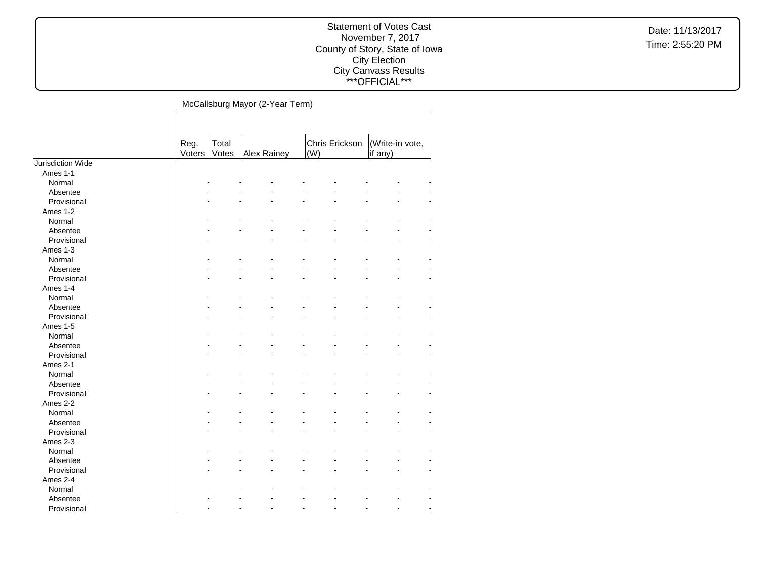## Statement of Votes Cast November 7, 2017 County of Story, State of Iowa City Election City Canvass Results \*\*\*OFFICIAL\*\*\*

McCallsburg Mayor (2-Year Term)  $\mathbf{L}$ 

|                   | Reg.   | Total |             | Chris Erickson | (Write-in vote, |
|-------------------|--------|-------|-------------|----------------|-----------------|
|                   | Voters | Votes | Alex Rainey | (W)            | if any)         |
| Jurisdiction Wide |        |       |             |                |                 |
| Ames 1-1          |        |       |             |                |                 |
| Normal            |        |       |             |                |                 |
| Absentee          |        |       |             |                |                 |
| Provisional       |        |       |             |                |                 |
| Ames 1-2          |        |       |             |                |                 |
| Normal            |        |       |             |                |                 |
| Absentee          |        |       |             |                |                 |
| Provisional       |        |       |             |                |                 |
| Ames 1-3          |        |       |             |                |                 |
| Normal            |        |       |             |                |                 |
| Absentee          |        |       |             |                |                 |
| Provisional       |        |       |             |                |                 |
| Ames 1-4          |        |       |             |                |                 |
| Normal            |        |       |             |                |                 |
| Absentee          |        |       |             |                |                 |
| Provisional       |        |       |             |                |                 |
| Ames 1-5          |        |       |             |                |                 |
| Normal            |        |       |             |                |                 |
| Absentee          |        |       |             |                |                 |
| Provisional       |        |       |             |                |                 |
| Ames 2-1          |        |       |             |                |                 |
| Normal            |        |       |             |                |                 |
| Absentee          |        |       |             |                |                 |
| Provisional       |        |       |             |                |                 |
| Ames 2-2          |        |       |             |                |                 |
| Normal            |        |       |             |                |                 |
| Absentee          |        |       |             |                |                 |
| Provisional       |        |       |             |                |                 |
| Ames 2-3          |        |       |             |                |                 |
| Normal            |        |       |             |                |                 |
| Absentee          |        |       |             |                |                 |
| Provisional       |        |       |             |                |                 |
| Ames 2-4          |        |       |             |                |                 |
| Normal            |        |       |             |                |                 |
| Absentee          |        |       |             |                |                 |
| Provisional       |        |       |             |                |                 |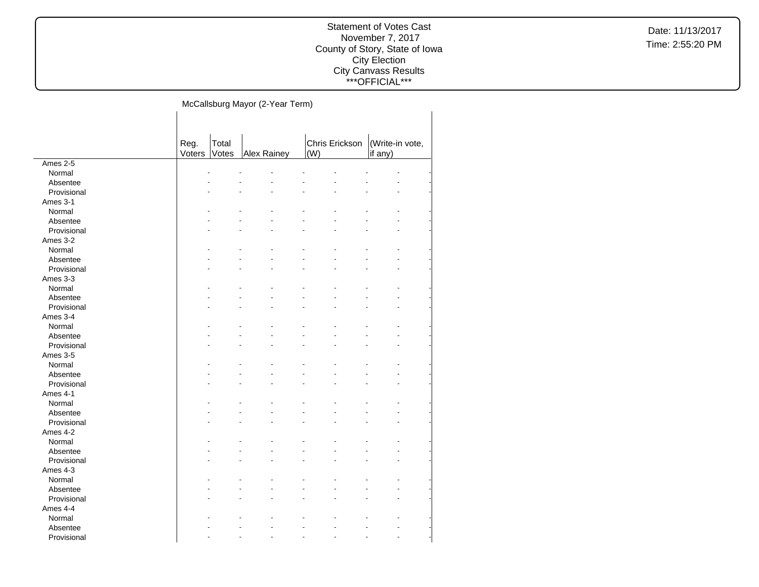## Statement of Votes Cast November 7, 2017 County of Story, State of Iowa City Election City Canvass Results \*\*\*OFFICIAL\*\*\*

McCallsburg Mayor (2-Year Term)  $\mathbf{L}$ 

|             | Reg.   | Total |                    | Chris Erickson | (Write-in vote, |
|-------------|--------|-------|--------------------|----------------|-----------------|
|             | Voters | Votes | <b>Alex Rainey</b> | (W)            | if any)         |
| Ames 2-5    |        |       |                    |                |                 |
| Normal      |        |       |                    |                |                 |
| Absentee    |        |       |                    |                |                 |
| Provisional |        |       |                    |                |                 |
| Ames 3-1    |        |       |                    |                |                 |
| Normal      |        |       |                    |                |                 |
| Absentee    |        |       |                    |                |                 |
| Provisional |        |       |                    |                |                 |
| Ames 3-2    |        |       |                    |                |                 |
| Normal      |        |       |                    |                |                 |
| Absentee    |        |       |                    |                |                 |
| Provisional |        |       |                    |                |                 |
| Ames 3-3    |        |       |                    |                |                 |
| Normal      |        |       |                    |                |                 |
| Absentee    |        |       |                    |                |                 |
| Provisional |        |       |                    |                |                 |
| Ames 3-4    |        |       |                    |                |                 |
| Normal      |        |       |                    |                |                 |
| Absentee    |        |       |                    |                |                 |
| Provisional |        |       |                    |                |                 |
| Ames 3-5    |        |       |                    |                |                 |
| Normal      |        |       |                    |                |                 |
| Absentee    |        |       |                    |                |                 |
| Provisional |        |       |                    |                |                 |
| Ames 4-1    |        |       |                    |                |                 |
| Normal      |        |       |                    |                |                 |
| Absentee    |        |       |                    |                |                 |
| Provisional |        |       |                    |                |                 |
| Ames 4-2    |        |       |                    |                |                 |
| Normal      |        |       |                    |                |                 |
| Absentee    |        |       |                    |                |                 |
| Provisional |        |       |                    |                |                 |
| Ames 4-3    |        |       |                    |                |                 |
| Normal      |        |       |                    |                |                 |
| Absentee    |        |       |                    |                |                 |
| Provisional |        |       |                    |                |                 |
| Ames 4-4    |        |       |                    |                |                 |
| Normal      |        |       |                    |                |                 |
| Absentee    |        |       |                    |                |                 |
| Provisional |        |       |                    |                |                 |
|             |        |       |                    |                |                 |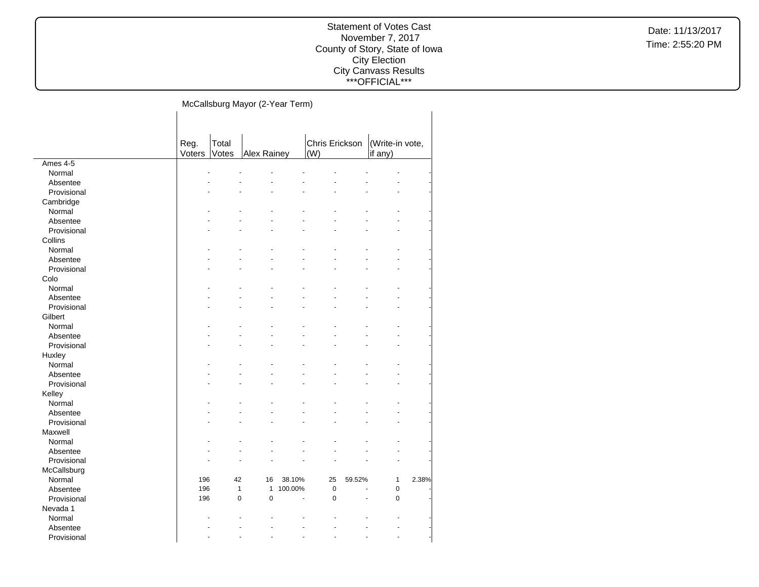## Statement of Votes Cast November 7, 2017 County of Story, State of Iowa City Election City Canvass Results \*\*\*OFFICIAL\*\*\*

McCallsburg Mayor (2-Year Term)  $\mathbf{L}$ 

|             | Reg.<br>Voters | Total<br>Votes | Alex Rainey                  |         | Chris Erickson<br>(W) |        | (Write-in vote,<br>if any) |       |
|-------------|----------------|----------------|------------------------------|---------|-----------------------|--------|----------------------------|-------|
| Ames 4-5    |                |                |                              |         |                       |        |                            |       |
| Normal      |                |                |                              |         |                       |        |                            |       |
| Absentee    |                |                |                              |         |                       |        |                            |       |
| Provisional |                |                |                              |         |                       |        |                            |       |
| Cambridge   |                |                |                              |         |                       |        |                            |       |
| Normal      |                |                |                              |         |                       |        |                            |       |
| Absentee    |                |                |                              |         |                       |        |                            |       |
| Provisional |                |                |                              |         |                       |        |                            |       |
| Collins     |                |                |                              |         |                       |        |                            |       |
| Normal      |                |                |                              |         |                       |        |                            |       |
| Absentee    |                |                |                              |         |                       |        |                            |       |
| Provisional |                |                |                              |         |                       |        |                            |       |
| Colo        |                |                |                              |         |                       |        |                            |       |
| Normal      |                |                |                              |         |                       |        |                            |       |
| Absentee    |                |                |                              |         |                       |        |                            |       |
| Provisional |                |                |                              |         |                       |        |                            |       |
| Gilbert     |                |                |                              |         |                       |        |                            |       |
| Normal      |                |                |                              |         |                       |        |                            |       |
| Absentee    |                |                |                              |         |                       |        |                            |       |
| Provisional |                |                |                              |         |                       |        |                            |       |
| Huxley      |                |                |                              |         |                       |        |                            |       |
| Normal      |                |                |                              |         |                       |        |                            |       |
| Absentee    |                |                |                              |         |                       |        |                            |       |
| Provisional |                |                |                              |         |                       |        |                            |       |
| Kelley      |                |                |                              |         |                       |        |                            |       |
| Normal      |                |                |                              |         |                       |        |                            |       |
| Absentee    |                |                |                              |         |                       |        |                            |       |
| Provisional |                |                |                              |         |                       |        |                            |       |
| Maxwell     |                |                |                              |         |                       |        |                            |       |
| Normal      |                |                |                              |         |                       |        |                            |       |
| Absentee    |                |                |                              |         |                       |        |                            |       |
| Provisional |                |                |                              |         |                       |        |                            |       |
| McCallsburg |                |                |                              |         |                       |        |                            |       |
| Normal      | 196            | 42             | 16                           | 38.10%  | 25                    | 59.52% | 1                          | 2.38% |
| Absentee    | 196            |                | $\mathbf{1}$<br>$\mathbf{1}$ | 100.00% | $\mathbf 0$           |        | $\mathbf 0$                |       |
| Provisional | 196            |                | $\mathbf 0$<br>$\mathbf 0$   | L       | $\mathbf 0$           |        | 0                          |       |
| Nevada 1    |                |                |                              |         |                       |        |                            |       |
| Normal      |                |                |                              |         |                       |        |                            |       |
| Absentee    |                |                |                              |         |                       |        |                            |       |
| Provisional |                |                |                              |         |                       |        |                            |       |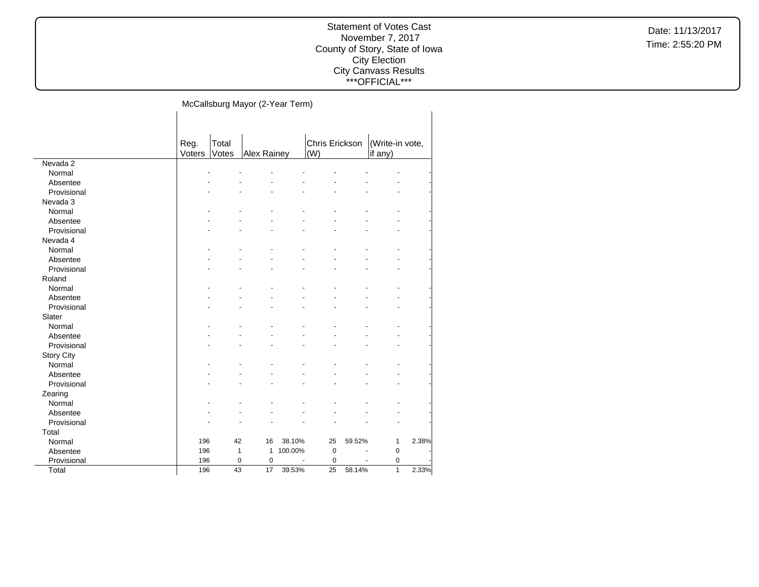## Statement of Votes Cast November 7, 2017 County of Story, State of Iowa City Election City Canvass Results \*\*\*OFFICIAL\*\*\*

McCallsburg Mayor (2-Year Term)  $\mathbf{I}$ 

|                   | Reg.<br>Voters | Total<br>Votes | Alex Rainey  |                | Chris Erickson<br>(W) |                | (Write-in vote,<br>if any) |       |
|-------------------|----------------|----------------|--------------|----------------|-----------------------|----------------|----------------------------|-------|
| Nevada 2          |                |                |              |                |                       |                |                            |       |
| Normal            |                |                |              |                |                       |                |                            |       |
| Absentee          |                |                |              |                |                       |                |                            |       |
| Provisional       |                |                |              |                |                       |                |                            |       |
| Nevada 3          |                |                |              |                |                       |                |                            |       |
| Normal            |                |                |              |                |                       |                |                            |       |
| Absentee          |                |                |              |                |                       |                |                            |       |
| Provisional       |                |                |              |                |                       |                |                            |       |
| Nevada 4          |                |                |              |                |                       |                |                            |       |
| Normal            |                |                |              |                |                       |                |                            |       |
| Absentee          |                |                |              |                |                       |                |                            |       |
| Provisional       |                |                |              |                |                       |                |                            |       |
| Roland            |                |                |              |                |                       |                |                            |       |
| Normal            |                |                |              |                |                       |                |                            |       |
| Absentee          |                |                |              |                |                       |                |                            |       |
| Provisional       |                |                |              |                |                       |                |                            |       |
| Slater            |                |                |              |                |                       |                |                            |       |
| Normal            |                |                |              |                |                       |                |                            |       |
| Absentee          |                |                |              |                |                       |                |                            |       |
| Provisional       |                |                |              |                |                       |                |                            |       |
| <b>Story City</b> |                |                |              |                |                       |                |                            |       |
| Normal            |                |                |              |                |                       |                |                            |       |
| Absentee          |                |                |              |                |                       |                |                            |       |
| Provisional       |                |                |              |                |                       |                |                            |       |
| Zearing           |                |                |              |                |                       |                |                            |       |
| Normal            |                |                |              |                |                       |                |                            |       |
| Absentee          |                |                |              |                |                       |                |                            |       |
| Provisional       |                |                |              |                |                       |                |                            |       |
| Total             |                |                |              |                |                       |                |                            |       |
| Normal            | 196            | 42             | 16           | 38.10%         | 25                    | 59.52%         | 1                          | 2.38% |
| Absentee          | 196            | $\mathbf{1}$   | $\mathbf{1}$ | 100.00%        | $\mathbf 0$           |                | $\mathbf 0$                |       |
| Provisional       | 196            | 0              | 0            | $\blacksquare$ | $\mathbf 0$           | $\blacksquare$ | 0                          |       |
| Total             | 196            | 43             | 17           | 39.53%         | 25                    | 58.14%         | $\mathbf{1}$               | 2.33% |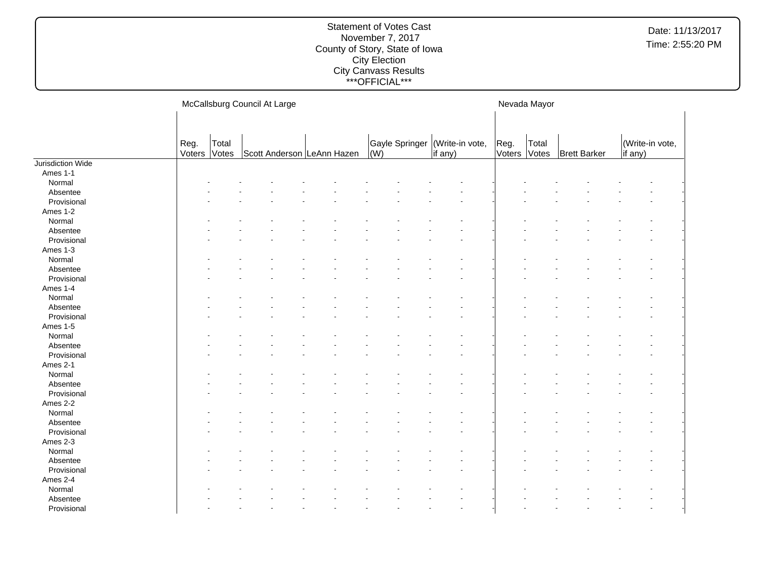#### Statement of Votes Cast November 7, 2017 County of Story, State of Iowa City Election City Canvass Results \*\*\*OFFICIAL\*\*\*

McCallsburg Council At Large Reg. Voters Total Votes | Scott Anderson | LeAnn Hazen Gayle Springer (Write-in vote, (W) if any) Nevada Mayor Reg. Voters Votes Total **Brett Barker** (Write-in vote, if any) Jurisdiction Wide Ames 1-1 Normal and the set of the set of the set of the set of the set of the set of the set of the set of the set of the set of the set of the set of the set of the set of the set of the set of the set of the set of the set of t Absentee and the set of the set of the set of the set of the set of the set of the set of the set of the set of the set of the set of the set of the set of the set of the set of the set of the set of the set of the set of  $\textsf{Provisional}$  . The set of the set of the set of the set of the set of the set of the set of the set of the set of the set of the set of the set of the set of the set of the set of the set of the set of the set of the set of Ames 1-2 Normal and the set of the set of the set of the set of the set of the set of the set of the set of the set of the set of the set of the set of the set of the set of the set of the set of the set of the set of the set of t Absentee and the set of the set of the set of the set of the set of the set of the set of the set of the set of the set of the set of the set of the set of the set of the set of the set of the set of the set of the set of  $\textsf{Provisional}$  . The set of the set of the set of the set of the set of the set of the set of the set of the set of the set of the set of the set of the set of the set of the set of the set of the set of the set of the set of Ames 1-3 Normal and the set of the set of the set of the set of the set of the set of the set of the set of the set of the set of the set of the set of the set of the set of the set of the set of the set of the set of the set of t Absentee and the set of the set of the set of the set of the set of the set of the set of the set of the set of the set of the set of the set of the set of the set of the set of the set of the set of the set of the set of  $\textsf{Provisional}$  . The set of the set of the set of the set of the set of the set of the set of the set of the set of the set of the set of the set of the set of the set of the set of the set of the set of the set of the set of Ames 1-4 Normal and the set of the set of the set of the set of the set of the set of the set of the set of the set of the set of the set of the set of the set of the set of the set of the set of the set of the set of the set of t Absentee and the set of the set of the set of the set of the set of the set of the set of the set of the set of the set of the set of the set of the set of the set of the set of the set of the set of the set of the set of  $\textsf{Provisional}$  . The set of the set of the set of the set of the set of the set of the set of the set of the set of the set of the set of the set of the set of the set of the set of the set of the set of the set of the set of Ames 1-5 Normal and the set of the set of the set of the set of the set of the set of the set of the set of the set of the set of the set of the set of the set of the set of the set of the set of the set of the set of the set of t Absentee and the set of the set of the set of the set of the set of the set of the set of the set of the set of the set of the set of the set of the set of the set of the set of the set of the set of the set of the set of  $\textsf{Provisional}$  . The set of the set of the set of the set of the set of the set of the set of the set of the set of the set of the set of the set of the set of the set of the set of the set of the set of the set of the set of Ames 2-1 Normal and the set of the set of the set of the set of the set of the set of the set of the set of the set of the set of the set of the set of the set of the set of the set of the set of the set of the set of the set of t Absentee and the set of the set of the set of the set of the set of the set of the set of the set of the set of the set of the set of the set of the set of the set of the set of the set of the set of the set of the set of  $\textsf{Provisional}$  . The set of the set of the set of the set of the set of the set of the set of the set of the set of the set of the set of the set of the set of the set of the set of the set of the set of the set of the set of Ames 2-2 Normal and the set of the set of the set of the set of the set of the set of the set of the set of the set of the set of the set of the set of the set of the set of the set of the set of the set of the set of the set of t Absentee and the set of the set of the set of the set of the set of the set of the set of the set of the set of the set of the set of the set of the set of the set of the set of the set of the set of the set of the set of  $\textsf{Provisional}$  . The set of the set of the set of the set of the set of the set of the set of the set of the set of the set of the set of the set of the set of the set of the set of the set of the set of the set of the set of Ames 2-3 Normal and the set of the set of the set of the set of the set of the set of the set of the set of the set of the set of the set of the set of the set of the set of the set of the set of the set of the set of the set of t Absentee and the set of the set of the set of the set of the set of the set of the set of the set of the set of the set of the set of the set of the set of the set of the set of the set of the set of the set of the set of  $\textsf{Provisional}$  . The set of the set of the set of the set of the set of the set of the set of the set of the set of the set of the set of the set of the set of the set of the set of the set of the set of the set of the set of Ames 2-4 Normal - - - - - - - - - - - - - - - - Absentee and the set of the set of the set of the set of the set of the set of the set of the set of the set of the set of the set of the set of the set of the set of the set of the set of the set of the set of the set of  $\textsf{Provisional}$  . The set of the set of the set of the set of the set of the set of the set of the set of the set of the set of the set of the set of the set of the set of the set of the set of the set of the set of the set of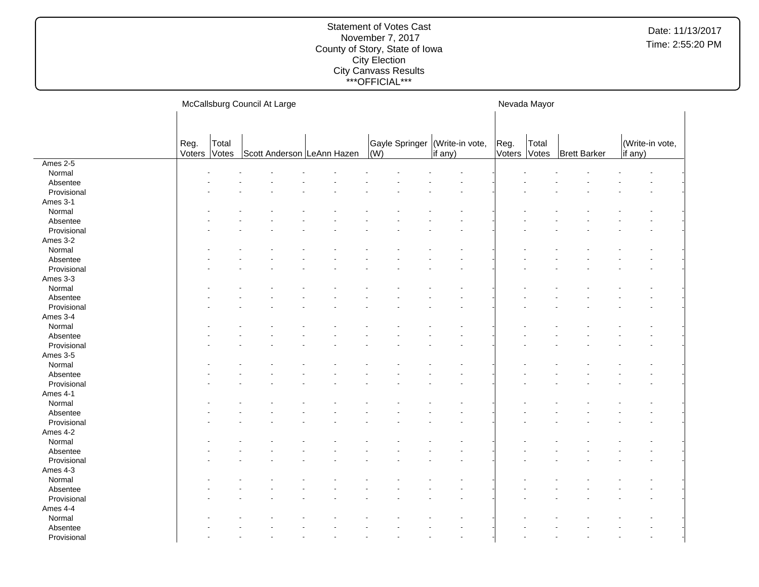|             |        |       | McCallsburg Council At Large |  |  |     | Nevada Mayor   |                 |        |       |                     |                 |  |
|-------------|--------|-------|------------------------------|--|--|-----|----------------|-----------------|--------|-------|---------------------|-----------------|--|
|             |        |       |                              |  |  |     |                |                 |        |       |                     |                 |  |
|             | Reg.   | Total |                              |  |  |     | Gayle Springer | (Write-in vote, | Reg.   | Total |                     | (Write-in vote, |  |
|             | Voters | Votes | Scott Anderson LeAnn Hazen   |  |  | (W) |                | $ \dot{f}$ any) | Voters | Votes | <b>Brett Barker</b> | if any)         |  |
| Ames 2-5    |        |       |                              |  |  |     |                |                 |        |       |                     |                 |  |
| Normal      |        |       |                              |  |  |     |                |                 |        |       |                     |                 |  |
| Absentee    |        |       |                              |  |  |     |                |                 |        |       |                     |                 |  |
| Provisional |        |       |                              |  |  |     |                |                 |        |       |                     |                 |  |
| Ames 3-1    |        |       |                              |  |  |     |                |                 |        |       |                     |                 |  |
| Normal      |        |       |                              |  |  |     |                |                 |        |       |                     |                 |  |
| Absentee    |        |       |                              |  |  |     |                |                 |        |       |                     |                 |  |
| Provisional |        |       |                              |  |  |     |                |                 |        |       |                     |                 |  |
| Ames 3-2    |        |       |                              |  |  |     |                |                 |        |       |                     |                 |  |
| Normal      |        |       |                              |  |  |     |                |                 |        |       |                     |                 |  |
| Absentee    |        |       |                              |  |  |     |                |                 |        |       |                     |                 |  |
| Provisional |        |       |                              |  |  |     |                |                 |        |       |                     |                 |  |
| Ames 3-3    |        |       |                              |  |  |     |                |                 |        |       |                     |                 |  |
| Normal      |        |       |                              |  |  |     |                |                 |        |       |                     |                 |  |
| Absentee    |        |       |                              |  |  |     |                |                 |        |       |                     |                 |  |
| Provisional |        |       |                              |  |  |     |                |                 |        |       |                     |                 |  |
| Ames 3-4    |        |       |                              |  |  |     |                |                 |        |       |                     |                 |  |
| Normal      |        |       |                              |  |  |     |                |                 |        |       |                     |                 |  |
| Absentee    |        |       |                              |  |  |     |                |                 |        |       |                     |                 |  |
| Provisional |        |       |                              |  |  |     |                |                 |        |       |                     |                 |  |
| Ames 3-5    |        |       |                              |  |  |     |                |                 |        |       |                     |                 |  |
| Normal      |        |       |                              |  |  |     |                |                 |        |       |                     |                 |  |
| Absentee    |        |       |                              |  |  |     |                |                 |        |       |                     |                 |  |
| Provisional |        |       |                              |  |  |     |                |                 |        |       |                     |                 |  |
| Ames 4-1    |        |       |                              |  |  |     |                |                 |        |       |                     |                 |  |
| Normal      |        |       |                              |  |  |     |                |                 |        |       |                     |                 |  |
| Absentee    |        |       |                              |  |  |     |                |                 |        |       |                     |                 |  |
| Provisional |        |       |                              |  |  |     |                |                 |        |       |                     |                 |  |
| Ames 4-2    |        |       |                              |  |  |     |                |                 |        |       |                     |                 |  |
| Normal      |        |       |                              |  |  |     |                |                 |        |       |                     |                 |  |
| Absentee    |        |       |                              |  |  |     |                |                 |        |       |                     |                 |  |
| Provisional |        |       |                              |  |  |     |                |                 |        |       |                     |                 |  |
| Ames 4-3    |        |       |                              |  |  |     |                |                 |        |       |                     |                 |  |
| Normal      |        |       |                              |  |  |     |                |                 |        |       |                     |                 |  |
| Absentee    |        |       |                              |  |  |     |                |                 |        |       |                     |                 |  |
| Provisional |        |       |                              |  |  |     |                |                 |        |       |                     |                 |  |
| Ames 4-4    |        |       |                              |  |  |     |                |                 |        |       |                     |                 |  |
| Normal      |        |       |                              |  |  |     |                |                 |        |       |                     |                 |  |
| Absentee    |        |       |                              |  |  |     |                |                 |        |       |                     |                 |  |
| Provisional |        |       |                              |  |  |     |                |                 |        |       |                     |                 |  |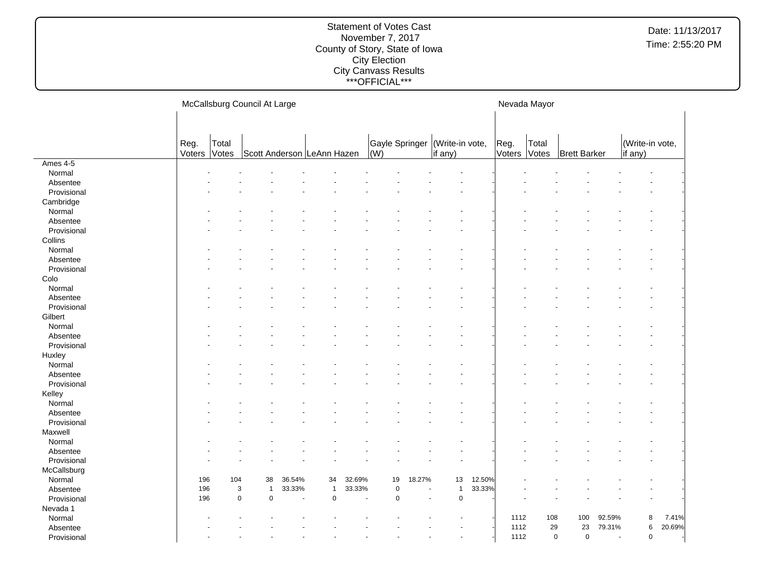|             |                | McCallsburg Council At Large |                            |                          |              |                          |                                    |                |                            |        |                |                | Nevada Mayor               |                          |                            |        |
|-------------|----------------|------------------------------|----------------------------|--------------------------|--------------|--------------------------|------------------------------------|----------------|----------------------------|--------|----------------|----------------|----------------------------|--------------------------|----------------------------|--------|
|             | Reg.<br>Voters | Total<br>Votes               | Scott Anderson LeAnn Hazen |                          |              |                          | Gayle Springer<br>$\overline{(W)}$ |                | (Write-in vote,<br>if any) |        | Reg.<br>Voters | Total<br>Votes | <b>Brett Barker</b>        |                          | (Write-in vote,<br>if any) |        |
| Ames 4-5    |                |                              |                            |                          |              |                          |                                    |                |                            |        |                |                |                            |                          |                            |        |
| Normal      |                |                              |                            |                          |              |                          |                                    |                |                            |        |                |                |                            |                          |                            |        |
| Absentee    |                |                              |                            |                          |              |                          |                                    |                |                            |        |                |                |                            |                          |                            |        |
| Provisional |                |                              |                            |                          |              |                          |                                    |                |                            |        |                |                |                            |                          |                            |        |
| Cambridge   |                |                              |                            |                          |              |                          |                                    |                |                            |        |                |                |                            |                          |                            |        |
| Normal      |                |                              |                            |                          |              |                          |                                    |                |                            |        |                |                |                            |                          |                            |        |
| Absentee    |                |                              |                            |                          |              |                          |                                    |                |                            |        |                |                |                            |                          |                            |        |
| Provisional |                |                              |                            |                          |              |                          |                                    |                |                            |        |                |                |                            |                          |                            |        |
| Collins     |                |                              |                            |                          |              |                          |                                    |                |                            |        |                |                |                            |                          |                            |        |
| Normal      |                |                              |                            |                          |              |                          |                                    |                |                            |        |                |                |                            |                          |                            |        |
| Absentee    |                |                              |                            |                          |              |                          |                                    |                |                            |        |                |                |                            |                          |                            |        |
| Provisional |                |                              |                            |                          |              |                          |                                    |                |                            |        |                |                |                            |                          |                            |        |
| Colo        |                |                              |                            |                          |              |                          |                                    |                |                            |        |                |                |                            |                          |                            |        |
| Normal      |                |                              |                            |                          |              |                          |                                    |                |                            |        |                |                |                            |                          |                            |        |
| Absentee    |                |                              |                            |                          |              |                          |                                    |                |                            |        |                |                |                            |                          |                            |        |
| Provisional |                |                              |                            |                          |              |                          |                                    |                |                            |        |                |                |                            |                          |                            |        |
| Gilbert     |                |                              |                            |                          |              |                          |                                    |                |                            |        |                |                |                            |                          |                            |        |
| Normal      |                |                              |                            |                          |              |                          |                                    |                |                            |        |                |                |                            |                          |                            |        |
| Absentee    |                |                              |                            |                          |              |                          |                                    |                |                            |        |                |                |                            |                          |                            |        |
| Provisional |                |                              |                            |                          |              |                          |                                    |                |                            |        |                |                |                            |                          |                            |        |
| Huxley      |                |                              |                            |                          |              |                          |                                    |                |                            |        |                |                |                            |                          |                            |        |
| Normal      |                |                              |                            |                          |              |                          |                                    |                |                            |        |                |                |                            |                          |                            |        |
| Absentee    |                |                              |                            |                          |              |                          |                                    |                |                            |        |                |                |                            |                          |                            |        |
| Provisional |                |                              |                            |                          |              |                          |                                    |                |                            |        |                |                |                            |                          |                            |        |
| Kelley      |                |                              |                            |                          |              |                          |                                    |                |                            |        |                |                |                            |                          |                            |        |
| Normal      |                |                              |                            |                          |              |                          |                                    |                |                            |        |                |                |                            |                          |                            |        |
| Absentee    |                |                              |                            |                          |              |                          |                                    |                |                            |        |                |                |                            |                          |                            |        |
| Provisional |                |                              |                            |                          |              |                          |                                    |                |                            |        |                |                |                            |                          |                            |        |
| Maxwell     |                |                              |                            |                          |              |                          |                                    |                |                            |        |                |                |                            |                          |                            |        |
| Normal      |                |                              |                            |                          |              |                          |                                    |                |                            |        |                |                |                            |                          |                            |        |
| Absentee    |                |                              |                            |                          |              |                          |                                    |                |                            |        |                |                |                            |                          |                            |        |
| Provisional |                |                              |                            |                          |              |                          |                                    |                |                            |        |                |                |                            |                          |                            |        |
| McCallsburg |                |                              |                            |                          |              |                          |                                    |                |                            |        |                |                |                            |                          |                            |        |
| Normal      | 196            | 104                          | 38                         | 36.54%                   | 34           | 32.69%                   | 19                                 | 18.27%         | 13                         | 12.50% |                |                |                            |                          |                            |        |
| Absentee    | 196            |                              | 3<br>$\mathbf{1}$          | 33.33%                   | $\mathbf{1}$ | 33.33%                   | $\mathbf 0$                        |                | $\mathbf{1}$               | 33.33% |                |                |                            |                          |                            |        |
| Provisional | 196            |                              | $\mathbf 0$<br>$\mathbf 0$ | $\overline{\phantom{a}}$ | $\pmb{0}$    | $\overline{\phantom{a}}$ | $\mathbf 0$                        | $\blacksquare$ | $\mathsf 0$                |        |                |                |                            |                          |                            |        |
| Nevada 1    |                |                              |                            |                          |              |                          |                                    |                |                            |        |                |                |                            |                          |                            |        |
| Normal      |                |                              |                            |                          |              |                          |                                    |                |                            |        | 1112           | 108            | 100                        | 92.59%                   | 8                          | 7.41%  |
| Absentee    |                |                              |                            |                          |              |                          |                                    |                |                            |        | 1112           | 29             | 23                         | 79.31%                   | 6                          | 20.69% |
| Provisional |                |                              |                            |                          |              |                          |                                    |                | ٠                          |        | 1112           |                | $\mathbf 0$<br>$\mathbf 0$ | $\overline{\phantom{a}}$ | $\pmb{0}$                  |        |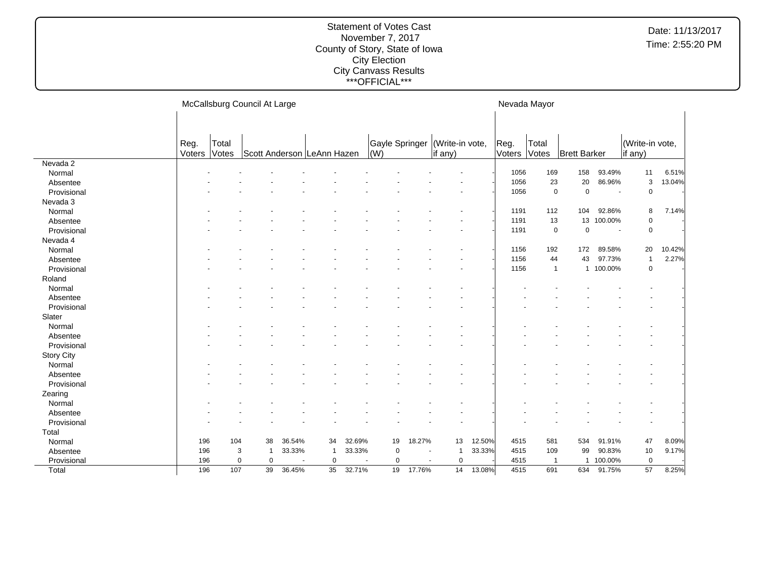|                   |                |                | McCallsburg Council At Large |        |              |        |                                   |                |                                    |        | Nevada Mayor   |                |                     |           |                            |        |
|-------------------|----------------|----------------|------------------------------|--------|--------------|--------|-----------------------------------|----------------|------------------------------------|--------|----------------|----------------|---------------------|-----------|----------------------------|--------|
|                   |                |                |                              |        |              |        |                                   |                |                                    |        |                |                |                     |           |                            |        |
|                   | Reg.<br>Voters | Total<br>Votes | Scott Anderson LeAnn Hazen   |        |              |        | Gayle Springer<br>$\mathsf{I}(W)$ |                | (Write-in vote,<br>$\vert$ if any) |        | Reg.<br>Voters | Total<br>Votes | <b>Brett Barker</b> |           | (Write-in vote,<br>if any) |        |
| Nevada 2          |                |                |                              |        |              |        |                                   |                |                                    |        |                |                |                     |           |                            |        |
| Normal            |                |                |                              |        |              |        |                                   |                |                                    |        | 1056           | 169            | 158                 | 93.49%    | 11                         | 6.51%  |
| Absentee          |                |                |                              |        |              |        |                                   |                |                                    |        | 1056           | 23             | 20                  | 86.96%    | 3                          | 13.04% |
| Provisional       |                |                |                              |        |              |        |                                   |                |                                    |        | 1056           | $\mathsf 0$    | $\mathbf 0$         | ٠.        | $\mathbf 0$                |        |
| Nevada 3          |                |                |                              |        |              |        |                                   |                |                                    |        |                |                |                     |           |                            |        |
| Normal            |                |                |                              |        |              |        |                                   |                |                                    |        | 1191           | 112            | 104                 | 92.86%    | 8                          | 7.14%  |
| Absentee          |                |                |                              |        |              |        |                                   |                |                                    |        | 1191           | 13             | 13                  | 100.00%   | 0                          |        |
| Provisional       |                |                |                              |        |              |        |                                   |                |                                    |        | 1191           | $\mathbf 0$    | 0                   | ٠.        | $\mathsf 0$                |        |
| Nevada 4          |                |                |                              |        |              |        |                                   |                |                                    |        |                |                |                     |           |                            |        |
| Normal            |                |                |                              |        |              |        |                                   |                |                                    |        | 1156           | 192            | 172                 | 89.58%    | 20                         | 10.42% |
| Absentee          |                |                |                              |        |              |        |                                   |                |                                    |        | 1156           | 44             | 43                  | 97.73%    | $\mathbf{1}$               | 2.27%  |
| Provisional       |                |                |                              |        |              |        |                                   |                |                                    |        | 1156           | $\mathbf{1}$   |                     | 1 100.00% | $\mathsf 0$                |        |
| Roland            |                |                |                              |        |              |        |                                   |                |                                    |        |                |                |                     |           |                            |        |
| Normal            |                |                |                              |        |              |        |                                   |                |                                    |        |                |                |                     |           |                            |        |
| Absentee          |                |                |                              |        |              |        |                                   |                |                                    |        |                |                |                     |           |                            |        |
| Provisional       |                |                |                              |        |              |        |                                   |                |                                    |        |                |                |                     |           |                            |        |
| Slater            |                |                |                              |        |              |        |                                   |                |                                    |        |                |                |                     |           |                            |        |
| Normal            |                |                |                              |        |              |        |                                   |                |                                    |        |                |                |                     |           |                            |        |
| Absentee          |                |                |                              |        |              |        |                                   |                |                                    |        |                |                |                     |           |                            |        |
| Provisional       |                |                |                              |        |              |        |                                   |                |                                    |        |                |                |                     |           |                            |        |
| <b>Story City</b> |                |                |                              |        |              |        |                                   |                |                                    |        |                |                |                     |           |                            |        |
| Normal            |                |                |                              |        |              |        |                                   |                |                                    |        |                |                |                     |           |                            |        |
| Absentee          |                |                |                              |        |              |        |                                   |                |                                    |        |                |                |                     |           |                            |        |
| Provisional       |                |                |                              |        |              |        |                                   |                |                                    |        |                |                |                     |           |                            |        |
| Zearing           |                |                |                              |        |              |        |                                   |                |                                    |        |                |                |                     |           |                            |        |
| Normal            |                |                |                              |        |              |        |                                   |                |                                    |        |                |                |                     |           |                            |        |
| Absentee          |                |                |                              |        |              |        |                                   |                |                                    |        |                |                |                     |           |                            |        |
| Provisional       |                |                |                              |        |              |        |                                   |                |                                    |        |                |                |                     |           |                            |        |
| Total             |                |                |                              |        |              |        |                                   |                |                                    |        |                |                |                     |           |                            |        |
| Normal            | 196            | 104            | 38                           | 36.54% | 34           | 32.69% | 19                                | 18.27%         | 13                                 | 12.50% | 4515           | 581            | 534                 | 91.91%    | 47                         | 8.09%  |
| Absentee          | 196            |                | 3<br>$\mathbf 1$             | 33.33% | $\mathbf{1}$ | 33.33% | $\mathbf 0$                       | ÷              | $\overline{1}$                     | 33.33% | 4515           | 109            | 99                  | 90.83%    | 10                         | 9.17%  |
| Provisional       | 196            |                | $\mathbf 0$<br>$\mathbf 0$   |        | $\mathbf 0$  |        | $\mathbf 0$                       | $\blacksquare$ | $\mathbf 0$                        |        | 4515           | $\mathbf{1}$   | $\mathbf{1}$        | 100.00%   | $\mathbf 0$                |        |
| Total             | 196            | 107            | 39                           | 36.45% | 35           | 32.71% | 19                                | 17.76%         | 14                                 | 13.08% | 4515           | 691            | 634                 | 91.75%    | 57                         | 8.25%  |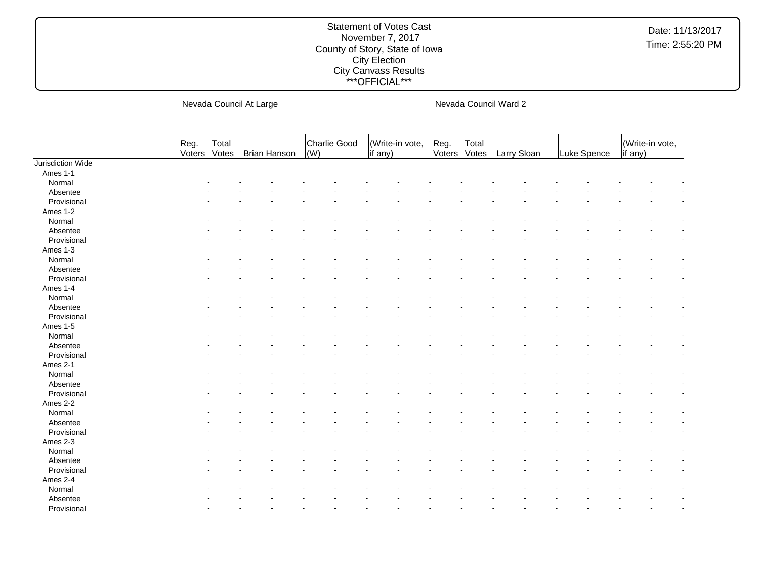|                   |                |                | Nevada Council At Large |             |              |                            |                |                | Nevada Council Ward 2 |             |                            |
|-------------------|----------------|----------------|-------------------------|-------------|--------------|----------------------------|----------------|----------------|-----------------------|-------------|----------------------------|
|                   |                |                |                         |             |              |                            |                |                |                       |             |                            |
|                   | Reg.<br>Voters | Total<br>Votes | Brian Hanson            | $\vert$ (W) | Charlie Good | (Write-in vote,<br>if any) | Reg.<br>Voters | Total<br>Votes | Larry Sloan           | Luke Spence | (Write-in vote,<br>if any) |
| Jurisdiction Wide |                |                |                         |             |              |                            |                |                |                       |             |                            |
| Ames 1-1          |                |                |                         |             |              |                            |                |                |                       |             |                            |
| Normal            |                |                |                         |             |              |                            |                |                |                       |             |                            |
| Absentee          |                |                |                         |             |              |                            |                |                |                       |             |                            |
| Provisional       |                |                |                         |             |              |                            |                |                |                       |             |                            |
| Ames 1-2          |                |                |                         |             |              |                            |                |                |                       |             |                            |
| Normal            |                |                |                         |             |              |                            |                |                |                       |             |                            |
| Absentee          |                |                |                         |             |              |                            |                |                |                       |             |                            |
| Provisional       |                |                |                         |             |              |                            |                |                |                       |             |                            |
| Ames 1-3          |                |                |                         |             |              |                            |                |                |                       |             |                            |
| Normal            |                |                |                         |             |              |                            |                |                |                       |             |                            |
| Absentee          |                |                |                         |             |              |                            |                |                |                       |             |                            |
| Provisional       |                |                |                         |             |              |                            |                |                |                       |             |                            |
| Ames 1-4          |                |                |                         |             |              |                            |                |                |                       |             |                            |
| Normal            |                |                |                         |             |              |                            |                |                |                       |             |                            |
| Absentee          |                |                |                         |             |              |                            |                |                |                       |             |                            |
| Provisional       |                |                |                         |             |              |                            |                |                |                       |             |                            |
| Ames 1-5          |                |                |                         |             |              |                            |                |                |                       |             |                            |
| Normal            |                |                |                         |             |              |                            |                |                |                       |             |                            |
| Absentee          |                |                |                         |             |              |                            |                |                |                       |             |                            |
| Provisional       |                |                |                         |             |              |                            |                |                |                       |             |                            |
| Ames 2-1          |                |                |                         |             |              |                            |                |                |                       |             |                            |
| Normal            |                |                |                         |             |              |                            |                |                |                       |             |                            |
| Absentee          |                |                |                         |             |              |                            |                |                |                       |             |                            |
| Provisional       |                |                |                         |             |              |                            |                |                |                       |             |                            |
| Ames 2-2          |                |                |                         |             |              |                            |                |                |                       |             |                            |
| Normal            |                |                |                         |             |              |                            |                |                |                       |             |                            |
| Absentee          |                |                |                         |             |              |                            |                |                |                       |             |                            |
| Provisional       |                |                |                         |             |              |                            |                |                |                       |             |                            |
| Ames 2-3          |                |                |                         |             |              |                            |                |                |                       |             |                            |
| Normal            |                |                |                         |             |              |                            |                |                |                       |             |                            |
| Absentee          |                |                |                         |             |              |                            |                |                |                       |             |                            |
| Provisional       |                |                |                         |             |              |                            |                |                |                       |             |                            |
| Ames 2-4          |                |                |                         |             |              |                            |                |                |                       |             |                            |
| Normal            |                |                |                         |             |              |                            |                |                |                       |             |                            |
| Absentee          |                |                |                         |             |              |                            |                |                |                       |             |                            |
|                   |                |                |                         |             |              |                            |                |                |                       |             |                            |
| Provisional       |                |                |                         |             |              |                            |                |                |                       |             |                            |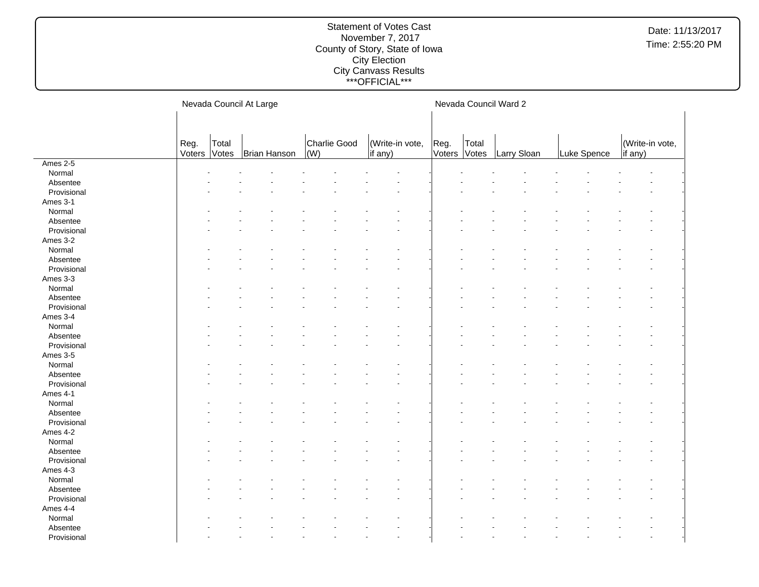|             |                |                | Nevada Council At Large |                     |                            |                |                | Nevada Council Ward 2 |             |                            |
|-------------|----------------|----------------|-------------------------|---------------------|----------------------------|----------------|----------------|-----------------------|-------------|----------------------------|
|             |                |                |                         |                     |                            |                |                |                       |             |                            |
|             |                |                |                         |                     |                            |                |                |                       |             |                            |
|             | Reg.<br>Voters | Total<br>Votes | Brian Hanson            | Charlie Good<br>(W) | (Write-in vote,<br>if any) | Reg.<br>Voters | Total<br>Votes | Larry Sloan           | Luke Spence | (Write-in vote,<br>if any) |
| Ames 2-5    |                |                |                         |                     |                            |                |                |                       |             |                            |
| Normal      |                |                |                         |                     |                            |                |                |                       |             |                            |
| Absentee    |                |                |                         |                     |                            |                |                |                       |             |                            |
| Provisional |                |                |                         |                     |                            |                |                |                       |             |                            |
| Ames 3-1    |                |                |                         |                     |                            |                |                |                       |             |                            |
| Normal      |                |                |                         |                     |                            |                |                |                       |             |                            |
| Absentee    |                |                |                         |                     |                            |                |                |                       |             |                            |
| Provisional |                |                |                         |                     |                            |                |                |                       |             |                            |
| Ames 3-2    |                |                |                         |                     |                            |                |                |                       |             |                            |
| Normal      |                |                |                         |                     |                            |                |                |                       |             |                            |
| Absentee    |                |                |                         |                     |                            |                |                |                       |             |                            |
| Provisional |                |                |                         |                     |                            |                |                |                       |             |                            |
| Ames 3-3    |                |                |                         |                     |                            |                |                |                       |             |                            |
| Normal      |                |                |                         |                     |                            |                |                |                       |             |                            |
| Absentee    |                |                |                         |                     |                            |                |                |                       |             |                            |
| Provisional |                |                |                         |                     |                            |                |                |                       |             |                            |
| Ames 3-4    |                |                |                         |                     |                            |                |                |                       |             |                            |
| Normal      |                |                |                         |                     |                            |                |                |                       |             |                            |
| Absentee    |                |                |                         |                     |                            |                |                |                       |             |                            |
| Provisional |                |                |                         |                     |                            |                |                |                       |             |                            |
| Ames 3-5    |                |                |                         |                     |                            |                |                |                       |             |                            |
| Normal      |                |                |                         |                     |                            |                |                |                       |             |                            |
| Absentee    |                |                |                         |                     |                            |                |                |                       |             |                            |
| Provisional |                |                |                         |                     |                            |                |                |                       |             |                            |
| Ames 4-1    |                |                |                         |                     |                            |                |                |                       |             |                            |
| Normal      |                |                |                         |                     |                            |                |                |                       |             |                            |
| Absentee    |                |                |                         |                     |                            |                |                |                       |             |                            |
| Provisional |                |                |                         |                     |                            |                |                |                       |             |                            |
| Ames 4-2    |                |                |                         |                     |                            |                |                |                       |             |                            |
| Normal      |                |                |                         |                     |                            |                |                |                       |             |                            |
| Absentee    |                |                |                         |                     |                            |                |                |                       |             |                            |
| Provisional |                |                |                         |                     |                            |                |                |                       |             |                            |
| Ames 4-3    |                |                |                         |                     |                            |                |                |                       |             |                            |
| Normal      |                |                |                         |                     |                            |                |                |                       |             |                            |
| Absentee    |                |                |                         |                     |                            |                |                |                       |             |                            |
| Provisional |                |                |                         |                     |                            |                |                |                       |             |                            |
| Ames 4-4    |                |                |                         |                     |                            |                |                |                       |             |                            |
| Normal      |                |                |                         |                     |                            |                |                |                       |             |                            |
| Absentee    |                |                |                         |                     |                            |                |                |                       |             |                            |
| Provisional |                |                |                         |                     |                            |                |                |                       |             |                            |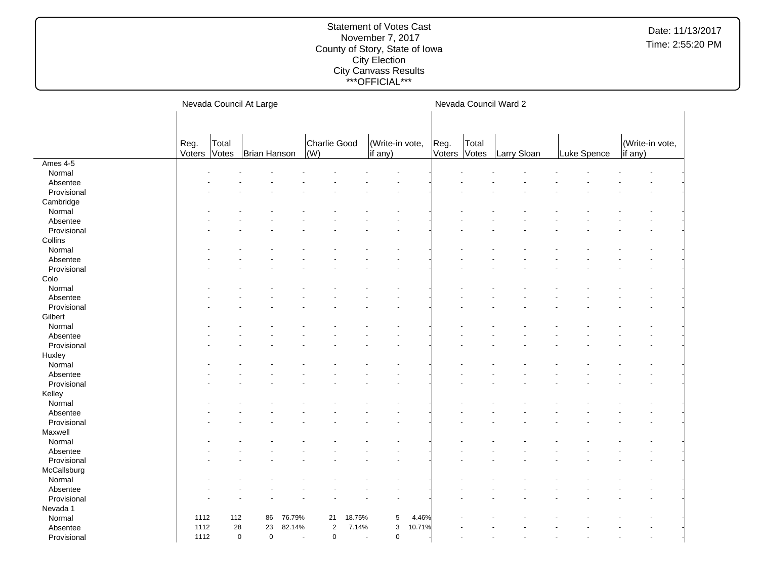|             |        |           | Nevada Council At Large |        |                                       |                |                 |        |        |       | Nevada Council Ward 2 |             |                 |  |
|-------------|--------|-----------|-------------------------|--------|---------------------------------------|----------------|-----------------|--------|--------|-------|-----------------------|-------------|-----------------|--|
|             |        |           |                         |        |                                       |                |                 |        |        |       |                       |             |                 |  |
|             |        |           |                         |        |                                       |                |                 |        |        |       |                       |             |                 |  |
|             | Reg.   | Total     |                         |        | Charlie Good                          |                | (Write-in vote, |        | Reg.   | Total |                       |             | (Write-in vote, |  |
|             | Voters | Votes     | Brian Hanson            |        | (W)                                   |                | if any)         |        | Voters | Votes | Larry Sloan           | Luke Spence | if any)         |  |
| Ames 4-5    |        |           |                         |        |                                       |                |                 |        |        |       |                       |             |                 |  |
| Normal      |        |           |                         |        |                                       |                |                 |        |        |       |                       |             |                 |  |
| Absentee    |        |           |                         |        |                                       |                |                 |        |        |       |                       |             |                 |  |
| Provisional |        |           |                         |        |                                       |                |                 |        |        |       |                       |             |                 |  |
| Cambridge   |        |           |                         |        |                                       |                |                 |        |        |       |                       |             |                 |  |
| Normal      |        |           |                         |        |                                       |                |                 |        |        |       |                       |             |                 |  |
| Absentee    |        |           |                         |        |                                       |                |                 |        |        |       |                       |             |                 |  |
| Provisional |        |           |                         |        |                                       |                |                 |        |        |       |                       |             |                 |  |
| Collins     |        |           |                         |        |                                       |                |                 |        |        |       |                       |             |                 |  |
| Normal      |        |           |                         |        |                                       |                |                 |        |        |       |                       |             |                 |  |
| Absentee    |        |           |                         |        |                                       |                |                 |        |        |       |                       |             |                 |  |
| Provisional |        |           |                         |        |                                       |                |                 |        |        |       |                       |             |                 |  |
| Colo        |        |           |                         |        |                                       |                |                 |        |        |       |                       |             |                 |  |
| Normal      |        |           |                         |        |                                       |                |                 |        |        |       |                       |             |                 |  |
| Absentee    |        |           |                         |        |                                       |                |                 |        |        |       |                       |             |                 |  |
| Provisional |        |           |                         |        |                                       |                |                 |        |        |       |                       |             |                 |  |
| Gilbert     |        |           |                         |        |                                       |                |                 |        |        |       |                       |             |                 |  |
| Normal      |        |           |                         |        |                                       |                |                 |        |        |       |                       |             |                 |  |
| Absentee    |        |           |                         |        |                                       |                |                 |        |        |       |                       |             |                 |  |
| Provisional |        |           |                         |        |                                       |                |                 |        |        |       |                       |             |                 |  |
| Huxley      |        |           |                         |        |                                       |                |                 |        |        |       |                       |             |                 |  |
| Normal      |        |           |                         |        |                                       |                |                 |        |        |       |                       |             |                 |  |
| Absentee    |        |           |                         |        |                                       |                |                 |        |        |       |                       |             |                 |  |
| Provisional |        |           |                         |        |                                       |                |                 |        |        |       |                       |             |                 |  |
| Kelley      |        |           |                         |        |                                       |                |                 |        |        |       |                       |             |                 |  |
| Normal      |        |           |                         |        |                                       |                |                 |        |        |       |                       |             |                 |  |
| Absentee    |        |           |                         |        |                                       |                |                 |        |        |       |                       |             |                 |  |
| Provisional |        |           |                         |        |                                       |                |                 |        |        |       |                       |             |                 |  |
| Maxwell     |        |           |                         |        |                                       |                |                 |        |        |       |                       |             |                 |  |
| Normal      |        |           |                         |        |                                       |                |                 |        |        |       |                       |             |                 |  |
| Absentee    |        |           |                         |        |                                       |                |                 |        |        |       |                       |             |                 |  |
| Provisional |        |           |                         |        |                                       |                |                 |        |        |       |                       |             |                 |  |
| McCallsburg |        |           |                         |        |                                       |                |                 |        |        |       |                       |             |                 |  |
| Normal      |        |           |                         |        |                                       |                |                 |        |        |       |                       |             |                 |  |
| Absentee    |        |           |                         |        |                                       |                |                 |        |        |       |                       |             |                 |  |
| Provisional |        |           |                         |        |                                       |                |                 |        |        |       |                       |             |                 |  |
| Nevada 1    |        |           |                         |        |                                       |                |                 |        |        |       |                       |             |                 |  |
| Normal      | 1112   | 112       | 86                      | 76.79% | 21                                    | 18.75%         | 5               | 4.46%  |        |       |                       |             |                 |  |
| Absentee    | 1112   | 28        | 23                      | 82.14% | $\overline{2}$                        | 7.14%          | 3               | 10.71% |        |       |                       |             |                 |  |
| Provisional | 1112   | $\pmb{0}$ | $\pmb{0}$               |        | $\pmb{0}$<br>$\overline{\phantom{a}}$ | $\blacksquare$ | $\pmb{0}$       |        |        |       |                       |             |                 |  |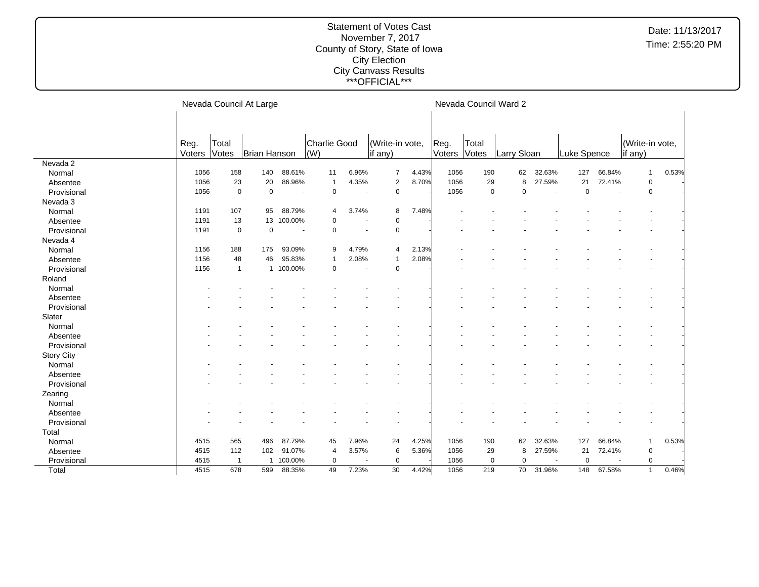|                   |                |                | Nevada Council At Large |            |                     |                          |                            |       |                | Nevada Council Ward 2 |             |        |             |                          |                            |       |
|-------------------|----------------|----------------|-------------------------|------------|---------------------|--------------------------|----------------------------|-------|----------------|-----------------------|-------------|--------|-------------|--------------------------|----------------------------|-------|
|                   | Reg.<br>Voters | Total<br>Votes | Brian Hanson            |            | Charlie Good<br>(W) |                          | (Write-in vote,<br>if any) |       | Reg.<br>Voters | Total<br>Votes        | Larry Sloan |        | Luke Spence |                          | (Write-in vote,<br>if any) |       |
| Nevada 2          |                |                |                         |            |                     |                          |                            |       |                |                       |             |        |             |                          |                            |       |
| Normal            | 1056           | 158            | 140                     | 88.61%     | 11                  | 6.96%                    | $\overline{7}$             | 4.43% | 1056           | 190                   | 62          | 32.63% | 127         | 66.84%                   | $\mathbf 1$                | 0.53% |
| Absentee          | 1056           | 23             | 20                      | 86.96%     | $\mathbf 1$         | 4.35%                    | $\overline{2}$             | 8.70% | 1056           | 29                    | 8           | 27.59% | 21          | 72.41%                   | $\mathbf 0$                |       |
| Provisional       | 1056           | $\mathbf 0$    | $\mathbf 0$             |            | $\mathbf 0$         | $\overline{\phantom{a}}$ | $\mathbf 0$                |       | 1056           | $\mathbf 0$           | $\Omega$    | $\sim$ | $\mathbf 0$ | $\overline{\phantom{a}}$ | $\mathsf 0$                |       |
| Nevada 3          |                |                |                         |            |                     |                          |                            |       |                |                       |             |        |             |                          |                            |       |
| Normal            | 1191           | 107            | 95                      | 88.79%     | $\overline{4}$      | 3.74%                    | 8                          | 7.48% |                |                       |             |        |             |                          |                            |       |
| Absentee          | 1191           | 13             |                         | 13 100.00% | 0                   |                          | 0                          |       |                |                       |             |        |             |                          |                            |       |
| Provisional       | 1191           | $\mathbf 0$    | $\mathbf 0$             |            | $\mathbf 0$         |                          | 0                          |       |                |                       |             |        |             |                          |                            |       |
| Nevada 4          |                |                |                         |            |                     |                          |                            |       |                |                       |             |        |             |                          |                            |       |
| Normal            | 1156           | 188            | 175                     | 93.09%     | 9                   | 4.79%                    | $\overline{4}$             | 2.13% |                |                       |             |        |             |                          |                            |       |
| Absentee          | 1156           | 48             | 46                      | 95.83%     | $\mathbf 1$         | 2.08%                    | $\mathbf{1}$               | 2.08% |                |                       |             |        |             |                          |                            |       |
| Provisional       | 1156           | $\mathbf{1}$   |                         | 1 100.00%  | $\mathbf 0$         | $\overline{\phantom{a}}$ | $\mathbf 0$                |       |                |                       |             |        |             |                          |                            |       |
| Roland            |                |                |                         |            |                     |                          |                            |       |                |                       |             |        |             |                          |                            |       |
| Normal            |                |                |                         |            |                     |                          |                            |       |                |                       |             |        |             |                          |                            |       |
| Absentee          |                |                |                         |            |                     |                          |                            |       |                |                       |             |        |             |                          |                            |       |
| Provisional       |                |                |                         |            |                     |                          |                            |       |                |                       |             |        |             |                          |                            |       |
| Slater            |                |                |                         |            |                     |                          |                            |       |                |                       |             |        |             |                          |                            |       |
| Normal            |                |                |                         |            |                     |                          |                            |       |                |                       |             |        |             |                          |                            |       |
| Absentee          |                |                |                         |            |                     |                          |                            |       |                |                       |             |        |             |                          |                            |       |
| Provisional       |                |                |                         |            |                     |                          |                            |       |                |                       |             |        |             |                          |                            |       |
| <b>Story City</b> |                |                |                         |            |                     |                          |                            |       |                |                       |             |        |             |                          |                            |       |
| Normal            |                |                |                         |            |                     |                          |                            |       |                |                       |             |        |             |                          |                            |       |
| Absentee          |                |                |                         |            |                     |                          |                            |       |                |                       |             |        |             |                          |                            |       |
| Provisional       |                |                |                         |            |                     |                          |                            |       |                |                       |             |        |             |                          |                            |       |
| Zearing           |                |                |                         |            |                     |                          |                            |       |                |                       |             |        |             |                          |                            |       |
| Normal            |                |                |                         |            |                     |                          |                            |       |                |                       |             |        |             |                          |                            |       |
| Absentee          |                |                |                         |            |                     |                          |                            |       |                |                       |             |        |             |                          |                            |       |
|                   |                |                |                         |            |                     |                          |                            |       |                |                       |             |        |             |                          |                            |       |
| Provisional       |                |                |                         |            |                     |                          |                            |       |                |                       |             |        |             |                          |                            |       |
| Total             | 4515           | 565            | 496                     | 87.79%     |                     |                          | 24                         |       | 1056           | 190                   | 62          | 32.63% | 127         | 66.84%                   |                            |       |
| Normal            | 4515           | 112            |                         |            | 45                  | 7.96%                    |                            | 4.25% |                |                       |             |        | 21          |                          | 1                          | 0.53% |
| Absentee          |                |                | 102                     | 91.07%     | 4                   | 3.57%                    | 6                          | 5.36% | 1056           | 29                    | 8           | 27.59% |             | 72.41%                   | $\mathbf 0$                |       |
| Provisional       | 4515           | $\mathbf{1}$   |                         | 1 100.00%  | $\mathbf 0$         |                          | $\mathbf 0$                |       | 1056           | $\mathbf 0$           | $\mathbf 0$ |        | $\mathbf 0$ |                          | $\mathbf 0$                |       |
| Total             | 4515           | 678            | 599                     | 88.35%     | 49                  | 7.23%                    | 30                         | 4.42% | 1056           | 219                   | 70          | 31.96% | 148         | 67.58%                   | $\mathbf{1}$               | 0.46% |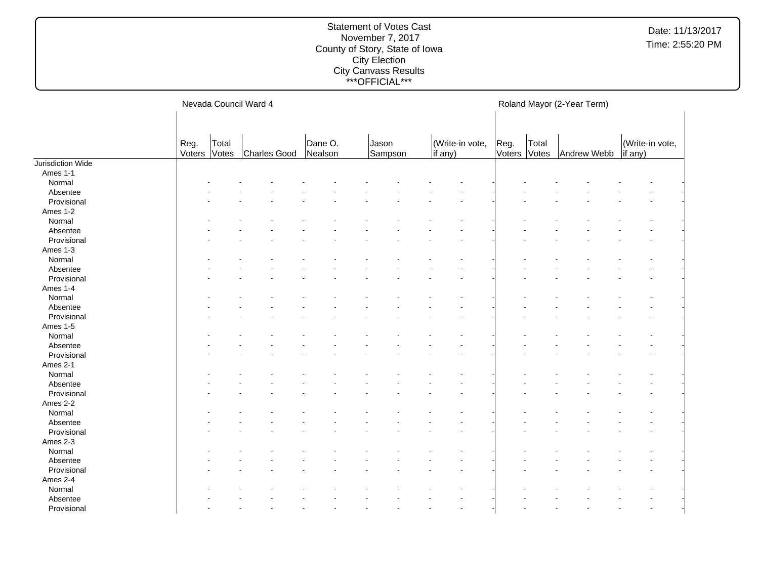#### Statement of Votes Cast November 7, 2017 County of Story, State of Iowa City Election City Canvass Results \*\*\*OFFICIAL\*\*\*

Nevada Council Ward 4 Reg. Voters Total Votes Charles Good Dane O. Nealson Jason Sampson (Write-in vote, if any) Roland Mayor (2-Year Term) Reg. Voters Votes Total Andrew Webb (Write-in vote, if any) Jurisdiction Wide Ames 1-1 Normal and the set of the set of the set of the set of the set of the set of the set of the set of the set of the set of the set of the set of the set of the set of the set of the set of the set of the set of the set of t Absentee and the set of the set of the set of the set of the set of the set of the set of the set of the set of the set of the set of the set of the set of the set of the set of the set of the set of the set of the set of  $\textsf{Provisional}$  . The set of the set of the set of the set of the set of the set of the set of the set of the set of the set of the set of the set of the set of the set of the set of the set of the set of the set of the set of Ames 1-2 Normal and the set of the set of the set of the set of the set of the set of the set of the set of the set of the set of the set of the set of the set of the set of the set of the set of the set of the set of the set of t Absentee and the set of the set of the set of the set of the set of the set of the set of the set of the set of the set of the set of the set of the set of the set of the set of the set of the set of the set of the set of  $\textsf{Provisional}$  . The set of the set of the set of the set of the set of the set of the set of the set of the set of the set of the set of the set of the set of the set of the set of the set of the set of the set of the set of Ames 1-3 Normal and the set of the set of the set of the set of the set of the set of the set of the set of the set of the set of the set of the set of the set of the set of the set of the set of the set of the set of the set of t Absentee and the set of the set of the set of the set of the set of the set of the set of the set of the set of the set of the set of the set of the set of the set of the set of the set of the set of the set of the set of  $\textsf{Provisional}$  . The set of the set of the set of the set of the set of the set of the set of the set of the set of the set of the set of the set of the set of the set of the set of the set of the set of the set of the set of Ames 1-4 Normal and the set of the set of the set of the set of the set of the set of the set of the set of the set of the set of the set of the set of the set of the set of the set of the set of the set of the set of the set of t Absentee and the set of the set of the set of the set of the set of the set of the set of the set of the set of the set of the set of the set of the set of the set of the set of the set of the set of the set of the set of  $\textsf{Provisional}$  . The set of the set of the set of the set of the set of the set of the set of the set of the set of the set of the set of the set of the set of the set of the set of the set of the set of the set of the set of Ames 1-5 Normal and the set of the set of the set of the set of the set of the set of the set of the set of the set of the set of the set of the set of the set of the set of the set of the set of the set of the set of the set of t Absentee and the set of the set of the set of the set of the set of the set of the set of the set of the set of the set of the set of the set of the set of the set of the set of the set of the set of the set of the set of  $\textsf{Provisional}$  . The set of the set of the set of the set of the set of the set of the set of the set of the set of the set of the set of the set of the set of the set of the set of the set of the set of the set of the set of Ames 2-1 Normal and the set of the set of the set of the set of the set of the set of the set of the set of the set of the set of the set of the set of the set of the set of the set of the set of the set of the set of the set of t Absentee and the set of the set of the set of the set of the set of the set of the set of the set of the set of the set of the set of the set of the set of the set of the set of the set of the set of the set of the set of  $\textsf{Provisional}$  . The set of the set of the set of the set of the set of the set of the set of the set of the set of the set of the set of the set of the set of the set of the set of the set of the set of the set of the set of Ames 2-2 Normal and the set of the set of the set of the set of the set of the set of the set of the set of the set of the set of the set of the set of the set of the set of the set of the set of the set of the set of the set of t Absentee and the set of the set of the set of the set of the set of the set of the set of the set of the set of the set of the set of the set of the set of the set of the set of the set of the set of the set of the set of  $\textsf{Provisional}$  . The set of the set of the set of the set of the set of the set of the set of the set of the set of the set of the set of the set of the set of the set of the set of the set of the set of the set of the set of Ames 2-3 Normal and the set of the set of the set of the set of the set of the set of the set of the set of the set of the set of the set of the set of the set of the set of the set of the set of the set of the set of the set of t Absentee and the set of the set of the set of the set of the set of the set of the set of the set of the set of the set of the set of the set of the set of the set of the set of the set of the set of the set of the set of  $\textsf{Provisional}$  . The set of the set of the set of the set of the set of the set of the set of the set of the set of the set of the set of the set of the set of the set of the set of the set of the set of the set of the set of Ames 2-4 Normal - - - - - - - - - - - - - - - - Absentee and the set of the set of the set of the set of the set of the set of the set of the set of the set of the set of the set of the set of the set of the set of the set of the set of the set of the set of the set of  $\textsf{Provisional}$  . The set of the set of the set of the set of the set of the set of the set of the set of the set of the set of the set of the set of the set of the set of the set of the set of the set of the set of the set of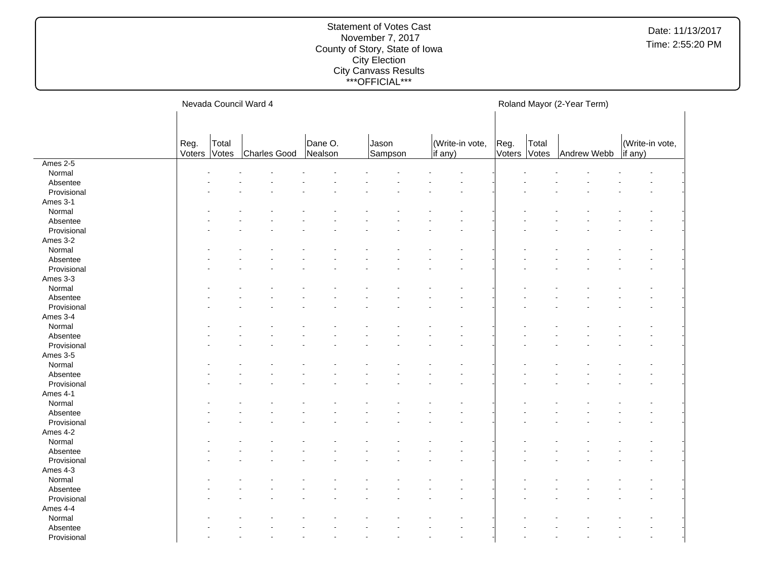#### Statement of Votes Cast November 7, 2017 County of Story, State of Iowa City Election City Canvass Results \*\*\*OFFICIAL\*\*\*

Nevada Council Ward 4 Reg. Voters Total Votes Charles Good Dane O. Nealson Jason Sampson (Write-in vote, if any) Roland Mayor (2-Year Term) Reg. Voters Votes Total Andrew Webb (Write-in vote, if any) Ames 2-5 Normal and the set of the set of the set of the set of the set of the set of the set of the set of the set of the set of the set of the set of the set of the set of the set of the set of the set of the set of the set of t Absentee and the set of the set of the set of the set of the set of the set of the set of the set of the set of the set of the set of the set of the set of the set of the set of the set of the set of the set of the set of  $\textsf{Provisional}$  . The set of the set of the set of the set of the set of the set of the set of the set of the set of the set of the set of the set of the set of the set of the set of the set of the set of the set of the set of Ames 3-1 Normal and the set of the set of the set of the set of the set of the set of the set of the set of the set of the set of the set of the set of the set of the set of the set of the set of the set of the set of the set of t Absentee and the set of the set of the set of the set of the set of the set of the set of the set of the set of the set of the set of the set of the set of the set of the set of the set of the set of the set of the set of  $\textsf{Provisional}$  . The set of the set of the set of the set of the set of the set of the set of the set of the set of the set of the set of the set of the set of the set of the set of the set of the set of the set of the set of Ames 3-2 Normal and the set of the set of the set of the set of the set of the set of the set of the set of the set of the set of the set of the set of the set of the set of the set of the set of the set of the set of the set of t Absentee and the set of the set of the set of the set of the set of the set of the set of the set of the set of the set of the set of the set of the set of the set of the set of the set of the set of the set of the set of  $\textsf{Provisional}$  . The set of the set of the set of the set of the set of the set of the set of the set of the set of the set of the set of the set of the set of the set of the set of the set of the set of the set of the set of Ames 3-3 Normal and the set of the set of the set of the set of the set of the set of the set of the set of the set of the set of the set of the set of the set of the set of the set of the set of the set of the set of the set of t Absentee and the set of the set of the set of the set of the set of the set of the set of the set of the set of the set of the set of the set of the set of the set of the set of the set of the set of the set of the set of  $\textsf{Provisional}$  . The set of the set of the set of the set of the set of the set of the set of the set of the set of the set of the set of the set of the set of the set of the set of the set of the set of the set of the set of Ames 3-4 Normal and the set of the set of the set of the set of the set of the set of the set of the set of the set of the set of the set of the set of the set of the set of the set of the set of the set of the set of the set of t Absentee and the set of the set of the set of the set of the set of the set of the set of the set of the set of the set of the set of the set of the set of the set of the set of the set of the set of the set of the set of  $\textsf{Provisional}$  . The set of the set of the set of the set of the set of the set of the set of the set of the set of the set of the set of the set of the set of the set of the set of the set of the set of the set of the set of Ames 3-5 Normal and the set of the set of the set of the set of the set of the set of the set of the set of the set of the set of the set of the set of the set of the set of the set of the set of the set of the set of the set of t Absentee and the set of the set of the set of the set of the set of the set of the set of the set of the set of the set of the set of the set of the set of the set of the set of the set of the set of the set of the set of  $\textsf{Provisional}$  . The set of the set of the set of the set of the set of the set of the set of the set of the set of the set of the set of the set of the set of the set of the set of the set of the set of the set of the set of Ames 4-1 Normal and the set of the set of the set of the set of the set of the set of the set of the set of the set of the set of the set of the set of the set of the set of the set of the set of the set of the set of the set of t Absentee and the set of the set of the set of the set of the set of the set of the set of the set of the set of the set of the set of the set of the set of the set of the set of the set of the set of the set of the set of  $\textsf{Provisional}$  . The set of the set of the set of the set of the set of the set of the set of the set of the set of the set of the set of the set of the set of the set of the set of the set of the set of the set of the set of Ames 4-2 Normal and the set of the set of the set of the set of the set of the set of the set of the set of the set of the set of the set of the set of the set of the set of the set of the set of the set of the set of the set of t Absentee and the set of the set of the set of the set of the set of the set of the set of the set of the set of the set of the set of the set of the set of the set of the set of the set of the set of the set of the set of  $\textsf{Provisional}$  . The set of the set of the set of the set of the set of the set of the set of the set of the set of the set of the set of the set of the set of the set of the set of the set of the set of the set of the set of Ames 4-3 Normal and the set of the set of the set of the set of the set of the set of the set of the set of the set of the set of the set of the set of the set of the set of the set of the set of the set of the set of the set of t Absentee and the set of the set of the set of the set of the set of the set of the set of the set of the set of the set of the set of the set of the set of the set of the set of the set of the set of the set of the set of  $\textsf{Provisional}$  . The set of the set of the set of the set of the set of the set of the set of the set of the set of the set of the set of the set of the set of the set of the set of the set of the set of the set of the set of Ames 4-4 Normal - - - - - - - - - - - - - - - - Absentee and the set of the set of the set of the set of the set of the set of the set of the set of the set of the set of the set of the set of the set of the set of the set of the set of the set of the set of the set of  $\textsf{Provisional}$  . The set of the set of the set of the set of the set of the set of the set of the set of the set of the set of the set of the set of the set of the set of the set of the set of the set of the set of the set of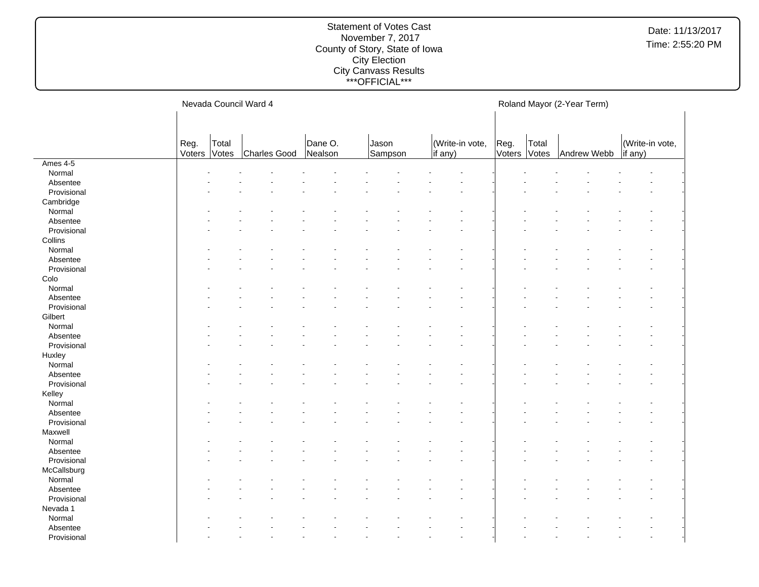#### Statement of Votes Cast November 7, 2017 County of Story, State of Iowa City Election City Canvass Results \*\*\*OFFICIAL\*\*\*

Nevada Council Ward 4 Reg. Voters Total Votes Charles Good Dane O. Nealson Jason Sampson (Write-in vote, if any) Roland Mayor (2-Year Term) Reg. Voters Votes Total Andrew Webb (Write-in vote, if any) Ames 4-5 Normal and the set of the set of the set of the set of the set of the set of the set of the set of the set of the set of the set of the set of the set of the set of the set of the set of the set of the set of the set of t Absentee and the set of the set of the set of the set of the set of the set of the set of the set of the set of the set of the set of the set of the set of the set of the set of the set of the set of the set of the set of  $\textsf{Provisional}$  . The set of the set of the set of the set of the set of the set of the set of the set of the set of the set of the set of the set of the set of the set of the set of the set of the set of the set of the set of Cambridge Normal and the set of the set of the set of the set of the set of the set of the set of the set of the set of the set of the set of the set of the set of the set of the set of the set of the set of the set of the set of t Absentee and the set of the set of the set of the set of the set of the set of the set of the set of the set of the set of the set of the set of the set of the set of the set of the set of the set of the set of the set of  $\textsf{Provisional}$  . The set of the set of the set of the set of the set of the set of the set of the set of the set of the set of the set of the set of the set of the set of the set of the set of the set of the set of the set of **Collins** Normal and the set of the set of the set of the set of the set of the set of the set of the set of the set of the set of the set of the set of the set of the set of the set of the set of the set of the set of the set of t Absentee and the set of the set of the set of the set of the set of the set of the set of the set of the set of the set of the set of the set of the set of the set of the set of the set of the set of the set of the set of  $\textsf{Provisional}$  . The set of the set of the set of the set of the set of the set of the set of the set of the set of the set of the set of the set of the set of the set of the set of the set of the set of the set of the set of Colo Normal and the set of the set of the set of the set of the set of the set of the set of the set of the set of the set of the set of the set of the set of the set of the set of the set of the set of the set of the set of t Absentee and the set of the set of the set of the set of the set of the set of the set of the set of the set of the set of the set of the set of the set of the set of the set of the set of the set of the set of the set of  $\textsf{Provisional}$  . The set of the set of the set of the set of the set of the set of the set of the set of the set of the set of the set of the set of the set of the set of the set of the set of the set of the set of the set of **Gilbert** Normal and the set of the set of the set of the set of the set of the set of the set of the set of the set of the set of the set of the set of the set of the set of the set of the set of the set of the set of the set of t Absentee and the set of the set of the set of the set of the set of the set of the set of the set of the set of the set of the set of the set of the set of the set of the set of the set of the set of the set of the set of  $\textsf{Provisional}$  . The set of the set of the set of the set of the set of the set of the set of the set of the set of the set of the set of the set of the set of the set of the set of the set of the set of the set of the set of Huxley Normal and the set of the set of the set of the set of the set of the set of the set of the set of the set of the set of the set of the set of the set of the set of the set of the set of the set of the set of the set of t Absentee and the set of the set of the set of the set of the set of the set of the set of the set of the set of the set of the set of the set of the set of the set of the set of the set of the set of the set of the set of  $\textsf{Provisional}$  . The set of the set of the set of the set of the set of the set of the set of the set of the set of the set of the set of the set of the set of the set of the set of the set of the set of the set of the set of Kelley Normal and the set of the set of the set of the set of the set of the set of the set of the set of the set of the set of the set of the set of the set of the set of the set of the set of the set of the set of the set of t Absentee and the set of the set of the set of the set of the set of the set of the set of the set of the set of the set of the set of the set of the set of the set of the set of the set of the set of the set of the set of  $\textsf{Provisional}$  . The set of the set of the set of the set of the set of the set of the set of the set of the set of the set of the set of the set of the set of the set of the set of the set of the set of the set of the set of Maxwell Normal and the set of the set of the set of the set of the set of the set of the set of the set of the set of the set of the set of the set of the set of the set of the set of the set of the set of the set of the set of t Absentee and the set of the set of the set of the set of the set of the set of the set of the set of the set of the set of the set of the set of the set of the set of the set of the set of the set of the set of the set of  $\textsf{Provisional}$  . The set of the set of the set of the set of the set of the set of the set of the set of the set of the set of the set of the set of the set of the set of the set of the set of the set of the set of the set of **McCallsburg** Normal and the set of the set of the set of the set of the set of the set of the set of the set of the set of the set of the set of the set of the set of the set of the set of the set of the set of the set of the set of t Absentee and the set of the set of the set of the set of the set of the set of the set of the set of the set of the set of the set of the set of the set of the set of the set of the set of the set of the set of the set of  $\textsf{Provisional}$  . The set of the set of the set of the set of the set of the set of the set of the set of the set of the set of the set of the set of the set of the set of the set of the set of the set of the set of the set of Nevada 1 Normal - - - - - - - - - - - - - - - - Absentee and the set of the set of the set of the set of the set of the set of the set of the set of the set of the set of the set of the set of the set of the set of the set of the set of the set of the set of the set of

 $\textsf{Provisional}$  . The set of the set of the set of the set of the set of the set of the set of the set of the set of the set of the set of the set of the set of the set of the set of the set of the set of the set of the set of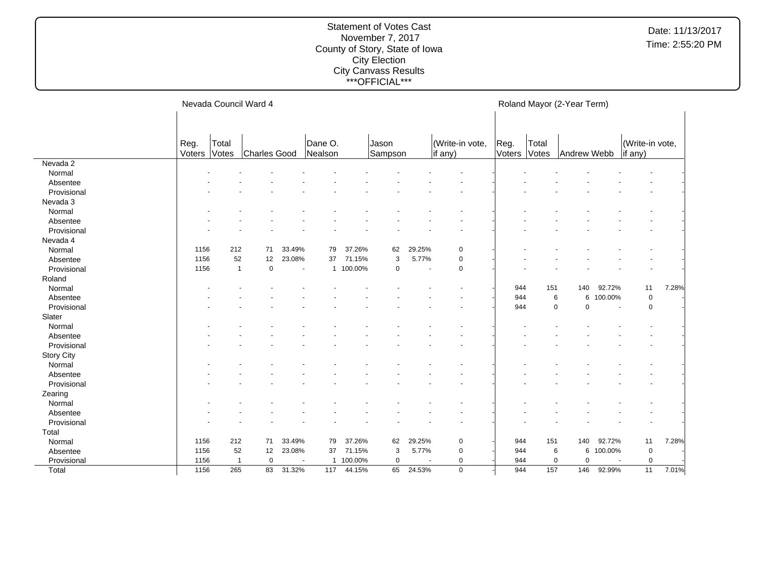#### Statement of Votes Cast November 7, 2017 County of Story, State of Iowa City Election City Canvass Results \*\*\*OFFICIAL\*\*\*

Nevada 2

Nevada 3

Nevada 4

Total

Nevada Council Ward 4 Reg. Voters Total Votes Charles Good Dane O. Nealson Jason Sampson (Write-in vote, if any) Roland Mayor (2-Year Term) Reg. Voters | Votes | Andrew Webb Total (Write-in vote, if any) Normal and the set of the set of the set of the set of the set of the set of the set of the set of the set of the set of the set of the set of the set of the set of the set of the set of the set of the set of the set of t Absentee and the set of the set of the set of the set of the set of the set of the set of the set of the set of the set of the set of the set of the set of the set of the set of the set of the set of the set of the set of  $\textsf{Provisional}$  . The set of the set of the set of the set of the set of the set of the set of the set of the set of the set of the set of the set of the set of the set of the set of the set of the set of the set of the set of Normal and the set of the set of the set of the set of the set of the set of the set of the set of the set of the set of the set of the set of the set of the set of the set of the set of the set of the set of the set of t Absentee and the set of the set of the set of the set of the set of the set of the set of the set of the set of the set of the set of the set of the set of the set of the set of the set of the set of the set of the set of  $\textsf{Provisional}$  . The set of the set of the set of the set of the set of the set of the set of the set of the set of the set of the set of the set of the set of the set of the set of the set of the set of the set of the set of Normal 1156 212 71 33.49% 79 37.26% 62 29.25% 0 - - - - - - - - - - - - - - - - -Absentee 1156 52 12 23.08% 37 71.15% 3 5.77% 0 - - - - - - - - - - - - - - - - - Provisional 1156 1 0 - 1 100.00% 0 - 0 - - - - - - - Normal - - - - - - - - - - 944 151 140 92.72% 11 7.28% Absentee 200000% (and the set of the set of the set of the set of the set of the set of the set of the set of t Provisional - - - - - - - - - - 944 0 0 - 0 - Normal and the set of the set of the set of the set of the set of the set of the set of the set of the set of the set of the set of the set of the set of the set of the set of the set of the set of the set of the set of t Absentee and the set of the set of the set of the set of the set of the set of the set of the set of the set of the set of the set of the set of the set of the set of the set of the set of the set of the set of the set of  $\textsf{Provisional}$  . The set of the set of the set of the set of the set of the set of the set of the set of the set of the set of the set of the set of the set of the set of the set of the set of the set of the set of the set of Normal and the set of the set of the set of the set of the set of the set of the set of the set of the set of the set of the set of the set of the set of the set of the set of the set of the set of the set of the set of t Absentee and the set of the set of the set of the set of the set of the set of the set of the set of the set of the set of the set of the set of the set of the set of the set of the set of the set of the set of the set of  $\textsf{Provisional}$  . The set of the set of the set of the set of the set of the set of the set of the set of the set of the set of the set of the set of the set of the set of the set of the set of the set of the set of the set of Normal and the set of the set of the set of the set of the set of the set of the set of the set of the set of the set of the set of the set of the set of the set of the set of the set of the set of the set of the set of t

 Provisional 1156 1 0 - 1 100.00% 0 - 0 - 944 0 0 - 0 - Total 1156 265 83 31.32% 117 44.15% 65 24.53% 0 - 944 157 146 92.99% 11 7.01%

| Absentee          |      |              |    |                          |    |         |    |        |             |     |     |     |                          |             |       |  |
|-------------------|------|--------------|----|--------------------------|----|---------|----|--------|-------------|-----|-----|-----|--------------------------|-------------|-------|--|
| Provisional       |      |              |    |                          |    |         |    |        |             |     |     |     |                          |             |       |  |
| Nevada 4          |      |              |    |                          |    |         |    |        |             |     |     |     |                          |             |       |  |
| Normal            | 1156 | 212          | 71 | 33.49%                   | 79 | 37.26%  | 62 | 29.25% | $\mathbf 0$ |     |     |     |                          |             |       |  |
| Absentee          | 1156 | 52           | 12 | 23.08%                   | 37 | 71.15%  | 3  | 5.77%  | 0           |     |     |     |                          |             |       |  |
| Provisional       | 1156 | $\mathbf{1}$ | 0  | $\overline{\phantom{a}}$ | -1 | 100.00% | 0  |        | $\mathbf 0$ |     |     |     |                          |             |       |  |
| Roland            |      |              |    |                          |    |         |    |        |             |     |     |     |                          |             |       |  |
| Normal            |      |              |    |                          |    |         |    |        |             | 944 | 151 | 140 | 92.72%                   | 11          | 7.28% |  |
| Absentee          |      |              |    |                          |    |         |    |        |             | 944 | 6   |     | 6 100.00%                | 0           |       |  |
| Provisional       |      |              |    |                          |    |         |    |        |             | 944 | 0   | 0   | $\overline{\phantom{a}}$ | 0           |       |  |
| Slater            |      |              |    |                          |    |         |    |        |             |     |     |     |                          |             |       |  |
| Normal            |      |              |    |                          |    |         |    |        |             |     |     |     |                          |             |       |  |
| Absentee          |      |              |    |                          |    |         |    |        |             |     |     |     |                          |             |       |  |
| Provisional       |      |              |    |                          |    |         |    |        |             |     |     |     |                          |             |       |  |
| <b>Story City</b> |      |              |    |                          |    |         |    |        |             |     |     |     |                          |             |       |  |
| Normal            |      |              |    |                          |    |         |    |        |             |     |     |     |                          |             |       |  |
| Absentee          |      |              |    |                          |    |         |    |        |             |     |     |     |                          |             |       |  |
| Provisional       |      |              |    |                          |    |         |    |        |             |     |     |     |                          |             |       |  |
| Zearing           |      |              |    |                          |    |         |    |        |             |     |     |     |                          |             |       |  |
| Normal            |      |              |    |                          |    |         |    |        |             |     |     |     |                          |             |       |  |
| Absentee          |      |              |    |                          |    |         |    |        |             |     |     |     |                          |             |       |  |
| Provisional       |      |              |    |                          |    |         |    |        |             |     |     |     |                          |             |       |  |
| Total             |      |              |    |                          |    |         |    |        |             |     |     |     |                          |             |       |  |
| Normal            | 1156 | 212          | 71 | 33.49%                   | 79 | 37.26%  | 62 | 29.25% | $\mathbf 0$ | 944 | 151 | 140 | 92.72%                   | 11          | 7.28% |  |
| Absentee          | 1156 | 52           | 12 | 23.08%                   | 37 | 71.15%  | 3  | 5.77%  | $\mathbf 0$ | 944 | 6   |     | 6 100.00%                | $\mathbf 0$ |       |  |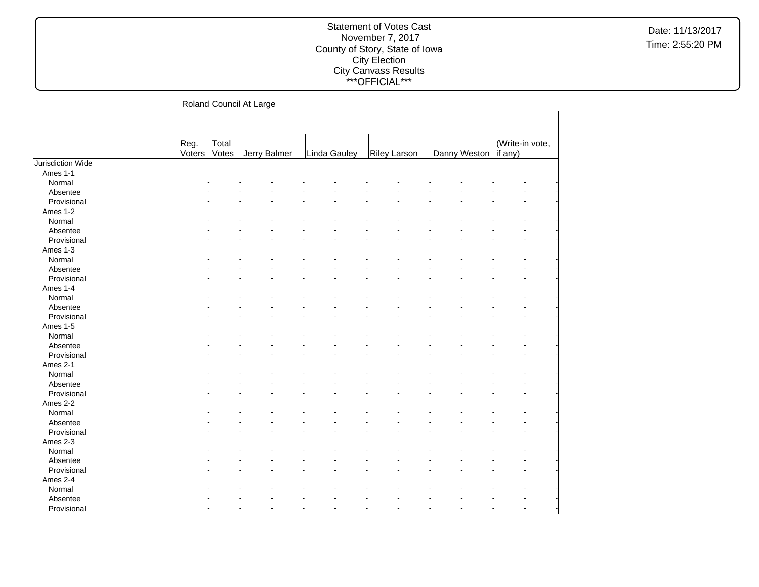## Statement of Votes Cast November 7, 2017 County of Story, State of Iowa City Election City Canvass Results \*\*\*OFFICIAL\*\*\*

Roland Council At Large

|                   |              |       | ັ            |              |                     |              |                 |
|-------------------|--------------|-------|--------------|--------------|---------------------|--------------|-----------------|
|                   |              |       |              |              |                     |              |                 |
|                   |              |       |              |              |                     |              |                 |
|                   | Reg.         | Total |              |              |                     |              | (Write-in vote, |
|                   | Voters Votes |       | Jerry Balmer | Linda Gauley | <b>Riley Larson</b> | Danny Weston | if any)         |
| Jurisdiction Wide |              |       |              |              |                     |              |                 |
| Ames 1-1          |              |       |              |              |                     |              |                 |
| Normal            |              |       |              |              |                     |              |                 |
| Absentee          |              |       |              |              |                     |              |                 |
| Provisional       |              |       |              |              |                     |              |                 |
| Ames 1-2          |              |       |              |              |                     |              |                 |
| Normal            |              |       |              |              |                     |              |                 |
| Absentee          |              |       |              |              |                     |              |                 |
| Provisional       |              |       |              |              |                     |              |                 |
| Ames 1-3          |              |       |              |              |                     |              |                 |
| Normal            |              |       |              |              |                     |              |                 |
| Absentee          |              |       |              |              |                     |              |                 |
| Provisional       |              |       |              |              |                     |              |                 |
| Ames 1-4          |              |       |              |              |                     |              |                 |
| Normal            |              |       |              |              |                     |              |                 |
| Absentee          |              |       |              |              |                     |              |                 |
| Provisional       |              |       |              |              |                     |              |                 |
| Ames 1-5          |              |       |              |              |                     |              |                 |
| Normal            |              |       |              |              |                     |              |                 |
| Absentee          |              |       |              |              |                     |              |                 |
| Provisional       |              |       |              |              |                     |              |                 |
| Ames 2-1          |              |       |              |              |                     |              |                 |
| Normal            |              |       |              |              |                     |              |                 |
| Absentee          |              |       |              |              |                     |              |                 |
| Provisional       |              |       |              |              |                     |              |                 |
| Ames 2-2          |              |       |              |              |                     |              |                 |
| Normal            |              |       |              |              |                     |              |                 |
| Absentee          |              |       |              |              |                     |              |                 |
| Provisional       |              |       |              |              |                     |              |                 |
| Ames 2-3          |              |       |              |              |                     |              |                 |
| Normal            |              |       |              |              |                     |              |                 |
| Absentee          |              |       |              |              |                     |              |                 |
| Provisional       |              |       |              |              |                     |              |                 |
| Ames 2-4          |              |       |              |              |                     |              |                 |
| Normal            |              |       |              |              |                     |              |                 |
| Absentee          |              |       |              |              |                     |              |                 |
| Provisional       |              |       |              |              |                     |              |                 |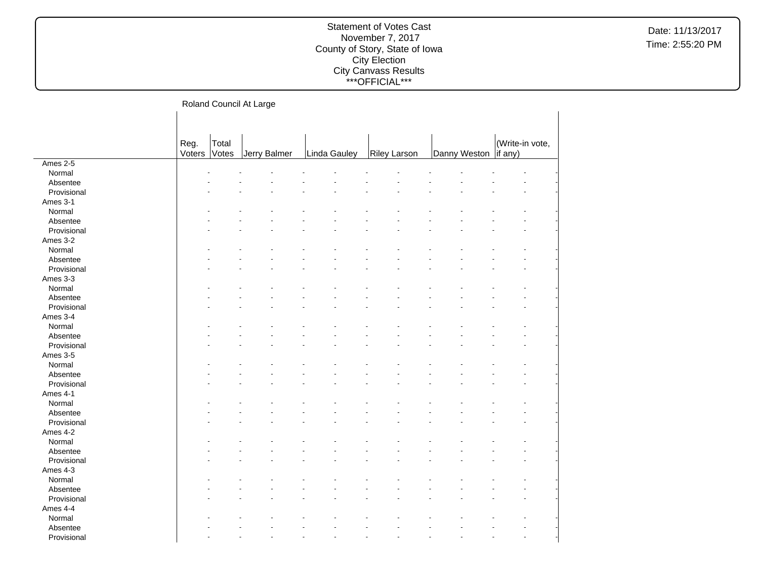## Statement of Votes Cast November 7, 2017 County of Story, State of Iowa City Election City Canvass Results \*\*\*OFFICIAL\*\*\*

#### Roland Council At Large  $\mathbf{L}$

|             |        |       | ັ            |              |                     |  |                        |                 |  |
|-------------|--------|-------|--------------|--------------|---------------------|--|------------------------|-----------------|--|
|             |        |       |              |              |                     |  |                        |                 |  |
|             |        |       |              |              |                     |  |                        |                 |  |
|             | Reg.   | Total |              |              |                     |  |                        | (Write-in vote, |  |
|             | Voters | Votes | Jerry Balmer | Linda Gauley | <b>Riley Larson</b> |  | Danny Weston   if any) |                 |  |
| Ames 2-5    |        |       |              |              |                     |  |                        |                 |  |
| Normal      |        |       |              |              |                     |  |                        |                 |  |
| Absentee    |        |       |              |              |                     |  |                        |                 |  |
| Provisional |        |       |              |              |                     |  |                        |                 |  |
| Ames 3-1    |        |       |              |              |                     |  |                        |                 |  |
| Normal      |        |       |              |              |                     |  |                        |                 |  |
| Absentee    |        |       |              |              |                     |  |                        |                 |  |
| Provisional |        |       |              |              |                     |  |                        |                 |  |
| Ames 3-2    |        |       |              |              |                     |  |                        |                 |  |
| Normal      |        |       |              |              |                     |  |                        |                 |  |
| Absentee    |        |       |              |              |                     |  |                        |                 |  |
| Provisional |        |       |              |              |                     |  |                        |                 |  |
| Ames 3-3    |        |       |              |              |                     |  |                        |                 |  |
| Normal      |        |       |              |              |                     |  |                        |                 |  |
| Absentee    |        |       |              |              |                     |  |                        |                 |  |
| Provisional |        |       |              |              |                     |  |                        |                 |  |
| Ames 3-4    |        |       |              |              |                     |  |                        |                 |  |
| Normal      |        |       |              |              |                     |  |                        |                 |  |
| Absentee    |        |       |              |              |                     |  |                        |                 |  |
| Provisional |        |       |              |              |                     |  |                        |                 |  |
| Ames 3-5    |        |       |              |              |                     |  |                        |                 |  |
| Normal      |        |       |              |              |                     |  |                        |                 |  |
| Absentee    |        |       |              |              |                     |  |                        |                 |  |
| Provisional |        |       |              |              |                     |  |                        |                 |  |
| Ames 4-1    |        |       |              |              |                     |  |                        |                 |  |
| Normal      |        |       |              |              |                     |  |                        |                 |  |
| Absentee    |        |       |              |              |                     |  |                        |                 |  |
| Provisional |        |       |              |              |                     |  |                        |                 |  |
| Ames 4-2    |        |       |              |              |                     |  |                        |                 |  |
| Normal      |        |       |              |              |                     |  |                        |                 |  |
| Absentee    |        |       |              |              |                     |  |                        |                 |  |
| Provisional |        |       |              |              |                     |  |                        |                 |  |
| Ames 4-3    |        |       |              |              |                     |  |                        |                 |  |
| Normal      |        |       |              |              |                     |  |                        |                 |  |
| Absentee    |        |       |              |              |                     |  |                        |                 |  |
| Provisional |        |       |              |              |                     |  |                        |                 |  |
| Ames 4-4    |        |       |              |              |                     |  |                        |                 |  |
| Normal      |        |       |              |              |                     |  |                        |                 |  |
| Absentee    |        |       |              |              |                     |  |                        |                 |  |
| Provisional |        |       |              |              |                     |  |                        |                 |  |
|             |        |       |              |              |                     |  |                        |                 |  |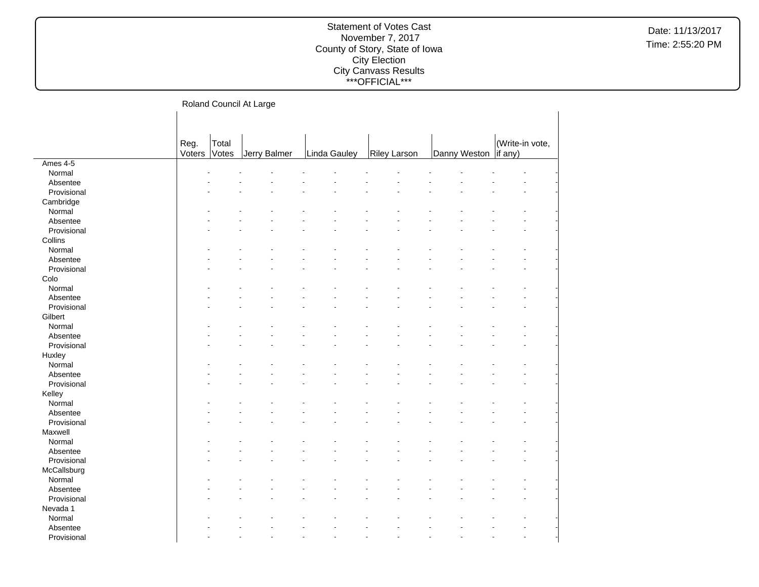| Roland Council At Large |  |
|-------------------------|--|
|-------------------------|--|

|             |        |       | ັ            |              |                     |                       |                 |
|-------------|--------|-------|--------------|--------------|---------------------|-----------------------|-----------------|
|             |        |       |              |              |                     |                       |                 |
|             |        |       |              |              |                     |                       |                 |
|             | Reg.   | Total |              |              |                     |                       | (Write-in vote, |
|             | Voters | Votes | Jerry Balmer | Linda Gauley | <b>Riley Larson</b> | Danny Weston  if any) |                 |
| Ames 4-5    |        |       |              |              |                     |                       |                 |
| Normal      |        |       |              |              |                     |                       |                 |
| Absentee    |        |       |              |              |                     |                       |                 |
| Provisional |        |       |              |              |                     |                       |                 |
| Cambridge   |        |       |              |              |                     |                       |                 |
| Normal      |        |       |              |              |                     |                       |                 |
| Absentee    |        |       |              |              |                     |                       |                 |
| Provisional |        |       |              |              |                     |                       |                 |
| Collins     |        |       |              |              |                     |                       |                 |
| Normal      |        |       |              |              |                     |                       |                 |
| Absentee    |        |       |              |              |                     |                       |                 |
| Provisional |        |       |              |              |                     |                       |                 |
| Colo        |        |       |              |              |                     |                       |                 |
| Normal      |        |       |              |              |                     |                       |                 |
| Absentee    |        |       |              |              |                     |                       |                 |
| Provisional |        |       |              |              |                     |                       |                 |
| Gilbert     |        |       |              |              |                     |                       |                 |
| Normal      |        |       |              |              |                     |                       |                 |
| Absentee    |        |       |              |              |                     |                       |                 |
| Provisional |        |       |              |              |                     |                       |                 |
| Huxley      |        |       |              |              |                     |                       |                 |
| Normal      |        |       |              |              |                     |                       |                 |
| Absentee    |        |       |              |              |                     |                       |                 |
| Provisional |        |       |              |              |                     |                       |                 |
| Kelley      |        |       |              |              |                     |                       |                 |
| Normal      |        |       |              |              |                     |                       |                 |
| Absentee    |        |       |              |              |                     |                       |                 |
| Provisional |        |       |              |              |                     |                       |                 |
| Maxwell     |        |       |              |              |                     |                       |                 |
| Normal      |        |       |              |              |                     |                       |                 |
| Absentee    |        |       |              |              |                     |                       |                 |
| Provisional |        |       |              |              |                     |                       |                 |
| McCallsburg |        |       |              |              |                     |                       |                 |
| Normal      |        |       |              |              |                     |                       |                 |
| Absentee    |        |       |              |              |                     |                       |                 |
| Provisional |        |       |              |              |                     |                       |                 |
| Nevada 1    |        |       |              |              |                     |                       |                 |
| Normal      |        |       |              |              |                     |                       |                 |
| Absentee    |        |       |              |              |                     |                       |                 |
| Provisional |        |       |              |              |                     |                       |                 |
|             |        |       |              |              |                     |                       |                 |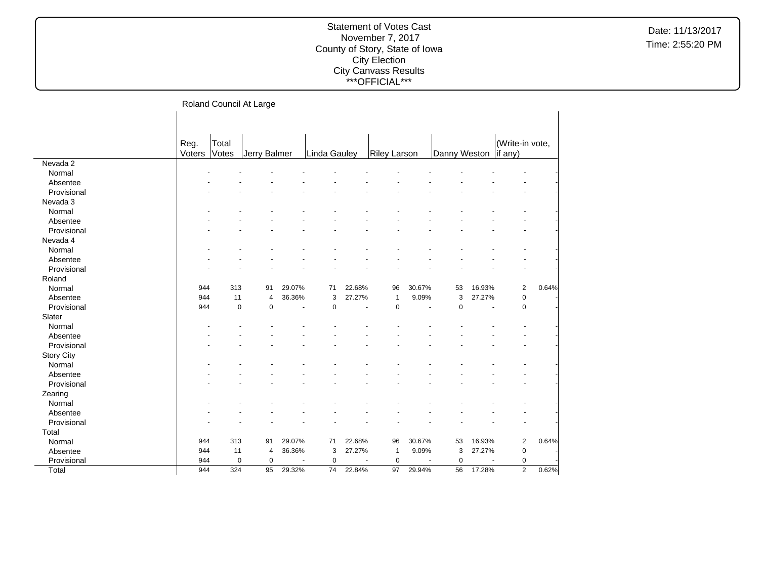|  |  | Roland Council At Large |
|--|--|-------------------------|
|--|--|-------------------------|

|                   | Reg.   | Total       |              |        |                     |        |                     |                |                        |        | (Write-in vote, |       |
|-------------------|--------|-------------|--------------|--------|---------------------|--------|---------------------|----------------|------------------------|--------|-----------------|-------|
|                   | Voters | Votes       | Jerry Balmer |        | <b>Linda Gauley</b> |        | <b>Riley Larson</b> |                | Danny Weston   if any) |        |                 |       |
| Nevada 2          |        |             |              |        |                     |        |                     |                |                        |        |                 |       |
| Normal            |        |             |              |        |                     |        |                     |                |                        |        |                 |       |
| Absentee          |        |             |              |        |                     |        |                     |                |                        |        |                 |       |
| Provisional       |        |             |              |        |                     |        |                     |                |                        |        |                 |       |
| Nevada 3          |        |             |              |        |                     |        |                     |                |                        |        |                 |       |
| Normal            |        |             |              |        |                     |        |                     |                |                        |        |                 |       |
| Absentee          |        |             |              |        |                     |        |                     |                |                        |        |                 |       |
| Provisional       |        |             |              |        |                     |        |                     |                |                        |        |                 |       |
| Nevada 4          |        |             |              |        |                     |        |                     |                |                        |        |                 |       |
| Normal            |        |             |              |        |                     |        |                     |                |                        |        |                 |       |
| Absentee          |        |             |              |        |                     |        |                     |                |                        |        |                 |       |
| Provisional       |        |             |              |        |                     |        |                     |                |                        |        |                 |       |
| Roland            |        |             |              |        |                     |        |                     |                |                        |        |                 |       |
| Normal            | 944    | 313         | 91           | 29.07% | 71                  | 22.68% | 96                  | 30.67%         | 53                     | 16.93% | $\overline{2}$  | 0.64% |
| Absentee          | 944    | 11          | 4            | 36.36% | 3                   | 27.27% | $\mathbf{1}$        | 9.09%          | 3                      | 27.27% | $\mathbf 0$     |       |
| Provisional       | 944    | $\mathbf 0$ | $\mathbf 0$  | ä,     | $\mathbf 0$         |        | $\mathbf 0$         | $\sim$         | $\mathbf 0$            |        | $\mathbf 0$     |       |
| Slater            |        |             |              |        |                     |        |                     |                |                        |        |                 |       |
| Normal            |        |             |              |        |                     |        |                     |                |                        |        |                 |       |
| Absentee          |        |             |              |        |                     |        |                     |                |                        |        |                 |       |
| Provisional       |        |             |              |        |                     |        |                     |                |                        |        |                 |       |
| <b>Story City</b> |        |             |              |        |                     |        |                     |                |                        |        |                 |       |
| Normal            |        |             |              |        |                     |        |                     |                |                        |        |                 |       |
| Absentee          |        |             |              |        |                     |        |                     |                |                        |        |                 |       |
| Provisional       |        |             |              |        |                     |        |                     |                |                        |        |                 |       |
| Zearing           |        |             |              |        |                     |        |                     |                |                        |        |                 |       |
| Normal            |        |             |              |        |                     |        |                     |                |                        |        |                 |       |
| Absentee          |        |             |              |        |                     |        |                     |                |                        |        |                 |       |
| Provisional       |        |             |              |        |                     |        |                     |                |                        |        |                 |       |
| Total             |        |             |              |        |                     |        |                     |                |                        |        |                 |       |
| Normal            | 944    | 313         | 91           | 29.07% | 71                  | 22.68% | 96                  | 30.67%         | 53                     | 16.93% | $\overline{2}$  | 0.64% |
| Absentee          | 944    | 11          | 4            | 36.36% | 3                   | 27.27% | $\mathbf{1}$        | 9.09%          | 3                      | 27.27% | $\pmb{0}$       |       |
| Provisional       | 944    | $\mathbf 0$ | $\mathbf 0$  | ÷.     | $\mathbf 0$         |        | $\mathbf 0$         | $\blacksquare$ | $\mathbf 0$            |        | $\mathbf 0$     |       |
| Total             | 944    | 324         | 95           | 29.32% | 74                  | 22.84% | 97                  | 29.94%         | 56                     | 17.28% | $\overline{2}$  | 0.62% |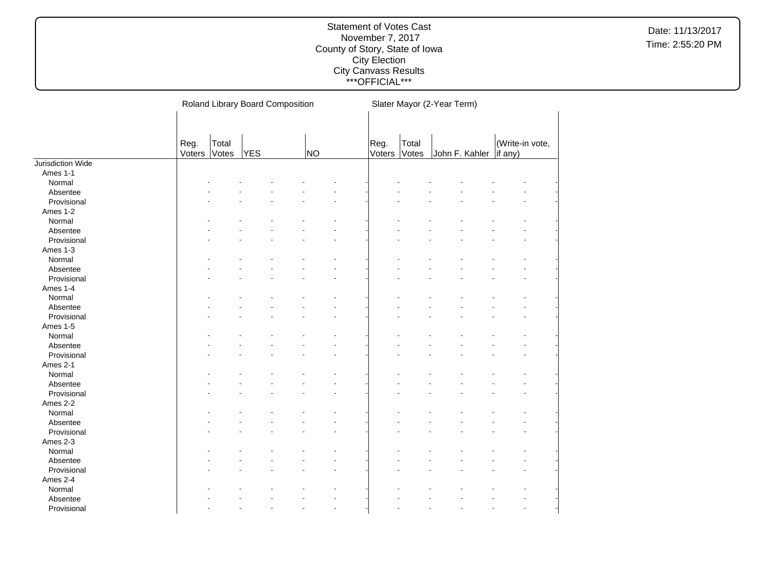|                   |                |                | Roland Library Board Composition |                | Slater Mayor (2-Year Term) |                |  |                          |                 |  |  |  |  |
|-------------------|----------------|----------------|----------------------------------|----------------|----------------------------|----------------|--|--------------------------|-----------------|--|--|--|--|
|                   |                |                |                                  |                |                            |                |  |                          |                 |  |  |  |  |
|                   |                |                |                                  |                |                            |                |  |                          |                 |  |  |  |  |
|                   |                |                |                                  |                |                            |                |  |                          | (Write-in vote, |  |  |  |  |
|                   | Reg.<br>Voters | Total<br>Votes | <b>YES</b>                       | N <sub>O</sub> | Reg.<br>Voters             | Total<br>Votes |  | John F. Kahler   if any) |                 |  |  |  |  |
| Jurisdiction Wide |                |                |                                  |                |                            |                |  |                          |                 |  |  |  |  |
| Ames 1-1          |                |                |                                  |                |                            |                |  |                          |                 |  |  |  |  |
| Normal            |                |                |                                  |                |                            |                |  |                          |                 |  |  |  |  |
| Absentee          |                |                |                                  |                |                            |                |  |                          |                 |  |  |  |  |
| Provisional       |                |                |                                  |                |                            |                |  |                          |                 |  |  |  |  |
| Ames 1-2          |                |                |                                  |                |                            |                |  |                          |                 |  |  |  |  |
| Normal            |                |                |                                  |                |                            |                |  |                          |                 |  |  |  |  |
| Absentee          |                |                |                                  |                |                            |                |  |                          |                 |  |  |  |  |
| Provisional       |                |                |                                  |                |                            |                |  |                          |                 |  |  |  |  |
| Ames 1-3          |                |                |                                  |                |                            |                |  |                          |                 |  |  |  |  |
| Normal            |                |                |                                  |                |                            |                |  |                          |                 |  |  |  |  |
| Absentee          |                |                |                                  |                |                            |                |  |                          |                 |  |  |  |  |
| Provisional       |                |                |                                  |                |                            |                |  |                          |                 |  |  |  |  |
| Ames 1-4          |                |                |                                  |                |                            |                |  |                          |                 |  |  |  |  |
| Normal            |                |                |                                  |                |                            |                |  |                          |                 |  |  |  |  |
| Absentee          |                |                |                                  |                |                            |                |  |                          |                 |  |  |  |  |
| Provisional       |                |                |                                  |                |                            |                |  |                          |                 |  |  |  |  |
| Ames 1-5          |                |                |                                  |                |                            |                |  |                          |                 |  |  |  |  |
| Normal            |                |                |                                  |                |                            |                |  |                          |                 |  |  |  |  |
| Absentee          |                |                |                                  |                |                            |                |  |                          |                 |  |  |  |  |
| Provisional       |                |                |                                  |                |                            |                |  |                          |                 |  |  |  |  |
| Ames 2-1          |                |                |                                  |                |                            |                |  |                          |                 |  |  |  |  |
| Normal            |                |                |                                  |                |                            |                |  |                          |                 |  |  |  |  |
| Absentee          |                |                |                                  |                |                            |                |  |                          |                 |  |  |  |  |
| Provisional       |                |                |                                  |                |                            |                |  |                          |                 |  |  |  |  |
| Ames 2-2          |                |                |                                  |                |                            |                |  |                          |                 |  |  |  |  |
| Normal            |                |                |                                  |                |                            |                |  |                          |                 |  |  |  |  |
| Absentee          |                |                |                                  |                |                            |                |  |                          |                 |  |  |  |  |
| Provisional       |                |                |                                  |                |                            |                |  |                          |                 |  |  |  |  |
| Ames 2-3          |                |                |                                  |                |                            |                |  |                          |                 |  |  |  |  |
| Normal            |                |                |                                  |                |                            |                |  |                          |                 |  |  |  |  |
| Absentee          |                |                |                                  |                |                            |                |  |                          |                 |  |  |  |  |
| Provisional       |                |                |                                  |                |                            |                |  |                          |                 |  |  |  |  |
| Ames 2-4          |                |                |                                  |                |                            |                |  |                          |                 |  |  |  |  |
| Normal            |                |                |                                  |                |                            |                |  |                          |                 |  |  |  |  |
| Absentee          |                |                |                                  |                |                            |                |  |                          |                 |  |  |  |  |
| Provisional       |                |                |                                  |                |                            |                |  |                          |                 |  |  |  |  |
|                   |                |                |                                  |                |                            |                |  |                          |                 |  |  |  |  |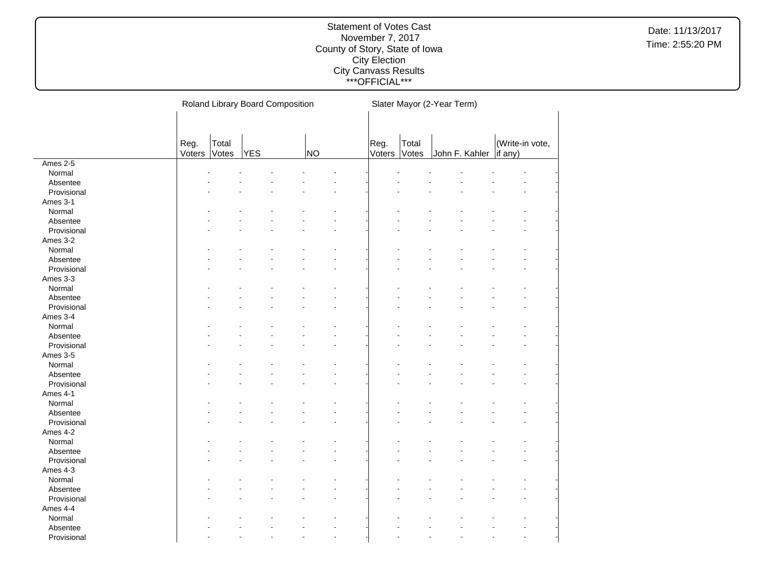|             |              |       | Roland Library Board Composition |                      | Slater Mayor (2-Year Term) |       |  |                          |  |                 |  |  |
|-------------|--------------|-------|----------------------------------|----------------------|----------------------------|-------|--|--------------------------|--|-----------------|--|--|
|             |              |       |                                  |                      |                            |       |  |                          |  |                 |  |  |
|             |              |       |                                  |                      |                            |       |  |                          |  |                 |  |  |
|             | Reg.         | Total |                                  |                      | Reg.                       | Total |  |                          |  | (Write-in vote, |  |  |
|             | Voters Votes |       | <b>YES</b>                       | NO                   | Voters                     | Votes |  | John F. Kahler   if any) |  |                 |  |  |
| Ames 2-5    |              |       |                                  |                      |                            |       |  |                          |  |                 |  |  |
| Normal      |              |       |                                  |                      |                            |       |  |                          |  |                 |  |  |
| Absentee    |              |       |                                  |                      |                            |       |  |                          |  |                 |  |  |
| Provisional |              |       |                                  |                      |                            |       |  |                          |  |                 |  |  |
| Ames 3-1    |              |       |                                  |                      |                            |       |  |                          |  |                 |  |  |
| Normal      |              |       |                                  |                      |                            |       |  |                          |  |                 |  |  |
| Absentee    |              |       |                                  |                      |                            |       |  |                          |  |                 |  |  |
| Provisional |              |       |                                  |                      |                            |       |  |                          |  |                 |  |  |
| Ames 3-2    |              |       |                                  |                      |                            |       |  |                          |  |                 |  |  |
| Normal      |              |       |                                  |                      |                            |       |  |                          |  |                 |  |  |
| Absentee    |              |       |                                  |                      |                            |       |  |                          |  |                 |  |  |
| Provisional |              |       |                                  |                      |                            |       |  |                          |  |                 |  |  |
| Ames 3-3    |              |       |                                  |                      |                            |       |  |                          |  |                 |  |  |
| Normal      |              |       |                                  |                      |                            |       |  |                          |  |                 |  |  |
| Absentee    |              |       |                                  |                      |                            |       |  |                          |  |                 |  |  |
| Provisional |              |       |                                  |                      |                            |       |  |                          |  |                 |  |  |
| Ames 3-4    |              |       |                                  |                      |                            |       |  |                          |  |                 |  |  |
| Normal      |              |       |                                  |                      |                            |       |  |                          |  |                 |  |  |
| Absentee    |              |       |                                  |                      |                            |       |  |                          |  |                 |  |  |
| Provisional |              |       |                                  |                      |                            |       |  |                          |  |                 |  |  |
| Ames 3-5    |              |       |                                  |                      |                            |       |  |                          |  |                 |  |  |
| Normal      |              |       |                                  |                      |                            |       |  |                          |  |                 |  |  |
| Absentee    |              |       |                                  |                      |                            |       |  |                          |  |                 |  |  |
| Provisional |              |       |                                  |                      |                            |       |  |                          |  |                 |  |  |
| Ames 4-1    |              |       |                                  |                      |                            |       |  |                          |  |                 |  |  |
| Normal      |              |       |                                  |                      |                            |       |  |                          |  |                 |  |  |
| Absentee    |              |       |                                  |                      |                            |       |  |                          |  |                 |  |  |
| Provisional |              |       |                                  |                      |                            |       |  |                          |  |                 |  |  |
| Ames 4-2    |              |       |                                  |                      |                            |       |  |                          |  |                 |  |  |
| Normal      |              |       |                                  |                      |                            |       |  |                          |  |                 |  |  |
| Absentee    |              |       |                                  |                      |                            |       |  |                          |  |                 |  |  |
| Provisional |              |       |                                  |                      |                            |       |  |                          |  |                 |  |  |
| Ames 4-3    |              |       |                                  |                      |                            |       |  |                          |  |                 |  |  |
| Normal      |              |       |                                  |                      |                            |       |  |                          |  |                 |  |  |
| Absentee    |              |       |                                  |                      |                            |       |  |                          |  |                 |  |  |
| Provisional |              |       |                                  |                      |                            |       |  |                          |  |                 |  |  |
| Ames 4-4    |              |       |                                  |                      |                            |       |  |                          |  |                 |  |  |
| Normal      |              |       |                                  |                      |                            |       |  |                          |  |                 |  |  |
| Absentee    |              |       |                                  |                      |                            |       |  |                          |  |                 |  |  |
| Provisional |              |       |                                  | $\ddot{\phantom{1}}$ |                            |       |  |                          |  |                 |  |  |
|             |              |       |                                  |                      |                            |       |  |                          |  |                 |  |  |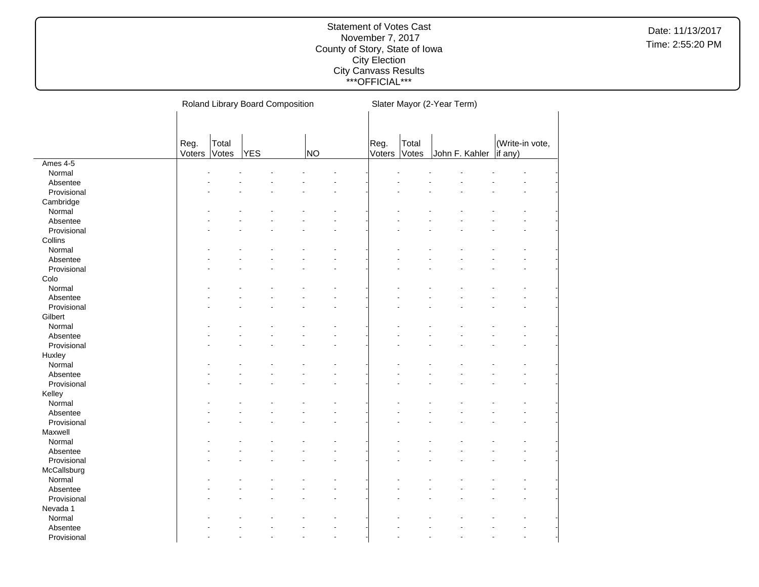|             |              |       | Roland Library Board Composition |                      | Slater Mayor (2-Year Term) |       |  |                          |  |                 |  |  |
|-------------|--------------|-------|----------------------------------|----------------------|----------------------------|-------|--|--------------------------|--|-----------------|--|--|
|             |              |       |                                  |                      |                            |       |  |                          |  |                 |  |  |
|             |              |       |                                  |                      |                            |       |  |                          |  |                 |  |  |
|             | Reg.         | Total |                                  |                      | Reg.                       | Total |  |                          |  | (Write-in vote, |  |  |
|             | Voters Votes |       | <b>YES</b>                       | NO                   | Voters                     | Votes |  | John F. Kahler   if any) |  |                 |  |  |
| Ames 4-5    |              |       |                                  |                      |                            |       |  |                          |  |                 |  |  |
| Normal      |              |       |                                  |                      |                            |       |  |                          |  |                 |  |  |
| Absentee    |              |       |                                  |                      |                            |       |  |                          |  |                 |  |  |
| Provisional |              |       |                                  |                      |                            |       |  |                          |  |                 |  |  |
| Cambridge   |              |       |                                  |                      |                            |       |  |                          |  |                 |  |  |
| Normal      |              |       |                                  |                      |                            |       |  |                          |  |                 |  |  |
| Absentee    |              |       |                                  |                      |                            |       |  |                          |  |                 |  |  |
| Provisional |              |       |                                  |                      |                            |       |  |                          |  |                 |  |  |
| Collins     |              |       |                                  |                      |                            |       |  |                          |  |                 |  |  |
| Normal      |              |       |                                  |                      |                            |       |  |                          |  |                 |  |  |
| Absentee    |              |       |                                  |                      |                            |       |  |                          |  |                 |  |  |
| Provisional |              |       |                                  |                      |                            |       |  |                          |  |                 |  |  |
| Colo        |              |       |                                  |                      |                            |       |  |                          |  |                 |  |  |
| Normal      |              |       |                                  |                      |                            |       |  |                          |  |                 |  |  |
| Absentee    |              |       |                                  |                      |                            |       |  |                          |  |                 |  |  |
| Provisional |              |       |                                  |                      |                            |       |  |                          |  |                 |  |  |
| Gilbert     |              |       |                                  |                      |                            |       |  |                          |  |                 |  |  |
| Normal      |              |       |                                  |                      |                            |       |  |                          |  |                 |  |  |
| Absentee    |              |       |                                  |                      |                            |       |  |                          |  |                 |  |  |
| Provisional |              |       |                                  |                      |                            |       |  |                          |  |                 |  |  |
| Huxley      |              |       |                                  |                      |                            |       |  |                          |  |                 |  |  |
| Normal      |              |       |                                  |                      |                            |       |  |                          |  |                 |  |  |
| Absentee    |              |       |                                  |                      |                            |       |  |                          |  |                 |  |  |
| Provisional |              |       |                                  |                      |                            |       |  |                          |  |                 |  |  |
| Kelley      |              |       |                                  |                      |                            |       |  |                          |  |                 |  |  |
| Normal      |              |       |                                  |                      |                            |       |  |                          |  |                 |  |  |
| Absentee    |              |       |                                  |                      |                            |       |  |                          |  |                 |  |  |
| Provisional |              |       |                                  |                      |                            |       |  |                          |  |                 |  |  |
| Maxwell     |              |       |                                  |                      |                            |       |  |                          |  |                 |  |  |
| Normal      |              |       |                                  |                      |                            |       |  |                          |  |                 |  |  |
| Absentee    |              |       |                                  |                      |                            |       |  |                          |  |                 |  |  |
| Provisional |              |       |                                  |                      |                            |       |  |                          |  |                 |  |  |
| McCallsburg |              |       |                                  |                      |                            |       |  |                          |  |                 |  |  |
| Normal      |              |       |                                  |                      |                            |       |  |                          |  |                 |  |  |
| Absentee    |              |       |                                  |                      |                            |       |  |                          |  |                 |  |  |
| Provisional |              |       |                                  |                      |                            |       |  |                          |  |                 |  |  |
| Nevada 1    |              |       |                                  |                      |                            |       |  |                          |  |                 |  |  |
|             |              |       |                                  |                      |                            |       |  |                          |  |                 |  |  |
| Normal      |              |       |                                  |                      |                            |       |  |                          |  |                 |  |  |
| Absentee    |              |       |                                  |                      |                            |       |  |                          |  |                 |  |  |
| Provisional |              |       |                                  | $\ddot{\phantom{1}}$ |                            |       |  |                          |  |                 |  |  |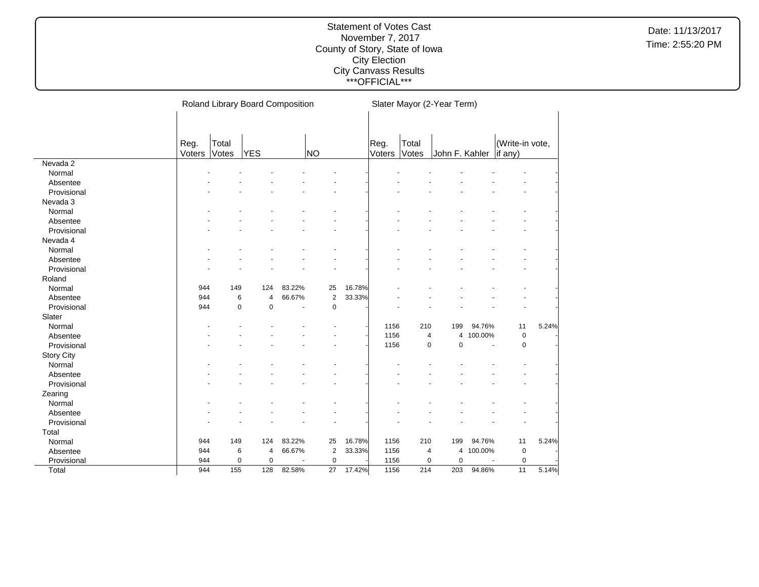|             |                |                | Roland Library Board Composition |        |                |        | Slater Mayor (2-Year Term) |                |                |           |                            |       |  |  |
|-------------|----------------|----------------|----------------------------------|--------|----------------|--------|----------------------------|----------------|----------------|-----------|----------------------------|-------|--|--|
|             | Reg.<br>Voters | Total<br>Votes | <b>YES</b>                       |        | NO             |        | Reg.<br>Voters             | Total<br>Votes | John F. Kahler |           | (Write-in vote,<br>if any) |       |  |  |
| Nevada 2    |                |                |                                  |        |                |        |                            |                |                |           |                            |       |  |  |
| Normal      |                |                |                                  |        |                |        |                            |                |                |           |                            |       |  |  |
| Absentee    |                |                |                                  |        |                |        |                            |                |                |           |                            |       |  |  |
| Provisional |                |                |                                  |        |                |        |                            |                |                |           |                            |       |  |  |
| Nevada 3    |                |                |                                  |        |                |        |                            |                |                |           |                            |       |  |  |
| Normal      |                |                |                                  |        |                |        |                            |                |                |           |                            |       |  |  |
| Absentee    |                |                |                                  |        |                |        |                            |                |                |           |                            |       |  |  |
| Provisional |                |                |                                  |        |                |        |                            |                |                |           |                            |       |  |  |
| Nevada 4    |                |                |                                  |        |                |        |                            |                |                |           |                            |       |  |  |
| Normal      |                |                |                                  |        |                |        |                            |                |                |           |                            |       |  |  |
| Absentee    |                |                |                                  |        |                |        |                            |                |                |           |                            |       |  |  |
| Provisional |                |                |                                  |        |                |        |                            |                |                |           |                            |       |  |  |
| Roland      |                |                |                                  |        |                |        |                            |                |                |           |                            |       |  |  |
| Normal      | 944            | 149            | 124                              | 83.22% | 25             | 16.78% |                            |                |                |           |                            |       |  |  |
| Absentee    | 944            | 6              | $\overline{4}$                   | 66.67% | $\sqrt{2}$     | 33.33% |                            |                |                |           |                            |       |  |  |
| Provisional | 944            | $\mathbf 0$    | $\mathbf 0$                      |        | $\mathbf 0$    |        |                            |                |                |           |                            |       |  |  |
| Slater      |                |                |                                  |        |                |        |                            |                |                |           |                            |       |  |  |
| Normal      |                |                |                                  |        |                |        | 1156                       | 210            | 199            | 94.76%    | 11                         | 5.24% |  |  |
| Absentee    |                |                |                                  |        |                |        | 1156                       | 4              |                | 4 100.00% | $\mathbf 0$                |       |  |  |
| Provisional |                |                |                                  |        |                |        | 1156                       | 0              | $\mathbf 0$    |           | $\mathbf 0$                |       |  |  |
| Story City  |                |                |                                  |        |                |        |                            |                |                |           |                            |       |  |  |
| Normal      |                |                |                                  |        |                |        |                            |                |                |           |                            |       |  |  |
| Absentee    |                |                |                                  |        |                |        |                            |                |                |           |                            |       |  |  |
| Provisional |                |                |                                  |        |                |        |                            |                |                |           |                            |       |  |  |
| Zearing     |                |                |                                  |        |                |        |                            |                |                |           |                            |       |  |  |
| Normal      |                |                |                                  |        |                |        |                            |                |                |           |                            |       |  |  |
| Absentee    |                |                |                                  |        |                |        |                            |                |                |           |                            |       |  |  |
| Provisional |                |                |                                  |        |                |        |                            |                |                |           |                            |       |  |  |
| Total       |                |                |                                  |        |                |        |                            |                |                |           |                            |       |  |  |
| Normal      | 944            | 149            | 124                              | 83.22% | 25             | 16.78% | 1156                       | 210            | 199            | 94.76%    | 11                         | 5.24% |  |  |
| Absentee    | 944            | 6              | 4                                | 66.67% | $\overline{2}$ | 33.33% | 1156                       | 4              | 4              | 100.00%   | $\mathbf 0$                |       |  |  |
| Provisional | 944            | $\mathbf 0$    | $\mathbf 0$                      |        | $\mathbf 0$    |        | 1156                       | 0              | $\mathbf 0$    |           | $\mathbf 0$                |       |  |  |
| Total       | 944            | 155            | 128                              | 82.58% | 27             | 17.42% | 1156                       | 214            | 203            | 94.86%    | 11                         | 5.14% |  |  |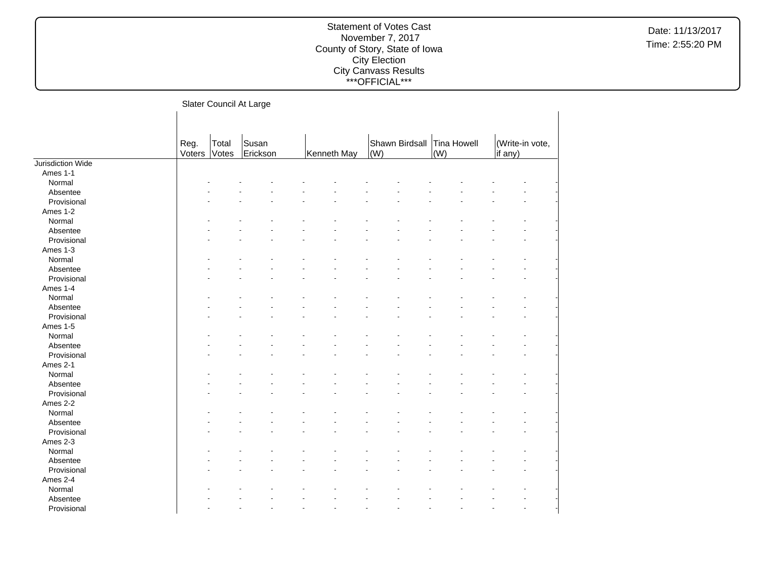### Statement of Votes Cast November 7, 2017 County of Story, State of Iowa City Election City Canvass Results \*\*\*OFFICIAL\*\*\*

Slater Council At Large

|                   | Reg.   | Total | Susan    |             | Shawn Birdsall Tina Howell |     | (Write-in vote, |
|-------------------|--------|-------|----------|-------------|----------------------------|-----|-----------------|
|                   | Voters | Votes | Erickson | Kenneth May | (W)                        | (W) | if any)         |
| Jurisdiction Wide |        |       |          |             |                            |     |                 |
| Ames 1-1          |        |       |          |             |                            |     |                 |
| Normal            |        |       |          |             |                            |     |                 |
| Absentee          |        |       |          |             |                            |     |                 |
| Provisional       |        |       |          |             |                            |     |                 |
| Ames 1-2          |        |       |          |             |                            |     |                 |
| Normal            |        |       |          |             |                            |     |                 |
| Absentee          |        |       |          |             |                            |     |                 |
| Provisional       |        |       |          |             |                            |     |                 |
| Ames 1-3          |        |       |          |             |                            |     |                 |
| Normal            |        |       |          |             |                            |     |                 |
| Absentee          |        |       |          |             |                            |     |                 |
| Provisional       |        |       |          |             |                            |     |                 |
| Ames 1-4          |        |       |          |             |                            |     |                 |
| Normal            |        |       |          |             |                            |     |                 |
| Absentee          |        |       |          |             |                            |     |                 |
| Provisional       |        |       |          |             |                            |     |                 |
| Ames 1-5          |        |       |          |             |                            |     |                 |
| Normal            |        |       |          |             |                            |     |                 |
| Absentee          |        |       |          |             |                            |     |                 |
| Provisional       |        |       |          |             |                            |     |                 |
| Ames 2-1          |        |       |          |             |                            |     |                 |
| Normal            |        |       |          |             |                            |     |                 |
| Absentee          |        |       |          |             |                            |     |                 |
| Provisional       |        |       |          |             |                            |     |                 |
| Ames 2-2          |        |       |          |             |                            |     |                 |
| Normal            |        |       |          |             |                            |     |                 |
| Absentee          |        |       |          |             |                            |     |                 |
| Provisional       |        |       |          |             |                            |     |                 |
| Ames 2-3          |        |       |          |             |                            |     |                 |
| Normal            |        |       |          |             |                            |     |                 |
| Absentee          |        |       |          |             |                            |     |                 |
| Provisional       |        |       |          |             |                            |     |                 |
| Ames 2-4          |        |       |          |             |                            |     |                 |
| Normal            |        |       |          |             |                            |     |                 |
| Absentee          |        |       |          |             |                            |     |                 |
| Provisional       |        |       |          |             |                            |     |                 |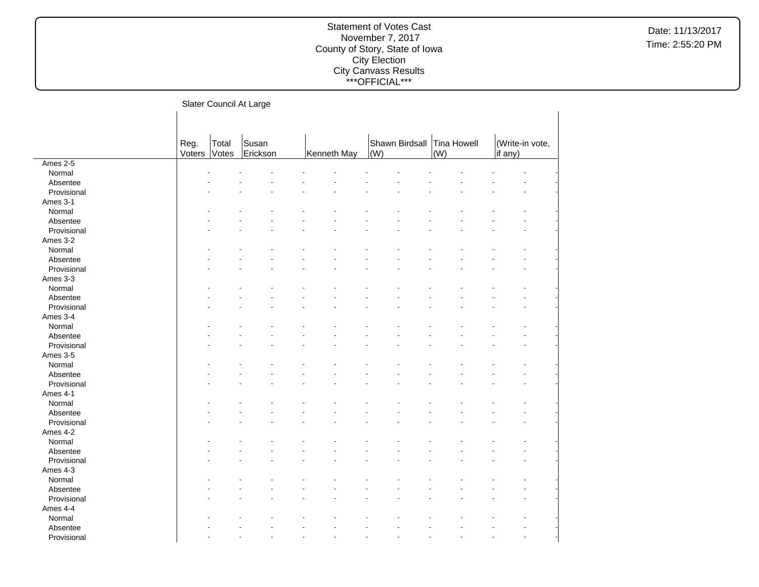|  | Slater Council At Large |  |  |
|--|-------------------------|--|--|
|--|-------------------------|--|--|

|             |                |                | ັ                 |             |     |                |                    |                            |  |
|-------------|----------------|----------------|-------------------|-------------|-----|----------------|--------------------|----------------------------|--|
|             |                |                |                   |             |     |                |                    |                            |  |
|             | Reg.<br>Voters | Total<br>Votes | Susan<br>Erickson | Kenneth May | (W) | Shawn Birdsall | Tina Howell<br>(W) | (Write-in vote,<br>if any) |  |
| Ames 2-5    |                |                |                   |             |     |                |                    |                            |  |
| Normal      |                |                |                   |             |     |                |                    |                            |  |
| Absentee    |                |                |                   |             |     |                |                    |                            |  |
| Provisional |                |                |                   |             |     |                |                    |                            |  |
|             |                |                |                   |             |     |                |                    |                            |  |
| Ames 3-1    |                |                |                   |             |     |                |                    |                            |  |
| Normal      |                |                |                   |             |     |                |                    |                            |  |
| Absentee    |                |                |                   |             |     |                |                    |                            |  |
| Provisional |                |                |                   |             |     |                |                    |                            |  |
| Ames 3-2    |                |                |                   |             |     |                |                    |                            |  |
| Normal      |                |                |                   |             |     |                |                    |                            |  |
| Absentee    |                |                |                   |             |     |                |                    |                            |  |
| Provisional |                |                |                   |             |     |                |                    |                            |  |
| Ames 3-3    |                |                |                   |             |     |                |                    |                            |  |
| Normal      |                |                |                   |             |     |                |                    |                            |  |
| Absentee    |                |                |                   |             |     |                |                    |                            |  |
| Provisional |                |                |                   |             |     |                |                    |                            |  |
| Ames 3-4    |                |                |                   |             |     |                |                    |                            |  |
| Normal      |                |                |                   |             |     |                |                    |                            |  |
| Absentee    |                |                |                   |             |     |                |                    |                            |  |
| Provisional |                |                |                   |             |     |                |                    |                            |  |
| Ames 3-5    |                |                |                   |             |     |                |                    |                            |  |
| Normal      |                |                |                   |             |     |                |                    |                            |  |
| Absentee    |                |                |                   |             |     |                |                    |                            |  |
| Provisional |                |                |                   |             |     |                |                    |                            |  |
| Ames 4-1    |                |                |                   |             |     |                |                    |                            |  |
| Normal      |                |                |                   |             |     |                |                    |                            |  |
| Absentee    |                |                |                   |             |     |                |                    |                            |  |
| Provisional |                |                |                   |             |     |                |                    |                            |  |
| Ames 4-2    |                |                |                   |             |     |                |                    |                            |  |
| Normal      |                |                |                   |             |     |                |                    |                            |  |
| Absentee    |                |                |                   |             |     |                |                    |                            |  |
| Provisional |                |                |                   |             |     |                |                    |                            |  |
| Ames 4-3    |                |                |                   |             |     |                |                    |                            |  |
| Normal      |                |                |                   |             |     |                |                    |                            |  |
| Absentee    |                |                |                   |             |     |                |                    |                            |  |
| Provisional |                |                |                   |             |     |                |                    |                            |  |
| Ames 4-4    |                |                |                   |             |     |                |                    |                            |  |
| Normal      |                |                |                   |             |     |                |                    |                            |  |
| Absentee    |                |                |                   |             |     |                |                    |                            |  |
|             |                |                |                   |             |     |                |                    |                            |  |
| Provisional |                |                |                   |             |     |                |                    |                            |  |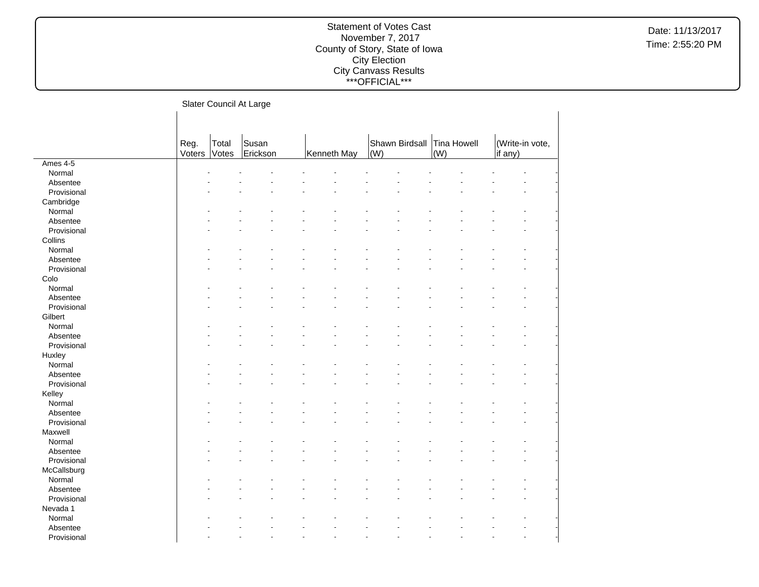|  | Slater Council At Large |  |  |
|--|-------------------------|--|--|
|--|-------------------------|--|--|

|             | Reg.<br>Voters | Total<br>Votes | Susan<br>Erickson | Kenneth May | (W) | Shawn Birdsall | Tina Howell<br>(W) | (Write-in vote,<br>if any) |  |
|-------------|----------------|----------------|-------------------|-------------|-----|----------------|--------------------|----------------------------|--|
| Ames 4-5    |                |                |                   |             |     |                |                    |                            |  |
| Normal      |                |                |                   |             |     |                |                    |                            |  |
| Absentee    |                |                |                   |             |     |                |                    |                            |  |
| Provisional |                |                |                   |             |     |                |                    |                            |  |
| Cambridge   |                |                |                   |             |     |                |                    |                            |  |
| Normal      |                |                |                   |             |     |                |                    |                            |  |
| Absentee    |                |                |                   |             |     |                |                    |                            |  |
| Provisional |                |                |                   |             |     |                |                    |                            |  |
| Collins     |                |                |                   |             |     |                |                    |                            |  |
| Normal      |                |                |                   |             |     |                |                    |                            |  |
| Absentee    |                |                |                   |             |     |                |                    |                            |  |
| Provisional |                |                |                   |             |     |                |                    |                            |  |
| Colo        |                |                |                   |             |     |                |                    |                            |  |
| Normal      |                |                |                   |             |     |                |                    |                            |  |
| Absentee    |                |                |                   |             |     |                |                    |                            |  |
| Provisional |                |                |                   |             |     |                |                    |                            |  |
| Gilbert     |                |                |                   |             |     |                |                    |                            |  |
| Normal      |                |                |                   |             |     |                |                    |                            |  |
| Absentee    |                |                |                   |             |     |                |                    |                            |  |
| Provisional |                |                |                   |             |     |                |                    |                            |  |
| Huxley      |                |                |                   |             |     |                |                    |                            |  |
| Normal      |                |                |                   |             |     |                |                    |                            |  |
| Absentee    |                |                |                   |             |     |                |                    |                            |  |
| Provisional |                |                |                   |             |     |                |                    |                            |  |
| Kelley      |                |                |                   |             |     |                |                    |                            |  |
| Normal      |                |                |                   |             |     |                |                    |                            |  |
| Absentee    |                |                |                   |             |     |                |                    |                            |  |
| Provisional |                |                |                   |             |     |                |                    |                            |  |
| Maxwell     |                |                |                   |             |     |                |                    |                            |  |
| Normal      |                |                |                   |             |     |                |                    |                            |  |
| Absentee    |                |                |                   |             |     |                |                    |                            |  |
| Provisional |                |                |                   |             |     |                |                    |                            |  |
| McCallsburg |                |                |                   |             |     |                |                    |                            |  |
| Normal      |                |                |                   |             |     |                |                    |                            |  |
| Absentee    |                |                |                   |             |     |                |                    |                            |  |
| Provisional |                |                |                   |             |     |                |                    |                            |  |
| Nevada 1    |                |                |                   |             |     |                |                    |                            |  |
| Normal      |                |                |                   |             |     |                |                    |                            |  |
| Absentee    |                |                |                   |             |     |                |                    |                            |  |
| Provisional |                |                |                   |             |     |                |                    |                            |  |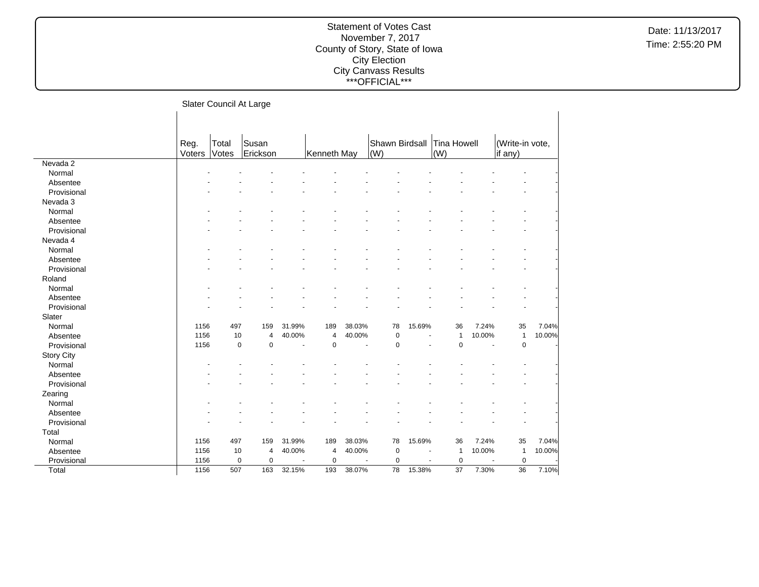|  |  | Slater Council At Large |
|--|--|-------------------------|
|--|--|-------------------------|

|                   | Reg.<br>Voters | Total<br>Votes | Susan<br>Erickson |                          | Kenneth May |                          | Shawn Birdsall<br>(W) |                | Tina Howell<br>$\vert$ (W) |        | (Write-in vote,<br>if any) |        |
|-------------------|----------------|----------------|-------------------|--------------------------|-------------|--------------------------|-----------------------|----------------|----------------------------|--------|----------------------------|--------|
| Nevada 2          |                |                |                   |                          |             |                          |                       |                |                            |        |                            |        |
| Normal            |                |                |                   |                          |             |                          |                       |                |                            |        |                            |        |
| Absentee          |                |                |                   |                          |             |                          |                       |                |                            |        |                            |        |
| Provisional       |                |                |                   |                          |             |                          |                       |                |                            |        |                            |        |
| Nevada 3          |                |                |                   |                          |             |                          |                       |                |                            |        |                            |        |
| Normal            |                |                |                   |                          |             |                          |                       |                |                            |        |                            |        |
| Absentee          |                |                |                   |                          |             |                          |                       |                |                            |        |                            |        |
| Provisional       |                |                |                   |                          |             |                          |                       |                |                            |        |                            |        |
| Nevada 4          |                |                |                   |                          |             |                          |                       |                |                            |        |                            |        |
| Normal            |                |                |                   |                          |             |                          |                       |                |                            |        |                            |        |
| Absentee          |                |                |                   |                          |             |                          |                       |                |                            |        |                            |        |
| Provisional       |                |                |                   |                          |             |                          |                       |                |                            |        |                            |        |
| Roland            |                |                |                   |                          |             |                          |                       |                |                            |        |                            |        |
| Normal            |                |                |                   |                          |             |                          |                       |                |                            |        |                            |        |
| Absentee          |                |                |                   |                          |             |                          |                       |                |                            |        |                            |        |
| Provisional       |                |                |                   |                          |             |                          |                       |                |                            |        |                            |        |
| Slater            |                |                |                   |                          |             |                          |                       |                |                            |        |                            |        |
| Normal            | 1156           | 497            | 159               | 31.99%                   | 189         | 38.03%                   | 78                    | 15.69%         | 36                         | 7.24%  | 35                         | 7.04%  |
| Absentee          | 1156           | 10             | 4                 | 40.00%                   | 4           | 40.00%                   | 0                     |                | $\mathbf{1}$               | 10.00% | $\mathbf{1}$               | 10.00% |
| Provisional       | 1156           | $\mathbf 0$    | 0                 | $\overline{\phantom{a}}$ | $\pmb{0}$   | $\overline{\phantom{a}}$ | $\mathbf 0$           |                | $\pmb{0}$                  | $\sim$ | $\mathbf 0$                |        |
| <b>Story City</b> |                |                |                   |                          |             |                          |                       |                |                            |        |                            |        |
| Normal            |                |                |                   |                          |             |                          |                       |                |                            |        |                            |        |
| Absentee          |                |                |                   |                          |             |                          |                       |                |                            |        |                            |        |
| Provisional       |                |                |                   |                          |             |                          |                       |                |                            |        |                            |        |
| Zearing           |                |                |                   |                          |             |                          |                       |                |                            |        |                            |        |
| Normal            |                |                |                   |                          |             |                          |                       |                |                            |        |                            |        |
| Absentee          |                |                |                   |                          |             |                          |                       |                |                            |        |                            |        |
| Provisional       |                |                |                   |                          |             |                          |                       |                |                            |        |                            |        |
| Total             |                |                |                   |                          |             |                          |                       |                |                            |        |                            |        |
| Normal            | 1156           | 497            | 159               | 31.99%                   | 189         | 38.03%                   | 78                    | 15.69%         | 36                         | 7.24%  | 35                         | 7.04%  |
| Absentee          | 1156           | 10             | 4                 | 40.00%                   | 4           | 40.00%                   | $\pmb{0}$             | $\blacksquare$ | $\mathbf{1}$               | 10.00% | $\mathbf{1}$               | 10.00% |
| Provisional       | 1156           | $\pmb{0}$      | 0                 | ä,                       | $\pmb{0}$   |                          | $\mathbf 0$           | $\blacksquare$ | $\mathbf 0$                |        | $\mathbf 0$                |        |
| Total             | 1156           | 507            | 163               | 32.15%                   | 193         | 38.07%                   | 78                    | 15.38%         | 37                         | 7.30%  | 36                         | 7.10%  |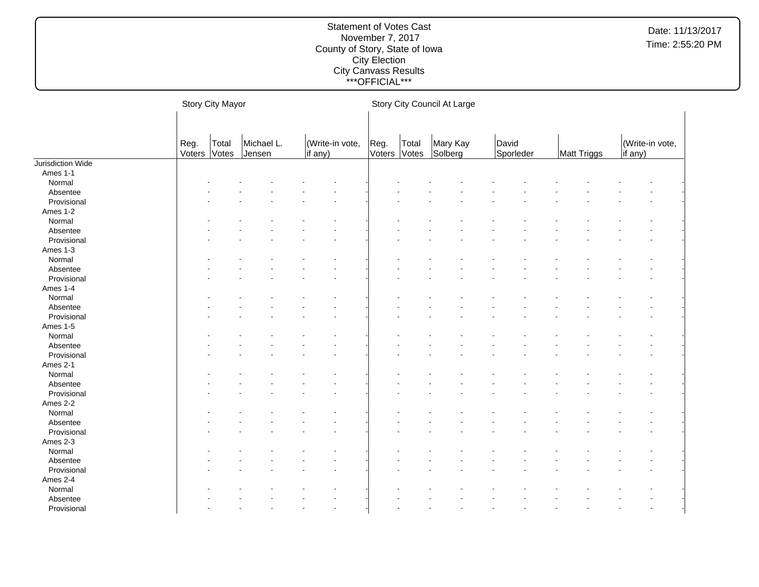|                   |                      | Story City Mayor |                      |                            | Story City Council At Large |                |                     |                    |             |                            |  |  |
|-------------------|----------------------|------------------|----------------------|----------------------------|-----------------------------|----------------|---------------------|--------------------|-------------|----------------------------|--|--|
|                   | Reg.<br>Voters Votes | Total            | Michael L.<br>Jensen | (Write-in vote,<br>if any) | Reg.<br>Voters              | Total<br>Votes | Mary Kay<br>Solberg | David<br>Sporleder | Matt Triggs | (Write-in vote,<br>if any) |  |  |
| Jurisdiction Wide |                      |                  |                      |                            |                             |                |                     |                    |             |                            |  |  |
| Ames 1-1          |                      |                  |                      |                            |                             |                |                     |                    |             |                            |  |  |
| Normal            |                      |                  |                      |                            |                             |                |                     |                    |             |                            |  |  |
| Absentee          |                      |                  |                      |                            |                             |                |                     |                    |             |                            |  |  |
| Provisional       |                      |                  |                      |                            |                             |                |                     |                    |             |                            |  |  |
| Ames 1-2          |                      |                  |                      |                            |                             |                |                     |                    |             |                            |  |  |
| Normal            |                      |                  |                      |                            |                             |                |                     |                    |             |                            |  |  |
| Absentee          |                      |                  |                      |                            |                             |                |                     |                    |             |                            |  |  |
| Provisional       |                      |                  |                      |                            |                             |                |                     |                    |             |                            |  |  |
| Ames 1-3          |                      |                  |                      |                            |                             |                |                     |                    |             |                            |  |  |
| Normal            |                      |                  |                      |                            |                             |                |                     |                    |             |                            |  |  |
| Absentee          |                      |                  |                      |                            |                             |                |                     |                    |             |                            |  |  |
| Provisional       |                      |                  |                      |                            |                             |                |                     |                    |             |                            |  |  |
| Ames 1-4          |                      |                  |                      |                            |                             |                |                     |                    |             |                            |  |  |
| Normal            |                      |                  |                      |                            |                             |                |                     |                    |             |                            |  |  |
| Absentee          |                      |                  |                      |                            |                             |                |                     |                    |             |                            |  |  |
| Provisional       |                      |                  |                      |                            |                             |                |                     |                    |             |                            |  |  |
| Ames 1-5          |                      |                  |                      |                            |                             |                |                     |                    |             |                            |  |  |
| Normal            |                      |                  |                      |                            |                             |                |                     |                    |             |                            |  |  |
| Absentee          |                      |                  |                      |                            |                             |                |                     |                    |             |                            |  |  |
| Provisional       |                      |                  |                      |                            |                             |                |                     |                    |             |                            |  |  |
| Ames 2-1          |                      |                  |                      |                            |                             |                |                     |                    |             |                            |  |  |
| Normal            |                      |                  |                      |                            |                             |                |                     |                    |             |                            |  |  |
| Absentee          |                      |                  |                      |                            |                             |                |                     |                    |             |                            |  |  |
| Provisional       |                      |                  |                      |                            |                             |                |                     |                    |             |                            |  |  |
|                   |                      |                  |                      |                            |                             |                |                     |                    |             |                            |  |  |
| Ames 2-2          |                      |                  |                      |                            |                             |                |                     |                    |             |                            |  |  |
| Normal            |                      |                  |                      |                            |                             |                |                     |                    |             |                            |  |  |
| Absentee          |                      |                  |                      |                            |                             |                |                     |                    |             |                            |  |  |
| Provisional       |                      |                  |                      |                            |                             |                |                     |                    |             |                            |  |  |
| Ames 2-3          |                      |                  |                      |                            |                             |                |                     |                    |             |                            |  |  |
| Normal            |                      |                  |                      |                            |                             |                |                     |                    |             |                            |  |  |
| Absentee          |                      |                  |                      |                            |                             |                |                     |                    |             |                            |  |  |
| Provisional       |                      |                  |                      |                            |                             |                |                     |                    |             |                            |  |  |
| Ames 2-4          |                      |                  |                      |                            |                             |                |                     |                    |             |                            |  |  |
| Normal            |                      |                  |                      |                            |                             |                |                     |                    |             |                            |  |  |
| Absentee          |                      |                  |                      |                            |                             |                |                     |                    |             |                            |  |  |
| Provisional       |                      |                  |                      |                            |                             |                |                     |                    |             |                            |  |  |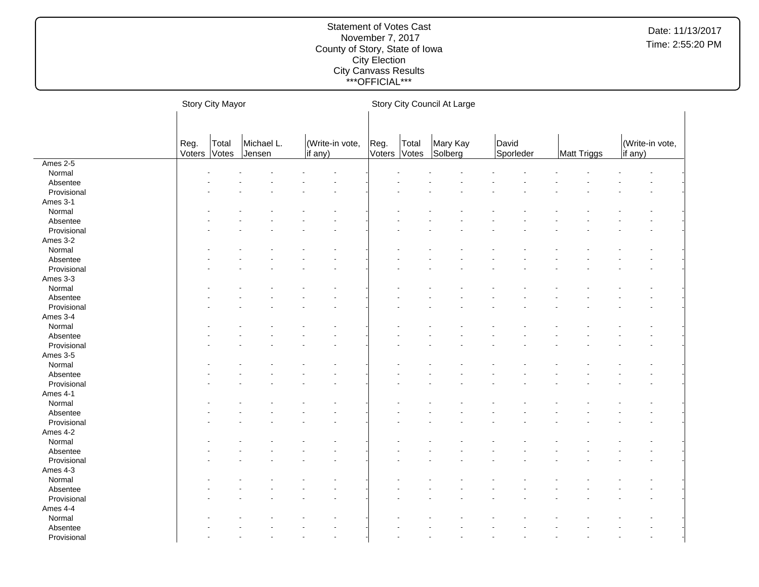|             | Story City Mayor |                |                      |  |                            |  | Story City Council At Large |                |                     |  |                    |  |             |  |                            |  |  |
|-------------|------------------|----------------|----------------------|--|----------------------------|--|-----------------------------|----------------|---------------------|--|--------------------|--|-------------|--|----------------------------|--|--|
|             |                  |                |                      |  |                            |  |                             |                |                     |  |                    |  |             |  |                            |  |  |
|             | Reg.<br>Voters   | Total<br>Votes | Michael L.<br>Jensen |  | (Write-in vote,<br>if any) |  | Reg.<br>Voters              | Total<br>Votes | Mary Kay<br>Solberg |  | David<br>Sporleder |  | Matt Triggs |  | (Write-in vote,<br>if any) |  |  |
| Ames 2-5    |                  |                |                      |  |                            |  |                             |                |                     |  |                    |  |             |  |                            |  |  |
| Normal      |                  |                |                      |  |                            |  |                             |                |                     |  |                    |  |             |  |                            |  |  |
| Absentee    |                  |                |                      |  |                            |  |                             |                |                     |  |                    |  |             |  |                            |  |  |
| Provisional |                  |                |                      |  |                            |  |                             |                |                     |  |                    |  |             |  |                            |  |  |
| Ames 3-1    |                  |                |                      |  |                            |  |                             |                |                     |  |                    |  |             |  |                            |  |  |
| Normal      |                  |                |                      |  |                            |  |                             |                |                     |  |                    |  |             |  |                            |  |  |
| Absentee    |                  |                |                      |  |                            |  |                             |                |                     |  |                    |  |             |  |                            |  |  |
| Provisional |                  |                |                      |  |                            |  |                             |                |                     |  |                    |  |             |  |                            |  |  |
| Ames 3-2    |                  |                |                      |  |                            |  |                             |                |                     |  |                    |  |             |  |                            |  |  |
| Normal      |                  |                |                      |  |                            |  |                             |                |                     |  |                    |  |             |  |                            |  |  |
| Absentee    |                  |                |                      |  |                            |  |                             |                |                     |  |                    |  |             |  |                            |  |  |
| Provisional |                  |                |                      |  |                            |  |                             |                |                     |  |                    |  |             |  |                            |  |  |
| Ames 3-3    |                  |                |                      |  |                            |  |                             |                |                     |  |                    |  |             |  |                            |  |  |
| Normal      |                  |                |                      |  |                            |  |                             |                |                     |  |                    |  |             |  |                            |  |  |
| Absentee    |                  |                |                      |  |                            |  |                             |                |                     |  |                    |  |             |  |                            |  |  |
| Provisional |                  |                |                      |  |                            |  |                             |                |                     |  |                    |  |             |  |                            |  |  |
| Ames 3-4    |                  |                |                      |  |                            |  |                             |                |                     |  |                    |  |             |  |                            |  |  |
| Normal      |                  |                |                      |  |                            |  |                             |                |                     |  |                    |  |             |  |                            |  |  |
| Absentee    |                  |                |                      |  |                            |  |                             |                |                     |  |                    |  |             |  |                            |  |  |
| Provisional |                  |                |                      |  |                            |  |                             |                |                     |  |                    |  |             |  |                            |  |  |
| Ames 3-5    |                  |                |                      |  |                            |  |                             |                |                     |  |                    |  |             |  |                            |  |  |
| Normal      |                  |                |                      |  |                            |  |                             |                |                     |  |                    |  |             |  |                            |  |  |
| Absentee    |                  |                |                      |  |                            |  |                             |                |                     |  |                    |  |             |  |                            |  |  |
| Provisional |                  |                |                      |  |                            |  |                             |                |                     |  |                    |  |             |  |                            |  |  |
| Ames 4-1    |                  |                |                      |  |                            |  |                             |                |                     |  |                    |  |             |  |                            |  |  |
| Normal      |                  |                |                      |  |                            |  |                             |                |                     |  |                    |  |             |  |                            |  |  |
| Absentee    |                  |                |                      |  |                            |  |                             |                |                     |  |                    |  |             |  |                            |  |  |
| Provisional |                  |                |                      |  |                            |  |                             |                |                     |  |                    |  |             |  |                            |  |  |
| Ames 4-2    |                  |                |                      |  |                            |  |                             |                |                     |  |                    |  |             |  |                            |  |  |
| Normal      |                  |                |                      |  |                            |  |                             |                |                     |  |                    |  |             |  |                            |  |  |
| Absentee    |                  |                |                      |  |                            |  |                             |                |                     |  |                    |  |             |  |                            |  |  |
| Provisional |                  |                |                      |  |                            |  |                             |                |                     |  |                    |  |             |  |                            |  |  |
| Ames 4-3    |                  |                |                      |  |                            |  |                             |                |                     |  |                    |  |             |  |                            |  |  |
| Normal      |                  |                |                      |  |                            |  |                             |                |                     |  |                    |  |             |  |                            |  |  |
| Absentee    |                  |                |                      |  |                            |  |                             |                |                     |  |                    |  |             |  |                            |  |  |
| Provisional |                  |                |                      |  |                            |  |                             |                |                     |  |                    |  |             |  |                            |  |  |
| Ames 4-4    |                  |                |                      |  |                            |  |                             |                |                     |  |                    |  |             |  |                            |  |  |
| Normal      |                  |                |                      |  |                            |  |                             |                |                     |  |                    |  |             |  |                            |  |  |
| Absentee    |                  |                |                      |  |                            |  |                             |                |                     |  |                    |  |             |  |                            |  |  |
| Provisional |                  |                |                      |  |                            |  |                             |                |                     |  |                    |  |             |  |                            |  |  |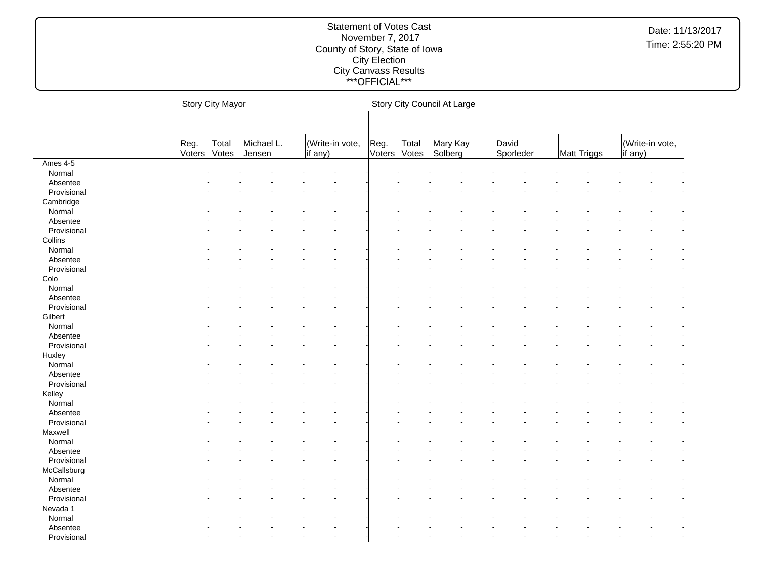|             | Story City Mayor |                |                      |  |                            |  |                | Story City Council At Large |                     |  |                    |  |             |  |                            |  |  |
|-------------|------------------|----------------|----------------------|--|----------------------------|--|----------------|-----------------------------|---------------------|--|--------------------|--|-------------|--|----------------------------|--|--|
|             |                  |                |                      |  |                            |  |                |                             |                     |  |                    |  |             |  |                            |  |  |
|             | Reg.<br>Voters   | Total<br>Votes | Michael L.<br>Jensen |  | (Write-in vote,<br>if any) |  | Reg.<br>Voters | Total<br>Votes              | Mary Kay<br>Solberg |  | David<br>Sporleder |  | Matt Triggs |  | (Write-in vote,<br>if any) |  |  |
| Ames 4-5    |                  |                |                      |  |                            |  |                |                             |                     |  |                    |  |             |  |                            |  |  |
| Normal      |                  |                |                      |  |                            |  |                |                             |                     |  |                    |  |             |  |                            |  |  |
| Absentee    |                  |                |                      |  |                            |  |                |                             |                     |  |                    |  |             |  |                            |  |  |
| Provisional |                  |                |                      |  |                            |  |                |                             |                     |  |                    |  |             |  |                            |  |  |
| Cambridge   |                  |                |                      |  |                            |  |                |                             |                     |  |                    |  |             |  |                            |  |  |
| Normal      |                  |                |                      |  |                            |  |                |                             |                     |  |                    |  |             |  |                            |  |  |
| Absentee    |                  |                |                      |  |                            |  |                |                             |                     |  |                    |  |             |  |                            |  |  |
| Provisional |                  |                |                      |  |                            |  |                |                             |                     |  |                    |  |             |  |                            |  |  |
| Collins     |                  |                |                      |  |                            |  |                |                             |                     |  |                    |  |             |  |                            |  |  |
| Normal      |                  |                |                      |  |                            |  |                |                             |                     |  |                    |  |             |  |                            |  |  |
| Absentee    |                  |                |                      |  |                            |  |                |                             |                     |  |                    |  |             |  |                            |  |  |
| Provisional |                  |                |                      |  |                            |  |                |                             |                     |  |                    |  |             |  |                            |  |  |
| Colo        |                  |                |                      |  |                            |  |                |                             |                     |  |                    |  |             |  |                            |  |  |
| Normal      |                  |                |                      |  |                            |  |                |                             |                     |  |                    |  |             |  |                            |  |  |
| Absentee    |                  |                |                      |  |                            |  |                |                             |                     |  |                    |  |             |  |                            |  |  |
| Provisional |                  |                |                      |  |                            |  |                |                             |                     |  |                    |  |             |  |                            |  |  |
| Gilbert     |                  |                |                      |  |                            |  |                |                             |                     |  |                    |  |             |  |                            |  |  |
| Normal      |                  |                |                      |  |                            |  |                |                             |                     |  |                    |  |             |  |                            |  |  |
| Absentee    |                  |                |                      |  |                            |  |                |                             |                     |  |                    |  |             |  |                            |  |  |
| Provisional |                  |                |                      |  |                            |  |                |                             |                     |  |                    |  |             |  |                            |  |  |
| Huxley      |                  |                |                      |  |                            |  |                |                             |                     |  |                    |  |             |  |                            |  |  |
| Normal      |                  |                |                      |  |                            |  |                |                             |                     |  |                    |  |             |  |                            |  |  |
| Absentee    |                  |                |                      |  |                            |  |                |                             |                     |  |                    |  |             |  |                            |  |  |
| Provisional |                  |                |                      |  |                            |  |                |                             |                     |  |                    |  |             |  |                            |  |  |
| Kelley      |                  |                |                      |  |                            |  |                |                             |                     |  |                    |  |             |  |                            |  |  |
| Normal      |                  |                |                      |  |                            |  |                |                             |                     |  |                    |  |             |  |                            |  |  |
| Absentee    |                  |                |                      |  |                            |  |                |                             |                     |  |                    |  |             |  |                            |  |  |
| Provisional |                  |                |                      |  |                            |  |                |                             |                     |  |                    |  |             |  |                            |  |  |
| Maxwell     |                  |                |                      |  |                            |  |                |                             |                     |  |                    |  |             |  |                            |  |  |
| Normal      |                  |                |                      |  |                            |  |                |                             |                     |  |                    |  |             |  |                            |  |  |
| Absentee    |                  |                |                      |  |                            |  |                |                             |                     |  |                    |  |             |  |                            |  |  |
| Provisional |                  |                |                      |  |                            |  |                |                             |                     |  |                    |  |             |  |                            |  |  |
| McCallsburg |                  |                |                      |  |                            |  |                |                             |                     |  |                    |  |             |  |                            |  |  |
| Normal      |                  |                |                      |  |                            |  |                |                             |                     |  |                    |  |             |  |                            |  |  |
| Absentee    |                  |                |                      |  |                            |  |                |                             |                     |  |                    |  |             |  |                            |  |  |
| Provisional |                  |                |                      |  |                            |  |                |                             |                     |  |                    |  |             |  |                            |  |  |
| Nevada 1    |                  |                |                      |  |                            |  |                |                             |                     |  |                    |  |             |  |                            |  |  |
| Normal      |                  |                |                      |  |                            |  |                |                             |                     |  |                    |  |             |  |                            |  |  |
| Absentee    |                  |                |                      |  |                            |  |                |                             |                     |  |                    |  |             |  |                            |  |  |
| Provisional |                  |                |                      |  |                            |  |                |                             |                     |  |                    |  |             |  |                            |  |  |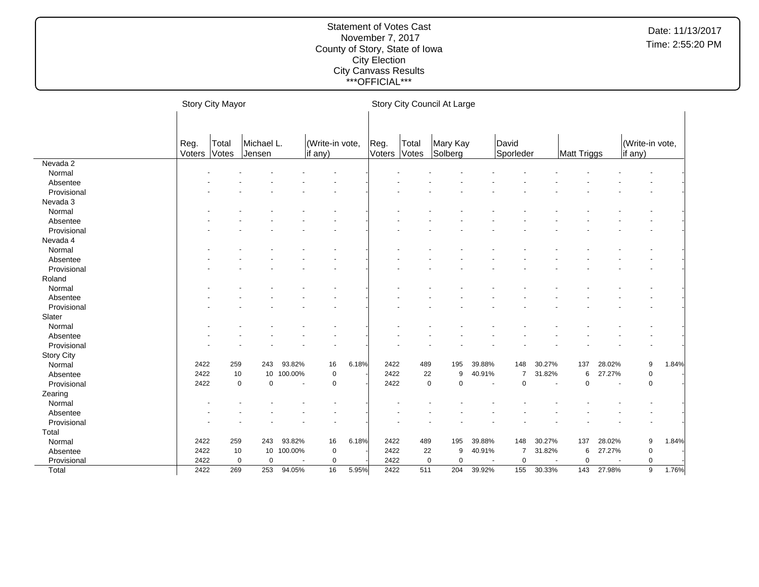|                   | Story City Mayor                               |             |                  |         |             |       | Story City Council At Large |                |                     |                |                    |                          |             |                          |                            |       |
|-------------------|------------------------------------------------|-------------|------------------|---------|-------------|-------|-----------------------------|----------------|---------------------|----------------|--------------------|--------------------------|-------------|--------------------------|----------------------------|-------|
|                   | Michael L.<br>(Write-in vote,<br>Reg.<br>Total |             |                  |         |             |       |                             |                |                     |                |                    |                          |             |                          |                            |       |
|                   | Voters                                         | Votes       | Jensen           |         | if any)     |       | Reg.<br>Voters              | Total<br>Votes | Mary Kay<br>Solberg |                | David<br>Sporleder |                          | Matt Triggs |                          | (Write-in vote,<br>if any) |       |
| Nevada 2          |                                                |             |                  |         |             |       |                             |                |                     |                |                    |                          |             |                          |                            |       |
| Normal            |                                                |             |                  |         |             |       |                             |                |                     |                |                    |                          |             |                          |                            |       |
| Absentee          |                                                |             |                  |         |             |       |                             |                |                     |                |                    |                          |             |                          |                            |       |
| Provisional       |                                                |             |                  |         |             |       |                             |                |                     |                |                    |                          |             |                          |                            |       |
| Nevada 3          |                                                |             |                  |         |             |       |                             |                |                     |                |                    |                          |             |                          |                            |       |
| Normal            |                                                |             |                  |         |             |       |                             |                |                     |                |                    |                          |             |                          |                            |       |
| Absentee          |                                                |             |                  |         |             |       |                             |                |                     |                |                    |                          |             |                          |                            |       |
| Provisional       |                                                |             |                  |         |             |       |                             |                |                     |                |                    |                          |             |                          |                            |       |
| Nevada 4          |                                                |             |                  |         |             |       |                             |                |                     |                |                    |                          |             |                          |                            |       |
| Normal            |                                                |             |                  |         |             |       |                             |                |                     |                |                    |                          |             |                          |                            |       |
| Absentee          |                                                |             |                  |         |             |       |                             |                |                     |                |                    |                          |             |                          |                            |       |
| Provisional       |                                                |             |                  |         |             |       |                             |                |                     |                |                    |                          |             |                          |                            |       |
| Roland            |                                                |             |                  |         |             |       |                             |                |                     |                |                    |                          |             |                          |                            |       |
| Normal            |                                                |             |                  |         |             |       |                             |                |                     |                |                    |                          |             |                          |                            |       |
| Absentee          |                                                |             |                  |         |             |       |                             |                |                     |                |                    |                          |             |                          |                            |       |
| Provisional       |                                                |             |                  |         |             |       |                             |                |                     |                |                    |                          |             |                          |                            |       |
| Slater            |                                                |             |                  |         |             |       |                             |                |                     |                |                    |                          |             |                          |                            |       |
| Normal            |                                                |             |                  |         |             |       |                             |                |                     |                |                    |                          |             |                          |                            |       |
| Absentee          |                                                |             |                  |         |             |       |                             |                |                     |                |                    |                          |             |                          |                            |       |
| Provisional       |                                                |             |                  |         |             |       |                             |                |                     |                |                    |                          |             |                          |                            |       |
| <b>Story City</b> |                                                |             |                  |         |             |       |                             |                |                     |                |                    |                          |             |                          |                            |       |
| Normal            | 2422                                           | 259         | 243              | 93.82%  | 16          | 6.18% | 2422                        | 489            | 195                 | 39.88%         | 148                | 30.27%                   | 137         | 28.02%                   | 9                          | 1.84% |
| Absentee          | 2422                                           | 10          | 10               | 100.00% | $\pmb{0}$   |       | 2422                        | 22             | 9                   | 40.91%         | 7                  | 31.82%                   | 6           | 27.27%                   | $\mathbf 0$                |       |
| Provisional       | 2422                                           | $\mathbf 0$ | $\mathbf 0$      | $\sim$  | $\mathbf 0$ |       | 2422                        |                | 0<br>$\mathbf 0$    | $\sim$         | 0                  | $\overline{\phantom{a}}$ | 0           | $\overline{\phantom{a}}$ | $\mathbf 0$                |       |
| Zearing           |                                                |             |                  |         |             |       |                             |                |                     |                |                    |                          |             |                          |                            |       |
| Normal            |                                                |             |                  |         |             |       |                             |                |                     |                |                    |                          |             |                          |                            |       |
| Absentee          |                                                |             |                  |         |             |       |                             |                |                     |                |                    |                          |             |                          |                            |       |
| Provisional       |                                                |             |                  |         |             |       |                             |                |                     |                |                    |                          |             |                          |                            |       |
| Total             |                                                |             |                  |         |             |       |                             |                |                     |                |                    |                          |             |                          |                            |       |
| Normal            | 2422                                           | 259         | 243              | 93.82%  | 16          | 6.18% | 2422                        | 489            | 195                 | 39.88%         | 148                | 30.27%                   | 137         | 28.02%                   | 9                          | 1.84% |
| Absentee          | 2422                                           | 10          | 10               | 100.00% | $\pmb{0}$   |       | 2422                        | 22             | 9                   | 40.91%         | 7                  | 31.82%                   | 6           | 27.27%                   | 0                          |       |
| Provisional       | 2422                                           |             | $\mathbf 0$<br>0 |         | $\pmb{0}$   |       | 2422                        |                | 0<br>$\mathbf 0$    | $\overline{a}$ | 0                  |                          | $\pmb{0}$   |                          | 0                          |       |
| Total             | 2422                                           | 269         | 253              | 94.05%  | 16          | 5.95% | 2422                        | 511            | 204                 | 39.92%         | 155                | 30.33%                   | 143         | 27.98%                   | 9                          | 1.76% |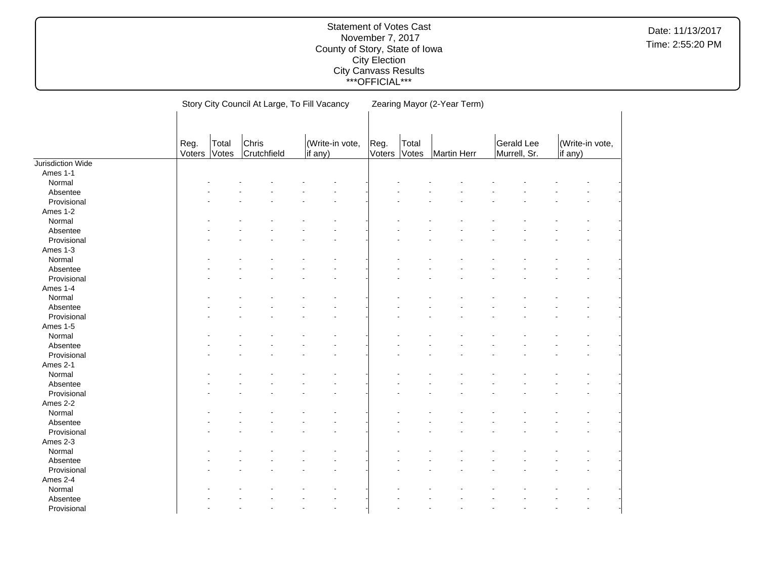|                   |                |                |                      | Story City Council At Large, To Fill Vacancy |                | Zearing Mayor (2-Year Term) |             |                            |                            |  |  |  |  |
|-------------------|----------------|----------------|----------------------|----------------------------------------------|----------------|-----------------------------|-------------|----------------------------|----------------------------|--|--|--|--|
|                   | Reg.<br>Voters | Total<br>Votes | Chris<br>Crutchfield | (Write-in vote,<br>if any)                   | Reg.<br>Voters | Total<br>Votes              | Martin Herr | Gerald Lee<br>Murrell, Sr. | (Write-in vote,<br>if any) |  |  |  |  |
| Jurisdiction Wide |                |                |                      |                                              |                |                             |             |                            |                            |  |  |  |  |
| Ames 1-1          |                |                |                      |                                              |                |                             |             |                            |                            |  |  |  |  |
| Normal            |                |                |                      |                                              |                |                             |             |                            |                            |  |  |  |  |
| Absentee          |                |                |                      |                                              |                |                             |             |                            |                            |  |  |  |  |
| Provisional       |                |                |                      |                                              |                |                             |             |                            |                            |  |  |  |  |
| Ames 1-2          |                |                |                      |                                              |                |                             |             |                            |                            |  |  |  |  |
| Normal            |                |                |                      |                                              |                |                             |             |                            |                            |  |  |  |  |
| Absentee          |                |                |                      |                                              |                |                             |             |                            |                            |  |  |  |  |
| Provisional       |                |                |                      |                                              |                |                             |             |                            |                            |  |  |  |  |
| Ames 1-3          |                |                |                      |                                              |                |                             |             |                            |                            |  |  |  |  |
| Normal            |                |                |                      |                                              |                |                             |             |                            |                            |  |  |  |  |
| Absentee          |                |                |                      |                                              |                |                             |             |                            |                            |  |  |  |  |
| Provisional       |                |                |                      |                                              |                |                             |             |                            |                            |  |  |  |  |
| Ames 1-4          |                |                |                      |                                              |                |                             |             |                            |                            |  |  |  |  |
| Normal            |                |                |                      |                                              |                |                             |             |                            |                            |  |  |  |  |
| Absentee          |                |                |                      |                                              |                |                             |             |                            |                            |  |  |  |  |
| Provisional       |                |                |                      |                                              |                |                             |             |                            |                            |  |  |  |  |
| Ames 1-5          |                |                |                      |                                              |                |                             |             |                            |                            |  |  |  |  |
| Normal            |                |                |                      |                                              |                |                             |             |                            |                            |  |  |  |  |
| Absentee          |                |                |                      |                                              |                |                             |             |                            |                            |  |  |  |  |
| Provisional       |                |                |                      |                                              |                |                             |             |                            |                            |  |  |  |  |
| Ames 2-1          |                |                |                      |                                              |                |                             |             |                            |                            |  |  |  |  |
| Normal            |                |                |                      |                                              |                |                             |             |                            |                            |  |  |  |  |
| Absentee          |                |                |                      |                                              |                |                             |             |                            |                            |  |  |  |  |
| Provisional       |                |                |                      |                                              |                |                             |             |                            |                            |  |  |  |  |
| Ames 2-2          |                |                |                      |                                              |                |                             |             |                            |                            |  |  |  |  |
| Normal            |                |                |                      |                                              |                |                             |             |                            |                            |  |  |  |  |
| Absentee          |                |                |                      |                                              |                |                             |             |                            |                            |  |  |  |  |
| Provisional       |                |                |                      |                                              |                |                             |             |                            |                            |  |  |  |  |
| Ames 2-3          |                |                |                      |                                              |                |                             |             |                            |                            |  |  |  |  |
| Normal            |                |                |                      |                                              |                |                             |             |                            |                            |  |  |  |  |
| Absentee          |                |                |                      |                                              |                |                             |             |                            |                            |  |  |  |  |
| Provisional       |                |                |                      |                                              |                |                             |             |                            |                            |  |  |  |  |
| Ames 2-4          |                |                |                      |                                              |                |                             |             |                            |                            |  |  |  |  |
| Normal            |                |                |                      |                                              |                |                             |             |                            |                            |  |  |  |  |
| Absentee          |                |                |                      |                                              |                |                             |             |                            |                            |  |  |  |  |
| Provisional       |                |                |                      |                                              |                |                             |             |                            |                            |  |  |  |  |
|                   |                |                |                      |                                              |                |                             |             |                            |                            |  |  |  |  |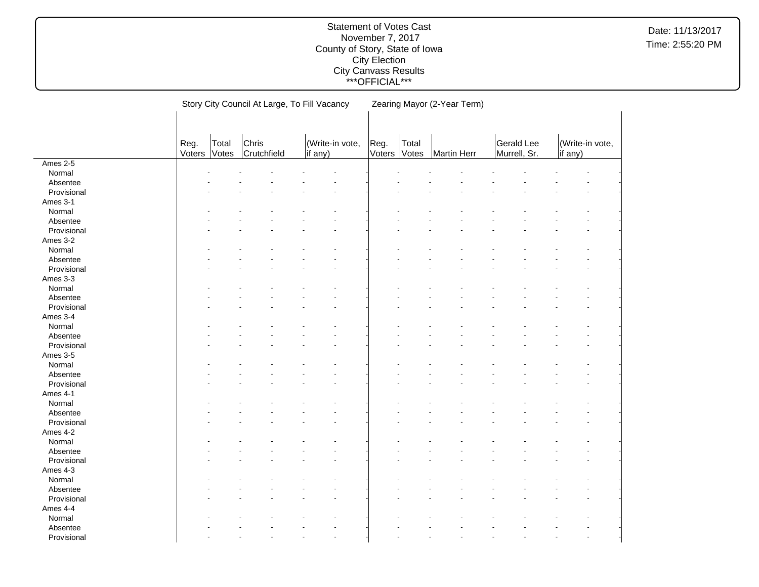|             |                |                | Story City Council At Large, To Fill Vacancy |         |                      |                |                | Zearing Mayor (2-Year Term) |                            |         |                 |  |
|-------------|----------------|----------------|----------------------------------------------|---------|----------------------|----------------|----------------|-----------------------------|----------------------------|---------|-----------------|--|
|             |                |                |                                              |         |                      |                |                |                             |                            |         |                 |  |
|             |                |                |                                              |         |                      |                |                |                             |                            |         |                 |  |
|             |                |                |                                              |         |                      |                |                |                             |                            |         |                 |  |
|             | Reg.<br>Voters | Total<br>Votes | Chris<br>Crutchfield                         | if any) | (Write-in vote,      | Reg.<br>Voters | Total<br>Votes | <b>Martin Herr</b>          | Gerald Lee<br>Murrell, Sr. | if any) | (Write-in vote, |  |
| Ames 2-5    |                |                |                                              |         |                      |                |                |                             |                            |         |                 |  |
| Normal      |                |                |                                              |         |                      |                |                |                             |                            |         |                 |  |
| Absentee    |                |                |                                              |         |                      |                |                |                             |                            |         |                 |  |
| Provisional |                |                |                                              |         |                      |                |                |                             |                            |         |                 |  |
| Ames 3-1    |                |                |                                              |         |                      |                |                |                             |                            |         |                 |  |
| Normal      |                |                |                                              |         |                      |                |                |                             |                            |         |                 |  |
| Absentee    |                |                |                                              |         |                      |                |                |                             |                            |         |                 |  |
| Provisional |                |                |                                              |         |                      |                |                |                             |                            |         |                 |  |
| Ames 3-2    |                |                |                                              |         |                      |                |                |                             |                            |         |                 |  |
| Normal      |                |                |                                              |         |                      |                |                |                             |                            |         |                 |  |
| Absentee    |                |                |                                              |         |                      |                |                |                             |                            |         |                 |  |
| Provisional |                |                |                                              |         |                      |                |                |                             |                            |         |                 |  |
| Ames 3-3    |                |                |                                              |         |                      |                |                |                             |                            |         |                 |  |
| Normal      |                |                |                                              |         |                      |                |                |                             |                            |         |                 |  |
| Absentee    |                |                |                                              |         |                      |                |                |                             |                            |         |                 |  |
| Provisional |                |                |                                              |         |                      |                |                |                             |                            |         |                 |  |
| Ames 3-4    |                |                |                                              |         |                      |                |                |                             |                            |         |                 |  |
| Normal      |                |                |                                              |         |                      |                |                |                             |                            |         |                 |  |
| Absentee    |                |                |                                              |         |                      |                |                |                             |                            |         |                 |  |
| Provisional |                |                |                                              |         |                      |                |                |                             |                            |         |                 |  |
| Ames 3-5    |                |                |                                              |         |                      |                |                |                             |                            |         |                 |  |
| Normal      |                |                |                                              |         |                      |                |                |                             |                            |         |                 |  |
| Absentee    |                |                |                                              |         |                      |                |                |                             |                            |         |                 |  |
| Provisional |                |                |                                              |         |                      |                |                |                             |                            |         |                 |  |
| Ames 4-1    |                |                |                                              |         |                      |                |                |                             |                            |         |                 |  |
| Normal      |                |                |                                              |         |                      |                |                |                             |                            |         |                 |  |
| Absentee    |                |                |                                              |         |                      |                |                |                             |                            |         |                 |  |
| Provisional |                |                |                                              |         |                      |                |                |                             |                            |         |                 |  |
| Ames 4-2    |                |                |                                              |         |                      |                |                |                             |                            |         |                 |  |
| Normal      |                |                |                                              |         |                      |                |                |                             |                            |         |                 |  |
| Absentee    |                |                |                                              |         |                      |                |                |                             |                            |         |                 |  |
| Provisional |                |                |                                              |         |                      |                |                |                             |                            |         |                 |  |
| Ames 4-3    |                |                |                                              |         |                      |                |                |                             |                            |         |                 |  |
| Normal      |                |                |                                              |         |                      |                |                |                             |                            |         |                 |  |
| Absentee    |                |                |                                              |         |                      |                |                |                             |                            |         |                 |  |
| Provisional |                |                |                                              |         |                      |                |                |                             |                            |         |                 |  |
| Ames 4-4    |                |                |                                              |         |                      |                |                |                             |                            |         |                 |  |
| Normal      |                |                |                                              |         |                      |                |                |                             |                            |         |                 |  |
| Absentee    |                |                |                                              |         |                      |                |                |                             |                            |         |                 |  |
| Provisional |                |                |                                              |         | $\ddot{\phantom{0}}$ |                |                |                             |                            |         |                 |  |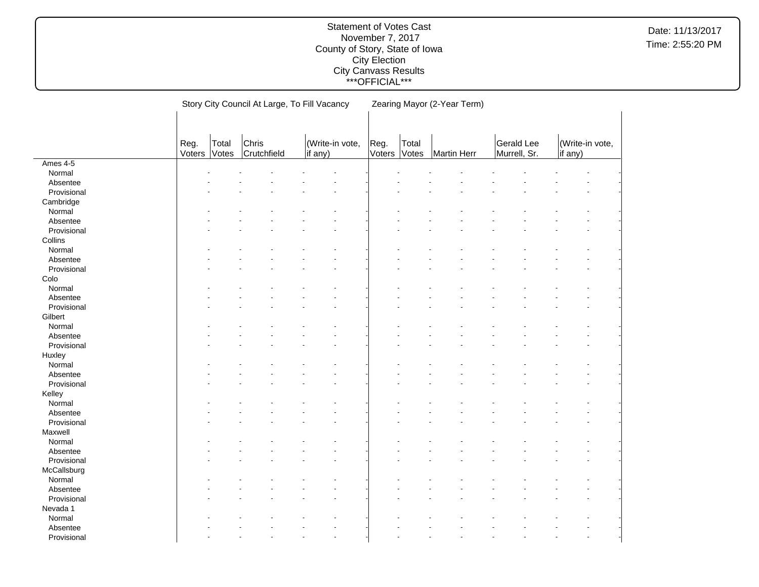|             |        |       | Story City Council At Large, To Fill Vacancy |                      |        |       | Zearing Mayor (2-Year Term) |              |         |                 |  |
|-------------|--------|-------|----------------------------------------------|----------------------|--------|-------|-----------------------------|--------------|---------|-----------------|--|
|             |        |       |                                              |                      |        |       |                             |              |         |                 |  |
|             |        |       |                                              |                      |        |       |                             |              |         |                 |  |
|             | Reg.   | Total | Chris                                        | (Write-in vote,      | Reg.   | Total |                             | Gerald Lee   |         | (Write-in vote, |  |
|             | Voters | Votes | Crutchfield                                  | if any)              | Voters | Votes | <b>Martin Herr</b>          | Murrell, Sr. | if any) |                 |  |
| Ames 4-5    |        |       |                                              |                      |        |       |                             |              |         |                 |  |
| Normal      |        |       |                                              |                      |        |       |                             |              |         |                 |  |
| Absentee    |        |       |                                              |                      |        |       |                             |              |         |                 |  |
| Provisional |        |       |                                              |                      |        |       |                             |              |         |                 |  |
| Cambridge   |        |       |                                              |                      |        |       |                             |              |         |                 |  |
| Normal      |        |       |                                              |                      |        |       |                             |              |         |                 |  |
| Absentee    |        |       |                                              |                      |        |       |                             |              |         |                 |  |
| Provisional |        |       |                                              |                      |        |       |                             |              |         |                 |  |
| Collins     |        |       |                                              |                      |        |       |                             |              |         |                 |  |
| Normal      |        |       |                                              |                      |        |       |                             |              |         |                 |  |
| Absentee    |        |       |                                              |                      |        |       |                             |              |         |                 |  |
| Provisional |        |       |                                              |                      |        |       |                             |              |         |                 |  |
| Colo        |        |       |                                              |                      |        |       |                             |              |         |                 |  |
| Normal      |        |       |                                              |                      |        |       |                             |              |         |                 |  |
| Absentee    |        |       |                                              |                      |        |       |                             |              |         |                 |  |
| Provisional |        |       |                                              |                      |        |       |                             |              |         |                 |  |
| Gilbert     |        |       |                                              |                      |        |       |                             |              |         |                 |  |
| Normal      |        |       |                                              |                      |        |       |                             |              |         |                 |  |
| Absentee    |        |       |                                              |                      |        |       |                             |              |         |                 |  |
| Provisional |        |       |                                              |                      |        |       |                             |              |         |                 |  |
| Huxley      |        |       |                                              |                      |        |       |                             |              |         |                 |  |
| Normal      |        |       |                                              |                      |        |       |                             |              |         |                 |  |
| Absentee    |        |       |                                              |                      |        |       |                             |              |         |                 |  |
| Provisional |        |       |                                              |                      |        |       |                             |              |         |                 |  |
| Kelley      |        |       |                                              |                      |        |       |                             |              |         |                 |  |
| Normal      |        |       |                                              |                      |        |       |                             |              |         |                 |  |
| Absentee    |        |       |                                              |                      |        |       |                             |              |         |                 |  |
| Provisional |        |       |                                              |                      |        |       |                             |              |         |                 |  |
| Maxwell     |        |       |                                              |                      |        |       |                             |              |         |                 |  |
| Normal      |        |       |                                              |                      |        |       |                             |              |         |                 |  |
| Absentee    |        |       |                                              |                      |        |       |                             |              |         |                 |  |
| Provisional |        |       |                                              |                      |        |       |                             |              |         |                 |  |
| McCallsburg |        |       |                                              |                      |        |       |                             |              |         |                 |  |
| Normal      |        |       |                                              |                      |        |       |                             |              |         |                 |  |
| Absentee    |        |       |                                              |                      |        |       |                             |              |         |                 |  |
| Provisional |        |       |                                              |                      |        |       |                             |              |         |                 |  |
| Nevada 1    |        |       |                                              |                      |        |       |                             |              |         |                 |  |
| Normal      |        |       |                                              |                      |        |       |                             |              |         |                 |  |
| Absentee    |        |       |                                              |                      |        |       |                             |              |         |                 |  |
| Provisional |        |       |                                              | $\ddot{\phantom{0}}$ |        |       |                             |              |         |                 |  |
|             |        |       |                                              |                      |        |       |                             |              |         |                 |  |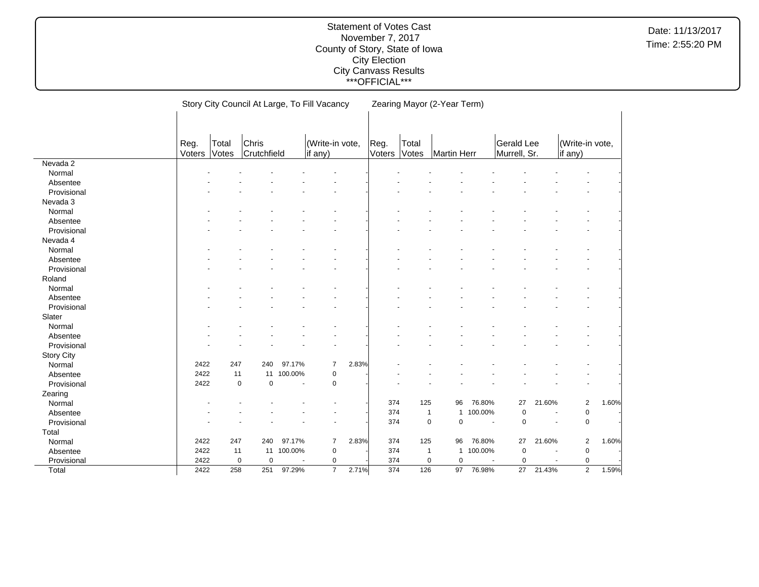|                   |                | Story City Council At Large, To Fill Vacancy |                      |                          |                            |       | Zearing Mayor (2-Year Term) |                 |                              |                |                            |                |                            |       |
|-------------------|----------------|----------------------------------------------|----------------------|--------------------------|----------------------------|-------|-----------------------------|-----------------|------------------------------|----------------|----------------------------|----------------|----------------------------|-------|
|                   | Reg.<br>Voters | Total<br>Votes                               | Chris<br>Crutchfield |                          | (Write-in vote,<br>if any) |       | Reg.<br>Voters              | Total<br>Votes  | Martin Herr                  |                | Gerald Lee<br>Murrell, Sr. |                | (Write-in vote,<br>if any) |       |
| Nevada 2          |                |                                              |                      |                          |                            |       |                             |                 |                              |                |                            |                |                            |       |
| Normal            |                |                                              |                      |                          |                            |       |                             |                 |                              |                |                            |                |                            |       |
| Absentee          |                |                                              |                      |                          |                            |       |                             |                 |                              |                |                            |                |                            |       |
| Provisional       |                |                                              |                      |                          |                            |       |                             |                 |                              |                |                            |                |                            |       |
| Nevada 3          |                |                                              |                      |                          |                            |       |                             |                 |                              |                |                            |                |                            |       |
| Normal            |                |                                              |                      |                          |                            |       |                             |                 |                              |                |                            |                |                            |       |
| Absentee          |                |                                              |                      |                          |                            |       |                             |                 |                              |                |                            |                |                            |       |
| Provisional       |                |                                              |                      |                          |                            |       |                             |                 |                              |                |                            |                |                            |       |
| Nevada 4          |                |                                              |                      |                          |                            |       |                             |                 |                              |                |                            |                |                            |       |
| Normal            |                |                                              |                      |                          |                            |       |                             |                 |                              |                |                            |                |                            |       |
| Absentee          |                |                                              |                      |                          |                            |       |                             |                 |                              |                |                            |                |                            |       |
| Provisional       |                |                                              |                      |                          |                            |       |                             |                 |                              |                |                            |                |                            |       |
| Roland            |                |                                              |                      |                          |                            |       |                             |                 |                              |                |                            |                |                            |       |
| Normal            |                |                                              |                      |                          |                            |       |                             |                 |                              |                |                            |                |                            |       |
| Absentee          |                |                                              |                      |                          |                            |       |                             |                 |                              |                |                            |                |                            |       |
| Provisional       |                |                                              |                      |                          |                            |       |                             |                 |                              |                |                            |                |                            |       |
| Slater            |                |                                              |                      |                          |                            |       |                             |                 |                              |                |                            |                |                            |       |
| Normal            |                |                                              |                      |                          |                            |       |                             |                 |                              |                |                            |                |                            |       |
| Absentee          |                |                                              |                      |                          |                            |       |                             |                 |                              |                |                            |                |                            |       |
| Provisional       |                |                                              |                      |                          |                            |       |                             |                 |                              |                |                            |                |                            |       |
| <b>Story City</b> |                |                                              |                      |                          |                            |       |                             |                 |                              |                |                            |                |                            |       |
| Normal            | 2422           | 247                                          | 240                  | 97.17%                   | 7                          | 2.83% |                             |                 |                              |                |                            |                |                            |       |
| Absentee          | 2422           | 11                                           | 11                   | 100.00%                  | 0                          |       |                             |                 |                              |                |                            |                |                            |       |
| Provisional       | 2422           | $\pmb{0}$                                    | $\mathbf 0$          | ÷,                       | $\mathbf 0$                |       |                             |                 |                              |                |                            |                |                            |       |
| Zearing           |                |                                              |                      |                          |                            |       |                             |                 |                              |                |                            |                |                            |       |
| Normal            |                |                                              |                      |                          |                            |       | 374                         | 125             | 96                           | 76.80%         | 27                         | 21.60%         | $\overline{2}$             | 1.60% |
| Absentee          |                |                                              |                      |                          |                            |       | 374                         |                 | $\mathbf{1}$<br>$\mathbf{1}$ | 100.00%        | $\mathbf 0$                | $\blacksquare$ | $\pmb{0}$                  |       |
| Provisional       |                |                                              |                      |                          |                            |       | 374                         |                 | $\mathbf 0$<br>$\mathbf 0$   | $\blacksquare$ | $\mathbf 0$                | ٠              | $\mathsf 0$                |       |
| Total             |                |                                              |                      |                          |                            |       |                             |                 |                              |                |                            |                |                            |       |
| Normal            | 2422           | 247                                          | 240                  | 97.17%                   | 7                          | 2.83% | 374                         | 125             | 96                           | 76.80%         | 27                         | 21.60%         | $\overline{\mathbf{c}}$    | 1.60% |
| Absentee          | 2422           | 11                                           | 11                   | 100.00%                  | $\pmb{0}$                  |       | 374                         |                 | $\mathbf{1}$<br>$\mathbf{1}$ | 100.00%        | $\mathbf 0$                |                | $\pmb{0}$                  |       |
| Provisional       | 2422           | 0                                            | 0                    | $\overline{\phantom{a}}$ | 0                          |       | 374                         |                 | 0<br>0                       | $\blacksquare$ | 0                          | $\blacksquare$ | $\pmb{0}$                  |       |
| Total             | 2422           | 258                                          | 251                  | 97.29%                   | $\overline{7}$             | 2.71% | 374                         | $\frac{126}{2}$ | 97                           | 76.98%         | $\overline{27}$            | 21.43%         | $\overline{2}$             | 1.59% |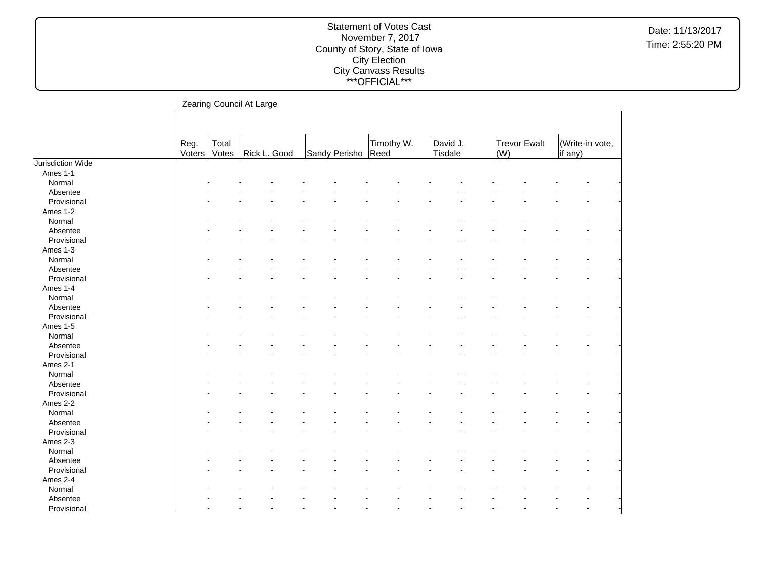#### Statement of Votes Cast November 7, 2017 County of Story, State of Iowa City Election City Canvass Results \*\*\*OFFICIAL\*\*\*

Zearing Council At Large Reg. Voters Total Votes | Rick L. Good | Sandy Perisho Timothy W. Reed David J. **Tisdale** Trevor Ewalt (W) (Write-in vote, if any) Jurisdiction Wide Ames 1-1  $\textsf{Normal}$  . The set of the set of the set of the set of the set of the set of the set of the set of the set of the set of the set of the set of the set of the set of the set of the set of the set of the set of the set of t Absentee and the second contract of the second contract of the second contract of the second contract of the second contract of the second contract of the second contract of the second contract of the second contract of th Provisional and the second contract of the second contract of the second contract of the second contract of the second contract of the second contract of the second contract of the second contract of the second contract of Ames 1-2  $\textsf{Normal}$  . The set of the set of the set of the set of the set of the set of the set of the set of the set of the set of the set of the set of the set of the set of the set of the set of the set of the set of the set of t Absentee and the second contract of the second contract of the second contract of the second contract of the second contract of the second contract of the second contract of the second contract of the second contract of th Provisional and the second contract of the second contract of the second contract of the second contract of the second contract of the second contract of the second contract of the second contract of the second contract of Ames 1-3  $\textsf{Normal}$  . The set of the set of the set of the set of the set of the set of the set of the set of the set of the set of the set of the set of the set of the set of the set of the set of the set of the set of the set of t Absentee - - - - - - - - - - - - - - Provisional and the second contract of the second contract of the second contract of the second contract of the second contract of the second contract of the second contract of the second contract of the second contract of Ames 1-4  $\textsf{Normal}$  . The set of the set of the set of the set of the set of the set of the set of the set of the set of the set of the set of the set of the set of the set of the set of the set of the set of the set of the set of t Absentee and the second contract of the second contract of the second contract of the second contract of the second contract of the second contract of the second contract of the second contract of the second contract of th Provisional and the second contract of the second contract of the second contract of the second contract of the second contract of the second contract of the second contract of the second contract of the second contract of Ames 1-5  $\textsf{Normal}$  . The set of the set of the set of the set of the set of the set of the set of the set of the set of the set of the set of the set of the set of the set of the set of the set of the set of the set of the set of t Absentee and the second contract of the second contract of the second contract of the second contract of the second contract of the second contract of the second contract of the second contract of the second contract of th Provisional and the second contract of the second contract of the second contract of the second contract of the second contract of the second contract of the second contract of the second contract of the second contract of Ames 2-1  $\textsf{Normal}$  . The set of the set of the set of the set of the set of the set of the set of the set of the set of the set of the set of the set of the set of the set of the set of the set of the set of the set of the set of t Absentee - - - - - - - - - - - - - - Provisional and the second contract of the second contract of the second contract of the second contract of the second contract of the second contract of the second contract of the second contract of the second contract of Ames 2-2  $\textsf{Normal}$  . The set of the set of the set of the set of the set of the set of the set of the set of the set of the set of the set of the set of the set of the set of the set of the set of the set of the set of the set of t Absentee and the second contract of the second contract of the second contract of the second contract of the second contract of the second contract of the second contract of the second contract of the second contract of th Provisional and the second contract of the second contract of the second contract of the second contract of the second contract of the second contract of the second contract of the second contract of the second contract of Ames 2-3  $\textsf{Normal}$  . The set of the set of the set of the set of the set of the set of the set of the set of the set of the set of the set of the set of the set of the set of the set of the set of the set of the set of the set of t Absentee and the second contract of the second contract of the second contract of the second contract of the second contract of the second contract of the second contract of the second contract of the second contract of th Provisional and the second contract of the second contract of the second contract of the second contract of the second contract of the second contract of the second contract of the second contract of the second contract of Ames 2-4  $\textsf{Normal}$  . The set of the set of the set of the set of the set of the set of the set of the set of the set of the set of the set of the set of the set of the set of the set of the set of the set of the set of the set of t Absentee - - - - - - - - - - - - - - Provisional and the second contract of the second contract of the second contract of the second contract of the second contract of the second contract of the second contract of the second contract of the second contract of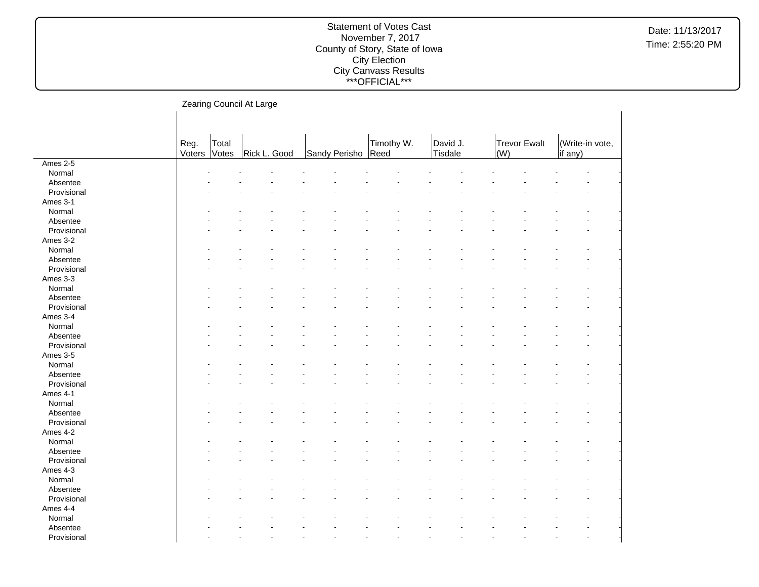|             |        |       | Zearing Council At Large |  |               |            |          |              |                 |  |
|-------------|--------|-------|--------------------------|--|---------------|------------|----------|--------------|-----------------|--|
|             |        |       |                          |  |               |            |          |              |                 |  |
|             |        |       |                          |  |               |            |          |              |                 |  |
|             |        |       |                          |  |               |            |          |              |                 |  |
|             | Reg.   | Total |                          |  |               | Timothy W. | David J. | Trevor Ewalt | (Write-in vote, |  |
|             | Voters | Votes | Rick L. Good             |  | Sandy Perisho | Reed       | Tisdale  | $\vert$ (W)  | if any)         |  |
| Ames 2-5    |        |       |                          |  |               |            |          |              |                 |  |
| Normal      |        |       |                          |  |               |            |          |              |                 |  |
| Absentee    |        |       |                          |  |               |            |          |              |                 |  |
| Provisional |        |       |                          |  |               |            |          |              |                 |  |
| Ames 3-1    |        |       |                          |  |               |            |          |              |                 |  |
| Normal      |        |       |                          |  |               |            |          |              |                 |  |
| Absentee    |        |       |                          |  |               |            |          |              |                 |  |
| Provisional |        |       |                          |  |               |            |          |              |                 |  |
| Ames 3-2    |        |       |                          |  |               |            |          |              |                 |  |
| Normal      |        |       |                          |  |               |            |          |              |                 |  |
| Absentee    |        |       |                          |  |               |            |          |              |                 |  |
| Provisional |        |       |                          |  |               |            |          |              |                 |  |
| Ames 3-3    |        |       |                          |  |               |            |          |              |                 |  |
| Normal      |        |       |                          |  |               |            |          |              |                 |  |
| Absentee    |        |       |                          |  |               |            |          |              |                 |  |
| Provisional |        |       |                          |  |               |            |          |              |                 |  |
| Ames 3-4    |        |       |                          |  |               |            |          |              |                 |  |
| Normal      |        |       |                          |  |               |            |          |              |                 |  |
| Absentee    |        |       |                          |  |               |            |          |              |                 |  |
| Provisional |        |       |                          |  |               |            |          |              |                 |  |
| Ames 3-5    |        |       |                          |  |               |            |          |              |                 |  |
| Normal      |        |       |                          |  |               |            |          |              |                 |  |
| Absentee    |        |       |                          |  |               |            |          |              |                 |  |
| Provisional |        |       |                          |  |               |            |          |              |                 |  |
| Ames 4-1    |        |       |                          |  |               |            |          |              |                 |  |
| Normal      |        |       |                          |  |               |            |          |              |                 |  |
| Absentee    |        |       |                          |  |               |            |          |              |                 |  |
| Provisional |        |       |                          |  |               |            |          |              |                 |  |
| Ames 4-2    |        |       |                          |  |               |            |          |              |                 |  |
| Normal      |        |       |                          |  |               |            |          |              |                 |  |
| Absentee    |        |       |                          |  |               |            |          |              |                 |  |
| Provisional |        |       |                          |  |               |            |          |              |                 |  |
| Ames 4-3    |        |       |                          |  |               |            |          |              |                 |  |
| Normal      |        |       |                          |  |               |            |          |              |                 |  |
| Absentee    |        |       |                          |  |               |            |          |              |                 |  |
| Provisional |        |       |                          |  |               |            |          |              |                 |  |
|             |        |       |                          |  |               |            |          |              |                 |  |
| Ames 4-4    |        |       |                          |  |               |            |          |              |                 |  |
| Normal      |        |       |                          |  |               |            |          |              |                 |  |
| Absentee    |        |       |                          |  |               |            |          |              |                 |  |
| Provisional |        |       |                          |  |               |            |          |              |                 |  |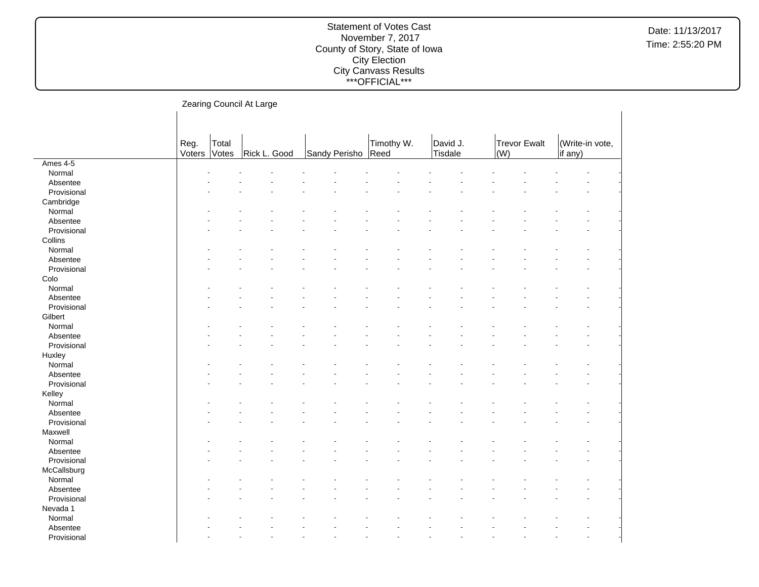|             |                | Zearing Council At Large |              |                    |            |                     |                     |         |                 |  |
|-------------|----------------|--------------------------|--------------|--------------------|------------|---------------------|---------------------|---------|-----------------|--|
|             |                |                          |              |                    |            |                     |                     |         |                 |  |
|             | Reg.<br>Voters | Total<br>Votes           | Rick L. Good | Sandy Perisho Reed | Timothy W. | David J.<br>Tisdale | Trevor Ewalt<br>(W) | if any) | (Write-in vote, |  |
| Ames 4-5    |                |                          |              |                    |            |                     |                     |         |                 |  |
| Normal      |                |                          |              |                    |            |                     |                     |         |                 |  |
| Absentee    |                |                          |              |                    |            |                     |                     |         |                 |  |
| Provisional |                |                          |              |                    |            |                     |                     |         |                 |  |
| Cambridge   |                |                          |              |                    |            |                     |                     |         |                 |  |
| Normal      |                |                          |              |                    |            |                     |                     |         |                 |  |
| Absentee    |                |                          |              |                    |            |                     |                     |         |                 |  |
| Provisional |                |                          |              |                    |            |                     |                     |         |                 |  |
| Collins     |                |                          |              |                    |            |                     |                     |         |                 |  |
| Normal      |                |                          |              |                    |            |                     |                     |         |                 |  |
| Absentee    |                |                          |              |                    |            |                     |                     |         |                 |  |
| Provisional |                |                          |              |                    |            |                     |                     |         |                 |  |
| Colo        |                |                          |              |                    |            |                     |                     |         |                 |  |
| Normal      |                |                          |              |                    |            |                     |                     |         |                 |  |
| Absentee    |                |                          |              |                    |            |                     |                     |         |                 |  |
| Provisional |                |                          |              |                    |            |                     |                     |         |                 |  |
| Gilbert     |                |                          |              |                    |            |                     |                     |         |                 |  |
| Normal      |                |                          |              |                    |            |                     |                     |         |                 |  |
| Absentee    |                |                          |              |                    |            |                     |                     |         |                 |  |
| Provisional |                |                          |              |                    |            |                     |                     |         |                 |  |
| Huxley      |                |                          |              |                    |            |                     |                     |         |                 |  |
| Normal      |                |                          |              |                    |            |                     |                     |         |                 |  |
| Absentee    |                |                          |              |                    |            |                     |                     |         |                 |  |
| Provisional |                |                          |              |                    |            |                     |                     |         |                 |  |
| Kelley      |                |                          |              |                    |            |                     |                     |         |                 |  |
| Normal      |                |                          |              |                    |            |                     |                     |         |                 |  |
| Absentee    |                |                          |              |                    |            |                     |                     |         |                 |  |
| Provisional |                |                          |              |                    |            |                     |                     |         |                 |  |
| Maxwell     |                |                          |              |                    |            |                     |                     |         |                 |  |
| Normal      |                |                          |              |                    |            |                     |                     |         |                 |  |
| Absentee    |                |                          |              |                    |            |                     |                     |         |                 |  |
| Provisional |                |                          |              |                    |            |                     |                     |         |                 |  |
| McCallsburg |                |                          |              |                    |            |                     |                     |         |                 |  |
| Normal      |                |                          |              |                    |            |                     |                     |         |                 |  |
| Absentee    |                |                          |              |                    |            |                     |                     |         |                 |  |
| Provisional |                |                          |              |                    |            |                     |                     |         |                 |  |
| Nevada 1    |                |                          |              |                    |            |                     |                     |         |                 |  |
| Normal      |                |                          |              |                    |            |                     |                     |         |                 |  |
| Absentee    |                |                          |              |                    |            |                     |                     |         |                 |  |
| Provisional |                |                          |              |                    |            |                     |                     |         |                 |  |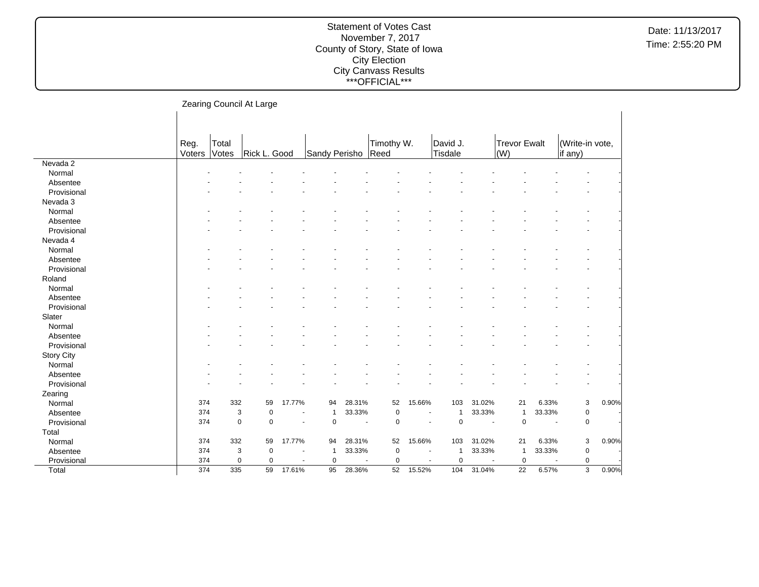|                   |        |       | Zearing Council At Large   |                          |                |        |                       |                |             |                          |                     |                          |                 |       |
|-------------------|--------|-------|----------------------------|--------------------------|----------------|--------|-----------------------|----------------|-------------|--------------------------|---------------------|--------------------------|-----------------|-------|
|                   | Reg.   | Total |                            |                          |                |        |                       | Timothy W.     | David J.    |                          | <b>Trevor Ewalt</b> |                          | (Write-in vote, |       |
|                   | Voters | Votes | Rick L. Good               |                          | Sandy Perisho  |        | Reed                  |                | Tisdale     |                          | (W)                 |                          | if any)         |       |
| Nevada 2          |        |       |                            |                          |                |        |                       |                |             |                          |                     |                          |                 |       |
| Normal            |        |       |                            |                          |                |        |                       |                |             |                          |                     |                          |                 |       |
| Absentee          |        |       |                            |                          |                |        |                       |                |             |                          |                     |                          |                 |       |
| Provisional       |        |       |                            |                          |                |        |                       |                |             |                          |                     |                          |                 |       |
| Nevada 3          |        |       |                            |                          |                |        |                       |                |             |                          |                     |                          |                 |       |
| Normal            |        |       |                            |                          |                |        |                       |                |             |                          |                     |                          |                 |       |
| Absentee          |        |       |                            |                          |                |        |                       |                |             |                          |                     |                          |                 |       |
| Provisional       |        |       |                            |                          |                |        |                       |                |             |                          |                     |                          |                 |       |
| Nevada 4          |        |       |                            |                          |                |        |                       |                |             |                          |                     |                          |                 |       |
| Normal            |        |       |                            |                          |                |        |                       |                |             |                          |                     |                          |                 |       |
| Absentee          |        |       |                            |                          |                |        |                       |                |             |                          |                     |                          |                 |       |
| Provisional       |        |       |                            |                          |                |        |                       |                |             |                          |                     |                          |                 |       |
| Roland            |        |       |                            |                          |                |        |                       |                |             |                          |                     |                          |                 |       |
| Normal            |        |       |                            |                          |                |        |                       |                |             |                          |                     |                          |                 |       |
| Absentee          |        |       |                            |                          |                |        |                       |                |             |                          |                     |                          |                 |       |
| Provisional       |        |       |                            |                          |                |        |                       |                |             |                          |                     |                          |                 |       |
| Slater            |        |       |                            |                          |                |        |                       |                |             |                          |                     |                          |                 |       |
| Normal            |        |       |                            |                          |                |        |                       |                |             |                          |                     |                          |                 |       |
| Absentee          |        |       |                            |                          |                |        |                       |                |             |                          |                     |                          |                 |       |
| Provisional       |        |       |                            |                          |                |        |                       |                |             |                          |                     |                          |                 |       |
| <b>Story City</b> |        |       |                            |                          |                |        |                       |                |             |                          |                     |                          |                 |       |
| Normal            |        |       |                            |                          |                |        |                       |                |             |                          |                     |                          |                 |       |
| Absentee          |        |       |                            |                          |                |        |                       |                |             |                          |                     |                          |                 |       |
| Provisional       |        |       |                            |                          |                |        |                       |                |             |                          |                     |                          |                 |       |
| Zearing           |        |       |                            |                          |                |        |                       |                |             |                          |                     |                          |                 |       |
| Normal            | 374    | 332   | 59                         | 17.77%                   | 94             | 28.31% | 52                    | 15.66%         | 103         | 31.02%                   | 21                  | 6.33%                    | 3               | 0.90% |
| Absentee          | 374    |       | 3<br>0                     |                          | $\overline{1}$ | 33.33% | 0                     | $\blacksquare$ | 1           | 33.33%                   | 1                   | 33.33%                   | 0               |       |
| Provisional       | 374    |       | $\mathbf 0$<br>$\mathbf 0$ | $\overline{\phantom{a}}$ | $\mathbf 0$    |        | $\mathbf 0$<br>$\sim$ | $\sim$         | $\mathbf 0$ | $\overline{\phantom{a}}$ | $\mathbf 0$         | $\blacksquare$           | 0               |       |
| Total             |        |       |                            |                          |                |        |                       |                |             |                          |                     |                          |                 |       |
| Normal            | 374    | 332   | 59                         | 17.77%                   | 94             | 28.31% | 52                    | 15.66%         | 103         | 31.02%                   | 21                  | 6.33%                    | 3               | 0.90% |
| Absentee          | 374    |       | 3<br>$\pmb{0}$             |                          | $\overline{1}$ | 33.33% | $\mathbf 0$           |                | 1           | 33.33%                   | $\overline{1}$      | 33.33%                   | $\mathbf 0$     |       |
| Provisional       | 374    |       | $\mathbf 0$<br>$\mathbf 0$ |                          | $\mathbf 0$    |        | $\mathbf 0$           |                | $\mathbf 0$ |                          | $\mathbf 0$         | $\overline{\phantom{a}}$ | $\mathbf 0$     |       |
| Total             | 374    | 335   | 59                         | 17.61%                   | 95             | 28.36% | 52                    | 15.52%         | 104         | 31.04%                   | $\overline{22}$     | 6.57%                    | 3               | 0.90% |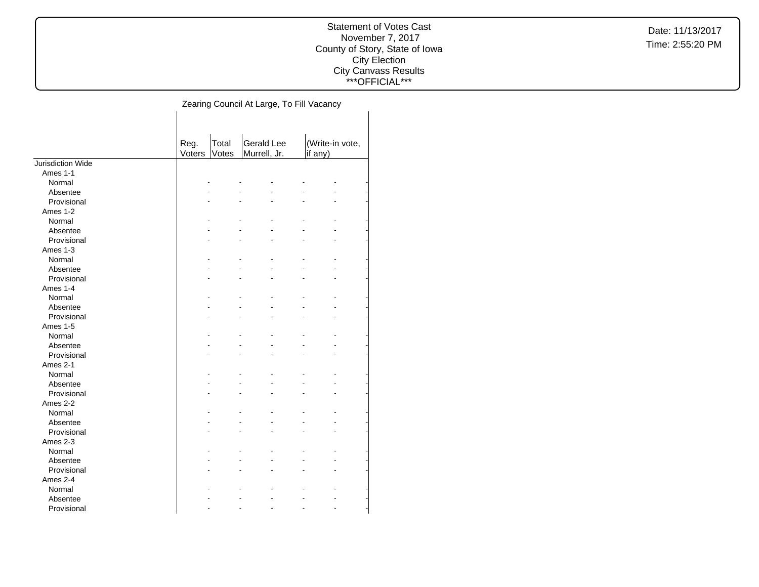### Statement of Votes Cast November 7, 2017 County of Story, State of Iowa City Election City Canvass Results \*\*\*OFFICIAL\*\*\*

| <b>Gerald Lee</b><br>(Write-in vote,<br>Total<br>Reg. |  |
|-------------------------------------------------------|--|
| Murrell, Jr.<br>Voters<br>Votes<br>if any)            |  |
| Jurisdiction Wide                                     |  |
| Ames 1-1                                              |  |
| Normal                                                |  |
| Absentee                                              |  |
| Provisional                                           |  |
| Ames 1-2                                              |  |
| Normal                                                |  |
| Absentee                                              |  |
| Provisional                                           |  |
| Ames 1-3                                              |  |
| Normal                                                |  |
| Absentee                                              |  |
| Provisional                                           |  |
| Ames 1-4                                              |  |
| Normal                                                |  |
| Absentee                                              |  |
| Provisional                                           |  |
| Ames 1-5                                              |  |
| Normal                                                |  |
| Absentee                                              |  |
| Provisional                                           |  |
| Ames 2-1                                              |  |
| Normal                                                |  |
| Absentee                                              |  |
| Provisional                                           |  |
| Ames 2-2                                              |  |
| Normal                                                |  |
| Absentee                                              |  |
| Provisional                                           |  |
| Ames 2-3                                              |  |
| Normal                                                |  |
| Absentee                                              |  |
| Provisional                                           |  |
| Ames 2-4                                              |  |
| Normal                                                |  |
| Absentee                                              |  |
| Provisional                                           |  |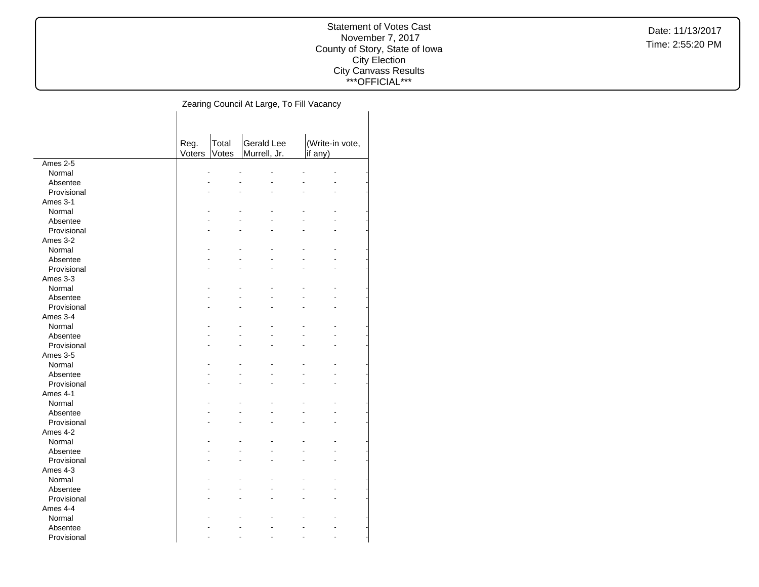### Statement of Votes Cast November 7, 2017 County of Story, State of Iowa City Election City Canvass Results \*\*\*OFFICIAL\*\*\*

|             | Reg.   | Total | <b>Gerald Lee</b> | (Write-in vote, |  |
|-------------|--------|-------|-------------------|-----------------|--|
|             | Voters | Votes | Murrell, Jr.      | if any)         |  |
| Ames 2-5    |        |       |                   |                 |  |
| Normal      |        |       |                   |                 |  |
| Absentee    |        |       |                   |                 |  |
| Provisional |        |       |                   |                 |  |
| Ames 3-1    |        |       |                   |                 |  |
| Normal      |        |       |                   |                 |  |
| Absentee    |        |       |                   |                 |  |
| Provisional |        |       |                   |                 |  |
| Ames 3-2    |        |       |                   |                 |  |
| Normal      |        |       |                   |                 |  |
| Absentee    |        |       |                   |                 |  |
| Provisional |        |       |                   |                 |  |
| Ames 3-3    |        |       |                   |                 |  |
| Normal      |        |       |                   |                 |  |
| Absentee    |        |       |                   |                 |  |
| Provisional |        |       |                   |                 |  |
| Ames 3-4    |        |       |                   |                 |  |
| Normal      |        |       |                   |                 |  |
| Absentee    |        |       |                   |                 |  |
| Provisional |        |       |                   |                 |  |
| Ames 3-5    |        |       |                   |                 |  |
| Normal      |        |       |                   |                 |  |
| Absentee    |        |       |                   |                 |  |
| Provisional |        |       |                   |                 |  |
| Ames 4-1    |        |       |                   |                 |  |
| Normal      |        |       |                   |                 |  |
| Absentee    |        |       |                   |                 |  |
| Provisional |        |       |                   |                 |  |
| Ames 4-2    |        |       |                   |                 |  |
| Normal      |        |       |                   |                 |  |
| Absentee    |        |       |                   |                 |  |
| Provisional |        |       |                   |                 |  |
| Ames 4-3    |        |       |                   |                 |  |
| Normal      |        |       |                   |                 |  |
| Absentee    |        |       |                   |                 |  |
| Provisional |        |       |                   |                 |  |
| Ames 4-4    |        |       |                   |                 |  |
| Normal      |        |       |                   |                 |  |
| Absentee    |        |       |                   |                 |  |
| Provisional |        |       |                   |                 |  |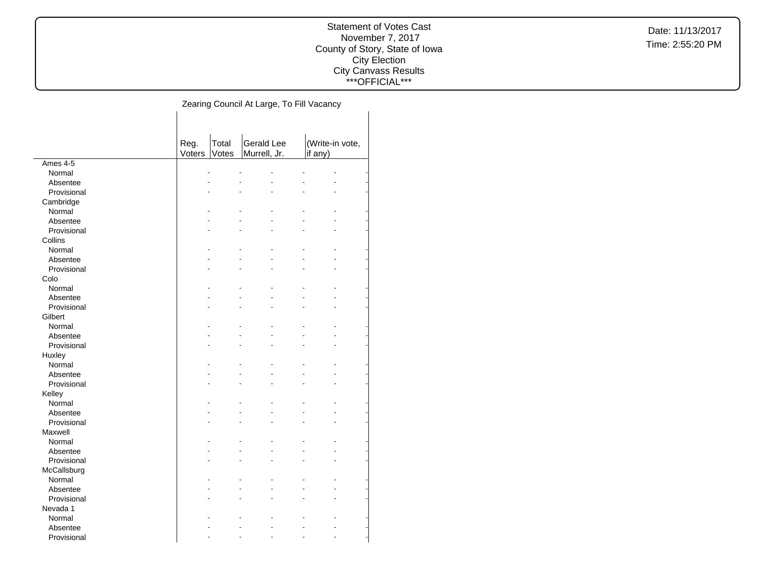### Statement of Votes Cast November 7, 2017 County of Story, State of Iowa City Election City Canvass Results \*\*\*OFFICIAL\*\*\*

|                       | Reg.   | Total | <b>Gerald Lee</b> | (Write-in vote, |  |
|-----------------------|--------|-------|-------------------|-----------------|--|
|                       | Voters | Votes | Murrell, Jr.      | if any)         |  |
| Ames 4-5              |        |       |                   |                 |  |
| Normal                |        |       |                   |                 |  |
| Absentee              |        |       |                   |                 |  |
| Provisional           |        |       |                   |                 |  |
| Cambridge             |        |       |                   |                 |  |
| Normal                |        |       |                   |                 |  |
| Absentee              |        |       |                   |                 |  |
| Provisional           |        |       |                   |                 |  |
| Collins               |        |       |                   |                 |  |
| Normal                |        |       |                   |                 |  |
| Absentee              |        |       |                   |                 |  |
| Provisional           |        |       |                   |                 |  |
| Colo                  |        |       |                   |                 |  |
| Normal                |        |       |                   |                 |  |
| Absentee              |        |       |                   |                 |  |
| Provisional           |        |       |                   |                 |  |
| Gilbert               |        |       |                   |                 |  |
| Normal                |        |       |                   |                 |  |
| Absentee              |        |       |                   |                 |  |
| Provisional<br>Huxley |        |       |                   |                 |  |
| Normal                |        |       |                   |                 |  |
| Absentee              |        |       |                   |                 |  |
| Provisional           |        |       |                   |                 |  |
| Kelley                |        |       |                   |                 |  |
| Normal                |        |       |                   |                 |  |
| Absentee              |        |       |                   |                 |  |
| Provisional           |        |       |                   |                 |  |
| Maxwell               |        |       |                   |                 |  |
| Normal                |        |       |                   |                 |  |
| Absentee              |        |       |                   |                 |  |
| Provisional           |        |       |                   |                 |  |
| McCallsburg           |        |       |                   |                 |  |
| Normal                |        |       |                   |                 |  |
| Absentee              |        |       |                   |                 |  |
| Provisional           |        |       |                   |                 |  |
| Nevada 1              |        |       |                   |                 |  |
| Normal                |        |       |                   |                 |  |
| Absentee              |        |       |                   |                 |  |
| Provisional           |        |       |                   |                 |  |